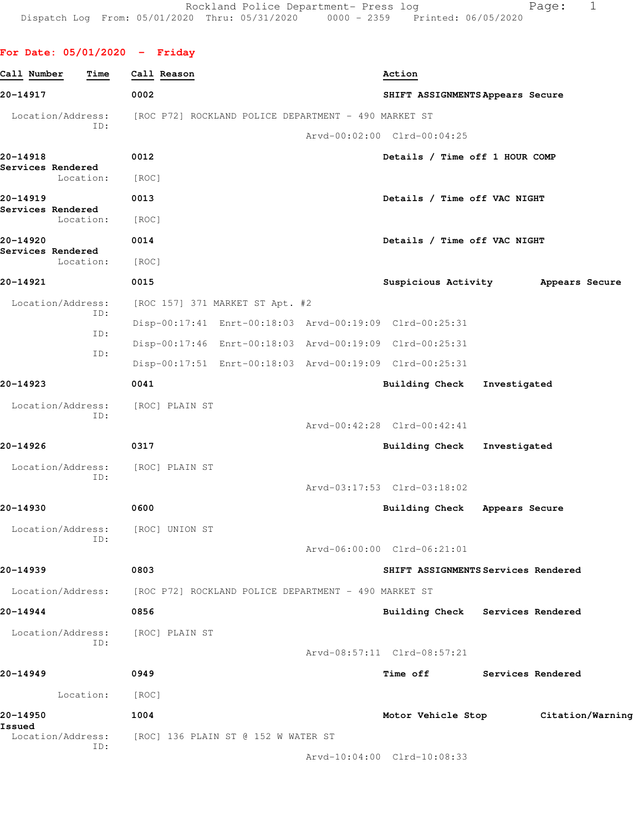## **For Date: 05/01/2020 - Friday**

| Call Number                   | Time       | Call Reason                                                            |                                                      | Action                                                  |                |                                     |
|-------------------------------|------------|------------------------------------------------------------------------|------------------------------------------------------|---------------------------------------------------------|----------------|-------------------------------------|
| 20-14917                      |            | 0002                                                                   |                                                      | SHIFT ASSIGNMENTS Appears Secure                        |                |                                     |
| Location/Address:             |            |                                                                        | [ROC P72] ROCKLAND POLICE DEPARTMENT - 490 MARKET ST |                                                         |                |                                     |
|                               | ID:        |                                                                        |                                                      | Arvd-00:02:00 Clrd-00:04:25                             |                |                                     |
| 20-14918<br>Services Rendered |            | 0012                                                                   |                                                      | Details / Time off 1 HOUR COMP                          |                |                                     |
|                               | Location:  | [ROC]                                                                  |                                                      |                                                         |                |                                     |
| 20-14919<br>Services Rendered |            | 0013                                                                   |                                                      | Details / Time off VAC NIGHT                            |                |                                     |
|                               | Location:  | [ROC]                                                                  |                                                      |                                                         |                |                                     |
| 20-14920                      |            | 0014                                                                   |                                                      | Details / Time off VAC NIGHT                            |                |                                     |
| Services Rendered             | Location:  | [ROC]                                                                  |                                                      |                                                         |                |                                     |
| 20-14921                      |            | 0015                                                                   |                                                      | Suspicious Activity                                     |                | Appears Secure                      |
| Location/Address:             |            |                                                                        | [ROC 157] 371 MARKET ST Apt. #2                      |                                                         |                |                                     |
|                               | ID:        |                                                                        |                                                      | Disp-00:17:41 Enrt-00:18:03 Arvd-00:19:09 Clrd-00:25:31 |                |                                     |
|                               | ID:<br>ID: |                                                                        |                                                      | Disp-00:17:46 Enrt-00:18:03 Arvd-00:19:09 Clrd-00:25:31 |                |                                     |
|                               |            |                                                                        |                                                      | Disp-00:17:51 Enrt-00:18:03 Arvd-00:19:09 Clrd-00:25:31 |                |                                     |
| 20-14923                      |            | 0041                                                                   |                                                      | Building Check                                          | Investigated   |                                     |
| Location/Address:             | ID:        | [ROC] PLAIN ST                                                         |                                                      |                                                         |                |                                     |
|                               |            |                                                                        |                                                      | Arvd-00:42:28 Clrd-00:42:41                             |                |                                     |
| 20-14926                      |            | 0317                                                                   |                                                      | <b>Building Check</b>                                   | Investigated   |                                     |
| Location/Address:             | ID:        | [ROC] PLAIN ST                                                         |                                                      |                                                         |                |                                     |
|                               |            |                                                                        |                                                      | Arvd-03:17:53 Clrd-03:18:02                             |                |                                     |
| 20-14930                      |            | 0600                                                                   |                                                      | <b>Building Check</b>                                   | Appears Secure |                                     |
| Location/Address:             | ID:        | [ROC] UNION ST                                                         |                                                      |                                                         |                |                                     |
|                               |            |                                                                        |                                                      | Arvd-06:00:00 Clrd-06:21:01                             |                |                                     |
| 20-14939                      |            | 0803                                                                   |                                                      | SHIFT ASSIGNMENTS Services Rendered                     |                |                                     |
|                               |            | Location/Address: [ROC P72] ROCKLAND POLICE DEPARTMENT - 490 MARKET ST |                                                      |                                                         |                |                                     |
| 20-14944                      |            | 0856                                                                   |                                                      | Building Check Services Rendered                        |                |                                     |
| Location/Address:             | ID:        | [ROC] PLAIN ST                                                         |                                                      |                                                         |                |                                     |
|                               |            |                                                                        |                                                      | Arvd-08:57:11 Clrd-08:57:21                             |                |                                     |
| 20-14949                      |            | 0949                                                                   |                                                      | <b>Time off</b>                                         |                | Services Rendered                   |
|                               | Location:  | [ROC]                                                                  |                                                      |                                                         |                |                                     |
| 20-14950<br>Issued            |            | 1004                                                                   |                                                      |                                                         |                | Motor Vehicle Stop Citation/Warning |
| Location/Address:             | ID:        |                                                                        | [ROC] 136 PLAIN ST @ 152 W WATER ST                  |                                                         |                |                                     |
|                               |            |                                                                        |                                                      | Arvd-10:04:00 Clrd-10:08:33                             |                |                                     |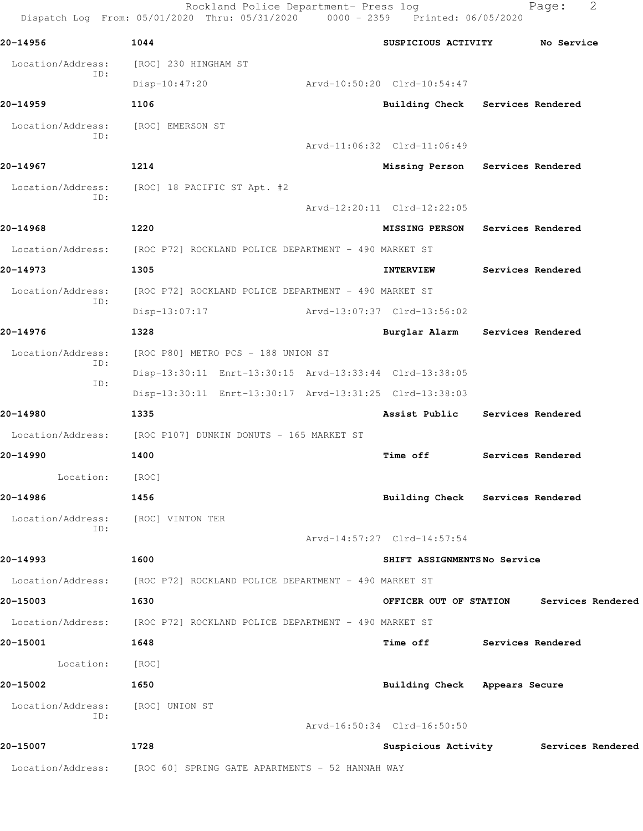Dispatch Log From: 05/01/2020 Thru: 05/31/2020 0000 - 2359 Printed: 06/05/2020 **20-14956 1044 SUSPICIOUS ACTIVITY No Service** Location/Address: [ROC] 230 HINGHAM ST ID: Disp-10:47:20 Arvd-10:50:20 Clrd-10:54:47 **20-14959 1106 Building Check Services Rendered** Location/Address: [ROC] EMERSON ST ID: Arvd-11:06:32 Clrd-11:06:49 **20-14967 1214 Missing Person Services Rendered** Location/Address: [ROC] 18 PACIFIC ST Apt. #2 ID: Arvd-12:20:11 Clrd-12:22:05 **20-14968 1220 MISSING PERSON Services Rendered** Location/Address: [ROC P72] ROCKLAND POLICE DEPARTMENT - 490 MARKET ST **20-14973 1305 INTERVIEW Services Rendered** Location/Address: [ROC P72] ROCKLAND POLICE DEPARTMENT - 490 MARKET ST ID: Disp-13:07:17 Arvd-13:07:37 Clrd-13:56:02 **20-14976 1328 Burglar Alarm Services Rendered** Location/Address: [ROC P80] METRO PCS - 188 UNION ST ID: Disp-13:30:11 Enrt-13:30:15 Arvd-13:33:44 Clrd-13:38:05 ID: Disp-13:30:11 Enrt-13:30:17 Arvd-13:31:25 Clrd-13:38:03 **20-14980 1335 Assist Public Services Rendered** Location/Address: [ROC P107] DUNKIN DONUTS - 165 MARKET ST **20-14990 1400 Time off Services Rendered** Location: [ROC] **20-14986 1456 Building Check Services Rendered** Location/Address: [ROC] VINTON TER ID: Arvd-14:57:27 Clrd-14:57:54 **20-14993 1600 SHIFT ASSIGNMENTS No Service** Location/Address: [ROC P72] ROCKLAND POLICE DEPARTMENT - 490 MARKET ST **20-15003 1630 OFFICER OUT OF STATION Services Rendered** Location/Address: [ROC P72] ROCKLAND POLICE DEPARTMENT - 490 MARKET ST **20-15001 1648 Time off Services Rendered** Location: [ROC] **20-15002 1650 Building Check Appears Secure** Location/Address: [ROC] UNION ST ID: Arvd-16:50:34 Clrd-16:50:50 **20-15007 1728 Suspicious Activity Services Rendered**

Rockland Police Department- Press log Nage: 2

Location/Address: [ROC 60] SPRING GATE APARTMENTS - 52 HANNAH WAY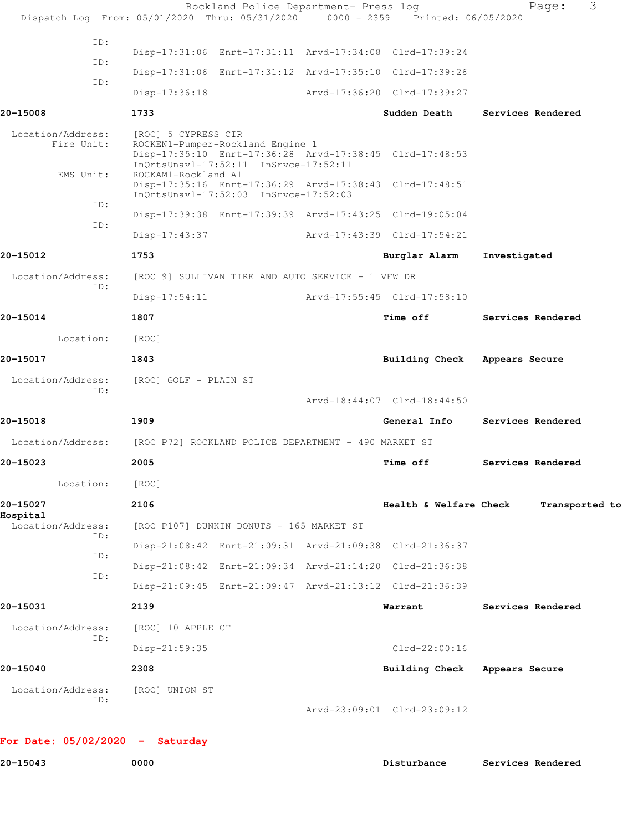|                                 | Rockland Police Department- Press log<br>Dispatch Log From: 05/01/2020 Thru: 05/31/2020 0000 - 2359 Printed: 06/05/2020                                     |                             | 3<br>Page:        |
|---------------------------------|-------------------------------------------------------------------------------------------------------------------------------------------------------------|-----------------------------|-------------------|
| ID:                             |                                                                                                                                                             |                             |                   |
| ID:                             | Disp-17:31:06 Enrt-17:31:11 Arvd-17:34:08 Clrd-17:39:24                                                                                                     |                             |                   |
| ID:                             | Disp-17:31:06 Enrt-17:31:12 Arvd-17:35:10 Clrd-17:39:26                                                                                                     |                             |                   |
|                                 | $Disp-17:36:18$                                                                                                                                             | Arvd-17:36:20 Clrd-17:39:27 |                   |
| 20-15008                        | 1733                                                                                                                                                        | Sudden Death                | Services Rendered |
| Location/Address:<br>Fire Unit: | [ROC] 5 CYPRESS CIR<br>ROCKEN1-Pumper-Rockland Engine 1<br>Disp-17:35:10 Enrt-17:36:28 Arvd-17:38:45 Clrd-17:48:53<br>InQrtsUnavl-17:52:11 InSrvce-17:52:11 |                             |                   |
| EMS Unit:                       | ROCKAM1-Rockland A1<br>Disp-17:35:16 Enrt-17:36:29 Arvd-17:38:43 Clrd-17:48:51<br>InQrtsUnavl-17:52:03 InSrvce-17:52:03                                     |                             |                   |
| ID:                             | Disp-17:39:38 Enrt-17:39:39 Arvd-17:43:25 Clrd-19:05:04                                                                                                     |                             |                   |
| ID:                             | $Disp-17:43:37$                                                                                                                                             | Arvd-17:43:39 Clrd-17:54:21 |                   |
| 20-15012                        | 1753                                                                                                                                                        | Burglar Alarm               | Investigated      |
| Location/Address:               | [ROC 9] SULLIVAN TIRE AND AUTO SERVICE - 1 VFW DR                                                                                                           |                             |                   |
| ID:                             | $Disp-17:54:11$                                                                                                                                             | Arvd-17:55:45 Clrd-17:58:10 |                   |
| 20-15014                        | 1807                                                                                                                                                        | <b>Time off</b>             | Services Rendered |
| Location:                       | [ROC]                                                                                                                                                       |                             |                   |
| 20-15017                        | 1843                                                                                                                                                        | Building Check              | Appears Secure    |
| Location/Address:<br>ID:        | [ROC] GOLF - PLAIN ST                                                                                                                                       |                             |                   |
|                                 |                                                                                                                                                             | Arvd-18:44:07 Clrd-18:44:50 |                   |
| 20-15018                        | 1909                                                                                                                                                        | General Info                | Services Rendered |
| Location/Address:               | [ROC P72] ROCKLAND POLICE DEPARTMENT - 490 MARKET ST                                                                                                        |                             |                   |
| 20-15023                        | 2005                                                                                                                                                        | <b>Time off</b>             | Services Rendered |
| Location:                       | [ROC]                                                                                                                                                       |                             |                   |
| 20-15027<br>Hospital            | 2106                                                                                                                                                        | Health & Welfare Check      | Transported to    |
| Location/Address:<br>ID:        | [ROC P107] DUNKIN DONUTS - 165 MARKET ST                                                                                                                    |                             |                   |
| ID:                             | Disp-21:08:42 Enrt-21:09:31 Arvd-21:09:38 Clrd-21:36:37                                                                                                     |                             |                   |
| ID:                             | Disp-21:08:42 Enrt-21:09:34 Arvd-21:14:20 Clrd-21:36:38                                                                                                     |                             |                   |
|                                 | Disp-21:09:45 Enrt-21:09:47 Arvd-21:13:12 Clrd-21:36:39                                                                                                     |                             |                   |
| 20-15031                        | 2139                                                                                                                                                        | Warrant                     | Services Rendered |
| Location/Address:<br>ID:        | [ROC] 10 APPLE CT                                                                                                                                           |                             |                   |
|                                 | Disp-21:59:35                                                                                                                                               | $Clrd-22:00:16$             |                   |
| 20-15040                        | 2308                                                                                                                                                        | Building Check              | Appears Secure    |
| Location/Address:<br>ID:        | [ROC] UNION ST                                                                                                                                              | Arvd-23:09:01 Clrd-23:09:12 |                   |
|                                 |                                                                                                                                                             |                             |                   |

## **For Date: 05/02/2020 - Saturday**

**20-15043 0000 Disturbance Services Rendered**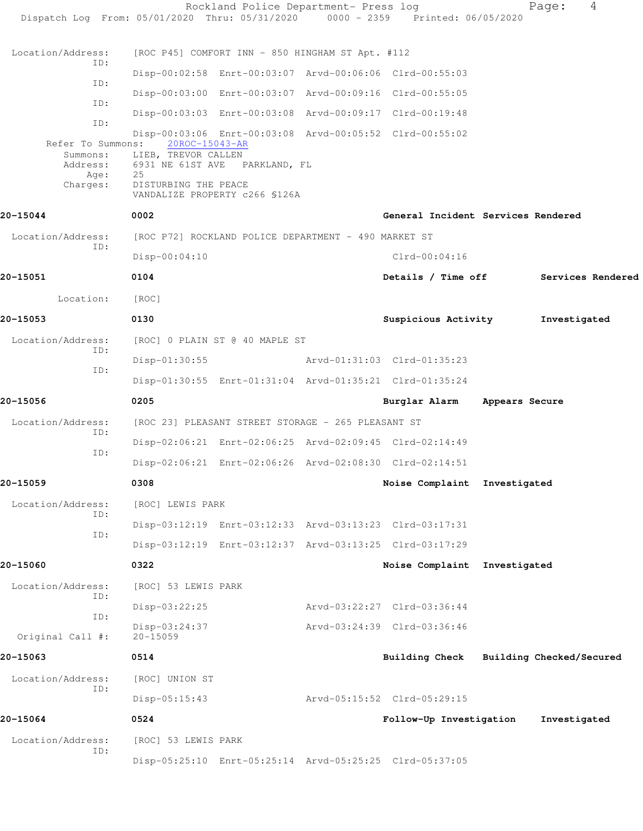|                          | Dispatch Log From: 05/01/2020 Thru: 05/31/2020 0000 - 2359 Printed: 06/05/2020              | Rockland Police Department- Press log |                                      | Page:                    | 4 |
|--------------------------|---------------------------------------------------------------------------------------------|---------------------------------------|--------------------------------------|--------------------------|---|
| Location/Address:        | [ROC P45] COMFORT INN - 850 HINGHAM ST Apt. #112                                            |                                       |                                      |                          |   |
| ID:                      | Disp-00:02:58 Enrt-00:03:07 Arvd-00:06:06 Clrd-00:55:03                                     |                                       |                                      |                          |   |
| ID:                      | Disp-00:03:00 Enrt-00:03:07 Arvd-00:09:16 Clrd-00:55:05                                     |                                       |                                      |                          |   |
| ID:                      | Disp-00:03:03 Enrt-00:03:08 Arvd-00:09:17 Clrd-00:19:48                                     |                                       |                                      |                          |   |
| ID:                      |                                                                                             |                                       |                                      |                          |   |
|                          | Disp-00:03:06 Enrt-00:03:08 Arvd-00:05:52 Clrd-00:55:02<br>Refer To Summons: 20ROC-15043-AR |                                       |                                      |                          |   |
| Address:                 | Summons: LIEB, TREVOR CALLEN<br>6931 NE 61ST AVE PARKLAND, FL                               |                                       |                                      |                          |   |
| Age:<br>Charges:         | 25<br>DISTURBING THE PEACE<br>VANDALIZE PROPERTY c266 \$126A                                |                                       |                                      |                          |   |
| 20-15044                 | 0002                                                                                        |                                       | General Incident Services Rendered   |                          |   |
| Location/Address:        | [ROC P72] ROCKLAND POLICE DEPARTMENT - 490 MARKET ST                                        |                                       |                                      |                          |   |
| ID:                      | $Disp-00:04:10$                                                                             |                                       | $Clrd-00:04:16$                      |                          |   |
| 20-15051                 | 0104                                                                                        |                                       | Details / Time off Services Rendered |                          |   |
| Location:                | [ROC]                                                                                       |                                       |                                      |                          |   |
| 20-15053                 | 0130                                                                                        |                                       | Suspicious Activity                  | Investigated             |   |
| Location/Address:        | [ROC] 0 PLAIN ST @ 40 MAPLE ST                                                              |                                       |                                      |                          |   |
| ID:                      | $Disp-01:30:55$                                                                             |                                       | Arvd-01:31:03 Clrd-01:35:23          |                          |   |
| ID:                      | Disp-01:30:55 Enrt-01:31:04 Arvd-01:35:21 Clrd-01:35:24                                     |                                       |                                      |                          |   |
| 20-15056                 | 0205                                                                                        |                                       | Burglar Alarm Appears Secure         |                          |   |
| Location/Address:        | [ROC 23] PLEASANT STREET STORAGE - 265 PLEASANT ST                                          |                                       |                                      |                          |   |
| ID:                      | Disp-02:06:21 Enrt-02:06:25 Arvd-02:09:45 Clrd-02:14:49                                     |                                       |                                      |                          |   |
| ID:                      | Disp-02:06:21 Enrt-02:06:26 Arvd-02:08:30 Clrd-02:14:51                                     |                                       |                                      |                          |   |
| 20-15059                 | 0308                                                                                        |                                       | Noise Complaint Investigated         |                          |   |
| Location/Address:        | [ROC] LEWIS PARK                                                                            |                                       |                                      |                          |   |
| ID:                      | Disp-03:12:19 Enrt-03:12:33 Arvd-03:13:23 Clrd-03:17:31                                     |                                       |                                      |                          |   |
| ID:                      | Disp-03:12:19 Enrt-03:12:37 Arvd-03:13:25 Clrd-03:17:29                                     |                                       |                                      |                          |   |
| 20-15060                 | 0322                                                                                        |                                       | Noise Complaint Investigated         |                          |   |
| Location/Address:        | [ROC] 53 LEWIS PARK                                                                         |                                       |                                      |                          |   |
| ID:                      | Disp-03:22:25                                                                               |                                       | Arvd-03:22:27 Clrd-03:36:44          |                          |   |
| ID:                      | Disp-03:24:37                                                                               |                                       | Arvd-03:24:39 Clrd-03:36:46          |                          |   |
| Original Call #:         | $20 - 15059$                                                                                |                                       |                                      |                          |   |
| 20-15063                 | 0514                                                                                        |                                       | <b>Building Check</b>                | Building Checked/Secured |   |
| Location/Address:<br>ID: | [ROC] UNION ST                                                                              |                                       |                                      |                          |   |
|                          | $Disp-05:15:43$                                                                             |                                       | Arvd-05:15:52 Clrd-05:29:15          |                          |   |
| 20-15064                 | 0524                                                                                        |                                       | Follow-Up Investigation              | Investigated             |   |
| Location/Address:<br>ID: | [ROC] 53 LEWIS PARK                                                                         |                                       |                                      |                          |   |
|                          | Disp-05:25:10 Enrt-05:25:14 Arvd-05:25:25 Clrd-05:37:05                                     |                                       |                                      |                          |   |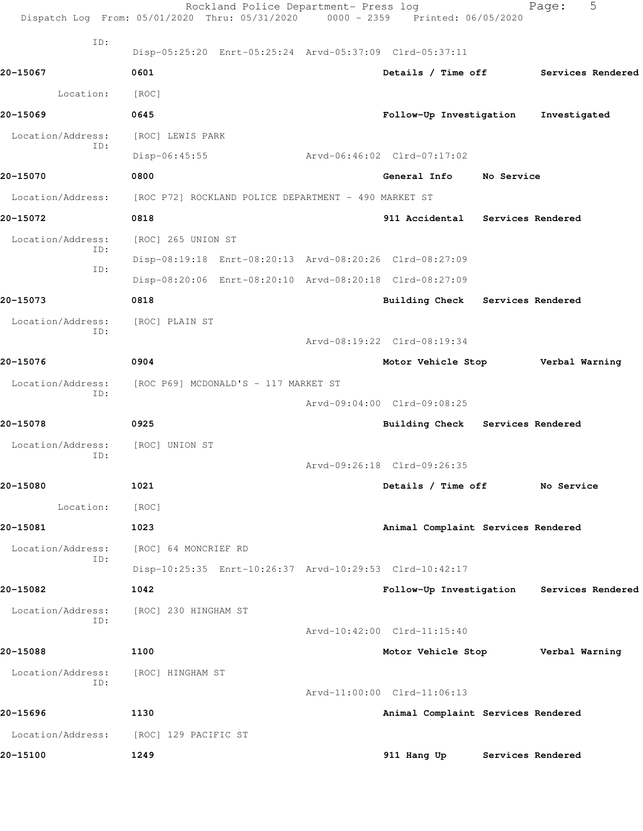|                   | Rockland Police Department- Press log<br>Dispatch Log From: 05/01/2020 Thru: 05/31/2020 0000 - 2359 Printed: 06/05/2020 |                                    |            | 5<br>Page:                                |
|-------------------|-------------------------------------------------------------------------------------------------------------------------|------------------------------------|------------|-------------------------------------------|
| ID:               | Disp-05:25:20 Enrt-05:25:24 Arvd-05:37:09 Clrd-05:37:11                                                                 |                                    |            |                                           |
| 20-15067          | 0601                                                                                                                    | Details / Time off                 |            | Services Rendered                         |
| Location:         | [ROC]                                                                                                                   |                                    |            |                                           |
| 20-15069          | 0645                                                                                                                    | Follow-Up Investigation            |            | Investigated                              |
| Location/Address: | [ROC] LEWIS PARK                                                                                                        |                                    |            |                                           |
| ID:               | $Disp-06:45:55$                                                                                                         | Arvd-06:46:02 Clrd-07:17:02        |            |                                           |
| 20-15070          | 0800                                                                                                                    | General Info                       | No Service |                                           |
| Location/Address: | [ROC P72] ROCKLAND POLICE DEPARTMENT - 490 MARKET ST                                                                    |                                    |            |                                           |
| 20-15072          | 0818                                                                                                                    | 911 Accidental Services Rendered   |            |                                           |
| Location/Address: | [ROC] 265 UNION ST                                                                                                      |                                    |            |                                           |
| ID:               | Disp-08:19:18 Enrt-08:20:13 Arvd-08:20:26 Clrd-08:27:09                                                                 |                                    |            |                                           |
| ID:               | Disp-08:20:06 Enrt-08:20:10 Arvd-08:20:18 Clrd-08:27:09                                                                 |                                    |            |                                           |
| 20-15073          | 0818                                                                                                                    | Building Check Services Rendered   |            |                                           |
| Location/Address: | [ROC] PLAIN ST                                                                                                          |                                    |            |                                           |
| ID:               |                                                                                                                         | Arvd-08:19:22 Clrd-08:19:34        |            |                                           |
| 20-15076          | 0904                                                                                                                    | Motor Vehicle Stop                 |            | Verbal Warning                            |
| Location/Address: | [ROC P69] MCDONALD'S - 117 MARKET ST                                                                                    |                                    |            |                                           |
| ID:               |                                                                                                                         | Arvd-09:04:00 Clrd-09:08:25        |            |                                           |
| 20-15078          | 0925                                                                                                                    | Building Check Services Rendered   |            |                                           |
| Location/Address: | [ROC] UNION ST                                                                                                          |                                    |            |                                           |
| ID:               |                                                                                                                         | Arvd-09:26:18 Clrd-09:26:35        |            |                                           |
| 20-15080          | 1021                                                                                                                    | Details / Time off No Service      |            |                                           |
| Location:         | [ROC]                                                                                                                   |                                    |            |                                           |
| 20-15081          | 1023                                                                                                                    | Animal Complaint Services Rendered |            |                                           |
| Location/Address: | [ROC] 64 MONCRIEF RD                                                                                                    |                                    |            |                                           |
| ID:               | Disp-10:25:35 Enrt-10:26:37 Arvd-10:29:53 Clrd-10:42:17                                                                 |                                    |            |                                           |
| 20-15082          | 1042                                                                                                                    |                                    |            | Follow-Up Investigation Services Rendered |
| Location/Address: | [ROC] 230 HINGHAM ST                                                                                                    |                                    |            |                                           |
| ID:               |                                                                                                                         | Arvd-10:42:00 Clrd-11:15:40        |            |                                           |
| 20-15088          | 1100                                                                                                                    | Motor Vehicle Stop                 |            | Verbal Warning                            |
| Location/Address: | [ROC] HINGHAM ST                                                                                                        |                                    |            |                                           |
| ID:               |                                                                                                                         | Arvd-11:00:00 Clrd-11:06:13        |            |                                           |
| 20-15696          | 1130                                                                                                                    | Animal Complaint Services Rendered |            |                                           |
| Location/Address: | [ROC] 129 PACIFIC ST                                                                                                    |                                    |            |                                           |
| 20-15100          | 1249                                                                                                                    | 911 Hang Up Services Rendered      |            |                                           |
|                   |                                                                                                                         |                                    |            |                                           |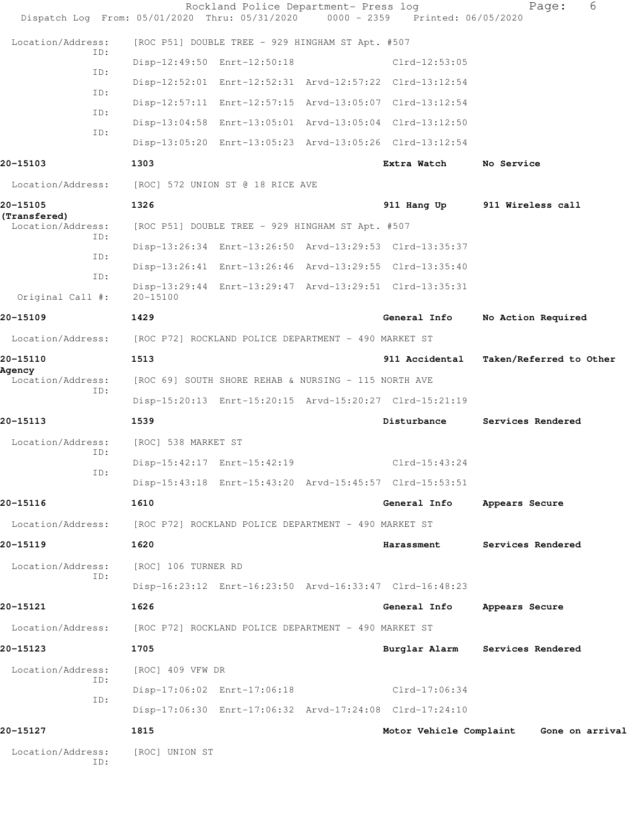|                                   | Dispatch Log From: 05/01/2020 Thru: 05/31/2020 0000 - 2359 Printed: 06/05/2020 | Rockland Police Department- Press log                   |                         | 6<br>Page:              |
|-----------------------------------|--------------------------------------------------------------------------------|---------------------------------------------------------|-------------------------|-------------------------|
| Location/Address:                 |                                                                                | [ROC P51] DOUBLE TREE - 929 HINGHAM ST Apt. #507        |                         |                         |
| ID:                               |                                                                                | Disp-12:49:50 Enrt-12:50:18                             | $Clrd-12:53:05$         |                         |
| ID:                               |                                                                                | Disp-12:52:01 Enrt-12:52:31 Arvd-12:57:22 Clrd-13:12:54 |                         |                         |
| ID:                               |                                                                                | Disp-12:57:11 Enrt-12:57:15 Arvd-13:05:07 Clrd-13:12:54 |                         |                         |
| ID:                               |                                                                                | Disp-13:04:58 Enrt-13:05:01 Arvd-13:05:04 Clrd-13:12:50 |                         |                         |
| ID:                               |                                                                                | Disp-13:05:20 Enrt-13:05:23 Arvd-13:05:26 Clrd-13:12:54 |                         |                         |
| 20-15103                          | 1303                                                                           |                                                         | Extra Watch             | No Service              |
| Location/Address:                 |                                                                                | [ROC] 572 UNION ST @ 18 RICE AVE                        |                         |                         |
| 20-15105                          | 1326                                                                           |                                                         | 911 Hang Up             | 911 Wireless call       |
| (Transfered)<br>Location/Address: |                                                                                | [ROC P51] DOUBLE TREE - 929 HINGHAM ST Apt. #507        |                         |                         |
| ID:                               |                                                                                | Disp-13:26:34 Enrt-13:26:50 Arvd-13:29:53 Clrd-13:35:37 |                         |                         |
| ID:<br>ID:                        |                                                                                | Disp-13:26:41 Enrt-13:26:46 Arvd-13:29:55 Clrd-13:35:40 |                         |                         |
| Original Call #:                  | $20 - 15100$                                                                   | Disp-13:29:44 Enrt-13:29:47 Arvd-13:29:51 Clrd-13:35:31 |                         |                         |
| 20-15109                          | 1429                                                                           |                                                         | General Info            | No Action Required      |
| Location/Address:                 | [ROC P72] ROCKLAND POLICE DEPARTMENT - 490 MARKET ST                           |                                                         |                         |                         |
| 20-15110                          | 1513                                                                           |                                                         | 911 Accidental          | Taken/Referred to Other |
| Agency<br>Location/Address:       |                                                                                | [ROC 69] SOUTH SHORE REHAB & NURSING - 115 NORTH AVE    |                         |                         |
| ID:                               |                                                                                | Disp-15:20:13 Enrt-15:20:15 Arvd-15:20:27 Clrd-15:21:19 |                         |                         |
| 20-15113                          | 1539                                                                           |                                                         | Disturbance             | Services Rendered       |
| Location/Address:                 | [ROC] 538 MARKET ST                                                            |                                                         |                         |                         |
| ID:                               |                                                                                | Disp-15:42:17 Enrt-15:42:19                             | $Clrd-15:43:24$         |                         |
| ID:                               |                                                                                | Disp-15:43:18 Enrt-15:43:20 Arvd-15:45:57 Clrd-15:53:51 |                         |                         |
| 20-15116                          | 1610                                                                           |                                                         | General Info            | Appears Secure          |
| Location/Address:                 |                                                                                | [ROC P72] ROCKLAND POLICE DEPARTMENT - 490 MARKET ST    |                         |                         |
| 20-15119                          | 1620                                                                           |                                                         | <b>Harassment</b>       | Services Rendered       |
| Location/Address:                 | [ROC] 106 TURNER RD                                                            |                                                         |                         |                         |
| ID:                               |                                                                                | Disp-16:23:12 Enrt-16:23:50 Arvd-16:33:47 Clrd-16:48:23 |                         |                         |
| 20-15121                          | 1626                                                                           |                                                         | General Info            | Appears Secure          |
| Location/Address:                 | [ROC P72] ROCKLAND POLICE DEPARTMENT - 490 MARKET ST                           |                                                         |                         |                         |
| 20-15123                          | 1705                                                                           |                                                         | Burglar Alarm           | Services Rendered       |
| Location/Address:                 | [ROC] 409 VFW DR                                                               |                                                         |                         |                         |
| ID:                               |                                                                                | Disp-17:06:02 Enrt-17:06:18                             | Clrd-17:06:34           |                         |
| ID:                               |                                                                                | Disp-17:06:30 Enrt-17:06:32 Arvd-17:24:08 Clrd-17:24:10 |                         |                         |
| 20-15127                          | 1815                                                                           |                                                         | Motor Vehicle Complaint | Gone on arrival         |
| Location/Address:<br>ID:          | [ROC] UNION ST                                                                 |                                                         |                         |                         |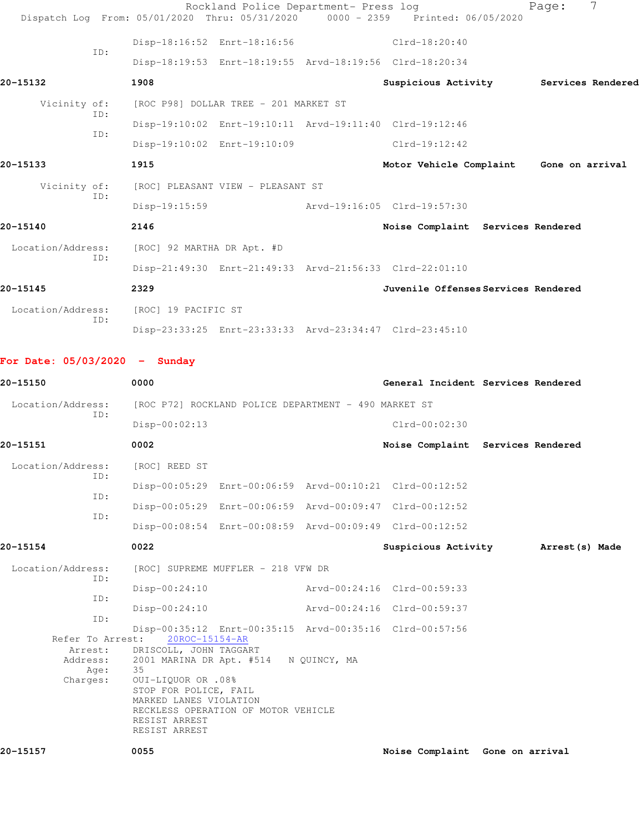|                   |     |                     | Rockland Police Department- Press log                                          |                                       | Page:           | 7 |
|-------------------|-----|---------------------|--------------------------------------------------------------------------------|---------------------------------------|-----------------|---|
|                   |     |                     | Dispatch Log From: 05/01/2020 Thru: 05/31/2020 0000 - 2359 Printed: 06/05/2020 |                                       |                 |   |
|                   | TD: |                     | Disp-18:16:52 Enrt-18:16:56                                                    | $Clrd-18:20:40$                       |                 |   |
|                   |     |                     | Disp-18:19:53 Enrt-18:19:55 Arvd-18:19:56 Clrd-18:20:34                        |                                       |                 |   |
| 20-15132          |     | 1908                |                                                                                | Suspicious Activity Services Rendered |                 |   |
| Vicinity of:      | ID: |                     | [ROC P98] DOLLAR TREE - 201 MARKET ST                                          |                                       |                 |   |
|                   | TD: |                     | Disp-19:10:02 Enrt-19:10:11 Arvd-19:11:40 Clrd-19:12:46                        |                                       |                 |   |
|                   |     |                     | Disp-19:10:02 Enrt-19:10:09                                                    | $Clrd-19:12:42$                       |                 |   |
| 20-15133          |     | 1915                |                                                                                | Motor Vehicle Complaint               | Gone on arrival |   |
| Vicinity of:      | TD: |                     | [ROC] PLEASANT VIEW - PLEASANT ST                                              |                                       |                 |   |
|                   |     | Disp-19:15:59       |                                                                                | Arvd-19:16:05 Clrd-19:57:30           |                 |   |
| 20-15140          |     | 2146                |                                                                                | Noise Complaint Services Rendered     |                 |   |
| Location/Address: |     |                     | [ROC] 92 MARTHA DR Apt. #D                                                     |                                       |                 |   |
|                   | ID: |                     | Disp-21:49:30 Enrt-21:49:33 Arvd-21:56:33 Clrd-22:01:10                        |                                       |                 |   |
| 20-15145          |     | 2329                |                                                                                | Juvenile Offenses Services Rendered   |                 |   |
| Location/Address: |     | [ROC] 19 PACIFIC ST |                                                                                |                                       |                 |   |
|                   | ID: |                     | Disp-23:33:25 Enrt-23:33:33 Arvd-23:34:47 Clrd-23:45:10                        |                                       |                 |   |

**For Date: 05/03/2020 - Sunday**

| 20-15150                 | 0000                                                    |                                 | General Incident Services Rendered   |  |
|--------------------------|---------------------------------------------------------|---------------------------------|--------------------------------------|--|
| Location/Address:        | [ROC P72] ROCKLAND POLICE DEPARTMENT - 490 MARKET ST    |                                 |                                      |  |
| TD:                      | $Disp-00:02:13$                                         | $Clrd-00:02:30$                 |                                      |  |
| 20-15151                 | 0002                                                    |                                 | Noise Complaint Services Rendered    |  |
| Location/Address:        | [ROC] REED ST                                           |                                 |                                      |  |
| ID:                      | Disp-00:05:29 Enrt-00:06:59 Arvd-00:10:21 Clrd-00:12:52 |                                 |                                      |  |
| ID:                      | Disp-00:05:29 Enrt-00:06:59 Arvd-00:09:47 Clrd-00:12:52 |                                 |                                      |  |
| ID:                      | Disp-00:08:54 Enrt-00:08:59 Arvd-00:09:49 Clrd-00:12:52 |                                 |                                      |  |
| 20-15154                 | 0022                                                    |                                 | Suspicious Activity Marrest (s) Made |  |
| Location/Address:<br>TD: | [ROC] SUPREME MUFFLER - 218 VFW DR                      |                                 |                                      |  |
|                          | $Disp-00:24:10$                                         | Arvd-00:24:16 Clrd-00:59:33     |                                      |  |
| ID:                      | $Disp-00:24:10$                                         | Arvd-00:24:16 Clrd-00:59:37     |                                      |  |
| ID:                      | Disp-00:35:12 Enrt-00:35:15 Arvd-00:35:16 Clrd-00:57:56 |                                 |                                      |  |
| Refer To Arrest:         | 20ROC-15154-AR                                          |                                 |                                      |  |
| Arrest:                  | DRISCOLL, JOHN TAGGART                                  |                                 |                                      |  |
| Address:<br>Age:         | 2001 MARINA DR Apt. #514 N QUINCY, MA<br>35             |                                 |                                      |  |
| Charges:                 | OUI-LIOUOR OR .08%                                      |                                 |                                      |  |
|                          | STOP FOR POLICE, FAIL                                   |                                 |                                      |  |
|                          | MARKED LANES VIOLATION                                  |                                 |                                      |  |
|                          | RECKLESS OPERATION OF MOTOR VEHICLE                     |                                 |                                      |  |
|                          | RESIST ARREST<br>RESIST ARREST                          |                                 |                                      |  |
|                          |                                                         |                                 |                                      |  |
| 20-15157                 | 0055                                                    | Noise Complaint Gone on arrival |                                      |  |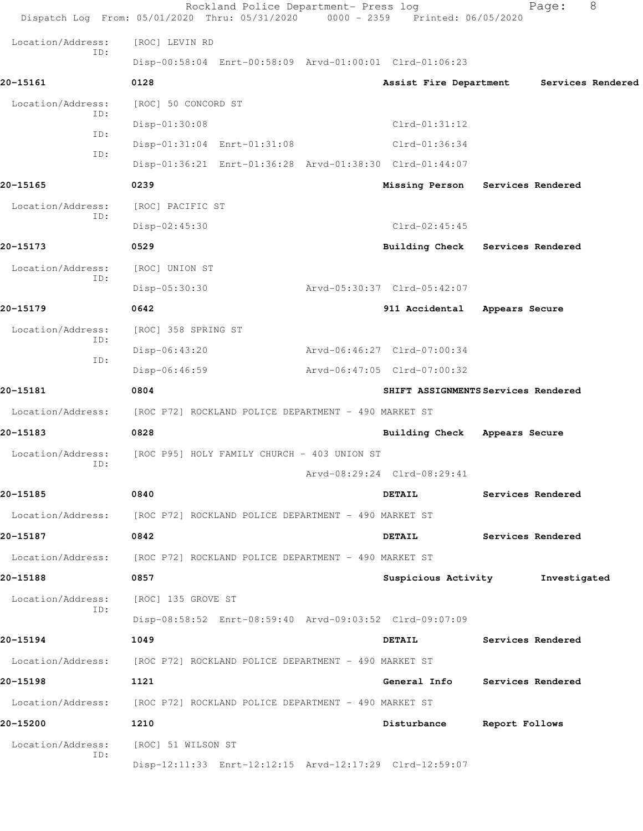|                          | Rockland Police Department- Press log<br>Dispatch Log From: 05/01/2020 Thru: 05/31/2020 | 0000 - 2359 Printed: 06/05/2020 | 8<br>Page:                          |
|--------------------------|-----------------------------------------------------------------------------------------|---------------------------------|-------------------------------------|
| Location/Address:        | [ROC] LEVIN RD                                                                          |                                 |                                     |
| ID:                      | Disp-00:58:04 Enrt-00:58:09 Arvd-01:00:01 Clrd-01:06:23                                 |                                 |                                     |
| 20-15161                 | 0128                                                                                    | Assist Fire Department          | Services Rendered                   |
| Location/Address:        | [ROC] 50 CONCORD ST                                                                     |                                 |                                     |
| ID:                      | Disp-01:30:08                                                                           | $Clrd-01:31:12$                 |                                     |
| ID:                      | Disp-01:31:04 Enrt-01:31:08                                                             | $Clrd-01:36:34$                 |                                     |
| ID:                      | Disp-01:36:21 Enrt-01:36:28 Arvd-01:38:30 Clrd-01:44:07                                 |                                 |                                     |
| 20-15165                 | 0239                                                                                    | Missing Person                  | Services Rendered                   |
| Location/Address:<br>ID: | [ROC] PACIFIC ST                                                                        |                                 |                                     |
|                          | Disp-02:45:30                                                                           | $Clrd-02:45:45$                 |                                     |
| 20-15173                 | 0529                                                                                    | Building Check                  | Services Rendered                   |
| Location/Address:<br>ID: | [ROC] UNION ST                                                                          |                                 |                                     |
|                          | Disp-05:30:30                                                                           | Arvd-05:30:37 Clrd-05:42:07     |                                     |
| 20-15179                 | 0642                                                                                    | 911 Accidental                  | Appears Secure                      |
| Location/Address:<br>ID: | [ROC] 358 SPRING ST                                                                     |                                 |                                     |
| ID:                      | Disp-06:43:20                                                                           | Arvd-06:46:27 Clrd-07:00:34     |                                     |
|                          | Disp-06:46:59                                                                           | Arvd-06:47:05 Clrd-07:00:32     |                                     |
| 20-15181                 | 0804                                                                                    |                                 | SHIFT ASSIGNMENTS Services Rendered |
| Location/Address:        | [ROC P72] ROCKLAND POLICE DEPARTMENT - 490 MARKET ST                                    |                                 |                                     |
| 20-15183                 | 0828                                                                                    | <b>Building Check</b>           | Appears Secure                      |
| Location/Address:<br>ID: | [ROC P95] HOLY FAMILY CHURCH - 403 UNION ST                                             |                                 |                                     |
|                          |                                                                                         | Arvd-08:29:24 Clrd-08:29:41     |                                     |
| 20-15185                 | 0840                                                                                    | DETAIL                          | Services Rendered                   |
|                          | Location/Address: [ROC P72] ROCKLAND POLICE DEPARTMENT - 490 MARKET ST                  |                                 |                                     |
| 20-15187                 | 0842                                                                                    | DETAIL                          | Services Rendered                   |
|                          | Location/Address: [ROC P72] ROCKLAND POLICE DEPARTMENT - 490 MARKET ST                  |                                 |                                     |
| 20-15188                 | 0857                                                                                    | Suspicious Activity             | Investigated                        |
| Location/Address:<br>ID: | [ROC] 135 GROVE ST                                                                      |                                 |                                     |
|                          | Disp-08:58:52 Enrt-08:59:40 Arvd-09:03:52 Clrd-09:07:09                                 |                                 |                                     |
| 20-15194                 | 1049                                                                                    | <b>DETAIL</b>                   | Services Rendered                   |
|                          | Location/Address: [ROC P72] ROCKLAND POLICE DEPARTMENT - 490 MARKET ST                  |                                 |                                     |
| 20-15198                 | 1121                                                                                    |                                 | General Info Services Rendered      |
|                          | Location/Address: [ROC P72] ROCKLAND POLICE DEPARTMENT - 490 MARKET ST                  |                                 |                                     |
| 20-15200                 | 1210                                                                                    | Disturbance                     | Report Follows                      |
| Location/Address:<br>ID: | [ROC] 51 WILSON ST                                                                      |                                 |                                     |
|                          | Disp-12:11:33 Enrt-12:12:15 Arvd-12:17:29 Clrd-12:59:07                                 |                                 |                                     |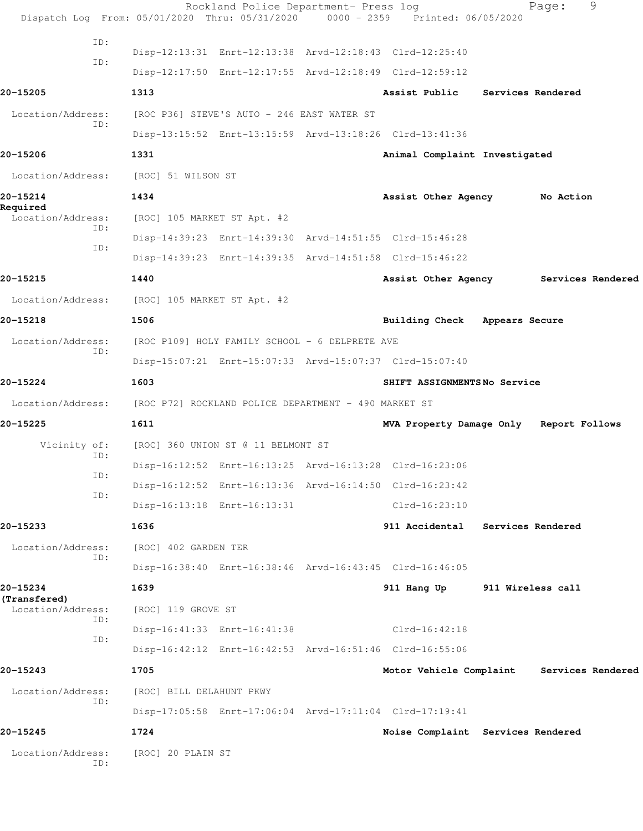|                                   | Rockland Police Department- Press log<br>Dispatch Log From: 05/01/2020 Thru: 05/31/2020 | 0000 - 2359 Printed: 06/05/2020           |                   | 9<br>Page: |  |
|-----------------------------------|-----------------------------------------------------------------------------------------|-------------------------------------------|-------------------|------------|--|
| ID:                               |                                                                                         |                                           |                   |            |  |
| ID:                               | Disp-12:13:31 Enrt-12:13:38 Arvd-12:18:43 Clrd-12:25:40                                 |                                           |                   |            |  |
|                                   | Disp-12:17:50 Enrt-12:17:55 Arvd-12:18:49 Clrd-12:59:12                                 |                                           |                   |            |  |
| 20-15205                          | 1313                                                                                    | Assist Public Services Rendered           |                   |            |  |
| Location/Address:                 | [ROC P36] STEVE'S AUTO - 246 EAST WATER ST                                              |                                           |                   |            |  |
| ID:                               | Disp-13:15:52 Enrt-13:15:59 Arvd-13:18:26 Clrd-13:41:36                                 |                                           |                   |            |  |
| 20-15206                          | 1331                                                                                    | Animal Complaint Investigated             |                   |            |  |
| Location/Address:                 | [ROC] 51 WILSON ST                                                                      |                                           |                   |            |  |
| 20-15214                          | 1434                                                                                    | Assist Other Agency                       |                   | No Action  |  |
| Required<br>Location/Address:     | [ROC] 105 MARKET ST Apt. #2                                                             |                                           |                   |            |  |
| ID:                               | Disp-14:39:23 Enrt-14:39:30 Arvd-14:51:55 Clrd-15:46:28                                 |                                           |                   |            |  |
| ID:                               | Disp-14:39:23 Enrt-14:39:35 Arvd-14:51:58 Clrd-15:46:22                                 |                                           |                   |            |  |
| 20-15215                          | 1440                                                                                    | Assist Other Agency Services Rendered     |                   |            |  |
| Location/Address:                 | [ROC] 105 MARKET ST Apt. #2                                                             |                                           |                   |            |  |
| 20-15218                          | 1506                                                                                    | Building Check Appears Secure             |                   |            |  |
| Location/Address:                 | [ROC P109] HOLY FAMILY SCHOOL - 6 DELPRETE AVE                                          |                                           |                   |            |  |
| ID:                               | Disp-15:07:21 Enrt-15:07:33 Arvd-15:07:37 Clrd-15:07:40                                 |                                           |                   |            |  |
| 20-15224                          | 1603                                                                                    | SHIFT ASSIGNMENTSNo Service               |                   |            |  |
| Location/Address:                 | [ROC P72] ROCKLAND POLICE DEPARTMENT - 490 MARKET ST                                    |                                           |                   |            |  |
| 20-15225                          | 1611                                                                                    | MVA Property Damage Only Report Follows   |                   |            |  |
| Vicinity of:                      | [ROC] 360 UNION ST @ 11 BELMONT ST                                                      |                                           |                   |            |  |
| ID:                               | Disp-16:12:52 Enrt-16:13:25 Arvd-16:13:28 Clrd-16:23:06                                 |                                           |                   |            |  |
| ID:                               | Disp-16:12:52 Enrt-16:13:36 Arvd-16:14:50 Clrd-16:23:42                                 |                                           |                   |            |  |
| ID:                               | Disp-16:13:18 Enrt-16:13:31                                                             | Clrd-16:23:10                             |                   |            |  |
| 20-15233                          | 1636                                                                                    | 911 Accidental Services Rendered          |                   |            |  |
| Location/Address:                 | [ROC] 402 GARDEN TER                                                                    |                                           |                   |            |  |
| ID:                               | Disp-16:38:40 Enrt-16:38:46 Arvd-16:43:45 Clrd-16:46:05                                 |                                           |                   |            |  |
| 20-15234                          | 1639                                                                                    | 911 Hang Up                               | 911 Wireless call |            |  |
| (Transfered)<br>Location/Address: | [ROC] 119 GROVE ST                                                                      |                                           |                   |            |  |
| ID:                               | Disp-16:41:33 Enrt-16:41:38                                                             | $Clrd-16:42:18$                           |                   |            |  |
| ID:                               | Disp-16:42:12 Enrt-16:42:53 Arvd-16:51:46 Clrd-16:55:06                                 |                                           |                   |            |  |
| 20-15243                          | 1705                                                                                    | Motor Vehicle Complaint Services Rendered |                   |            |  |
| Location/Address:                 | [ROC] BILL DELAHUNT PKWY                                                                |                                           |                   |            |  |
| ID:                               | Disp-17:05:58 Enrt-17:06:04 Arvd-17:11:04 Clrd-17:19:41                                 |                                           |                   |            |  |
| 20-15245                          | 1724                                                                                    | Noise Complaint Services Rendered         |                   |            |  |
| Location/Address:                 | [ROC] 20 PLAIN ST                                                                       |                                           |                   |            |  |
| ID:                               |                                                                                         |                                           |                   |            |  |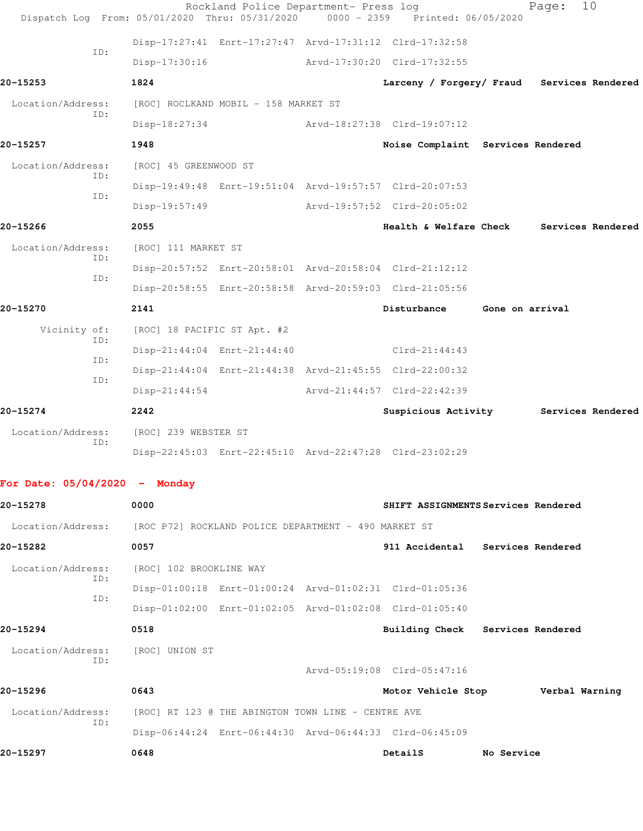| Dispatch Log From: 05/01/2020 Thru: 05/31/2020                         |                                                    | Rockland Police Department- Press log | $0000 - 2359$ | Printed: 06/05/2020                                     |                 | Page:          | 10                |
|------------------------------------------------------------------------|----------------------------------------------------|---------------------------------------|---------------|---------------------------------------------------------|-----------------|----------------|-------------------|
|                                                                        |                                                    |                                       |               |                                                         |                 |                |                   |
| ID:                                                                    |                                                    |                                       |               | Disp-17:27:41 Enrt-17:27:47 Arvd-17:31:12 Clrd-17:32:58 |                 |                |                   |
|                                                                        | $Disp-17:30:16$                                    |                                       |               | Arvd-17:30:20 Clrd-17:32:55                             |                 |                |                   |
| 20-15253                                                               | 1824                                               |                                       |               | Larceny / Forgery/ Fraud Services Rendered              |                 |                |                   |
| Location/Address:<br>ID:                                               | [ROC] ROCLKAND MOBIL - 158 MARKET ST               |                                       |               |                                                         |                 |                |                   |
|                                                                        | Disp-18:27:34                                      |                                       |               | Arvd-18:27:38 Clrd-19:07:12                             |                 |                |                   |
| 20-15257                                                               | 1948                                               |                                       |               | Noise Complaint Services Rendered                       |                 |                |                   |
| Location/Address:<br>ID:                                               | [ROC] 45 GREENWOOD ST                              |                                       |               |                                                         |                 |                |                   |
| ID:                                                                    |                                                    |                                       |               | Disp-19:49:48 Enrt-19:51:04 Arvd-19:57:57 Clrd-20:07:53 |                 |                |                   |
|                                                                        | Disp-19:57:49                                      |                                       |               | Arvd-19:57:52 Clrd-20:05:02                             |                 |                |                   |
| 20-15266                                                               | 2055                                               |                                       |               | Health & Welfare Check                                  |                 |                | Services Rendered |
| Location/Address:<br>ID:                                               | [ROC] 111 MARKET ST                                |                                       |               |                                                         |                 |                |                   |
| ID:                                                                    |                                                    |                                       |               | Disp-20:57:52 Enrt-20:58:01 Arvd-20:58:04 Clrd-21:12:12 |                 |                |                   |
|                                                                        |                                                    |                                       |               | Disp-20:58:55 Enrt-20:58:58 Arvd-20:59:03 Clrd-21:05:56 |                 |                |                   |
| 20-15270                                                               | 2141                                               |                                       |               | Disturbance                                             | Gone on arrival |                |                   |
| Vicinity of:                                                           | [ROC] 18 PACIFIC ST Apt. #2                        |                                       |               |                                                         |                 |                |                   |
| ID:                                                                    | Disp-21:44:04 Enrt-21:44:40                        |                                       |               | $Clrd-21:44:43$                                         |                 |                |                   |
| ID:                                                                    |                                                    |                                       |               | Disp-21:44:04 Enrt-21:44:38 Arvd-21:45:55 Clrd-22:00:32 |                 |                |                   |
| ID:                                                                    | $Disp-21:44:54$                                    |                                       |               | Arvd-21:44:57 Clrd-22:42:39                             |                 |                |                   |
| 20-15274                                                               | 2242                                               |                                       |               | Suspicious Activity                                     |                 |                | Services Rendered |
| Location/Address:                                                      | [ROC] 239 WEBSTER ST                               |                                       |               |                                                         |                 |                |                   |
| ID:                                                                    |                                                    |                                       |               | Disp-22:45:03 Enrt-22:45:10 Arvd-22:47:28 Clrd-23:02:29 |                 |                |                   |
| For Date: $05/04/2020 -$ Monday                                        |                                                    |                                       |               |                                                         |                 |                |                   |
| 20-15278                                                               | 0000                                               |                                       |               | SHIFT ASSIGNMENTS Services Rendered                     |                 |                |                   |
| Location/Address: [ROC P72] ROCKLAND POLICE DEPARTMENT - 490 MARKET ST |                                                    |                                       |               |                                                         |                 |                |                   |
| 20-15282                                                               | 0057                                               |                                       |               | 911 Accidental Services Rendered                        |                 |                |                   |
| Location/Address:                                                      | [ROC] 102 BROOKLINE WAY                            |                                       |               |                                                         |                 |                |                   |
| ID:                                                                    |                                                    |                                       |               | Disp-01:00:18 Enrt-01:00:24 Arvd-01:02:31 Clrd-01:05:36 |                 |                |                   |
| ID:                                                                    |                                                    |                                       |               | Disp-01:02:00 Enrt-01:02:05 Arvd-01:02:08 Clrd-01:05:40 |                 |                |                   |
| 20-15294                                                               | 0518                                               |                                       |               | Building Check Services Rendered                        |                 |                |                   |
| Location/Address:<br>ID:                                               | [ROC] UNION ST                                     |                                       |               |                                                         |                 |                |                   |
|                                                                        |                                                    |                                       |               | Arvd-05:19:08 Clrd-05:47:16                             |                 |                |                   |
| 20-15296                                                               | 0643                                               |                                       |               | Motor Vehicle Stop                                      |                 | Verbal Warning |                   |
| Location/Address:<br>ID:                                               | [ROC] RT 123 @ THE ABINGTON TOWN LINE - CENTRE AVE |                                       |               |                                                         |                 |                |                   |
|                                                                        |                                                    |                                       |               | Disp-06:44:24 Enrt-06:44:30 Arvd-06:44:33 Clrd-06:45:09 |                 |                |                   |
| 20-15297                                                               | 0648                                               |                                       |               | DetailS                                                 | No Service      |                |                   |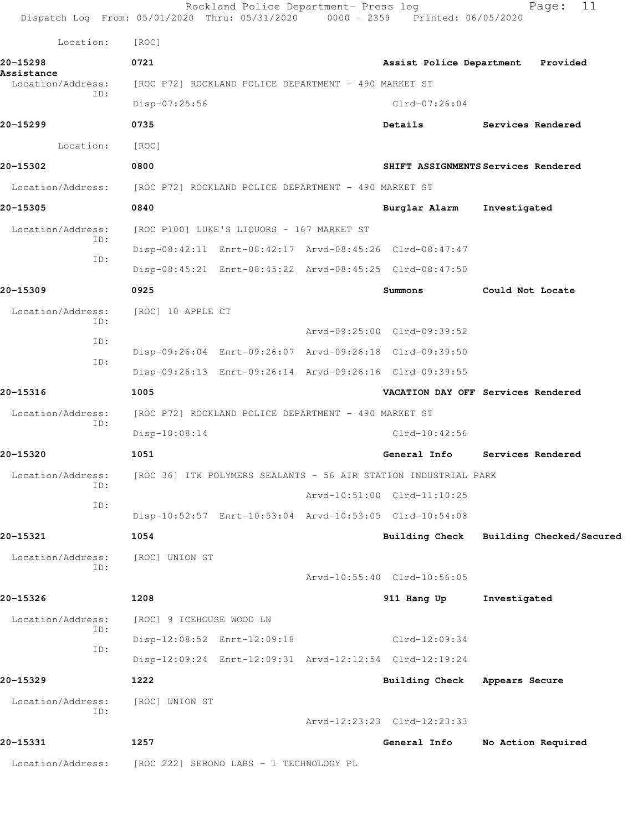|                                 | Rockland Police Department- Press log<br>Dispatch Log From: 05/01/2020 Thru: 05/31/2020 0000 - 2359 Printed: 06/05/2020 |                             | 11<br>Page:                         |
|---------------------------------|-------------------------------------------------------------------------------------------------------------------------|-----------------------------|-------------------------------------|
| Location:                       | [ROC]                                                                                                                   |                             |                                     |
| 20-15298                        | 0721                                                                                                                    |                             | Assist Police Department Provided   |
| Assistance<br>Location/Address: | [ROC P72] ROCKLAND POLICE DEPARTMENT - 490 MARKET ST                                                                    |                             |                                     |
| TD:                             | Disp-07:25:56                                                                                                           | $Clrd-07:26:04$             |                                     |
| 20-15299                        | 0735                                                                                                                    | Details                     | Services Rendered                   |
| Location:                       | [ROC]                                                                                                                   |                             |                                     |
| 20-15302                        | 0800                                                                                                                    |                             | SHIFT ASSIGNMENTS Services Rendered |
| Location/Address:               | [ROC P72] ROCKLAND POLICE DEPARTMENT - 490 MARKET ST                                                                    |                             |                                     |
| 20-15305                        | 0840                                                                                                                    | Burglar Alarm               | Investigated                        |
| Location/Address:               | [ROC P100] LUKE'S LIQUORS - 167 MARKET ST                                                                               |                             |                                     |
| ID:                             | Disp-08:42:11 Enrt-08:42:17 Arvd-08:45:26 Clrd-08:47:47                                                                 |                             |                                     |
| ID:                             | Disp-08:45:21 Enrt-08:45:22 Arvd-08:45:25 Clrd-08:47:50                                                                 |                             |                                     |
| 20-15309                        | 0925                                                                                                                    | Summons                     | Could Not Locate                    |
| Location/Address:<br>TD:        | [ROC] 10 APPLE CT                                                                                                       |                             |                                     |
| ID:                             |                                                                                                                         | Arvd-09:25:00 Clrd-09:39:52 |                                     |
| ID:                             | Disp-09:26:04 Enrt-09:26:07 Arvd-09:26:18 Clrd-09:39:50                                                                 |                             |                                     |
|                                 | Disp-09:26:13 Enrt-09:26:14 Arvd-09:26:16 Clrd-09:39:55                                                                 |                             |                                     |
| 20-15316                        | 1005                                                                                                                    |                             | VACATION DAY OFF Services Rendered  |
| Location/Address:<br>ID:        | [ROC P72] ROCKLAND POLICE DEPARTMENT - 490 MARKET ST                                                                    |                             |                                     |
|                                 | Disp-10:08:14                                                                                                           | $Clrd-10:42:56$             |                                     |
| 20-15320                        | 1051                                                                                                                    | General Info                | Services Rendered                   |
| Location/Address:<br>ID:        | [ROC 36] ITW POLYMERS SEALANTS - 56 AIR STATION INDUSTRIAL PARK                                                         |                             |                                     |
| ID:                             |                                                                                                                         | Arvd-10:51:00 Clrd-11:10:25 |                                     |
|                                 | Disp-10:52:57 Enrt-10:53:04 Arvd-10:53:05 Clrd-10:54:08                                                                 |                             |                                     |
| 20-15321                        | 1054                                                                                                                    | <b>Building Check</b>       | Building Checked/Secured            |
| Location/Address:<br>ID:        | [ROC] UNION ST                                                                                                          |                             |                                     |
|                                 |                                                                                                                         | Arvd-10:55:40 Clrd-10:56:05 |                                     |
| 20-15326                        | 1208                                                                                                                    | 911 Hang Up                 | Investigated                        |
| Location/Address:<br>ID:        | [ROC] 9 ICEHOUSE WOOD LN                                                                                                |                             |                                     |
| ID:                             | Disp-12:08:52 Enrt-12:09:18                                                                                             | $Clrd-12:09:34$             |                                     |
|                                 | Disp-12:09:24 Enrt-12:09:31 Arvd-12:12:54 Clrd-12:19:24                                                                 |                             |                                     |
| 20-15329                        | 1222                                                                                                                    | <b>Building Check</b>       | Appears Secure                      |
| Location/Address:<br>ID:        | [ROC] UNION ST                                                                                                          |                             |                                     |
|                                 |                                                                                                                         | Arvd-12:23:23 Clrd-12:23:33 |                                     |
| 20-15331                        | 1257                                                                                                                    | General Info                | No Action Required                  |
| Location/Address:               | [ROC 222] SERONO LABS - 1 TECHNOLOGY PL                                                                                 |                             |                                     |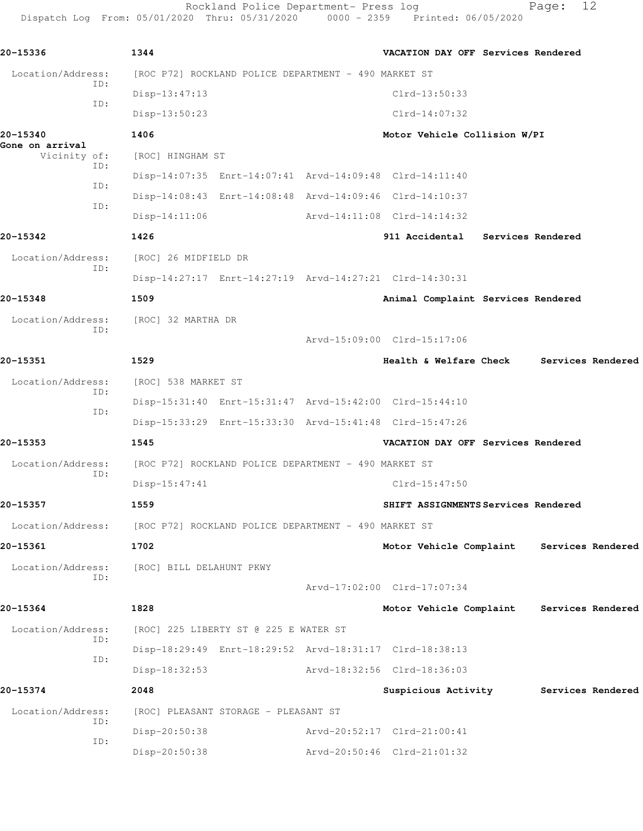Rockland Police Department- Press log entitled Page: 12 Dispatch Log From: 05/01/2020 Thru: 05/31/2020 0000 - 2359 Printed: 06/05/2020

| 20-15336                        | 1344                                                                   | VACATION DAY OFF Services Rendered        |                   |  |
|---------------------------------|------------------------------------------------------------------------|-------------------------------------------|-------------------|--|
| Location/Address:               | [ROC P72] ROCKLAND POLICE DEPARTMENT - 490 MARKET ST                   |                                           |                   |  |
| ID:                             | $Disp-13:47:13$                                                        | $Clrd-13:50:33$                           |                   |  |
| ID:                             | $Disp-13:50:23$                                                        | $Clrd-14:07:32$                           |                   |  |
| 20-15340                        | 1406                                                                   | Motor Vehicle Collision W/PI              |                   |  |
| Gone on arrival<br>Vicinity of: | [ROC] HINGHAM ST                                                       |                                           |                   |  |
| ID:                             | Disp-14:07:35 Enrt-14:07:41 Arvd-14:09:48 Clrd-14:11:40                |                                           |                   |  |
| ID:                             | Disp-14:08:43 Enrt-14:08:48 Arvd-14:09:46 Clrd-14:10:37                |                                           |                   |  |
| ID:                             | $Disp-14:11:06$                                                        | Arvd-14:11:08 Clrd-14:14:32               |                   |  |
| 20-15342                        | 1426                                                                   | 911 Accidental Services Rendered          |                   |  |
| Location/Address:               | [ROC] 26 MIDFIELD DR                                                   |                                           |                   |  |
| ID:                             | Disp-14:27:17 Enrt-14:27:19 Arvd-14:27:21 Clrd-14:30:31                |                                           |                   |  |
| 20-15348                        | 1509                                                                   | Animal Complaint Services Rendered        |                   |  |
| Location/Address:               | [ROC] 32 MARTHA DR                                                     |                                           |                   |  |
| ID:                             |                                                                        | Arvd-15:09:00 Clrd-15:17:06               |                   |  |
| 20-15351                        | 1529                                                                   | Health & Welfare Check                    | Services Rendered |  |
| Location/Address:<br>ID:<br>ID: | [ROC] 538 MARKET ST                                                    |                                           |                   |  |
|                                 | Disp-15:31:40 Enrt-15:31:47 Arvd-15:42:00 Clrd-15:44:10                |                                           |                   |  |
|                                 | Disp-15:33:29 Enrt-15:33:30 Arvd-15:41:48 Clrd-15:47:26                |                                           |                   |  |
| 20-15353                        | 1545                                                                   | VACATION DAY OFF Services Rendered        |                   |  |
| Location/Address:               | [ROC P72] ROCKLAND POLICE DEPARTMENT - 490 MARKET ST                   |                                           |                   |  |
| ID:                             | $Disp-15:47:41$                                                        | $Clrd-15:47:50$                           |                   |  |
| 20-15357                        | 1559                                                                   | SHIFT ASSIGNMENTS Services Rendered       |                   |  |
|                                 | Location/Address: [ROC P72] ROCKLAND POLICE DEPARTMENT - 490 MARKET ST |                                           |                   |  |
| 20-15361                        | 1702                                                                   | Motor Vehicle Complaint Services Rendered |                   |  |
| Location/Address:               | [ROC] BILL DELAHUNT PKWY                                               |                                           |                   |  |
| ID:                             |                                                                        | Arvd-17:02:00 Clrd-17:07:34               |                   |  |
| 20-15364                        | 1828                                                                   | Motor Vehicle Complaint Services Rendered |                   |  |
| Location/Address:               | [ROC] 225 LIBERTY ST @ 225 E WATER ST                                  |                                           |                   |  |
| ID:                             | Disp-18:29:49 Enrt-18:29:52 Arvd-18:31:17 Clrd-18:38:13                |                                           |                   |  |
| ID:                             | Disp-18:32:53                                                          | Arvd-18:32:56 Clrd-18:36:03               |                   |  |
| 20-15374                        | 2048                                                                   | Suspicious Activity Services Rendered     |                   |  |
| Location/Address:               | [ROC] PLEASANT STORAGE - PLEASANT ST                                   |                                           |                   |  |
| ID:                             | Disp-20:50:38                                                          | Arvd-20:52:17 Clrd-21:00:41               |                   |  |
| ID:                             | Disp-20:50:38                                                          | Arvd-20:50:46 Clrd-21:01:32               |                   |  |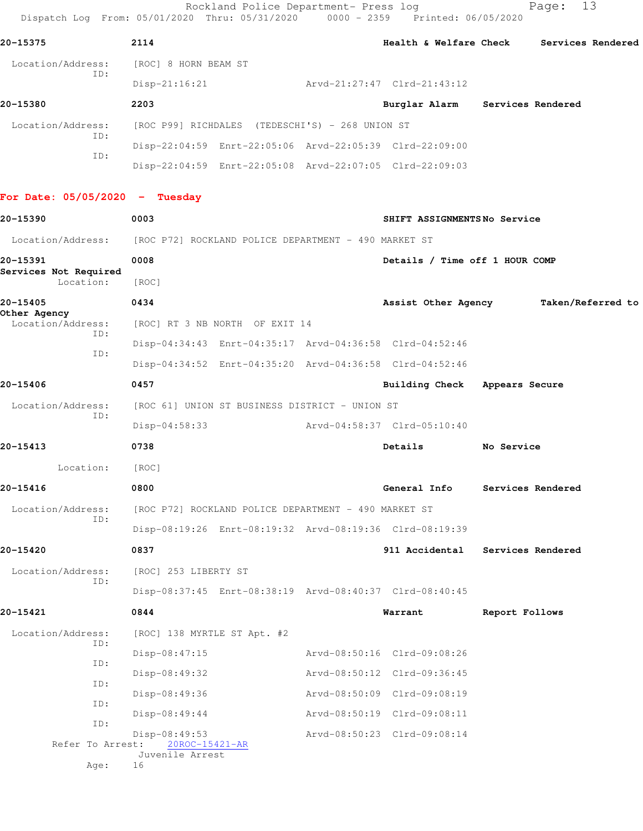| Dispatch Log From: 05/01/2020 Thru: 05/31/2020 0000 - 2359 Printed: 06/05/2020 |                                                      | Rockland Police Department- Press log          |                                                         | Page:             | 13                |
|--------------------------------------------------------------------------------|------------------------------------------------------|------------------------------------------------|---------------------------------------------------------|-------------------|-------------------|
| 20-15375                                                                       | 2114                                                 |                                                | Health & Welfare Check                                  |                   | Services Rendered |
| Location/Address:                                                              | [ROC] 8 HORN BEAM ST                                 |                                                |                                                         |                   |                   |
| ID:                                                                            | $Disp-21:16:21$                                      |                                                | Arvd-21:27:47 Clrd-21:43:12                             |                   |                   |
| 20-15380                                                                       | 2203                                                 |                                                | Burglar Alarm                                           | Services Rendered |                   |
| Location/Address:                                                              | [ROC P99] RICHDALES (TEDESCHI'S) - 268 UNION ST      |                                                |                                                         |                   |                   |
| ID:                                                                            |                                                      |                                                | Disp-22:04:59 Enrt-22:05:06 Arvd-22:05:39 Clrd-22:09:00 |                   |                   |
| ID:                                                                            |                                                      |                                                | Disp-22:04:59 Enrt-22:05:08 Arvd-22:07:05 Clrd-22:09:03 |                   |                   |
| For Date: $05/05/2020 -$ Tuesday                                               |                                                      |                                                |                                                         |                   |                   |
| 20-15390                                                                       | 0003                                                 |                                                | SHIFT ASSIGNMENTSNo Service                             |                   |                   |
| Location/Address: [ROC P72] ROCKLAND POLICE DEPARTMENT - 490 MARKET ST         |                                                      |                                                |                                                         |                   |                   |
| 20-15391                                                                       | 0008                                                 |                                                | Details / Time off 1 HOUR COMP                          |                   |                   |
| Services Not Required<br>Location:                                             | [ROC]                                                |                                                |                                                         |                   |                   |
| 20-15405                                                                       | 0434                                                 |                                                | Assist Other Agency                                     |                   | Taken/Referred to |
| Other Agency<br>Location/Address:                                              |                                                      | [ROC] RT 3 NB NORTH OF EXIT 14                 |                                                         |                   |                   |
| ID:<br>ID:                                                                     |                                                      |                                                | Disp-04:34:43 Enrt-04:35:17 Arvd-04:36:58 Clrd-04:52:46 |                   |                   |
|                                                                                |                                                      |                                                | Disp-04:34:52 Enrt-04:35:20 Arvd-04:36:58 Clrd-04:52:46 |                   |                   |
| 20-15406                                                                       | 0457                                                 |                                                | Building Check                                          | Appears Secure    |                   |
| Location/Address:<br>ID:                                                       |                                                      | [ROC 61] UNION ST BUSINESS DISTRICT - UNION ST |                                                         |                   |                   |
|                                                                                | $Disp-04:58:33$                                      |                                                | Arvd-04:58:37 Clrd-05:10:40                             |                   |                   |
| 20-15413                                                                       | 0738                                                 |                                                | Details                                                 | No Service        |                   |
| Location:                                                                      | [ROC]                                                |                                                |                                                         |                   |                   |
| 20-15416                                                                       | 0800                                                 |                                                | General Info                                            | Services Rendered |                   |
| Location/Address:<br>ID:                                                       | [ROC P72] ROCKLAND POLICE DEPARTMENT - 490 MARKET ST |                                                |                                                         |                   |                   |
|                                                                                |                                                      |                                                | Disp-08:19:26 Enrt-08:19:32 Arvd-08:19:36 Clrd-08:19:39 |                   |                   |
| 20-15420                                                                       | 0837                                                 |                                                | 911 Accidental                                          | Services Rendered |                   |
| Location/Address:<br>ID:                                                       | [ROC] 253 LIBERTY ST                                 |                                                |                                                         |                   |                   |
|                                                                                |                                                      |                                                | Disp-08:37:45 Enrt-08:38:19 Arvd-08:40:37 Clrd-08:40:45 |                   |                   |
| 20-15421                                                                       | 0844                                                 |                                                | Warrant                                                 | Report Follows    |                   |
| Location/Address:<br>ID:                                                       | [ROC] 138 MYRTLE ST Apt. #2                          |                                                |                                                         |                   |                   |
| ID:                                                                            | Disp-08:47:15                                        |                                                | Arvd-08:50:16 Clrd-09:08:26                             |                   |                   |
| ID:                                                                            | Disp-08:49:32                                        |                                                | Arvd-08:50:12 Clrd-09:36:45                             |                   |                   |
| ID:                                                                            | Disp-08:49:36                                        |                                                | Arvd-08:50:09 Clrd-09:08:19                             |                   |                   |
| ID:                                                                            | $Disp-08:49:44$                                      |                                                | Arvd-08:50:19 Clrd-09:08:11                             |                   |                   |
| Refer To Arrest:                                                               | $Disp-08:49:53$<br>20ROC-15421-AR                    |                                                | Arvd-08:50:23 Clrd-09:08:14                             |                   |                   |
| Age:                                                                           | Juvenile Arrest<br>16                                |                                                |                                                         |                   |                   |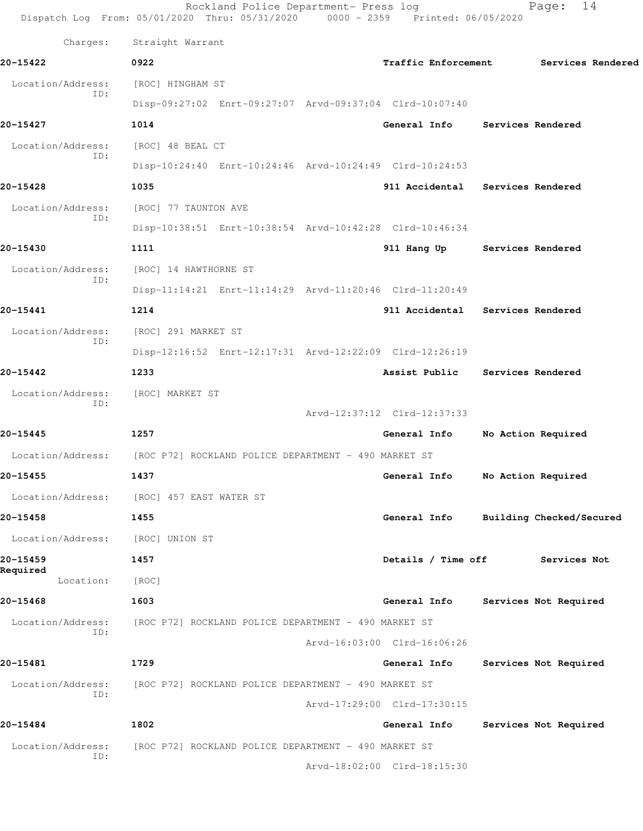|                       | Rockland Police Department- Press log<br>Dispatch Log From: 05/01/2020 Thru: 05/31/2020 0000 - 2359 Printed: 06/05/2020 |                                  | 14<br>Page:              |  |
|-----------------------|-------------------------------------------------------------------------------------------------------------------------|----------------------------------|--------------------------|--|
| Charges:              | Straight Warrant                                                                                                        |                                  |                          |  |
| 20-15422              | 0922                                                                                                                    | <b>Traffic Enforcement</b>       | Services Rendered        |  |
| Location/Address:     | [ROC] HINGHAM ST                                                                                                        |                                  |                          |  |
| ID:                   | Disp-09:27:02 Enrt-09:27:07 Arvd-09:37:04 Clrd-10:07:40                                                                 |                                  |                          |  |
| 20-15427              | 1014                                                                                                                    | General Info Services Rendered   |                          |  |
| Location/Address:     | [ROC] 48 BEAL CT                                                                                                        |                                  |                          |  |
| TD:                   | Disp-10:24:40 Enrt-10:24:46 Arvd-10:24:49 Clrd-10:24:53                                                                 |                                  |                          |  |
| 20-15428              | 1035                                                                                                                    | 911 Accidental Services Rendered |                          |  |
| Location/Address:     | [ROC] 77 TAUNTON AVE                                                                                                    |                                  |                          |  |
| ID:                   | Disp-10:38:51 Enrt-10:38:54 Arvd-10:42:28 Clrd-10:46:34                                                                 |                                  |                          |  |
| 20-15430              | 1111                                                                                                                    | 911 Hang Up Services Rendered    |                          |  |
| Location/Address:     | [ROC] 14 HAWTHORNE ST                                                                                                   |                                  |                          |  |
| ID:                   | Disp-11:14:21 Enrt-11:14:29 Arvd-11:20:46 Clrd-11:20:49                                                                 |                                  |                          |  |
| 20-15441              | 1214                                                                                                                    | 911 Accidental Services Rendered |                          |  |
| Location/Address:     | [ROC] 291 MARKET ST                                                                                                     |                                  |                          |  |
| ID:                   | Disp-12:16:52 Enrt-12:17:31 Arvd-12:22:09 Clrd-12:26:19                                                                 |                                  |                          |  |
| 20-15442              | 1233                                                                                                                    | Assist Public Services Rendered  |                          |  |
| Location/Address:     | [ROC] MARKET ST                                                                                                         |                                  |                          |  |
| ID:                   |                                                                                                                         | Arvd-12:37:12 Clrd-12:37:33      |                          |  |
| 20-15445              | 1257                                                                                                                    | General Info                     | No Action Required       |  |
|                       | Location/Address: [ROC P72] ROCKLAND POLICE DEPARTMENT - 490 MARKET ST                                                  |                                  |                          |  |
| 20-15455              | 1437                                                                                                                    | General Info                     | No Action Required       |  |
| Location/Address:     | [ROC] 457 EAST WATER ST                                                                                                 |                                  |                          |  |
| 20-15458              | 1455                                                                                                                    | General Info                     | Building Checked/Secured |  |
| Location/Address:     | [ROC] UNION ST                                                                                                          |                                  |                          |  |
| 20-15459              | 1457                                                                                                                    | Details / Time off               | Services Not             |  |
| Required<br>Location: | [ROC]                                                                                                                   |                                  |                          |  |
| 20-15468              | 1603                                                                                                                    | General Info                     | Services Not Required    |  |
| Location/Address:     | [ROC P72] ROCKLAND POLICE DEPARTMENT - 490 MARKET ST                                                                    |                                  |                          |  |
| ID:                   |                                                                                                                         | Arvd-16:03:00 Clrd-16:06:26      |                          |  |
| 20-15481              | 1729                                                                                                                    | General Info                     | Services Not Required    |  |
| Location/Address:     | [ROC P72] ROCKLAND POLICE DEPARTMENT - 490 MARKET ST                                                                    |                                  |                          |  |
| ID:                   |                                                                                                                         | Arvd-17:29:00 Clrd-17:30:15      |                          |  |
| 20-15484              | 1802                                                                                                                    | General Info                     | Services Not Required    |  |
| Location/Address:     | [ROC P72] ROCKLAND POLICE DEPARTMENT - 490 MARKET ST                                                                    |                                  |                          |  |
| ID:                   |                                                                                                                         | Arvd-18:02:00 Clrd-18:15:30      |                          |  |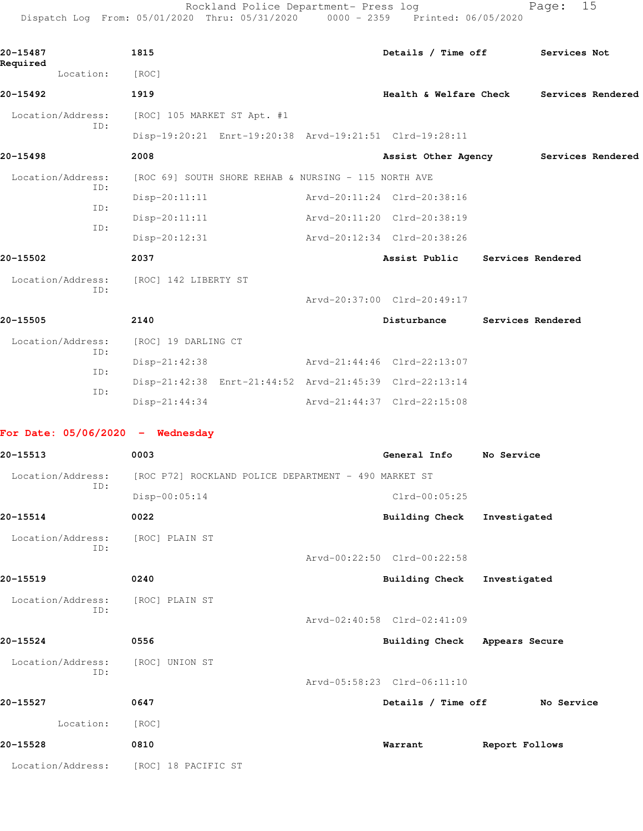Rockland Police Department- Press log Page: 15 Dispatch Log From: 05/01/2020 Thru: 05/31/2020 0000 - 2359 Printed: 06/05/2020

|          |           |      | Dispatch Log From: 05/01/2020 Thru: 05/31/2020 | $0000 - 2359$ Printed: $06/05/2020$ |              |
|----------|-----------|------|------------------------------------------------|-------------------------------------|--------------|
|          |           |      |                                                |                                     |              |
| 20-15487 |           | 1815 |                                                | Details / Time off                  | Services Not |
| Required | Location: | ROC1 |                                                |                                     |              |

**20-15492 1919 Health & Welfare Check Services Rendered** Location/Address: [ROC] 105 MARKET ST Apt. #1

 ID: Disp-19:20:21 Enrt-19:20:38 Arvd-19:21:51 Clrd-19:28:11

**20-15498 2008 Assist Other Agency Services Rendered** Location/Address: [ROC 69] SOUTH SHORE REHAB & NURSING - 115 NORTH AVE ID: Disp-20:11:11 Arvd-20:11:24 Clrd-20:38:16 ID:

 Disp-20:11:11 Arvd-20:11:20 Clrd-20:38:19 ID: Disp-20:12:31 Arvd-20:12:34 Clrd-20:38:26

**20-15502 2037 Assist Public Services Rendered** Location/Address: [ROC] 142 LIBERTY ST

ID:

Arvd-20:37:00 Clrd-20:49:17

**20-15505 2140 Disturbance Services Rendered** Location/Address: [ROC] 19 DARLING CT ID: Disp-21:42:38 Arvd-21:44:46 Clrd-22:13:07 ID: Disp-21:42:38 Enrt-21:44:52 Arvd-21:45:39 Clrd-22:13:14 ID: Disp-21:44:34 Arvd-21:44:37 Clrd-22:15:08

**For Date: 05/06/2020 - Wednesday**

| 20-15513                 | 0003                                                 | General Info                | No Service     |
|--------------------------|------------------------------------------------------|-----------------------------|----------------|
| Location/Address:        | [ROC P72] ROCKLAND POLICE DEPARTMENT - 490 MARKET ST |                             |                |
| ID:                      | Disp-00:05:14                                        | Clrd-00:05:25               |                |
| 20-15514                 | 0022                                                 | Building Check              | Investigated   |
| Location/Address:<br>ID: | [ROC] PLAIN ST                                       |                             |                |
|                          |                                                      | Arvd-00:22:50 Clrd-00:22:58 |                |
| 20-15519                 | 0240                                                 | Building Check              | Investigated   |
| Location/Address:<br>ID: | [ROC] PLAIN ST                                       |                             |                |
|                          |                                                      | Arvd-02:40:58 Clrd-02:41:09 |                |
| 20-15524                 | 0556                                                 | <b>Building Check</b>       | Appears Secure |
| Location/Address:<br>ID: | [ROC] UNION ST                                       |                             |                |
|                          |                                                      | Arvd-05:58:23 Clrd-06:11:10 |                |
| 20-15527                 | 0647                                                 | Details / Time off          | No Service     |
| Location:                | [ROC]                                                |                             |                |
| 20-15528                 | 0810                                                 | Warrant                     | Report Follows |
| Location/Address:        | [ROC] 18 PACIFIC ST                                  |                             |                |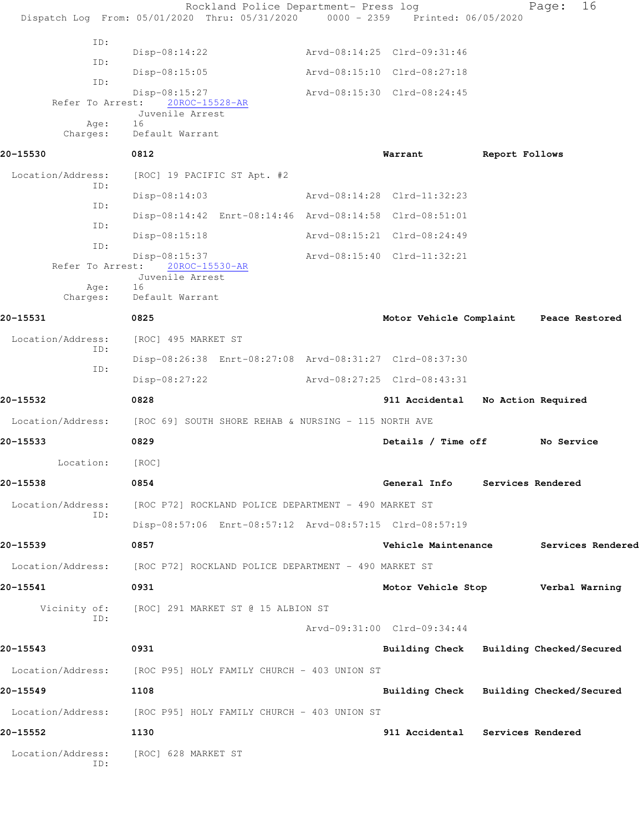|                   | Rockland Police Department- Press log<br>Dispatch Log From: 05/01/2020 Thru: 05/31/2020 0000 - 2359 Printed: 06/05/2020 |                                         |                | 16<br>Page:        |
|-------------------|-------------------------------------------------------------------------------------------------------------------------|-----------------------------------------|----------------|--------------------|
| ID:               |                                                                                                                         |                                         |                |                    |
| ID:               | $Disp-08:14:22$                                                                                                         | Arvd-08:14:25 Clrd-09:31:46             |                |                    |
|                   | $Disp-08:15:05$                                                                                                         | Arvd-08:15:10 Clrd-08:27:18             |                |                    |
| ID:               | $Disp-08:15:27$                                                                                                         | Arvd-08:15:30 Clrd-08:24:45             |                |                    |
|                   | Refer To Arrest: 20ROC-15528-AR<br>Juvenile Arrest                                                                      |                                         |                |                    |
| Age:<br>Charges:  | 16<br>Default Warrant                                                                                                   |                                         |                |                    |
| 20-15530          | 0812                                                                                                                    | Warrant                                 | Report Follows |                    |
| Location/Address: | [ROC] 19 PACIFIC ST Apt. #2                                                                                             |                                         |                |                    |
| ID:               | $Disp-08:14:03$                                                                                                         | Arvd-08:14:28 Clrd-11:32:23             |                |                    |
| ID:               | Disp-08:14:42 Enrt-08:14:46 Arvd-08:14:58 Clrd-08:51:01                                                                 |                                         |                |                    |
| ID:               | $Disp-08:15:18$                                                                                                         | Arvd-08:15:21 Clrd-08:24:49             |                |                    |
| ID:               | $Disp-08:15:37$                                                                                                         | Arvd-08:15:40 Clrd-11:32:21             |                |                    |
|                   | Refer To Arrest: 20ROC-15530-AR<br>Juvenile Arrest                                                                      |                                         |                |                    |
| Age:<br>Charges:  | 16<br>Default Warrant                                                                                                   |                                         |                |                    |
| 20-15531          | 0825                                                                                                                    | Motor Vehicle Complaint Peace Restored  |                |                    |
| Location/Address: | [ROC] 495 MARKET ST                                                                                                     |                                         |                |                    |
| ID:               | Disp-08:26:38 Enrt-08:27:08 Arvd-08:31:27 Clrd-08:37:30                                                                 |                                         |                |                    |
| ID:               | Disp-08:27:22                                                                                                           | Arvd-08:27:25 Clrd-08:43:31             |                |                    |
| 20-15532          | 0828                                                                                                                    | 911 Accidental                          |                | No Action Required |
|                   | Location/Address: [ROC 69] SOUTH SHORE REHAB & NURSING - 115 NORTH AVE                                                  |                                         |                |                    |
| 20-15533          | 0829                                                                                                                    | Details / Time off                      |                | No Service         |
| Location:         | [ROC]                                                                                                                   |                                         |                |                    |
| 20-15538          | 0854                                                                                                                    | General Info Services Rendered          |                |                    |
| Location/Address: | [ROC P72] ROCKLAND POLICE DEPARTMENT - 490 MARKET ST                                                                    |                                         |                |                    |
| ID:               | Disp-08:57:06 Enrt-08:57:12 Arvd-08:57:15 Clrd-08:57:19                                                                 |                                         |                |                    |
| 20-15539          | 0857                                                                                                                    | Vehicle Maintenance                     |                | Services Rendered  |
| Location/Address: | [ROC P72] ROCKLAND POLICE DEPARTMENT - 490 MARKET ST                                                                    |                                         |                |                    |
| 20-15541          | 0931                                                                                                                    | Motor Vehicle Stop Verbal Warning       |                |                    |
| Vicinity of:      | [ROC] 291 MARKET ST @ 15 ALBION ST                                                                                      |                                         |                |                    |
| ID:               |                                                                                                                         | Arvd-09:31:00 Clrd-09:34:44             |                |                    |
| 20-15543          | 0931                                                                                                                    | Building Check Building Checked/Secured |                |                    |
| Location/Address: | [ROC P95] HOLY FAMILY CHURCH - 403 UNION ST                                                                             |                                         |                |                    |
| 20-15549          | 1108                                                                                                                    | Building Check Building Checked/Secured |                |                    |
| Location/Address: | [ROC P95] HOLY FAMILY CHURCH - 403 UNION ST                                                                             |                                         |                |                    |
| 20-15552          | 1130                                                                                                                    | 911 Accidental Services Rendered        |                |                    |
| Location/Address: | [ROC] 628 MARKET ST                                                                                                     |                                         |                |                    |
| ID:               |                                                                                                                         |                                         |                |                    |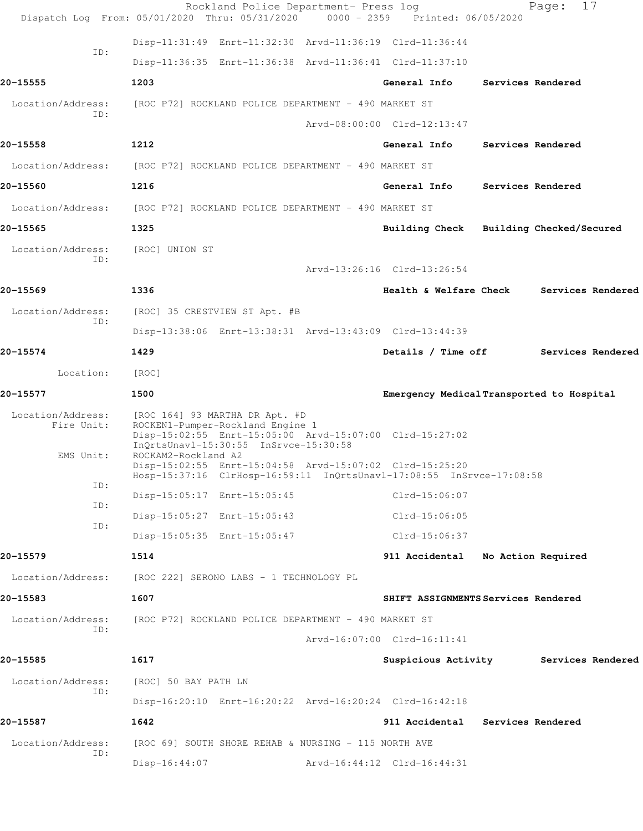|                          | Rockland Police Department- Press log<br>Dispatch Log From: 05/01/2020 Thru: 05/31/2020 0000 - 2359 Printed: 06/05/2020                                                                  |                                           |                   | 17<br>Page:        |  |
|--------------------------|------------------------------------------------------------------------------------------------------------------------------------------------------------------------------------------|-------------------------------------------|-------------------|--------------------|--|
|                          | Disp-11:31:49 Enrt-11:32:30 Arvd-11:36:19 Clrd-11:36:44                                                                                                                                  |                                           |                   |                    |  |
| ID:                      | Disp-11:36:35 Enrt-11:36:38 Arvd-11:36:41 Clrd-11:37:10                                                                                                                                  |                                           |                   |                    |  |
| 20-15555                 | 1203                                                                                                                                                                                     | General Info Services Rendered            |                   |                    |  |
| Location/Address:<br>ID: | [ROC P72] ROCKLAND POLICE DEPARTMENT - 490 MARKET ST                                                                                                                                     |                                           |                   |                    |  |
|                          |                                                                                                                                                                                          | Arvd-08:00:00 Clrd-12:13:47               |                   |                    |  |
| 20-15558                 | 1212                                                                                                                                                                                     | General Info                              | Services Rendered |                    |  |
| Location/Address:        | [ROC P72] ROCKLAND POLICE DEPARTMENT - 490 MARKET ST                                                                                                                                     |                                           |                   |                    |  |
| 20-15560                 | 1216                                                                                                                                                                                     | General Info                              | Services Rendered |                    |  |
|                          | Location/Address: [ROC P72] ROCKLAND POLICE DEPARTMENT - 490 MARKET ST                                                                                                                   |                                           |                   |                    |  |
| 20-15565                 | 1325                                                                                                                                                                                     | Building Check Building Checked/Secured   |                   |                    |  |
| Location/Address:<br>ID: | [ROC] UNION ST                                                                                                                                                                           |                                           |                   |                    |  |
|                          |                                                                                                                                                                                          | Arvd-13:26:16 Clrd-13:26:54               |                   |                    |  |
| 20-15569                 | 1336                                                                                                                                                                                     | Health & Welfare Check                    |                   | Services Rendered  |  |
| Location/Address:<br>ID: | [ROC] 35 CRESTVIEW ST Apt. #B                                                                                                                                                            |                                           |                   |                    |  |
|                          | Disp-13:38:06 Enrt-13:38:31 Arvd-13:43:09 Clrd-13:44:39                                                                                                                                  |                                           |                   |                    |  |
| 20-15574                 | 1429                                                                                                                                                                                     | Details / Time off Services Rendered      |                   |                    |  |
| Location:                | [ROC]                                                                                                                                                                                    |                                           |                   |                    |  |
| 20-15577                 | 1500                                                                                                                                                                                     | Emergency Medical Transported to Hospital |                   |                    |  |
| Fire Unit:               | Location/Address: [ROC 164] 93 MARTHA DR Apt. #D<br>ROCKEN1-Pumper-Rockland Engine 1<br>Disp-15:02:55 Enrt-15:05:00 Arvd-15:07:00 Clrd-15:27:02<br>InOrtsUnav1-15:30:55 InSrvce-15:30:58 |                                           |                   |                    |  |
| EMS Unit:                | ROCKAM2-Rockland A2<br>Disp-15:02:55 Enrt-15:04:58 Arvd-15:07:02 Clrd-15:25:20<br>Hosp-15:37:16 ClrHosp-16:59:11 InQrtsUnavl-17:08:55 InSrvce-17:08:58                                   |                                           |                   |                    |  |
| ID:                      | Disp-15:05:17 Enrt-15:05:45                                                                                                                                                              | $Clrd-15:06:07$                           |                   |                    |  |
| ID:<br>ID:               | Disp-15:05:27 Enrt-15:05:43                                                                                                                                                              | $Clrd-15:06:05$                           |                   |                    |  |
|                          | Disp-15:05:35 Enrt-15:05:47                                                                                                                                                              | Clrd-15:06:37                             |                   |                    |  |
| 20-15579                 | 1514                                                                                                                                                                                     | 911 Accidental                            |                   | No Action Required |  |
|                          | Location/Address: [ROC 222] SERONO LABS - 1 TECHNOLOGY PL                                                                                                                                |                                           |                   |                    |  |
| 20-15583                 | 1607                                                                                                                                                                                     | SHIFT ASSIGNMENTS Services Rendered       |                   |                    |  |
| Location/Address:<br>ID: | [ROC P72] ROCKLAND POLICE DEPARTMENT - 490 MARKET ST                                                                                                                                     |                                           |                   |                    |  |
|                          |                                                                                                                                                                                          | Arvd-16:07:00 Clrd-16:11:41               |                   |                    |  |
| 20-15585                 | 1617                                                                                                                                                                                     | Suspicious Activity Services Rendered     |                   |                    |  |
| Location/Address:<br>ID: | [ROC] 50 BAY PATH LN                                                                                                                                                                     |                                           |                   |                    |  |
|                          | Disp-16:20:10 Enrt-16:20:22 Arvd-16:20:24 Clrd-16:42:18                                                                                                                                  |                                           |                   |                    |  |
| 20-15587                 | 1642                                                                                                                                                                                     | 911 Accidental Services Rendered          |                   |                    |  |
| Location/Address:<br>ID: | [ROC 69] SOUTH SHORE REHAB & NURSING - 115 NORTH AVE                                                                                                                                     |                                           |                   |                    |  |
|                          | $Disp-16:44:07$                                                                                                                                                                          | Arvd-16:44:12 Clrd-16:44:31               |                   |                    |  |
|                          |                                                                                                                                                                                          |                                           |                   |                    |  |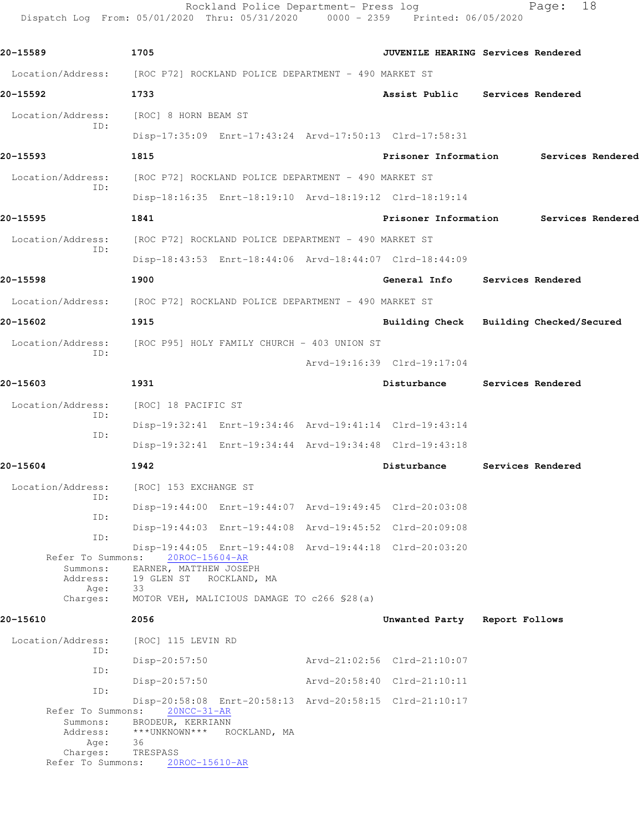Rockland Police Department- Press log Fage: 18 Dispatch Log From: 05/01/2020 Thru: 05/31/2020 0000 - 2359 Printed: 06/05/2020

| 20-15589                              | 1705                                                                     | JUVENILE HEARING Services Rendered      |                                        |
|---------------------------------------|--------------------------------------------------------------------------|-----------------------------------------|----------------------------------------|
|                                       | Location/Address: [ROC P72] ROCKLAND POLICE DEPARTMENT - 490 MARKET ST   |                                         |                                        |
| 20-15592                              | 1733                                                                     | Assist Public Services Rendered         |                                        |
| Location/Address:                     | [ROC] 8 HORN BEAM ST                                                     |                                         |                                        |
| ID:                                   | Disp-17:35:09 Enrt-17:43:24 Arvd-17:50:13 Clrd-17:58:31                  |                                         |                                        |
| 20-15593                              | 1815                                                                     |                                         | Prisoner Information Services Rendered |
| Location/Address:                     | [ROC P72] ROCKLAND POLICE DEPARTMENT - 490 MARKET ST                     |                                         |                                        |
| ID:                                   | Disp-18:16:35 Enrt-18:19:10 Arvd-18:19:12 Clrd-18:19:14                  |                                         |                                        |
| 20-15595                              | 1841                                                                     |                                         | Prisoner Information Services Rendered |
| Location/Address:                     | [ROC P72] ROCKLAND POLICE DEPARTMENT - 490 MARKET ST                     |                                         |                                        |
| ID:                                   | Disp-18:43:53 Enrt-18:44:06 Arvd-18:44:07 Clrd-18:44:09                  |                                         |                                        |
| 20-15598                              | 1900                                                                     | General Info Services Rendered          |                                        |
|                                       | Location/Address: [ROC P72] ROCKLAND POLICE DEPARTMENT - 490 MARKET ST   |                                         |                                        |
| 20-15602                              | 1915                                                                     | Building Check Building Checked/Secured |                                        |
|                                       | Location/Address: [ROC P95] HOLY FAMILY CHURCH - 403 UNION ST            |                                         |                                        |
| TD:                                   |                                                                          | Arvd-19:16:39 Clrd-19:17:04             |                                        |
| 20-15603                              | 1931                                                                     | Disturbance Services Rendered           |                                        |
| Location/Address:                     | [ROC] 18 PACIFIC ST                                                      |                                         |                                        |
| ID:                                   | Disp-19:32:41 Enrt-19:34:46 Arvd-19:41:14 Clrd-19:43:14                  |                                         |                                        |
| ID:                                   | Disp-19:32:41 Enrt-19:34:44 Arvd-19:34:48 Clrd-19:43:18                  |                                         |                                        |
| 20-15604                              | 1942                                                                     | Disturbance Services Rendered           |                                        |
| Location/Address:                     | [ROC] 153 EXCHANGE ST                                                    |                                         |                                        |
| ID:                                   | Disp-19:44:00 Enrt-19:44:07 Arvd-19:49:45 Clrd-20:03:08                  |                                         |                                        |
| ID:                                   | Disp-19:44:03 Enrt-19:44:08 Arvd-19:45:52 Clrd-20:09:08                  |                                         |                                        |
| ID:                                   | Disp-19:44:05 Enrt-19:44:08 Arvd-19:44:18 Clrd-20:03:20                  |                                         |                                        |
| Refer To Summons:<br>Summons:         | 20ROC-15604-AR<br>EARNER, MATTHEW JOSEPH                                 |                                         |                                        |
| Address:<br>Age:                      | 19 GLEN ST ROCKLAND, MA<br>33                                            |                                         |                                        |
| Charges:                              | MOTOR VEH, MALICIOUS DAMAGE TO c266 \$28(a)                              |                                         |                                        |
| 20-15610                              | 2056                                                                     | Unwanted Party Report Follows           |                                        |
| Location/Address:<br>ID:              | [ROC] 115 LEVIN RD                                                       |                                         |                                        |
| ID:                                   | $Disp-20:57:50$                                                          | Arvd-21:02:56 Clrd-21:10:07             |                                        |
| ID:                                   | $Disp-20:57:50$                                                          | Arvd-20:58:40 Clrd-21:10:11             |                                        |
| Refer To Summons:                     | Disp-20:58:08 Enrt-20:58:13 Arvd-20:58:15 Clrd-21:10:17<br>$20NCC-31-AR$ |                                         |                                        |
| Summons:<br>Address:                  | BRODEUR, KERRIANN<br>***UNKNOWN*** ROCKLAND, MA                          |                                         |                                        |
| Age:<br>Charges:<br>Refer To Summons: | 36<br>TRESPASS<br>20ROC-15610-AR                                         |                                         |                                        |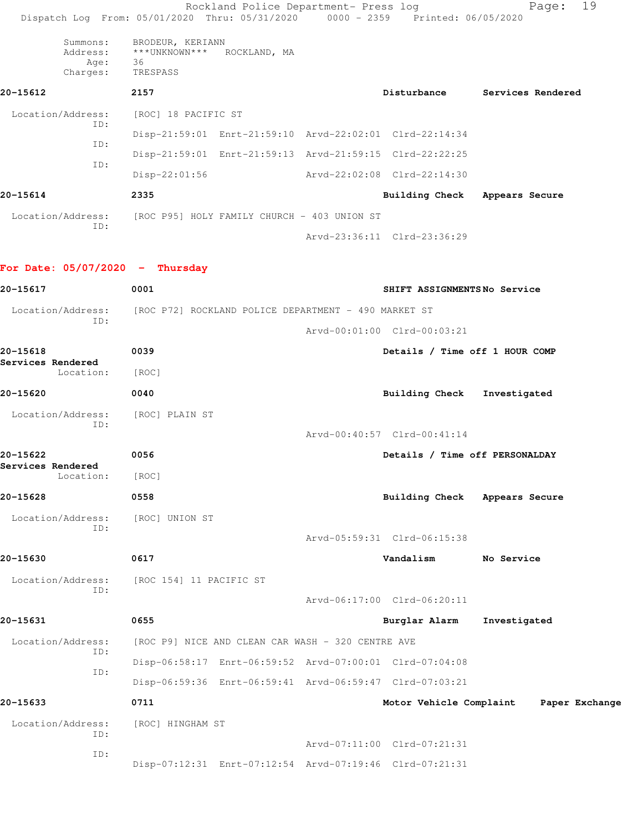|                                          | Rockland Police Department- Press log<br>Dispatch Log From: 05/01/2020 Thru: 05/31/2020 0000 - 2359 Printed: 06/05/2020 |                                | 19<br>Page:                   |
|------------------------------------------|-------------------------------------------------------------------------------------------------------------------------|--------------------------------|-------------------------------|
| Summons:<br>Address:<br>Age:<br>Charges: | BRODEUR, KERIANN<br>***UNKNOWN*** ROCKLAND, MA<br>36<br>TRESPASS                                                        |                                |                               |
| 20-15612                                 | 2157                                                                                                                    | Disturbance                    | Services Rendered             |
| Location/Address:                        | [ROC] 18 PACIFIC ST                                                                                                     |                                |                               |
| ID:                                      | Disp-21:59:01 Enrt-21:59:10 Arvd-22:02:01 Clrd-22:14:34                                                                 |                                |                               |
| ID:                                      | Disp-21:59:01 Enrt-21:59:13 Arvd-21:59:15 Clrd-22:22:25                                                                 |                                |                               |
| ID:                                      | $Disp-22:01:56$                                                                                                         | Arvd-22:02:08 Clrd-22:14:30    |                               |
| 20-15614                                 | 2335                                                                                                                    | <b>Building Check</b>          | Appears Secure                |
| Location/Address:                        | [ROC P95] HOLY FAMILY CHURCH - 403 UNION ST                                                                             |                                |                               |
| ID:                                      |                                                                                                                         | Arvd-23:36:11 Clrd-23:36:29    |                               |
| For Date: $05/07/2020 -$ Thursday        |                                                                                                                         |                                |                               |
| 20-15617                                 | 0001                                                                                                                    | SHIFT ASSIGNMENTSNo Service    |                               |
| Location/Address:                        | [ROC P72] ROCKLAND POLICE DEPARTMENT - 490 MARKET ST                                                                    |                                |                               |
| ID:                                      |                                                                                                                         | Arvd-00:01:00 Clrd-00:03:21    |                               |
| 20-15618                                 | 0039                                                                                                                    | Details / Time off 1 HOUR COMP |                               |
| Services Rendered<br>Location:           | [ROC]                                                                                                                   |                                |                               |
| 20-15620                                 | 0040                                                                                                                    | <b>Building Check</b>          | Investigated                  |
| Location/Address:                        | [ROC] PLAIN ST                                                                                                          |                                |                               |
| ID:                                      |                                                                                                                         | Arvd-00:40:57 Clrd-00:41:14    |                               |
| 20-15622                                 | 0056                                                                                                                    | Details / Time off PERSONALDAY |                               |
| Services Rendered<br>Location:           | [ROC]                                                                                                                   |                                |                               |
| 20-15628                                 | 0558                                                                                                                    |                                | Building Check Appears Secure |
| Location/Address:                        | [ROC] UNION ST                                                                                                          |                                |                               |
| ID:                                      |                                                                                                                         | Arvd-05:59:31 Clrd-06:15:38    |                               |
| 20-15630                                 | 0617                                                                                                                    | Vandalism                      | No Service                    |
| Location/Address:                        | [ROC 154] 11 PACIFIC ST                                                                                                 |                                |                               |
| ID:                                      |                                                                                                                         | Arvd-06:17:00 Clrd-06:20:11    |                               |
| 20-15631                                 | 0655                                                                                                                    | Burglar Alarm                  | Investigated                  |
| Location/Address:                        | [ROC P9] NICE AND CLEAN CAR WASH - 320 CENTRE AVE                                                                       |                                |                               |
| ID:                                      | Disp-06:58:17 Enrt-06:59:52 Arvd-07:00:01 Clrd-07:04:08                                                                 |                                |                               |
| ID:                                      | Disp-06:59:36 Enrt-06:59:41 Arvd-06:59:47 Clrd-07:03:21                                                                 |                                |                               |
| 20-15633                                 | 0711                                                                                                                    | Motor Vehicle Complaint        | Paper Exchange                |
| Location/Address:                        | [ROC] HINGHAM ST                                                                                                        |                                |                               |
| ID:                                      |                                                                                                                         | Arvd-07:11:00 Clrd-07:21:31    |                               |
| ID:                                      | Disp-07:12:31 Enrt-07:12:54 Arvd-07:19:46 Clrd-07:21:31                                                                 |                                |                               |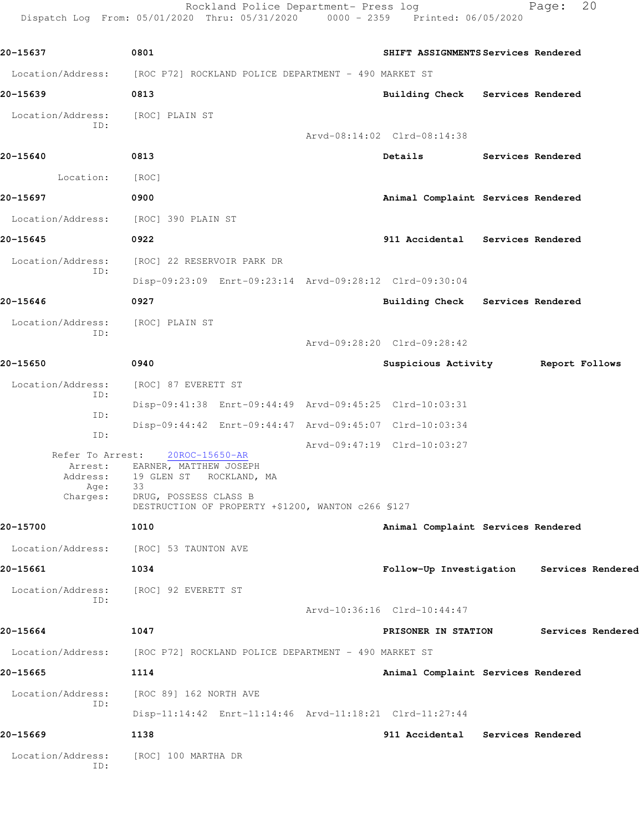Rockland Police Department- Press log entitled and Page: 20 Dispatch Log From: 05/01/2020 Thru: 05/31/2020 0000 - 2359 Printed: 06/05/2020

| 20-15637                             | 0801                                                                                                                                                                      | SHIFT ASSIGNMENTS Services Rendered |                          |                                           |
|--------------------------------------|---------------------------------------------------------------------------------------------------------------------------------------------------------------------------|-------------------------------------|--------------------------|-------------------------------------------|
|                                      | Location/Address: [ROC P72] ROCKLAND POLICE DEPARTMENT - 490 MARKET ST                                                                                                    |                                     |                          |                                           |
| 20-15639                             | 0813                                                                                                                                                                      | Building Check Services Rendered    |                          |                                           |
| Location/Address:                    | [ROC] PLAIN ST                                                                                                                                                            |                                     |                          |                                           |
| TD:                                  |                                                                                                                                                                           | Arvd-08:14:02 Clrd-08:14:38         |                          |                                           |
| 20-15640                             | 0813                                                                                                                                                                      | Details                             | <b>Services Rendered</b> |                                           |
| Location:                            | [ROC]                                                                                                                                                                     |                                     |                          |                                           |
| 20-15697                             | 0900                                                                                                                                                                      | Animal Complaint Services Rendered  |                          |                                           |
| Location/Address: [ROC] 390 PLAIN ST |                                                                                                                                                                           |                                     |                          |                                           |
| 20-15645                             | 0922                                                                                                                                                                      | 911 Accidental Services Rendered    |                          |                                           |
| Location/Address:                    | [ROC] 22 RESERVOIR PARK DR                                                                                                                                                |                                     |                          |                                           |
| ID:                                  | Disp-09:23:09 Enrt-09:23:14 Arvd-09:28:12 Clrd-09:30:04                                                                                                                   |                                     |                          |                                           |
| 20-15646                             | 0927                                                                                                                                                                      | Building Check Services Rendered    |                          |                                           |
| Location/Address:                    | [ROC] PLAIN ST                                                                                                                                                            |                                     |                          |                                           |
| ID:                                  |                                                                                                                                                                           | Arvd-09:28:20 Clrd-09:28:42         |                          |                                           |
| 20-15650                             | 0940                                                                                                                                                                      | Suspicious Activity                 |                          | Report Follows                            |
| Location/Address:                    | [ROC] 87 EVERETT ST                                                                                                                                                       |                                     |                          |                                           |
| ID:                                  | Disp-09:41:38 Enrt-09:44:49 Arvd-09:45:25 Clrd-10:03:31                                                                                                                   |                                     |                          |                                           |
| ID:<br>ID:                           | Disp-09:44:42 Enrt-09:44:47 Arvd-09:45:07 Clrd-10:03:34                                                                                                                   |                                     |                          |                                           |
| Refer To Arrest:<br>Age:<br>Charges: | 20ROC-15650-AR<br>Arrest: EARNER, MATTHEW JOSEPH<br>Address: 19 GLEN ST ROCKLAND, MA<br>33<br>DRUG, POSSESS CLASS B<br>DESTRUCTION OF PROPERTY +\$1200, WANTON c266 \$127 | Arvd-09:47:19 Clrd-10:03:27         |                          |                                           |
| 20-15700                             | 1010                                                                                                                                                                      | Animal Complaint Services Rendered  |                          |                                           |
|                                      | Location/Address: [ROC] 53 TAUNTON AVE                                                                                                                                    |                                     |                          |                                           |
| 20-15661                             | 1034                                                                                                                                                                      |                                     |                          | Follow-Up Investigation Services Rendered |
| Location/Address:                    | [ROC] 92 EVERETT ST                                                                                                                                                       |                                     |                          |                                           |
| ID:                                  |                                                                                                                                                                           | Arvd-10:36:16 Clrd-10:44:47         |                          |                                           |
| 20-15664                             | 1047                                                                                                                                                                      | PRISONER IN STATION                 |                          | Services Rendered                         |
| Location/Address:                    | [ROC P72] ROCKLAND POLICE DEPARTMENT - 490 MARKET ST                                                                                                                      |                                     |                          |                                           |
| 20-15665                             | 1114                                                                                                                                                                      | Animal Complaint Services Rendered  |                          |                                           |
| Location/Address:                    | [ROC 89] 162 NORTH AVE                                                                                                                                                    |                                     |                          |                                           |
| ID:                                  | Disp-11:14:42 Enrt-11:14:46 Arvd-11:18:21 Clrd-11:27:44                                                                                                                   |                                     |                          |                                           |
| 20-15669                             | 1138                                                                                                                                                                      | 911 Accidental Services Rendered    |                          |                                           |
| Location/Address:<br>ID:             | [ROC] 100 MARTHA DR                                                                                                                                                       |                                     |                          |                                           |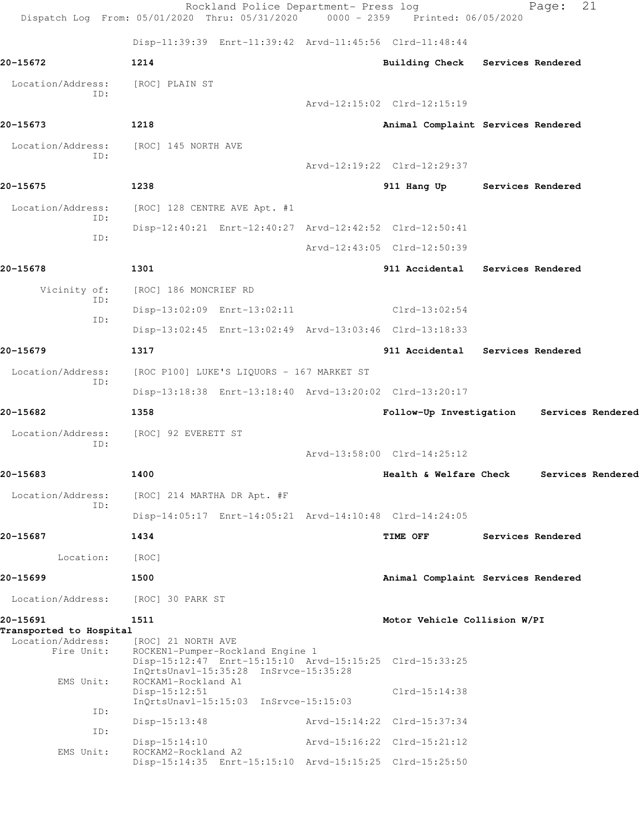|                                                            | Rockland Police Department- Press log<br>Dispatch Log From: 05/01/2020 Thru: 05/31/2020 0000 - 2359 Printed: 06/05/2020                                        |                                    | Page:             | 21                |
|------------------------------------------------------------|----------------------------------------------------------------------------------------------------------------------------------------------------------------|------------------------------------|-------------------|-------------------|
|                                                            | Disp-11:39:39 Enrt-11:39:42 Arvd-11:45:56 Clrd-11:48:44                                                                                                        |                                    |                   |                   |
| 20-15672                                                   | 1214                                                                                                                                                           | <b>Building Check</b>              | Services Rendered |                   |
| Location/Address:                                          | [ROC] PLAIN ST                                                                                                                                                 |                                    |                   |                   |
| TD:                                                        |                                                                                                                                                                | Arvd-12:15:02 Clrd-12:15:19        |                   |                   |
| 20-15673                                                   | 1218                                                                                                                                                           | Animal Complaint Services Rendered |                   |                   |
| Location/Address:                                          | [ROC] 145 NORTH AVE                                                                                                                                            |                                    |                   |                   |
| TD:                                                        |                                                                                                                                                                | Arvd-12:19:22 Clrd-12:29:37        |                   |                   |
| 20-15675                                                   | 1238                                                                                                                                                           | 911 Hang Up                        | Services Rendered |                   |
| Location/Address:                                          | [ROC] 128 CENTRE AVE Apt. #1                                                                                                                                   |                                    |                   |                   |
| ID:                                                        | Disp-12:40:21 Enrt-12:40:27 Arvd-12:42:52 Clrd-12:50:41                                                                                                        |                                    |                   |                   |
| ID:                                                        |                                                                                                                                                                | Arvd-12:43:05 Clrd-12:50:39        |                   |                   |
| 20-15678                                                   | 1301                                                                                                                                                           | 911 Accidental Services Rendered   |                   |                   |
| Vicinity of:                                               | [ROC] 186 MONCRIEF RD                                                                                                                                          |                                    |                   |                   |
| ID:                                                        | Disp-13:02:09 Enrt-13:02:11                                                                                                                                    | Clrd-13:02:54                      |                   |                   |
| ID:                                                        | Disp-13:02:45 Enrt-13:02:49 Arvd-13:03:46 Clrd-13:18:33                                                                                                        |                                    |                   |                   |
| 20-15679                                                   | 1317                                                                                                                                                           | 911 Accidental Services Rendered   |                   |                   |
| Location/Address:                                          | [ROC P100] LUKE'S LIQUORS - 167 MARKET ST                                                                                                                      |                                    |                   |                   |
| ID:                                                        | Disp-13:18:38 Enrt-13:18:40 Arvd-13:20:02 Clrd-13:20:17                                                                                                        |                                    |                   |                   |
| 20-15682                                                   | 1358                                                                                                                                                           | Follow-Up Investigation            | Services Rendered |                   |
| Location/Address:                                          | [ROC] 92 EVERETT ST                                                                                                                                            |                                    |                   |                   |
| ID:                                                        |                                                                                                                                                                | Arvd-13:58:00 Clrd-14:25:12        |                   |                   |
| 20-15683                                                   | 1400                                                                                                                                                           | Health & Welfare Check             |                   | Services Rendered |
| Location/Address:                                          | [ROC] 214 MARTHA DR Apt. #F                                                                                                                                    |                                    |                   |                   |
| ID:                                                        | Disp-14:05:17 Enrt-14:05:21 Arvd-14:10:48 Clrd-14:24:05                                                                                                        |                                    |                   |                   |
| 20-15687                                                   | 1434                                                                                                                                                           | TIME OFF                           | Services Rendered |                   |
| Location:                                                  | [ROC]                                                                                                                                                          |                                    |                   |                   |
| 20-15699                                                   | 1500                                                                                                                                                           | Animal Complaint Services Rendered |                   |                   |
| Location/Address:                                          | [ROC] 30 PARK ST                                                                                                                                               |                                    |                   |                   |
| 20-15691                                                   | 1511                                                                                                                                                           | Motor Vehicle Collision W/PI       |                   |                   |
| Transported to Hospital<br>Location/Address:<br>Fire Unit: | [ROC] 21 NORTH AVE<br>ROCKEN1-Pumper-Rockland Engine 1<br>Disp-15:12:47 Enrt-15:15:10 Arvd-15:15:25 Clrd-15:33:25<br>$InQrtsUnav1-15:35:28$ $InSrvce-15:35:28$ |                                    |                   |                   |
| EMS Unit:                                                  | ROCKAM1-Rockland A1<br>$Disp-15:12:51$<br>InQrtsUnavl-15:15:03 InSrvce-15:15:03                                                                                | $Clrd-15:14:38$                    |                   |                   |
| ID:                                                        | $Disp-15:13:48$                                                                                                                                                | Arvd-15:14:22 Clrd-15:37:34        |                   |                   |
| ID:                                                        | $Disp-15:14:10$                                                                                                                                                | Arvd-15:16:22 Clrd-15:21:12        |                   |                   |
| EMS Unit:                                                  | ROCKAM2-Rockland A2<br>Disp-15:14:35 Enrt-15:15:10 Arvd-15:15:25 Clrd-15:25:50                                                                                 |                                    |                   |                   |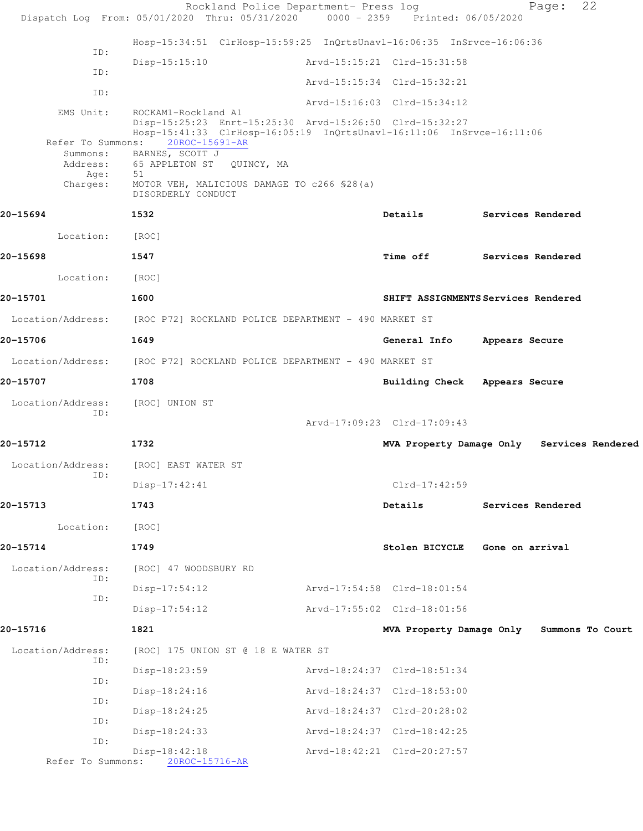|                          | Dispatch Log From: 05/01/2020 Thru: 05/31/2020 0000 - 2359 Printed: 06/05/2020                                                                         | Rockland Police Department- Press log |                             | Page:                                      | 22               |
|--------------------------|--------------------------------------------------------------------------------------------------------------------------------------------------------|---------------------------------------|-----------------------------|--------------------------------------------|------------------|
|                          | Hosp-15:34:51 ClrHosp-15:59:25 InQrtsUnavl-16:06:35 InSrvce-16:06:36                                                                                   |                                       |                             |                                            |                  |
| ID:                      | $Disp-15:15:10$                                                                                                                                        |                                       | Arvd-15:15:21 Clrd-15:31:58 |                                            |                  |
| ID:                      |                                                                                                                                                        |                                       | Arvd-15:15:34 Clrd-15:32:21 |                                            |                  |
| ID:                      |                                                                                                                                                        |                                       | Arvd-15:16:03 Clrd-15:34:12 |                                            |                  |
| EMS Unit:                | ROCKAM1-Rockland A1<br>Disp-15:25:23 Enrt-15:25:30 Arvd-15:26:50 Clrd-15:32:27<br>Hosp-15:41:33 ClrHosp-16:05:19 InQrtsUnavl-16:11:06 InSrvce-16:11:06 |                                       |                             |                                            |                  |
| Refer To Summons:        | 20ROC-15691-AR<br>Summons: BARNES, SCOTT J                                                                                                             |                                       |                             |                                            |                  |
|                          | Address: 65 APPLETON ST QUINCY, MA                                                                                                                     |                                       |                             |                                            |                  |
|                          | Age: 51<br>Charges: MOTOR VEH, MALICIOUS DAMAGE TO c266 \$28(a)<br>DISORDERLY CONDUCT                                                                  |                                       |                             |                                            |                  |
| 20-15694                 | 1532                                                                                                                                                   |                                       | Details                     | <b>Services Rendered</b>                   |                  |
| Location: [ROC]          |                                                                                                                                                        |                                       |                             |                                            |                  |
| 20-15698                 | 1547                                                                                                                                                   |                                       |                             | Time off Services Rendered                 |                  |
| Location: [ROC]          |                                                                                                                                                        |                                       |                             |                                            |                  |
| 20-15701                 | 1600                                                                                                                                                   |                                       |                             | SHIFT ASSIGNMENTS Services Rendered        |                  |
|                          | Location/Address: [ROC P72] ROCKLAND POLICE DEPARTMENT - 490 MARKET ST                                                                                 |                                       |                             |                                            |                  |
| 20-15706                 | 1649                                                                                                                                                   |                                       | General Info                | Appears Secure                             |                  |
|                          | Location/Address: [ROC P72] ROCKLAND POLICE DEPARTMENT - 490 MARKET ST                                                                                 |                                       |                             |                                            |                  |
| 20-15707                 | 1708                                                                                                                                                   |                                       |                             | Building Check Appears Secure              |                  |
| Location/Address:<br>ID: | [ROC] UNION ST                                                                                                                                         |                                       |                             |                                            |                  |
|                          |                                                                                                                                                        |                                       | Arvd-17:09:23 Clrd-17:09:43 |                                            |                  |
| 20-15712                 | 1732                                                                                                                                                   |                                       |                             | MVA Property Damage Only Services Rendered |                  |
| Location/Address:<br>ID: | [ROC] EAST WATER ST                                                                                                                                    |                                       |                             |                                            |                  |
|                          | $Disp-17:42:41$                                                                                                                                        |                                       | $Clrd-17:42:59$             |                                            |                  |
| 20-15713                 | 1743                                                                                                                                                   |                                       | Details                     | Services Rendered                          |                  |
| Location:                | [ROC]                                                                                                                                                  |                                       |                             |                                            |                  |
| 20-15714                 | 1749                                                                                                                                                   |                                       | Stolen BICYCLE              | Gone on arrival                            |                  |
| Location/Address:<br>ID: | [ROC] 47 WOODSBURY RD                                                                                                                                  |                                       |                             |                                            |                  |
| ID:                      | $Disp-17:54:12$                                                                                                                                        |                                       | Arvd-17:54:58 Clrd-18:01:54 |                                            |                  |
|                          | $Disp-17:54:12$                                                                                                                                        |                                       | Arvd-17:55:02 Clrd-18:01:56 |                                            |                  |
| 20-15716                 | 1821                                                                                                                                                   |                                       | MVA Property Damage Only    |                                            | Summons To Court |
| Location/Address:<br>ID: | [ROC] 175 UNION ST @ 18 E WATER ST                                                                                                                     |                                       |                             |                                            |                  |
| ID:                      | Disp-18:23:59                                                                                                                                          |                                       | Arvd-18:24:37 Clrd-18:51:34 |                                            |                  |
| ID:                      | Disp-18:24:16                                                                                                                                          |                                       | Arvd-18:24:37 Clrd-18:53:00 |                                            |                  |
| ID:                      | Disp-18:24:25                                                                                                                                          |                                       | Arvd-18:24:37 Clrd-20:28:02 |                                            |                  |
| ID:                      | $Disp-18:24:33$                                                                                                                                        |                                       | Arvd-18:24:37 Clrd-18:42:25 |                                            |                  |
| Refer To Summons:        | Disp-18:42:18<br>20ROC-15716-AR                                                                                                                        |                                       | Arvd-18:42:21 Clrd-20:27:57 |                                            |                  |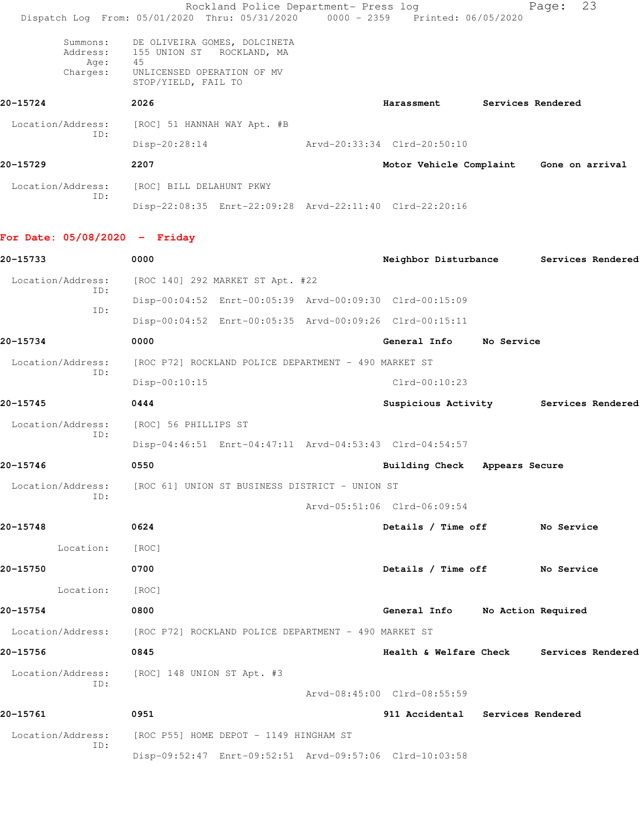|                                 | Rockland Police Department- Press log<br>Dispatch Log From: 05/01/2020 Thru: 05/31/2020 0000 - 2359 Printed: 06/05/2020 |                                  | 23<br>Page:                              |
|---------------------------------|-------------------------------------------------------------------------------------------------------------------------|----------------------------------|------------------------------------------|
| Summons:<br>Address:            | DE OLIVEIRA GOMES, DOLCINETA<br>155 UNION ST ROCKLAND, MA                                                               |                                  |                                          |
| Age:<br>Charges:                | 45<br>UNLICENSED OPERATION OF MV<br>STOP/YIELD, FAIL TO                                                                 |                                  |                                          |
| 20-15724                        | 2026                                                                                                                    | Harassment                       | Services Rendered                        |
| Location/Address:               | [ROC] 51 HANNAH WAY Apt. #B                                                                                             |                                  |                                          |
| ID:                             | $Disp-20:28:14$                                                                                                         | Arvd-20:33:34 Clrd-20:50:10      |                                          |
| 20-15729                        | 2207                                                                                                                    |                                  | Motor Vehicle Complaint Gone on arrival  |
| Location/Address:               | [ROC] BILL DELAHUNT PKWY                                                                                                |                                  |                                          |
| ID:                             | Disp-22:08:35 Enrt-22:09:28 Arvd-22:11:40 Clrd-22:20:16                                                                 |                                  |                                          |
| For Date: $05/08/2020 -$ Friday |                                                                                                                         |                                  |                                          |
| 20-15733                        | 0000                                                                                                                    | Neighbor Disturbance             | Services Rendered                        |
| Location/Address:               | [ROC 140] 292 MARKET ST Apt. #22                                                                                        |                                  |                                          |
| ID:                             | Disp-00:04:52 Enrt-00:05:39 Arvd-00:09:30 Clrd-00:15:09                                                                 |                                  |                                          |
| ID:                             | Disp-00:04:52 Enrt-00:05:35 Arvd-00:09:26 Clrd-00:15:11                                                                 |                                  |                                          |
| 20-15734                        | 0000                                                                                                                    | General Info                     | No Service                               |
| Location/Address:               | [ROC P72] ROCKLAND POLICE DEPARTMENT - 490 MARKET ST                                                                    |                                  |                                          |
| ID:                             | $Disp-00:10:15$                                                                                                         | $Clrd-00:10:23$                  |                                          |
| 20-15745                        | 0444                                                                                                                    |                                  | Suspicious Activity Services Rendered    |
| Location/Address:               | [ROC] 56 PHILLIPS ST                                                                                                    |                                  |                                          |
| ID:                             | Disp-04:46:51 Enrt-04:47:11 Arvd-04:53:43 Clrd-04:54:57                                                                 |                                  |                                          |
| 20-15746                        | 0550                                                                                                                    | <b>Building Check</b>            | Appears Secure                           |
| Location/Address:<br>ID:        | [ROC 61] UNION ST BUSINESS DISTRICT - UNION ST                                                                          |                                  |                                          |
|                                 |                                                                                                                         | Arvd-05:51:06 Clrd-06:09:54      |                                          |
| 20-15748                        | 0624                                                                                                                    | Details / Time off No Service    |                                          |
| Location:                       | [ROC]                                                                                                                   |                                  |                                          |
| 20-15750                        | 0700                                                                                                                    |                                  | Details / Time off No Service            |
| Location:                       | [ROC]                                                                                                                   |                                  |                                          |
| 20-15754                        | 0800                                                                                                                    | General Info No Action Required  |                                          |
| Location/Address:               | [ROC P72] ROCKLAND POLICE DEPARTMENT - 490 MARKET ST                                                                    |                                  |                                          |
| 20-15756                        | 0845                                                                                                                    |                                  | Health & Welfare Check Services Rendered |
| Location/Address:<br>ID:        | [ROC] 148 UNION ST Apt. #3                                                                                              |                                  |                                          |
|                                 |                                                                                                                         | Arvd-08:45:00 Clrd-08:55:59      |                                          |
| 20-15761                        | 0951                                                                                                                    | 911 Accidental Services Rendered |                                          |
| Location/Address:<br>ID:        | [ROC P55] HOME DEPOT - 1149 HINGHAM ST                                                                                  |                                  |                                          |
|                                 | Disp-09:52:47 Enrt-09:52:51 Arvd-09:57:06 Clrd-10:03:58                                                                 |                                  |                                          |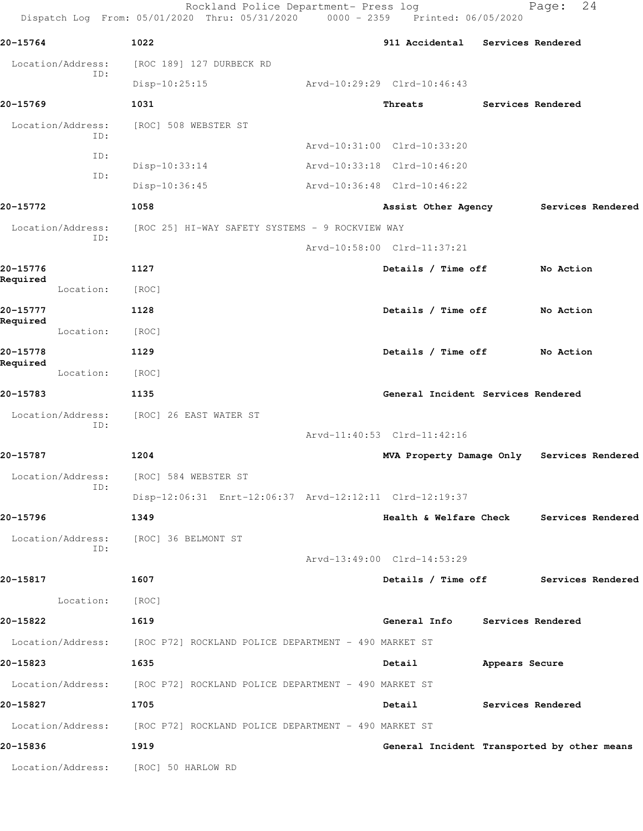Dispatch Log From: 05/01/2020 Thru: 05/31/2020 0000 - 2359 Printed: 06/05/2020 **20-15764 1022 911 Accidental Services Rendered** Location/Address: [ROC 189] 127 DURBECK RD ID: Disp-10:25:15 Arvd-10:29:29 Clrd-10:46:43 **20-15769 1031 Threats Services Rendered** Location/Address: [ROC] 508 WEBSTER ST ID: Arvd-10:31:00 Clrd-10:33:20 ID: Disp-10:33:14 Arvd-10:33:18 Clrd-10:46:20 ID: Disp-10:36:45 Arvd-10:36:48 Clrd-10:46:22 **20-15772 1058 Assist Other Agency Services Rendered** Location/Address: [ROC 25] HI-WAY SAFETY SYSTEMS - 9 ROCKVIEW WAY ID: Arvd-10:58:00 Clrd-11:37:21 **20-15776 1127 Details / Time off No Action Required**  Location: [ROC] **20-15777 1128 Details / Time off No Action Required**  Location: [ROC] **20-15778 1129 Details / Time off No Action Required**  Location: [ROC] **20-15783 1135 General Incident Services Rendered** Location/Address: [ROC] 26 EAST WATER ST ID: Arvd-11:40:53 Clrd-11:42:16 **20-15787 1204 MVA Property Damage Only Services Rendered** Location/Address: [ROC] 584 WEBSTER ST ID: Disp-12:06:31 Enrt-12:06:37 Arvd-12:12:11 Clrd-12:19:37 **20-15796 1349 Health & Welfare Check Services Rendered** Location/Address: [ROC] 36 BELMONT ST ID: Arvd-13:49:00 Clrd-14:53:29 **20-15817 1607 Details / Time off Services Rendered** Location: [ROC] **20-15822 1619 General Info Services Rendered** Location/Address: [ROC P72] ROCKLAND POLICE DEPARTMENT - 490 MARKET ST **20-15823 1635 Detail Appears Secure** Location/Address: [ROC P72] ROCKLAND POLICE DEPARTMENT - 490 MARKET ST **20-15827 1705 Detail Services Rendered** Location/Address: [ROC P72] ROCKLAND POLICE DEPARTMENT - 490 MARKET ST **20-15836 1919 General Incident Transported by other means**

Rockland Police Department- Press log North Page: 24

Location/Address: [ROC] 50 HARLOW RD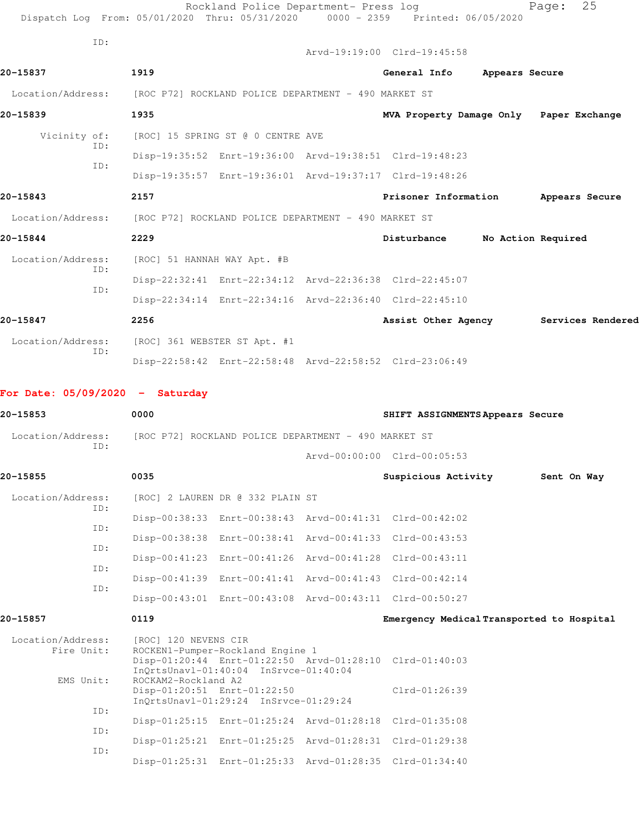|                                   | Rockland Police Department- Press log<br>Dispatch Log From: 05/01/2020 Thru: 05/31/2020                                                                      | 0000 - 2359 Printed: 06/05/2020           |                | 25<br>Page:                             |
|-----------------------------------|--------------------------------------------------------------------------------------------------------------------------------------------------------------|-------------------------------------------|----------------|-----------------------------------------|
| ID:                               |                                                                                                                                                              | Arvd-19:19:00 Clrd-19:45:58               |                |                                         |
| 20-15837                          | 1919                                                                                                                                                         | General Info                              | Appears Secure |                                         |
|                                   | Location/Address: [ROC P72] ROCKLAND POLICE DEPARTMENT - 490 MARKET ST                                                                                       |                                           |                |                                         |
| 20-15839                          | 1935                                                                                                                                                         |                                           |                | MVA Property Damage Only Paper Exchange |
| Vicinity of:                      | [ROC] 15 SPRING ST @ 0 CENTRE AVE                                                                                                                            |                                           |                |                                         |
| ID:                               | Disp-19:35:52 Enrt-19:36:00 Arvd-19:38:51 Clrd-19:48:23                                                                                                      |                                           |                |                                         |
| ID:                               | Disp-19:35:57 Enrt-19:36:01 Arvd-19:37:17 Clrd-19:48:26                                                                                                      |                                           |                |                                         |
| 20-15843                          | 2157                                                                                                                                                         | Prisoner Information                      |                | Appears Secure                          |
| Location/Address:                 | [ROC P72] ROCKLAND POLICE DEPARTMENT - 490 MARKET ST                                                                                                         |                                           |                |                                         |
| 20-15844                          | 2229                                                                                                                                                         | Disturbance                               |                | No Action Required                      |
| Location/Address:                 | [ROC] 51 HANNAH WAY Apt. #B                                                                                                                                  |                                           |                |                                         |
| ID:                               | Disp-22:32:41 Enrt-22:34:12 Arvd-22:36:38 Clrd-22:45:07                                                                                                      |                                           |                |                                         |
| ID:                               | Disp-22:34:14 Enrt-22:34:16 Arvd-22:36:40 Clrd-22:45:10                                                                                                      |                                           |                |                                         |
| 20-15847                          | 2256                                                                                                                                                         | Assist Other Agency                       |                | Services Rendered                       |
| Location/Address:                 | [ROC] 361 WEBSTER ST Apt. #1                                                                                                                                 |                                           |                |                                         |
| ID:                               | Disp-22:58:42 Enrt-22:58:48 Arvd-22:58:52 Clrd-23:06:49                                                                                                      |                                           |                |                                         |
| For Date: $05/09/2020 -$ Saturday |                                                                                                                                                              |                                           |                |                                         |
| 20-15853                          | 0000                                                                                                                                                         | SHIFT ASSIGNMENTS Appears Secure          |                |                                         |
| Location/Address:                 | [ROC P72] ROCKLAND POLICE DEPARTMENT - 490 MARKET ST                                                                                                         |                                           |                |                                         |
| ID:                               |                                                                                                                                                              | Arvd-00:00:00 Clrd-00:05:53               |                |                                         |
| 20-15855                          | 0035                                                                                                                                                         | Suspicious Activity                       |                | Sent On Way                             |
| Location/Address:<br>ID:          | [ROC] 2 LAUREN DR @ 332 PLAIN ST                                                                                                                             |                                           |                |                                         |
| ID:                               | Disp-00:38:33 Enrt-00:38:43 Arvd-00:41:31 Clrd-00:42:02                                                                                                      |                                           |                |                                         |
| ID:                               | Disp-00:38:38 Enrt-00:38:41 Arvd-00:41:33 Clrd-00:43:53                                                                                                      |                                           |                |                                         |
| ID:                               | Disp-00:41:23 Enrt-00:41:26 Arvd-00:41:28 Clrd-00:43:11                                                                                                      |                                           |                |                                         |
| ID:                               | Disp-00:41:39 Enrt-00:41:41 Arvd-00:41:43 Clrd-00:42:14                                                                                                      |                                           |                |                                         |
|                                   | Disp-00:43:01 Enrt-00:43:08 Arvd-00:43:11 Clrd-00:50:27                                                                                                      |                                           |                |                                         |
| 20-15857                          | 0119                                                                                                                                                         | Emergency Medical Transported to Hospital |                |                                         |
| Location/Address:<br>Fire Unit:   | [ROC] 120 NEVENS CIR<br>ROCKEN1-Pumper-Rockland Engine 1<br>Disp-01:20:44 Enrt-01:22:50 Arvd-01:28:10 Clrd-01:40:03<br>InQrtsUnavl-01:40:04 InSrvce-01:40:04 |                                           |                |                                         |
| EMS Unit:                         | ROCKAM2-Rockland A2<br>Disp-01:20:51 Enrt-01:22:50<br>InQrtsUnavl-01:29:24 InSrvce-01:29:24                                                                  | Clrd-01:26:39                             |                |                                         |
| ID:                               | Disp-01:25:15 Enrt-01:25:24 Arvd-01:28:18                                                                                                                    | $Clrd-01:35:08$                           |                |                                         |
| ID:                               | Disp-01:25:21 Enrt-01:25:25 Arvd-01:28:31 Clrd-01:29:38                                                                                                      |                                           |                |                                         |
| ID:                               | Disp-01:25:31 Enrt-01:25:33 Arvd-01:28:35 Clrd-01:34:40                                                                                                      |                                           |                |                                         |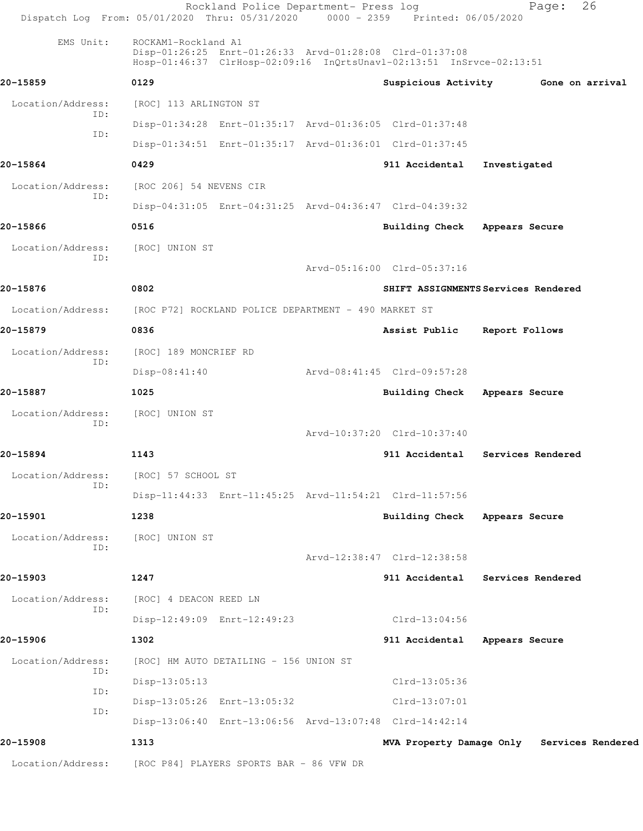|                          | Dispatch Log From: 05/01/2020 Thru: 05/31/2020 0000 - 2359 Printed: 06/05/2020                                                                         |                               |                                            |
|--------------------------|--------------------------------------------------------------------------------------------------------------------------------------------------------|-------------------------------|--------------------------------------------|
| EMS Unit:                | ROCKAM1-Rockland A1<br>Disp-01:26:25 Enrt-01:26:33 Arvd-01:28:08 Clrd-01:37:08<br>Hosp-01:46:37 ClrHosp-02:09:16 InQrtsUnavl-02:13:51 InSrvce-02:13:51 |                               |                                            |
| 20-15859                 | 0129                                                                                                                                                   | Suspicious Activity           | Gone on arrival                            |
| Location/Address:<br>ID: | [ROC] 113 ARLINGTON ST                                                                                                                                 |                               |                                            |
| TD:                      | Disp-01:34:28 Enrt-01:35:17 Arvd-01:36:05 Clrd-01:37:48                                                                                                |                               |                                            |
|                          | Disp-01:34:51 Enrt-01:35:17 Arvd-01:36:01 Clrd-01:37:45                                                                                                |                               |                                            |
| 20-15864                 | 0429                                                                                                                                                   | 911 Accidental                | Investigated                               |
| Location/Address:<br>ID: | [ROC 206] 54 NEVENS CIR                                                                                                                                |                               |                                            |
|                          | Disp-04:31:05 Enrt-04:31:25 Arvd-04:36:47 Clrd-04:39:32                                                                                                |                               |                                            |
| 20-15866                 | 0516                                                                                                                                                   | Building Check Appears Secure |                                            |
| Location/Address:<br>ID: | [ROC] UNION ST                                                                                                                                         |                               |                                            |
|                          |                                                                                                                                                        | Arvd-05:16:00 Clrd-05:37:16   |                                            |
| 20-15876                 | 0802                                                                                                                                                   |                               | SHIFT ASSIGNMENTS Services Rendered        |
| Location/Address:        | [ROC P72] ROCKLAND POLICE DEPARTMENT - 490 MARKET ST                                                                                                   |                               |                                            |
| 20-15879                 | 0836                                                                                                                                                   | Assist Public                 | Report Follows                             |
| Location/Address:<br>ID: | [ROC] 189 MONCRIEF RD                                                                                                                                  |                               |                                            |
|                          | Disp-08:41:40                                                                                                                                          | Arvd-08:41:45 Clrd-09:57:28   |                                            |
| 20-15887                 | 1025                                                                                                                                                   | <b>Building Check</b>         | Appears Secure                             |
| Location/Address:<br>ID: | [ROC] UNION ST                                                                                                                                         |                               |                                            |
|                          |                                                                                                                                                        | Arvd-10:37:20 Clrd-10:37:40   |                                            |
| 20-15894                 | 1143                                                                                                                                                   |                               | 911 Accidental Services Rendered           |
| Location/Address:<br>ID: | [ROC] 57 SCHOOL ST                                                                                                                                     |                               |                                            |
|                          | Disp-11:44:33 Enrt-11:45:25 Arvd-11:54:21 Clrd-11:57:56                                                                                                |                               |                                            |
| 20-15901                 | 1238                                                                                                                                                   | Building Check Appears Secure |                                            |
| Location/Address:<br>ID: | [ROC] UNION ST                                                                                                                                         |                               |                                            |
|                          |                                                                                                                                                        | Arvd-12:38:47 Clrd-12:38:58   |                                            |
| 20-15903                 | 1247                                                                                                                                                   |                               | 911 Accidental Services Rendered           |
| Location/Address:<br>ID: | [ROC] 4 DEACON REED LN                                                                                                                                 |                               |                                            |
|                          | Disp-12:49:09 Enrt-12:49:23                                                                                                                            | Clrd-13:04:56                 |                                            |
| 20-15906                 | 1302                                                                                                                                                   | 911 Accidental                | Appears Secure                             |
| Location/Address:<br>ID: | [ROC] HM AUTO DETAILING - 156 UNION ST                                                                                                                 |                               |                                            |
| ID:                      | Disp-13:05:13                                                                                                                                          | $Clrd-13:05:36$               |                                            |
| ID:                      | Disp-13:05:26 Enrt-13:05:32                                                                                                                            | $Clrd-13:07:01$               |                                            |
|                          | Disp-13:06:40 Enrt-13:06:56 Arvd-13:07:48 Clrd-14:42:14                                                                                                |                               |                                            |
| 20-15908                 | 1313                                                                                                                                                   |                               | MVA Property Damage Only Services Rendered |
| Location/Address:        | [ROC P84] PLAYERS SPORTS BAR - 86 VFW DR                                                                                                               |                               |                                            |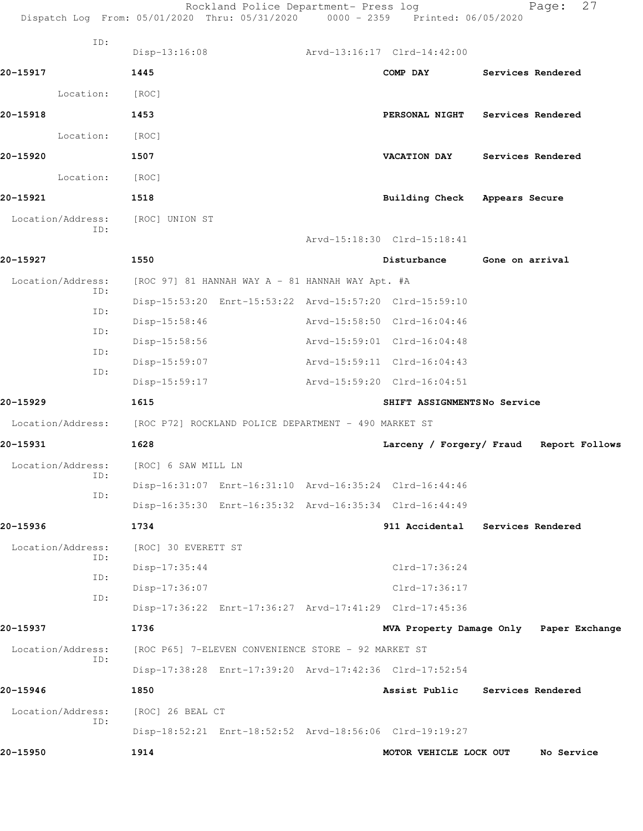| Dispatch Log From: 05/01/2020 Thru: 05/31/2020 0000 - 2359 Printed: 06/05/2020 |                                                      | Rockland Police Department- Press log               |                                                         | 27<br>Page:                             |
|--------------------------------------------------------------------------------|------------------------------------------------------|-----------------------------------------------------|---------------------------------------------------------|-----------------------------------------|
| ID:                                                                            | $Disp-13:16:08$                                      |                                                     | Arvd-13:16:17 Clrd-14:42:00                             |                                         |
| 20-15917                                                                       | 1445                                                 |                                                     | COMP DAY                                                | Services Rendered                       |
| Location: [ROC]                                                                |                                                      |                                                     |                                                         |                                         |
| 20-15918                                                                       | 1453                                                 |                                                     | <b>PERSONAL NIGHT</b>                                   | Services Rendered                       |
| Location:                                                                      | [ROC]                                                |                                                     |                                                         |                                         |
| 20-15920                                                                       | 1507                                                 |                                                     | <b>VACATION DAY</b>                                     | Services Rendered                       |
| Location:                                                                      | [ROC]                                                |                                                     |                                                         |                                         |
| 20-15921                                                                       | 1518                                                 |                                                     | Building Check Appears Secure                           |                                         |
| Location/Address:                                                              | [ROC] UNION ST                                       |                                                     |                                                         |                                         |
| ID:                                                                            |                                                      |                                                     | Arvd-15:18:30 Clrd-15:18:41                             |                                         |
| 20-15927                                                                       | 1550                                                 |                                                     | Disturbance                                             | Gone on arrival                         |
| Location/Address:                                                              |                                                      | [ROC 97] 81 HANNAH WAY A - 81 HANNAH WAY Apt. #A    |                                                         |                                         |
| ID:                                                                            |                                                      |                                                     | Disp-15:53:20 Enrt-15:53:22 Arvd-15:57:20 Clrd-15:59:10 |                                         |
| ID:                                                                            | $Disp-15:58:46$                                      |                                                     | Arvd-15:58:50 Clrd-16:04:46                             |                                         |
| ID:                                                                            | $Disp-15:58:56$                                      |                                                     | Arvd-15:59:01 Clrd-16:04:48                             |                                         |
| ID:                                                                            | $Disp-15:59:07$                                      |                                                     | Arvd-15:59:11 Clrd-16:04:43                             |                                         |
| ID:                                                                            | $Disp-15:59:17$                                      |                                                     | Arvd-15:59:20 Clrd-16:04:51                             |                                         |
| 20-15929                                                                       | 1615                                                 |                                                     | SHIFT ASSIGNMENTSNo Service                             |                                         |
| Location/Address:                                                              | [ROC P72] ROCKLAND POLICE DEPARTMENT - 490 MARKET ST |                                                     |                                                         |                                         |
| 20-15931                                                                       | 1628                                                 |                                                     | Larceny / Forgery/ Fraud                                | Report Follows                          |
| Location/Address: [ROC] 6 SAW MILL LN                                          |                                                      |                                                     |                                                         |                                         |
| ID:                                                                            |                                                      |                                                     |                                                         |                                         |
| ID:                                                                            |                                                      |                                                     | Disp-16:35:30 Enrt-16:35:32 Arvd-16:35:34 Clrd-16:44:49 |                                         |
| 20-15936                                                                       | 1734                                                 |                                                     | 911 Accidental                                          | Services Rendered                       |
| Location/Address:                                                              | [ROC] 30 EVERETT ST                                  |                                                     |                                                         |                                         |
| ID:                                                                            | Disp-17:35:44                                        |                                                     | $Clrd-17:36:24$                                         |                                         |
| ID:                                                                            | Disp-17:36:07                                        |                                                     | Clrd-17:36:17                                           |                                         |
| ID:                                                                            |                                                      |                                                     | Disp-17:36:22 Enrt-17:36:27 Arvd-17:41:29 Clrd-17:45:36 |                                         |
| 20-15937                                                                       | 1736                                                 |                                                     |                                                         | MVA Property Damage Only Paper Exchange |
| Location/Address:<br>ID:                                                       |                                                      | [ROC P65] 7-ELEVEN CONVENIENCE STORE - 92 MARKET ST |                                                         |                                         |
|                                                                                |                                                      |                                                     | Disp-17:38:28 Enrt-17:39:20 Arvd-17:42:36 Clrd-17:52:54 |                                         |
| 20-15946                                                                       | 1850                                                 |                                                     | Assist Public                                           | Services Rendered                       |
| Location/Address:<br>ID:                                                       | [ROC] 26 BEAL CT                                     |                                                     |                                                         |                                         |
|                                                                                |                                                      |                                                     | Disp-18:52:21 Enrt-18:52:52 Arvd-18:56:06 Clrd-19:19:27 |                                         |
| 20-15950                                                                       | 1914                                                 |                                                     | MOTOR VEHICLE LOCK OUT                                  | No Service                              |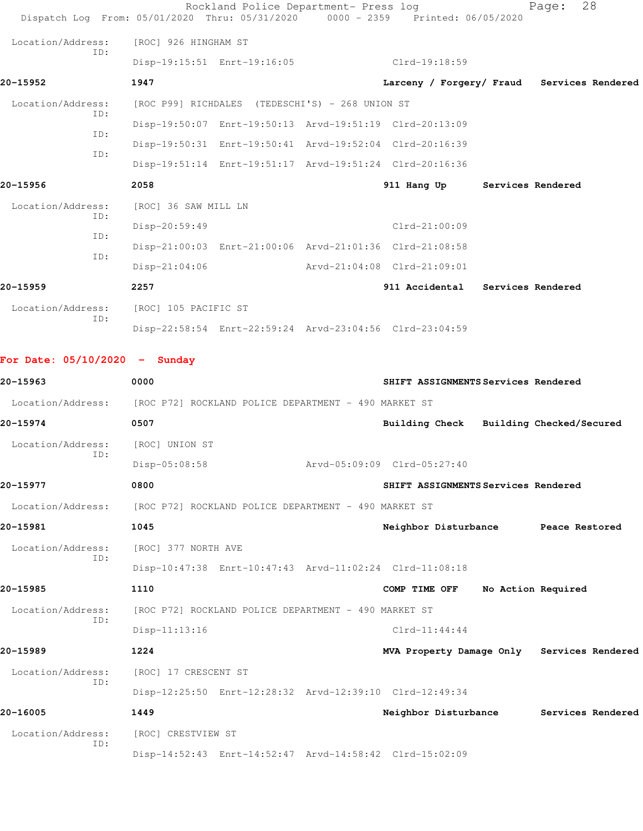| Dispatch Log From: 05/01/2020 Thru: 05/31/2020 0000 - 2359 Printed: 06/05/2020 |                                                 | Rockland Police Department- Press log                   |                             |                                            | Page: | 28 |
|--------------------------------------------------------------------------------|-------------------------------------------------|---------------------------------------------------------|-----------------------------|--------------------------------------------|-------|----|
| Location/Address:                                                              | [ROC] 926 HINGHAM ST                            |                                                         |                             |                                            |       |    |
| ID:                                                                            |                                                 | Disp-19:15:51 Enrt-19:16:05                             |                             | Clrd-19:18:59                              |       |    |
| 20-15952                                                                       | 1947                                            |                                                         |                             | Larceny / Forgery/ Fraud Services Rendered |       |    |
| Location/Address:<br>TD:                                                       | [ROC P99] RICHDALES (TEDESCHI'S) - 268 UNION ST |                                                         |                             |                                            |       |    |
| ID:                                                                            |                                                 | Disp-19:50:07 Enrt-19:50:13 Arvd-19:51:19 Clrd-20:13:09 |                             |                                            |       |    |
| TD:                                                                            |                                                 | Disp-19:50:31 Enrt-19:50:41 Arvd-19:52:04 Clrd-20:16:39 |                             |                                            |       |    |
|                                                                                |                                                 | Disp-19:51:14 Enrt-19:51:17 Arvd-19:51:24 Clrd-20:16:36 |                             |                                            |       |    |
| 20-15956                                                                       | 2058                                            |                                                         |                             | 911 Hang Up Services Rendered              |       |    |
| Location/Address:<br>ID:                                                       | [ROC] 36 SAW MILL LN                            |                                                         |                             |                                            |       |    |
| ID:                                                                            | Disp-20:59:49                                   |                                                         |                             | $Clrd-21:00:09$                            |       |    |
| TD:                                                                            |                                                 | Disp-21:00:03 Enrt-21:00:06 Arvd-21:01:36 Clrd-21:08:58 |                             |                                            |       |    |
|                                                                                | $Disp-21:04:06$                                 |                                                         | Arvd-21:04:08 Clrd-21:09:01 |                                            |       |    |
| 20-15959                                                                       | 2257                                            |                                                         |                             | 911 Accidental Services Rendered           |       |    |
| Location/Address:<br>ID:                                                       | [ROC] 105 PACIFIC ST                            |                                                         |                             |                                            |       |    |
|                                                                                |                                                 | Disp-22:58:54 Enrt-22:59:24 Arvd-23:04:56 Clrd-23:04:59 |                             |                                            |       |    |

**For Date: 05/10/2020 - Sunday**

| 20-15963                 | 0000                                                    | SHIFT ASSIGNMENTS Services Rendered        |                   |
|--------------------------|---------------------------------------------------------|--------------------------------------------|-------------------|
| Location/Address:        | [ROC P72] ROCKLAND POLICE DEPARTMENT - 490 MARKET ST    |                                            |                   |
| 20-15974                 | 0507                                                    | Building Check Building Checked/Secured    |                   |
| Location/Address:        | [ROC] UNION ST                                          |                                            |                   |
| TD:                      | $Disp-05:08:58$                                         | Arvd-05:09:09 Clrd-05:27:40                |                   |
| 20-15977                 | 0800                                                    | SHIFT ASSIGNMENTS Services Rendered        |                   |
| Location/Address:        | [ROC P72] ROCKLAND POLICE DEPARTMENT - 490 MARKET ST    |                                            |                   |
| 20-15981                 | 1045                                                    | Neighbor Disturbance Peace Restored        |                   |
| Location/Address:        | [ROC] 377 NORTH AVE                                     |                                            |                   |
| ID:                      | Disp-10:47:38 Enrt-10:47:43 Arvd-11:02:24 Clrd-11:08:18 |                                            |                   |
| 20-15985                 | 1110                                                    | No Action Required<br>COMP TIME OFF        |                   |
| Location/Address:        | [ROC P72] ROCKLAND POLICE DEPARTMENT - 490 MARKET ST    |                                            |                   |
| ID:                      | $Disp-11:13:16$                                         | $Clrd-11:44:44$                            |                   |
| 20-15989                 | 1224                                                    | MVA Property Damage Only Services Rendered |                   |
| Location/Address:        | [ROC] 17 CRESCENT ST                                    |                                            |                   |
| TD:                      | Disp-12:25:50 Enrt-12:28:32 Arvd-12:39:10 Clrd-12:49:34 |                                            |                   |
| 20-16005                 | 1449                                                    | Neighbor Disturbance                       | Services Rendered |
| Location/Address:<br>TD: | [ROC] CRESTVIEW ST                                      |                                            |                   |
|                          | Disp-14:52:43 Enrt-14:52:47 Arvd-14:58:42 Clrd-15:02:09 |                                            |                   |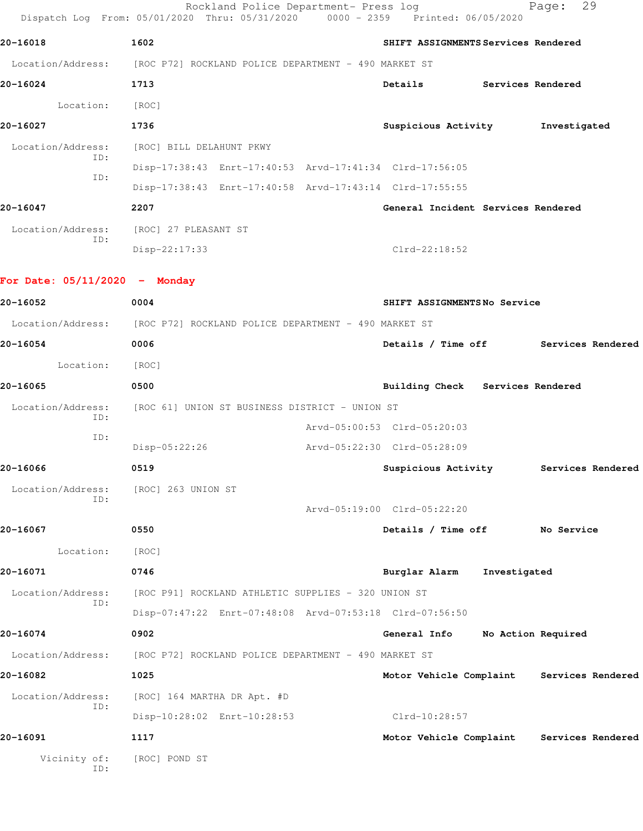|                                 | Rockland Police Department- Press log<br>Dispatch Log From: 05/01/2020 Thru: 05/31/2020 0000 - 2359 Printed: 06/05/2020 |                                           |                    | 29<br>Page:       |  |
|---------------------------------|-------------------------------------------------------------------------------------------------------------------------|-------------------------------------------|--------------------|-------------------|--|
| 20-16018                        | 1602                                                                                                                    | SHIFT ASSIGNMENTS Services Rendered       |                    |                   |  |
|                                 | Location/Address: [ROC P72] ROCKLAND POLICE DEPARTMENT - 490 MARKET ST                                                  |                                           |                    |                   |  |
| 20-16024                        | 1713                                                                                                                    | Details                                   | Services Rendered  |                   |  |
| Location:                       | [ROC]                                                                                                                   |                                           |                    |                   |  |
| 20-16027                        | 1736                                                                                                                    | Suspicious Activity                       |                    | Investigated      |  |
| Location/Address:               | [ROC] BILL DELAHUNT PKWY                                                                                                |                                           |                    |                   |  |
| ID:                             | Disp-17:38:43 Enrt-17:40:53 Arvd-17:41:34 Clrd-17:56:05                                                                 |                                           |                    |                   |  |
| ID:                             | Disp-17:38:43 Enrt-17:40:58 Arvd-17:43:14 Clrd-17:55:55                                                                 |                                           |                    |                   |  |
| 20-16047                        | 2207                                                                                                                    | General Incident Services Rendered        |                    |                   |  |
| Location/Address:               | [ROC] 27 PLEASANT ST                                                                                                    |                                           |                    |                   |  |
| ID:                             | Disp-22:17:33                                                                                                           | $Clrd-22:18:52$                           |                    |                   |  |
| For Date: $05/11/2020$ - Monday |                                                                                                                         |                                           |                    |                   |  |
| 20-16052                        | 0004                                                                                                                    | SHIFT ASSIGNMENTSNo Service               |                    |                   |  |
|                                 | Location/Address: [ROC P72] ROCKLAND POLICE DEPARTMENT - 490 MARKET ST                                                  |                                           |                    |                   |  |
| 20-16054                        | 0006                                                                                                                    | Details / Time off Services Rendered      |                    |                   |  |
| Location:                       | [ROC]                                                                                                                   |                                           |                    |                   |  |
| 20-16065                        | 0500                                                                                                                    | Building Check Services Rendered          |                    |                   |  |
| Location/Address:               | [ROC 61] UNION ST BUSINESS DISTRICT - UNION ST                                                                          |                                           |                    |                   |  |
| ID:<br>ID:                      |                                                                                                                         | Arvd-05:00:53 Clrd-05:20:03               |                    |                   |  |
|                                 | Disp-05:22:26                                                                                                           | Arvd-05:22:30 Clrd-05:28:09               |                    |                   |  |
| 20-16066                        | 0519                                                                                                                    | Suspicious Activity                       |                    | Services Rendered |  |
| ID:                             | Location/Address: [ROC] 263 UNION ST                                                                                    |                                           |                    |                   |  |
|                                 |                                                                                                                         | Arvd-05:19:00 Clrd-05:22:20               |                    |                   |  |
| 20-16067                        | 0550                                                                                                                    | Details / Time off No Service             |                    |                   |  |
| Location:                       | [ROC]                                                                                                                   |                                           |                    |                   |  |
| 20-16071                        | 0746                                                                                                                    | Burglar Alarm                             | Investigated       |                   |  |
| Location/Address:<br>ID:        | [ROC P91] ROCKLAND ATHLETIC SUPPLIES - 320 UNION ST                                                                     |                                           |                    |                   |  |
|                                 | Disp-07:47:22 Enrt-07:48:08 Arvd-07:53:18 Clrd-07:56:50                                                                 |                                           |                    |                   |  |
| 20-16074                        | 0902                                                                                                                    | General Info                              | No Action Required |                   |  |
| Location/Address:               | [ROC P72] ROCKLAND POLICE DEPARTMENT - 490 MARKET ST                                                                    |                                           |                    |                   |  |
| 20-16082                        | 1025                                                                                                                    | Motor Vehicle Complaint Services Rendered |                    |                   |  |
| Location/Address:<br>ID:        | [ROC] 164 MARTHA DR Apt. #D                                                                                             |                                           |                    |                   |  |
|                                 | Disp-10:28:02 Enrt-10:28:53                                                                                             | Clrd-10:28:57                             |                    |                   |  |
| 20-16091                        | 1117                                                                                                                    | Motor Vehicle Complaint Services Rendered |                    |                   |  |
| Vicinity of:<br>ID:             | [ROC] POND ST                                                                                                           |                                           |                    |                   |  |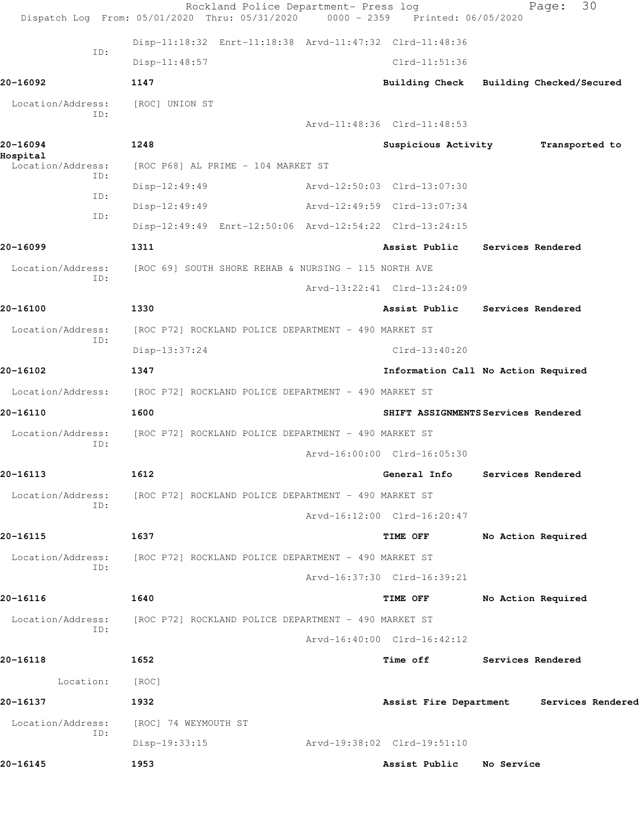|                               | Rockland Police Department- Press log<br>Dispatch Log From: 05/01/2020 Thru: 05/31/2020 0000 - 2359 Printed: 06/05/2020 |                             | 30<br>Page:                              |
|-------------------------------|-------------------------------------------------------------------------------------------------------------------------|-----------------------------|------------------------------------------|
|                               | Disp-11:18:32 Enrt-11:18:38 Arvd-11:47:32 Clrd-11:48:36                                                                 |                             |                                          |
| ID:                           | Disp-11:48:57                                                                                                           | $Clrd-11:51:36$             |                                          |
| 20-16092                      | 1147                                                                                                                    |                             | Building Check Building Checked/Secured  |
| Location/Address:             | [ROC] UNION ST                                                                                                          |                             |                                          |
| TD:                           |                                                                                                                         | Arvd-11:48:36 Clrd-11:48:53 |                                          |
| 20-16094                      | 1248                                                                                                                    | Suspicious Activity         | Transported to                           |
| Hospital<br>Location/Address: | [ROC P68] AL PRIME - 104 MARKET ST                                                                                      |                             |                                          |
| ID:<br>ID:                    | $Disp-12:49:49$                                                                                                         | Arvd-12:50:03 Clrd-13:07:30 |                                          |
| ID:                           | Disp-12:49:49                                                                                                           | Arvd-12:49:59 Clrd-13:07:34 |                                          |
|                               | Disp-12:49:49 Enrt-12:50:06 Arvd-12:54:22 Clrd-13:24:15                                                                 |                             |                                          |
| 20-16099                      | 1311                                                                                                                    | Assist Public               | Services Rendered                        |
| Location/Address:<br>ID:      | [ROC 69] SOUTH SHORE REHAB & NURSING - 115 NORTH AVE                                                                    |                             |                                          |
|                               |                                                                                                                         | Arvd-13:22:41 Clrd-13:24:09 |                                          |
| 20-16100                      | 1330                                                                                                                    |                             | Assist Public Services Rendered          |
| Location/Address:             | [ROC P72] ROCKLAND POLICE DEPARTMENT - 490 MARKET ST                                                                    |                             |                                          |
| ID:                           | Disp-13:37:24                                                                                                           | $Clrd-13:40:20$             |                                          |
| 20-16102                      | 1347                                                                                                                    |                             | Information Call No Action Required      |
| Location/Address:             | [ROC P72] ROCKLAND POLICE DEPARTMENT - 490 MARKET ST                                                                    |                             |                                          |
| 20-16110                      | 1600                                                                                                                    |                             | SHIFT ASSIGNMENTS Services Rendered      |
| Location/Address:             | [ROC P72] ROCKLAND POLICE DEPARTMENT - 490 MARKET ST                                                                    |                             |                                          |
| ID:                           |                                                                                                                         | Arvd-16:00:00 Clrd-16:05:30 |                                          |
| 20-16113                      | 1612                                                                                                                    | General Info                | Services Rendered                        |
| Location/Address:             | [ROC P72] ROCKLAND POLICE DEPARTMENT - 490 MARKET ST                                                                    |                             |                                          |
| ID:                           |                                                                                                                         | Arvd-16:12:00 Clrd-16:20:47 |                                          |
| 20-16115                      | 1637                                                                                                                    | TIME OFF                    | No Action Required                       |
| Location/Address:             | [ROC P72] ROCKLAND POLICE DEPARTMENT - 490 MARKET ST                                                                    |                             |                                          |
| ID:                           |                                                                                                                         | Arvd-16:37:30 Clrd-16:39:21 |                                          |
| 20-16116                      | 1640                                                                                                                    | TIME OFF                    | No Action Required                       |
| Location/Address:             | [ROC P72] ROCKLAND POLICE DEPARTMENT - 490 MARKET ST                                                                    |                             |                                          |
| ID:                           |                                                                                                                         | Arvd-16:40:00 Clrd-16:42:12 |                                          |
| 20-16118                      | 1652                                                                                                                    | Time off                    | Services Rendered                        |
| Location:                     | [ROC]                                                                                                                   |                             |                                          |
| 20-16137                      | 1932                                                                                                                    |                             | Assist Fire Department Services Rendered |
| Location/Address:             | [ROC] 74 WEYMOUTH ST                                                                                                    |                             |                                          |
| ID:                           | Disp-19:33:15                                                                                                           | Arvd-19:38:02 Clrd-19:51:10 |                                          |
| 20-16145                      | 1953                                                                                                                    | Assist Public               | No Service                               |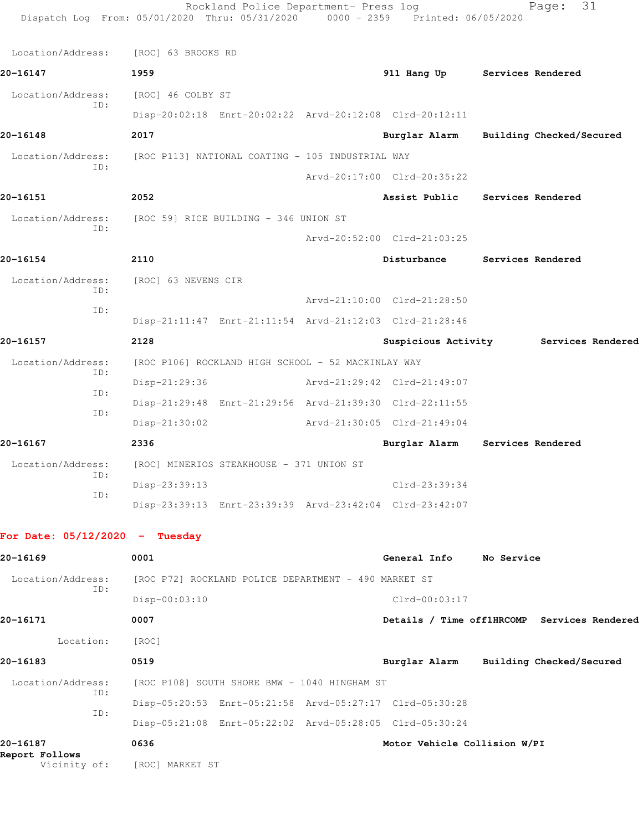|                                  | Rockland Police Department- Press log<br>Dispatch Log From: 05/01/2020 Thru: 05/31/2020 0000 - 2359 Printed: 06/05/2020 |                                        |                   | 31<br>Page:                                 |
|----------------------------------|-------------------------------------------------------------------------------------------------------------------------|----------------------------------------|-------------------|---------------------------------------------|
| Location/Address:                | [ROC] 63 BROOKS RD                                                                                                      |                                        |                   |                                             |
| 20-16147                         | 1959                                                                                                                    | 911 Hang Up Services Rendered          |                   |                                             |
| Location/Address:                | [ROC] 46 COLBY ST                                                                                                       |                                        |                   |                                             |
| ID:                              | Disp-20:02:18 Enrt-20:02:22 Arvd-20:12:08 Clrd-20:12:11                                                                 |                                        |                   |                                             |
| 20-16148                         | 2017                                                                                                                    | Burglar Alarm                          |                   | Building Checked/Secured                    |
| Location/Address:                | [ROC P113] NATIONAL COATING - 105 INDUSTRIAL WAY                                                                        |                                        |                   |                                             |
| ID:                              |                                                                                                                         | Arvd-20:17:00 Clrd-20:35:22            |                   |                                             |
| 20-16151                         | 2052                                                                                                                    | Assist Public Services Rendered        |                   |                                             |
|                                  | Location/Address: [ROC 59] RICE BUILDING - 346 UNION ST                                                                 |                                        |                   |                                             |
| ID:                              |                                                                                                                         | Arvd-20:52:00 Clrd-21:03:25            |                   |                                             |
| 20-16154                         | 2110                                                                                                                    | Disturbance Services Rendered          |                   |                                             |
| Location/Address:                | [ROC] 63 NEVENS CIR                                                                                                     |                                        |                   |                                             |
| ID:                              |                                                                                                                         | Arvd-21:10:00 Clrd-21:28:50            |                   |                                             |
| ID:                              | Disp-21:11:47 Enrt-21:11:54 Arvd-21:12:03 Clrd-21:28:46                                                                 |                                        |                   |                                             |
| 20-16157                         | 2128                                                                                                                    | Suspicious Activity                    |                   | Services Rendered                           |
| Location/Address:                | [ROC P106] ROCKLAND HIGH SCHOOL - 52 MACKINLAY WAY                                                                      |                                        |                   |                                             |
| ID:                              | $Disp-21:29:36$                                                                                                         | Arvd-21:29:42 Clrd-21:49:07            |                   |                                             |
| ID:                              | Disp-21:29:48 Enrt-21:29:56 Arvd-21:39:30 Clrd-22:11:55                                                                 |                                        |                   |                                             |
| ID:                              | Disp-21:30:02                                                                                                           | Arvd-21:30:05 Clrd-21:49:04            |                   |                                             |
| 20-16167                         | 2336                                                                                                                    | Burglar Alarm                          | Services Rendered |                                             |
| Location/Address:                | [ROC] MINERIOS STEAKHOUSE - 371 UNION ST                                                                                |                                        |                   |                                             |
| ID:<br>ID:                       | Disp-23:39:13                                                                                                           | Clrd-23:39:34                          |                   |                                             |
|                                  | Disp-23:39:13 Enrt-23:39:39 Arvd-23:42:04 Clrd-23:42:07                                                                 |                                        |                   |                                             |
| For Date: $05/12/2020 -$ Tuesday |                                                                                                                         |                                        |                   |                                             |
| 20-16169                         | 0001                                                                                                                    | General Info No Service                |                   |                                             |
| Location/Address:                | [ROC P72] ROCKLAND POLICE DEPARTMENT - 490 MARKET ST                                                                    |                                        |                   |                                             |
| ID:                              | Disp-00:03:10                                                                                                           | $Clrd-00:03:17$                        |                   |                                             |
| 20-16171                         | 0007                                                                                                                    |                                        |                   | Details / Time off1HRCOMP Services Rendered |
| Location:                        | [ROC]                                                                                                                   |                                        |                   |                                             |
| 20-16183                         | 0519                                                                                                                    | Burglar Alarm Building Checked/Secured |                   |                                             |
| Location/Address:                | [ROC P108] SOUTH SHORE BMW - 1040 HINGHAM ST                                                                            |                                        |                   |                                             |
| ID:                              | Disp-05:20:53 Enrt-05:21:58 Arvd-05:27:17 Clrd-05:30:28                                                                 |                                        |                   |                                             |
| ID:                              | Disp-05:21:08 Enrt-05:22:02 Arvd-05:28:05 Clrd-05:30:24                                                                 |                                        |                   |                                             |
| 20-16187                         | 0636                                                                                                                    | Motor Vehicle Collision W/PI           |                   |                                             |
| Report Follows<br>Vicinity of:   | [ROC] MARKET ST                                                                                                         |                                        |                   |                                             |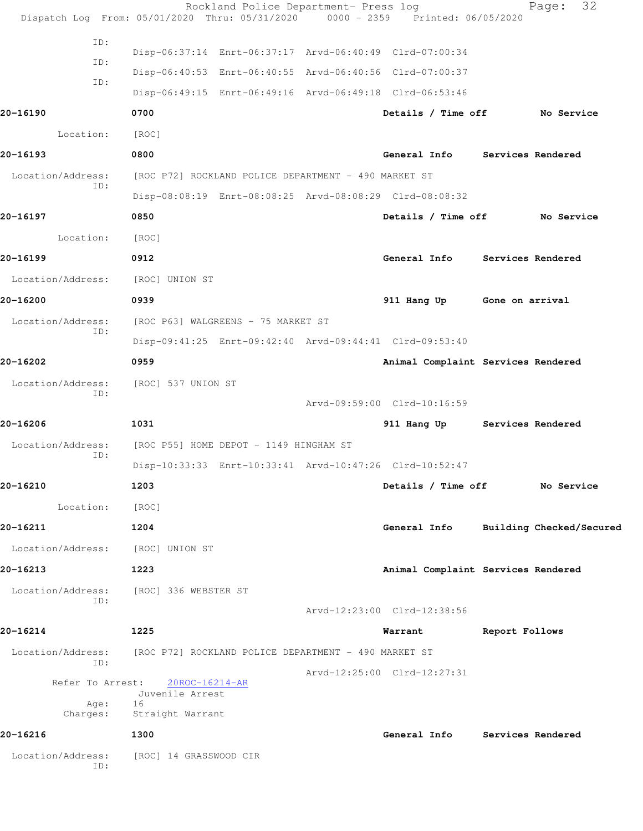|                          | Rockland Police Department- Press log<br>Dispatch Log From: 05/01/2020 Thru: 05/31/2020 0000 - 2359 Printed: 06/05/2020 |                             | 32<br>Page:                        |
|--------------------------|-------------------------------------------------------------------------------------------------------------------------|-----------------------------|------------------------------------|
| ID:                      |                                                                                                                         |                             |                                    |
| ID:                      | Disp-06:37:14 Enrt-06:37:17 Arvd-06:40:49 Clrd-07:00:34                                                                 |                             |                                    |
| ID:                      | Disp-06:40:53 Enrt-06:40:55 Arvd-06:40:56 Clrd-07:00:37                                                                 |                             |                                    |
|                          | Disp-06:49:15 Enrt-06:49:16 Arvd-06:49:18 Clrd-06:53:46                                                                 |                             |                                    |
| 20-16190                 | 0700                                                                                                                    |                             | Details / Time off No Service      |
| Location:                | [ROC]                                                                                                                   |                             |                                    |
| 20-16193                 | 0800                                                                                                                    |                             | General Info Services Rendered     |
| Location/Address:<br>ID: | [ROC P72] ROCKLAND POLICE DEPARTMENT - 490 MARKET ST                                                                    |                             |                                    |
|                          | Disp-08:08:19 Enrt-08:08:25 Arvd-08:08:29 Clrd-08:08:32                                                                 |                             |                                    |
| 20-16197                 | 0850                                                                                                                    |                             | Details / Time off No Service      |
| Location:                | [ROC]                                                                                                                   |                             |                                    |
| 20-16199                 | 0912                                                                                                                    | General Info                | Services Rendered                  |
| Location/Address:        | [ROC] UNION ST                                                                                                          |                             |                                    |
| 20-16200                 | 0939                                                                                                                    | 911 Hang Up Gone on arrival |                                    |
| Location/Address:        | [ROC P63] WALGREENS - 75 MARKET ST                                                                                      |                             |                                    |
| ID:                      | Disp-09:41:25 Enrt-09:42:40 Arvd-09:44:41 Clrd-09:53:40                                                                 |                             |                                    |
| 20-16202                 | 0959                                                                                                                    |                             | Animal Complaint Services Rendered |
| Location/Address:        | [ROC] 537 UNION ST                                                                                                      |                             |                                    |
| ID:                      |                                                                                                                         | Arvd-09:59:00 Clrd-10:16:59 |                                    |
| 20-16206                 | 1031                                                                                                                    | 911 Hang Up                 | Services Rendered                  |
| Location/Address:        | [ROC P55] HOME DEPOT - 1149 HINGHAM ST                                                                                  |                             |                                    |
| ID:                      | Disp-10:33:33 Enrt-10:33:41 Arvd-10:47:26 Clrd-10:52:47                                                                 |                             |                                    |
| 20-16210                 | 1203                                                                                                                    |                             | Details / Time off No Service      |
| Location:                | [ROC]                                                                                                                   |                             |                                    |
| 20-16211                 | 1204                                                                                                                    | General Info                | Building Checked/Secured           |
| Location/Address:        | [ROC] UNION ST                                                                                                          |                             |                                    |
| 20-16213                 | 1223                                                                                                                    |                             | Animal Complaint Services Rendered |
|                          | Location/Address: [ROC] 336 WEBSTER ST                                                                                  |                             |                                    |
| ID:                      |                                                                                                                         | Arvd-12:23:00 Clrd-12:38:56 |                                    |
| 20-16214                 | 1225                                                                                                                    | Warrant                     | Report Follows                     |
| Location/Address:        | [ROC P72] ROCKLAND POLICE DEPARTMENT - 490 MARKET ST                                                                    |                             |                                    |
| ID:                      |                                                                                                                         | Arvd-12:25:00 Clrd-12:27:31 |                                    |
|                          | Refer To Arrest: 20ROC-16214-AR<br>Juvenile Arrest                                                                      |                             |                                    |
| Age:<br>Charges:         | 16<br>Straight Warrant                                                                                                  |                             |                                    |
| 20-16216                 | 1300                                                                                                                    |                             | General Info Services Rendered     |
| Location/Address:        | [ROC] 14 GRASSWOOD CIR                                                                                                  |                             |                                    |
| ID:                      |                                                                                                                         |                             |                                    |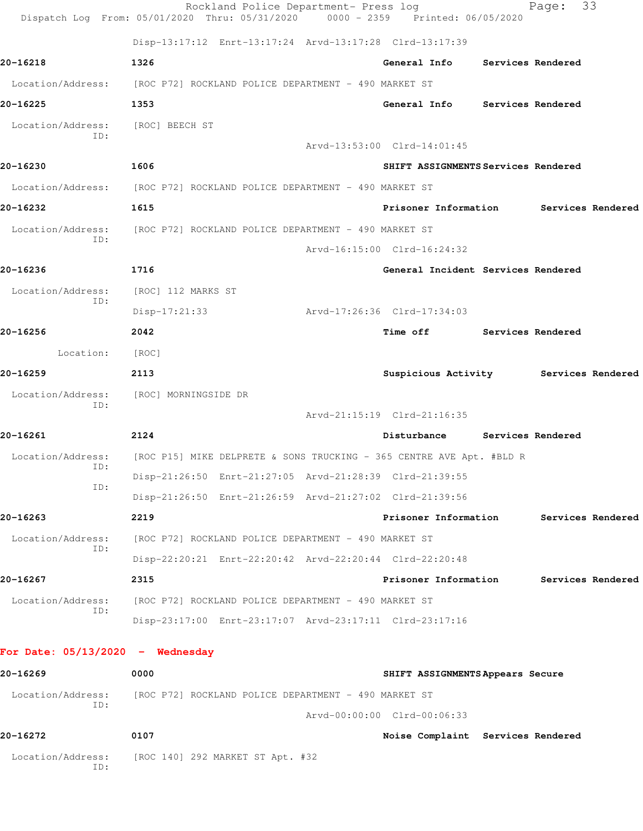|                                    | Rockland Police Department- Press log<br>Dispatch Log From: 05/01/2020 Thru: 05/31/2020 0000 - 2359 Printed: 06/05/2020 |                                        |                          | Page:             | 33                |
|------------------------------------|-------------------------------------------------------------------------------------------------------------------------|----------------------------------------|--------------------------|-------------------|-------------------|
|                                    | Disp-13:17:12 Enrt-13:17:24 Arvd-13:17:28 Clrd-13:17:39                                                                 |                                        |                          |                   |                   |
| 20-16218                           | 1326                                                                                                                    | General Info                           |                          | Services Rendered |                   |
| Location/Address:                  | [ROC P72] ROCKLAND POLICE DEPARTMENT - 490 MARKET ST                                                                    |                                        |                          |                   |                   |
| 20-16225                           | 1353                                                                                                                    | General Info Services Rendered         |                          |                   |                   |
| Location/Address:                  | [ROC] BEECH ST                                                                                                          |                                        |                          |                   |                   |
| ID:                                |                                                                                                                         | Arvd-13:53:00 Clrd-14:01:45            |                          |                   |                   |
| 20-16230                           | 1606                                                                                                                    | SHIFT ASSIGNMENTS Services Rendered    |                          |                   |                   |
|                                    | Location/Address: [ROC P72] ROCKLAND POLICE DEPARTMENT - 490 MARKET ST                                                  |                                        |                          |                   |                   |
| 20-16232                           | 1615                                                                                                                    | Prisoner Information Services Rendered |                          |                   |                   |
| Location/Address:                  | [ROC P72] ROCKLAND POLICE DEPARTMENT - 490 MARKET ST                                                                    |                                        |                          |                   |                   |
| ID:                                |                                                                                                                         | Arvd-16:15:00 Clrd-16:24:32            |                          |                   |                   |
| 20-16236                           | 1716                                                                                                                    | General Incident Services Rendered     |                          |                   |                   |
| Location/Address:                  | [ROC] 112 MARKS ST                                                                                                      |                                        |                          |                   |                   |
| ID:                                | Disp-17:21:33                                                                                                           | Arvd-17:26:36 Clrd-17:34:03            |                          |                   |                   |
| 20-16256                           | 2042                                                                                                                    | <b>Time off</b>                        | <b>Services Rendered</b> |                   |                   |
| Location:                          | [ROC]                                                                                                                   |                                        |                          |                   |                   |
| 20-16259                           | 2113                                                                                                                    | Suspicious Activity Services Rendered  |                          |                   |                   |
| Location/Address:                  | [ROC] MORNINGSIDE DR                                                                                                    |                                        |                          |                   |                   |
| ID:                                |                                                                                                                         | Arvd-21:15:19 Clrd-21:16:35            |                          |                   |                   |
| 20-16261                           | 2124                                                                                                                    | Disturbance Services Rendered          |                          |                   |                   |
| Location/Address:                  | [ROC P15] MIKE DELPRETE & SONS TRUCKING - 365 CENTRE AVE Apt. #BLD R                                                    |                                        |                          |                   |                   |
| ID:<br>ID:                         | Disp-21:26:50 Enrt-21:27:05 Arvd-21:28:39 Clrd-21:39:55                                                                 |                                        |                          |                   |                   |
|                                    | Disp-21:26:50 Enrt-21:26:59 Arvd-21:27:02 Clrd-21:39:56                                                                 |                                        |                          |                   |                   |
| 20-16263                           | 2219                                                                                                                    | Prisoner Information                   |                          |                   | Services Rendered |
| Location/Address:<br>ID:           | [ROC P72] ROCKLAND POLICE DEPARTMENT - 490 MARKET ST                                                                    |                                        |                          |                   |                   |
|                                    | Disp-22:20:21 Enrt-22:20:42 Arvd-22:20:44 Clrd-22:20:48                                                                 |                                        |                          |                   |                   |
| 20-16267                           | 2315                                                                                                                    | Prisoner Information                   |                          |                   | Services Rendered |
| Location/Address:<br>ID:           | [ROC P72] ROCKLAND POLICE DEPARTMENT - 490 MARKET ST                                                                    |                                        |                          |                   |                   |
|                                    | Disp-23:17:00 Enrt-23:17:07 Arvd-23:17:11 Clrd-23:17:16                                                                 |                                        |                          |                   |                   |
| For Date: $05/13/2020 -$ Wednesday |                                                                                                                         |                                        |                          |                   |                   |
| 20-16269                           | 0000                                                                                                                    | SHIFT ASSIGNMENTS Appears Secure       |                          |                   |                   |
| Location/Address:                  | [ROC P72] ROCKLAND POLICE DEPARTMENT - 490 MARKET ST                                                                    |                                        |                          |                   |                   |
| ID:                                |                                                                                                                         | Arvd-00:00:00 Clrd-00:06:33            |                          |                   |                   |
| 20-16272                           | 0107                                                                                                                    | Noise Complaint Services Rendered      |                          |                   |                   |
| Location/Address:<br>ID:           | [ROC 140] 292 MARKET ST Apt. #32                                                                                        |                                        |                          |                   |                   |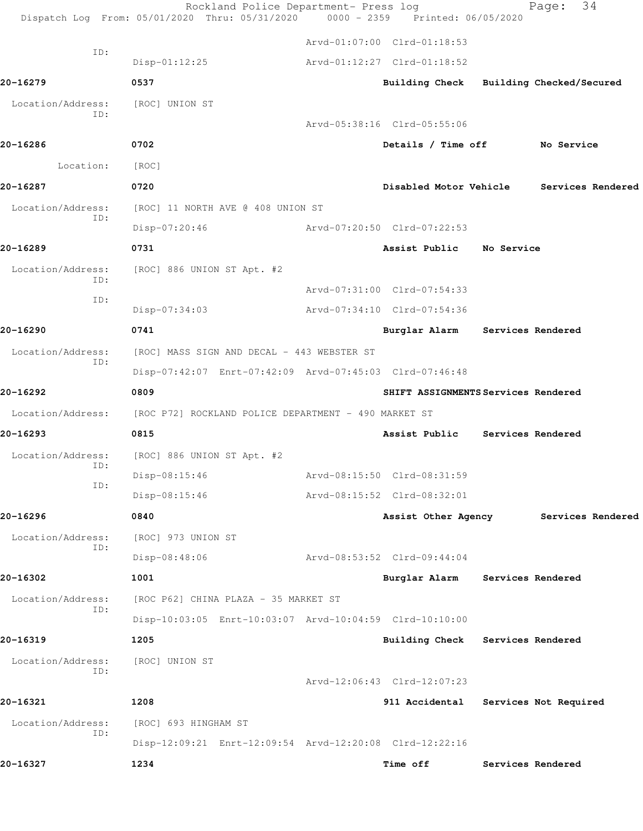Rockland Police Department- Press log Fage: 34 Dispatch Log From: 05/01/2020 Thru: 05/31/2020 0000 - 2359 Printed: 06/05/2020 Arvd-01:07:00 Clrd-01:18:53 ID: Disp-01:12:25 Arvd-01:12:27 Clrd-01:18:52 **20-16279 0537 Building Check Building Checked/Secured** Location/Address: [ROC] UNION ST ID: Arvd-05:38:16 Clrd-05:55:06 **20-16286 0702 Details / Time off No Service** Location: [ROC] **20-16287 0720 Disabled Motor Vehicle Services Rendered** Location/Address: [ROC] 11 NORTH AVE @ 408 UNION ST ID: Disp-07:20:46 Arvd-07:20:50 Clrd-07:22:53 **20-16289 0731 Assist Public No Service** Location/Address: [ROC] 886 UNION ST Apt. #2 ID: Arvd-07:31:00 Clrd-07:54:33 ID: Disp-07:34:03 Arvd-07:34:10 Clrd-07:54:36 **20-16290 0741 Burglar Alarm Services Rendered** Location/Address: [ROC] MASS SIGN AND DECAL - 443 WEBSTER ST ID: Disp-07:42:07 Enrt-07:42:09 Arvd-07:45:03 Clrd-07:46:48 **20-16292 0809 SHIFT ASSIGNMENTS Services Rendered** Location/Address: [ROC P72] ROCKLAND POLICE DEPARTMENT - 490 MARKET ST **20-16293 0815 Assist Public Services Rendered** Location/Address: [ROC] 886 UNION ST Apt. #2 ID: Disp-08:15:46 Arvd-08:15:50 Clrd-08:31:59 ID: Disp-08:15:46 Arvd-08:15:52 Clrd-08:32:01 **20-16296 0840 Assist Other Agency Services Rendered** Location/Address: [ROC] 973 UNION ST ID: Disp-08:48:06 Arvd-08:53:52 Clrd-09:44:04 **20-16302 1001 Burglar Alarm Services Rendered** Location/Address: [ROC P62] CHINA PLAZA - 35 MARKET ST ID: Disp-10:03:05 Enrt-10:03:07 Arvd-10:04:59 Clrd-10:10:00 **20-16319 1205 Building Check Services Rendered** Location/Address: [ROC] UNION ST ID: Arvd-12:06:43 Clrd-12:07:23 **20-16321 1208 911 Accidental Services Not Required** Location/Address: [ROC] 693 HINGHAM ST ID: Disp-12:09:21 Enrt-12:09:54 Arvd-12:20:08 Clrd-12:22:16 **20-16327 1234 Time off Services Rendered**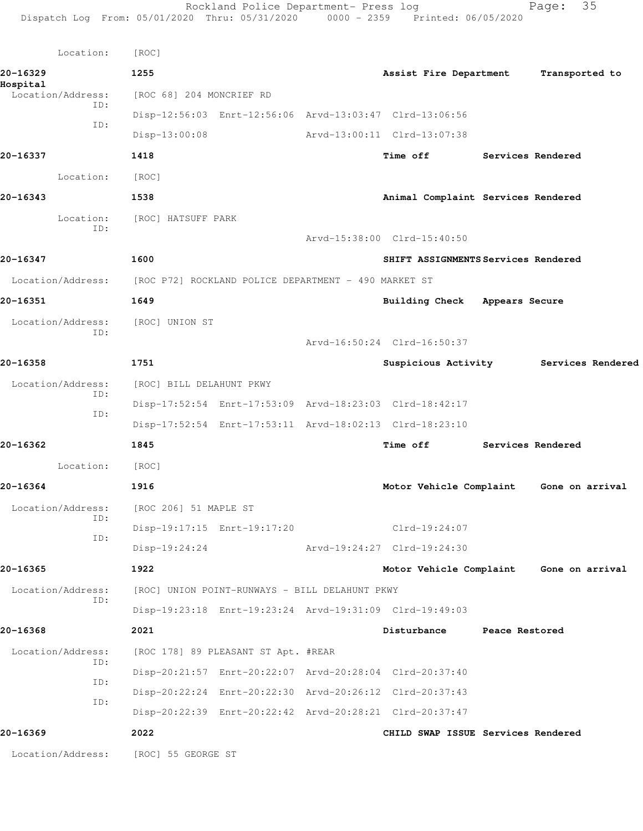| Location:                            | [ROC]                                                   |                                     |                |                                         |
|--------------------------------------|---------------------------------------------------------|-------------------------------------|----------------|-----------------------------------------|
| 20-16329                             | 1255                                                    | Assist Fire Department              |                | Transported to                          |
| Hospital<br>Location/Address:<br>ID: | [ROC 68] 204 MONCRIEF RD                                |                                     |                |                                         |
| ID:                                  | Disp-12:56:03 Enrt-12:56:06 Arvd-13:03:47 Clrd-13:06:56 |                                     |                |                                         |
|                                      | $Disp-13:00:08$                                         | Arvd-13:00:11 Clrd-13:07:38         |                |                                         |
| 20-16337                             | 1418                                                    | Time off                            |                | Services Rendered                       |
| Location:                            | [ROC]                                                   |                                     |                |                                         |
| 20-16343                             | 1538                                                    | Animal Complaint Services Rendered  |                |                                         |
| Location:<br>ID:                     | [ROC] HATSUFF PARK                                      |                                     |                |                                         |
|                                      |                                                         | Arvd-15:38:00 Clrd-15:40:50         |                |                                         |
| 20-16347                             | 1600                                                    | SHIFT ASSIGNMENTS Services Rendered |                |                                         |
| Location/Address:                    | [ROC P72] ROCKLAND POLICE DEPARTMENT - 490 MARKET ST    |                                     |                |                                         |
| 20-16351                             | 1649                                                    | Building Check Appears Secure       |                |                                         |
| Location/Address:                    | [ROC] UNION ST                                          |                                     |                |                                         |
| ID:                                  |                                                         | Arvd-16:50:24 Clrd-16:50:37         |                |                                         |
| 20-16358                             | 1751                                                    | Suspicious Activity                 |                | Services Rendered                       |
| Location/Address:                    | [ROC] BILL DELAHUNT PKWY                                |                                     |                |                                         |
| ID:                                  | Disp-17:52:54 Enrt-17:53:09 Arvd-18:23:03 Clrd-18:42:17 |                                     |                |                                         |
| ID:                                  | Disp-17:52:54 Enrt-17:53:11 Arvd-18:02:13 Clrd-18:23:10 |                                     |                |                                         |
| 20-16362                             | 1845                                                    | <b>Time off</b>                     |                | Services Rendered                       |
| Location:                            | [ROC]                                                   |                                     |                |                                         |
| 20-16364                             | 1916                                                    |                                     |                | Motor Vehicle Complaint Gone on arrival |
| Location/Address:                    | [ROC 206] 51 MAPLE ST                                   |                                     |                |                                         |
| TD:<br>ID:                           | Disp-19:17:15 Enrt-19:17:20                             | Clrd-19:24:07                       |                |                                         |
|                                      | Disp-19:24:24                                           | Arvd-19:24:27 Clrd-19:24:30         |                |                                         |
| 20-16365                             | 1922                                                    |                                     |                | Motor Vehicle Complaint Gone on arrival |
| Location/Address:<br>ID:             | [ROC] UNION POINT-RUNWAYS - BILL DELAHUNT PKWY          |                                     |                |                                         |
|                                      | Disp-19:23:18 Enrt-19:23:24 Arvd-19:31:09 Clrd-19:49:03 |                                     |                |                                         |
| 20-16368                             | 2021                                                    | Disturbance                         | Peace Restored |                                         |
| Location/Address:<br>ID:             | [ROC 178] 89 PLEASANT ST Apt. #REAR                     |                                     |                |                                         |
| ID:                                  | Disp-20:21:57 Enrt-20:22:07 Arvd-20:28:04 Clrd-20:37:40 |                                     |                |                                         |
| ID:                                  | Disp-20:22:24 Enrt-20:22:30 Arvd-20:26:12 Clrd-20:37:43 |                                     |                |                                         |
|                                      | Disp-20:22:39 Enrt-20:22:42 Arvd-20:28:21 Clrd-20:37:47 |                                     |                |                                         |
| 20-16369                             | 2022                                                    | CHILD SWAP ISSUE Services Rendered  |                |                                         |
|                                      | Location/Address: [ROC] 55 GEORGE ST                    |                                     |                |                                         |
|                                      |                                                         |                                     |                |                                         |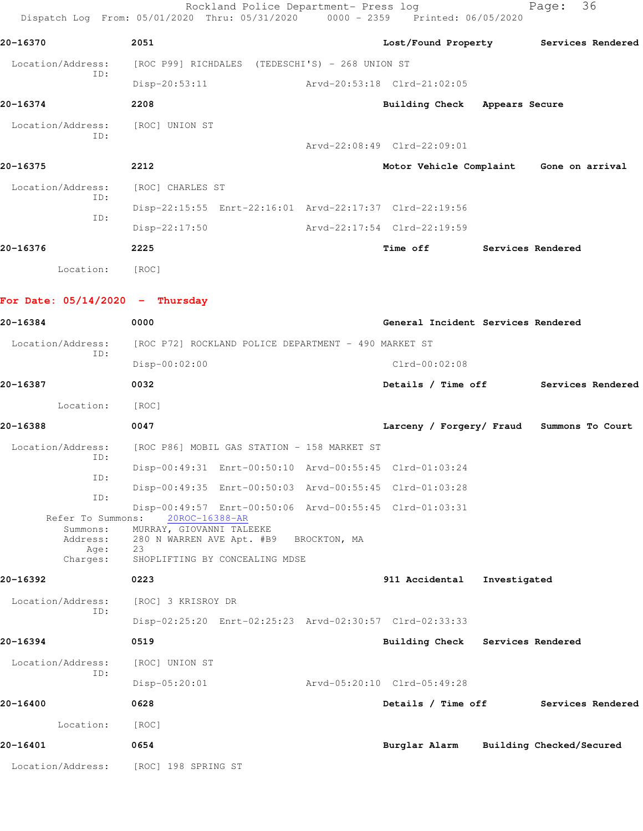Rockland Police Department- Press log Fage: 36 Dispatch Log From: 05/01/2020 Thru: 05/31/2020 0000 - 2359 Printed: 06/05/2020 **20-16370 2051 Lost/Found Property Services Rendered** Location/Address: [ROC P99] RICHDALES (TEDESCHI'S) - 268 UNION ST ID: Disp-20:53:11 Arvd-20:53:18 Clrd-21:02:05 **20-16374 2208 Building Check Appears Secure** Location/Address: [ROC] UNION ST ID: Arvd-22:08:49 Clrd-22:09:01 **20-16375 2212 Motor Vehicle Complaint Gone on arrival** Location/Address: [ROC] CHARLES ST ID: Disp-22:15:55 Enrt-22:16:01 Arvd-22:17:37 Clrd-22:19:56 ID: Disp-22:17:50 Arvd-22:17:54 Clrd-22:19:59 **20-16376 2225 Time off Services Rendered** Location: [ROC] **For Date: 05/14/2020 - Thursday 20-16384 0000 General Incident Services Rendered** Location/Address: [ROC P72] ROCKLAND POLICE DEPARTMENT - 490 MARKET ST ID: Disp-00:02:00 Clrd-00:02:08 **20-16387 0032 Details / Time off Services Rendered** Location: [ROC] **20-16388 0047 Larceny / Forgery/ Fraud Summons To Court** Location/Address: [ROC P86] MOBIL GAS STATION - 158 MARKET ST ID: Disp-00:49:31 Enrt-00:50:10 Arvd-00:55:45 Clrd-01:03:24 ID: Disp-00:49:35 Enrt-00:50:03 Arvd-00:55:45 Clrd-01:03:28 ID: Disp-00:49:57 Enrt-00:50:06 Arvd-00:55:45 Clrd-01:03:31 Refer To Summons: Summons: MURRAY, GIOVANNI TALEEKE Address: 280 N WARREN AVE Apt. #B9 BROCKTON, MA Age:<br>Charges: SHOPLIFTING BY CONCEALING MDSE **20-16392 0223 911 Accidental Investigated** Location/Address: [ROC] 3 KRISROY DR ID: Disp-02:25:20 Enrt-02:25:23 Arvd-02:30:57 Clrd-02:33:33 **20-16394 0519 Building Check Services Rendered** Location/Address: [ROC] UNION ST ID: Disp-05:20:01 Arvd-05:20:10 Clrd-05:49:28 **20-16400 0628 Details / Time off Services Rendered** Location: [ROC] **20-16401 0654 Burglar Alarm Building Checked/Secured** Location/Address: [ROC] 198 SPRING ST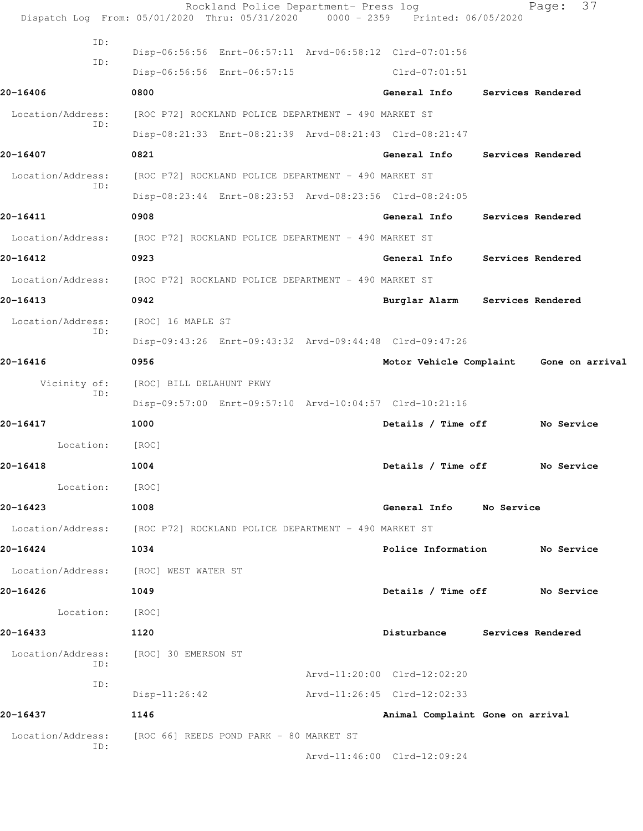|                          | Dispatch Log From: 05/01/2020 Thru: 05/31/2020 0000 - 2359 Printed: 06/05/2020 | Rockland Police Department- Press log |                                  | 37<br>Page:                             |
|--------------------------|--------------------------------------------------------------------------------|---------------------------------------|----------------------------------|-----------------------------------------|
| ID:                      |                                                                                |                                       |                                  |                                         |
| ID:                      | Disp-06:56:56 Enrt-06:57:11 Arvd-06:58:12 Clrd-07:01:56                        |                                       |                                  |                                         |
|                          | Disp-06:56:56 Enrt-06:57:15                                                    |                                       | Clrd-07:01:51                    |                                         |
| 20-16406                 | 0800                                                                           |                                       | General Info                     | Services Rendered                       |
| Location/Address:<br>ID: | [ROC P72] ROCKLAND POLICE DEPARTMENT - 490 MARKET ST                           |                                       |                                  |                                         |
|                          | Disp-08:21:33 Enrt-08:21:39 Arvd-08:21:43 Clrd-08:21:47                        |                                       |                                  |                                         |
| 20-16407                 | 0821                                                                           |                                       | General Info                     | Services Rendered                       |
| Location/Address:<br>ID: | [ROC P72] ROCKLAND POLICE DEPARTMENT - 490 MARKET ST                           |                                       |                                  |                                         |
|                          | Disp-08:23:44 Enrt-08:23:53 Arvd-08:23:56 Clrd-08:24:05                        |                                       |                                  |                                         |
| 20-16411                 | 0908                                                                           |                                       | General Info                     | Services Rendered                       |
|                          | Location/Address: [ROC P72] ROCKLAND POLICE DEPARTMENT - 490 MARKET ST         |                                       |                                  |                                         |
| 20-16412                 | 0923                                                                           |                                       | General Info                     | Services Rendered                       |
| Location/Address:        | [ROC P72] ROCKLAND POLICE DEPARTMENT - 490 MARKET ST                           |                                       |                                  |                                         |
| $20 - 16413$             | 0942                                                                           |                                       | Burglar Alarm Services Rendered  |                                         |
| Location/Address:        | [ROC] 16 MAPLE ST                                                              |                                       |                                  |                                         |
| ID:                      | Disp-09:43:26 Enrt-09:43:32 Arvd-09:44:48 Clrd-09:47:26                        |                                       |                                  |                                         |
| 20-16416                 | 0956                                                                           |                                       |                                  | Motor Vehicle Complaint Gone on arrival |
| Vicinity of:             | [ROC] BILL DELAHUNT PKWY                                                       |                                       |                                  |                                         |
| ID:                      | Disp-09:57:00 Enrt-09:57:10 Arvd-10:04:57 Clrd-10:21:16                        |                                       |                                  |                                         |
| 20-16417                 | 1000                                                                           |                                       | Details / Time off               | No Service                              |
| Location:                | [ROC]                                                                          |                                       |                                  |                                         |
| 20-16418                 | 1004                                                                           |                                       | Details / Time off               | No Service                              |
| Location:                | [ROC]                                                                          |                                       |                                  |                                         |
| 20-16423                 | 1008                                                                           |                                       | General Info No Service          |                                         |
|                          | Location/Address: [ROC P72] ROCKLAND POLICE DEPARTMENT - 490 MARKET ST         |                                       |                                  |                                         |
| 20-16424                 | 1034                                                                           |                                       | Police Information               | No Service                              |
|                          | Location/Address: [ROC] WEST WATER ST                                          |                                       |                                  |                                         |
| 20-16426                 | 1049                                                                           |                                       | Details / Time off               | No Service                              |
| Location:                | [ROC]                                                                          |                                       |                                  |                                         |
| 20-16433                 | 1120                                                                           |                                       | Disturbance                      | Services Rendered                       |
| Location/Address:        | [ROC] 30 EMERSON ST                                                            |                                       |                                  |                                         |
| ID:                      |                                                                                |                                       | Arvd-11:20:00 Clrd-12:02:20      |                                         |
| ID:                      | $Disp-11:26:42$                                                                |                                       | Arvd-11:26:45 Clrd-12:02:33      |                                         |
| 20-16437                 | 1146                                                                           |                                       | Animal Complaint Gone on arrival |                                         |
| Location/Address:        | [ROC 66] REEDS POND PARK - 80 MARKET ST                                        |                                       |                                  |                                         |
| ID:                      |                                                                                |                                       | Arvd-11:46:00 Clrd-12:09:24      |                                         |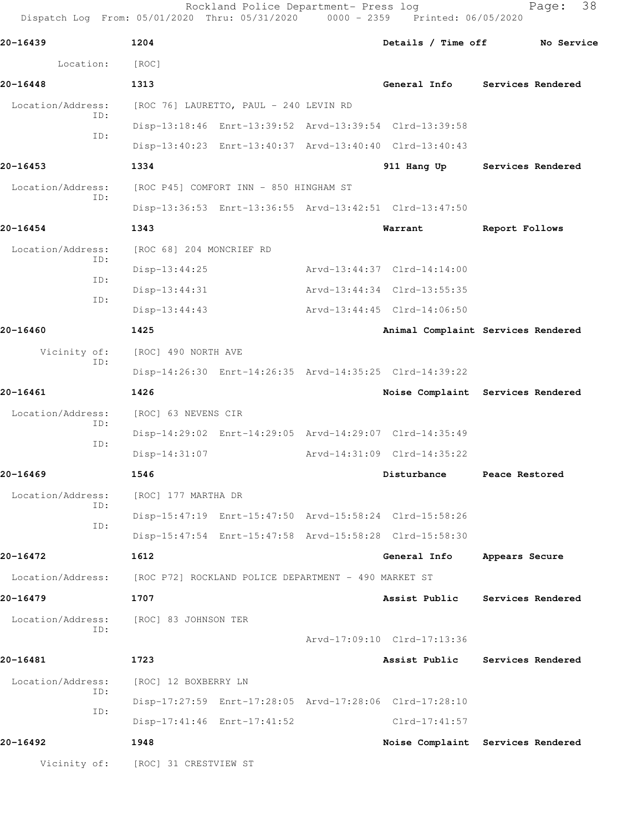Rockland Police Department- Press log entitled and Page: 38 Dispatch Log From: 05/01/2020 Thru: 05/31/2020 0000 - 2359 Printed: 06/05/2020

| 20-16439                               |     | 1204                                                 |                             | Details / Time off                                      |                   | No Service |
|----------------------------------------|-----|------------------------------------------------------|-----------------------------|---------------------------------------------------------|-------------------|------------|
| Location: [ROC]                        |     |                                                      |                             |                                                         |                   |            |
| 20-16448                               |     | 1313                                                 |                             | General Info Services Rendered                          |                   |            |
| Location/Address:                      |     | [ROC 76] LAURETTO, PAUL - 240 LEVIN RD               |                             |                                                         |                   |            |
|                                        | TD: |                                                      |                             | Disp-13:18:46 Enrt-13:39:52 Arvd-13:39:54 Clrd-13:39:58 |                   |            |
|                                        | ID: |                                                      |                             | Disp-13:40:23 Enrt-13:40:37 Arvd-13:40:40 Clrd-13:40:43 |                   |            |
| 20-16453                               |     | 1334                                                 |                             | 911 Hang Up Services Rendered                           |                   |            |
| Location/Address:                      |     | [ROC P45] COMFORT INN - 850 HINGHAM ST               |                             |                                                         |                   |            |
|                                        | ID: |                                                      |                             | Disp-13:36:53 Enrt-13:36:55 Arvd-13:42:51 Clrd-13:47:50 |                   |            |
| 20-16454                               |     | 1343                                                 |                             | Warrant                                                 | Report Follows    |            |
| Location/Address:                      |     | [ROC 68] 204 MONCRIEF RD                             |                             |                                                         |                   |            |
|                                        | ID: | $Disp-13:44:25$                                      |                             | Arvd-13:44:37 Clrd-14:14:00                             |                   |            |
|                                        | ID: | $Disp-13:44:31$                                      |                             | Arvd-13:44:34 Clrd-13:55:35                             |                   |            |
|                                        | ID: | $Disp-13:44:43$                                      |                             | Arvd-13:44:45 Clrd-14:06:50                             |                   |            |
| 20-16460                               |     | 1425                                                 |                             | Animal Complaint Services Rendered                      |                   |            |
| Vicinity of:                           |     | [ROC] 490 NORTH AVE                                  |                             |                                                         |                   |            |
|                                        | ID: |                                                      |                             | Disp-14:26:30 Enrt-14:26:35 Arvd-14:35:25 Clrd-14:39:22 |                   |            |
| 20-16461                               |     | 1426                                                 |                             | Noise Complaint Services Rendered                       |                   |            |
| Location/Address:                      |     | [ROC] 63 NEVENS CIR                                  |                             |                                                         |                   |            |
|                                        | ID: |                                                      |                             | Disp-14:29:02 Enrt-14:29:05 Arvd-14:29:07 Clrd-14:35:49 |                   |            |
|                                        | ID: | $Disp-14:31:07$                                      |                             | Arvd-14:31:09 Clrd-14:35:22                             |                   |            |
| 20-16469                               |     | 1546                                                 |                             | Disturbance                                             | Peace Restored    |            |
| Location/Address:                      |     | [ROC] 177 MARTHA DR                                  |                             |                                                         |                   |            |
|                                        | ID: |                                                      |                             | Disp-15:47:19 Enrt-15:47:50 Arvd-15:58:24 Clrd-15:58:26 |                   |            |
|                                        | ID: |                                                      |                             | Disp-15:47:54 Enrt-15:47:58 Arvd-15:58:28 Clrd-15:58:30 |                   |            |
| 20-16472                               |     | 1612                                                 |                             | General Info                                            | Appears Secure    |            |
| Location/Address:                      |     | [ROC P72] ROCKLAND POLICE DEPARTMENT - 490 MARKET ST |                             |                                                         |                   |            |
| 20-16479                               |     | 1707                                                 |                             | Assist Public                                           | Services Rendered |            |
| Location/Address: [ROC] 83 JOHNSON TER |     |                                                      |                             |                                                         |                   |            |
|                                        | ID: |                                                      |                             | Arvd-17:09:10 Clrd-17:13:36                             |                   |            |
| 20-16481                               |     | 1723                                                 |                             | Assist Public                                           | Services Rendered |            |
| Location/Address:                      |     | [ROC] 12 BOXBERRY LN                                 |                             |                                                         |                   |            |
|                                        | ID: |                                                      |                             | Disp-17:27:59 Enrt-17:28:05 Arvd-17:28:06 Clrd-17:28:10 |                   |            |
|                                        | ID: |                                                      | Disp-17:41:46 Enrt-17:41:52 | $Clrd-17:41:57$                                         |                   |            |
| 20-16492                               |     | 1948                                                 |                             | Noise Complaint Services Rendered                       |                   |            |
|                                        |     | Vicinity of: [ROC] 31 CRESTVIEW ST                   |                             |                                                         |                   |            |
|                                        |     |                                                      |                             |                                                         |                   |            |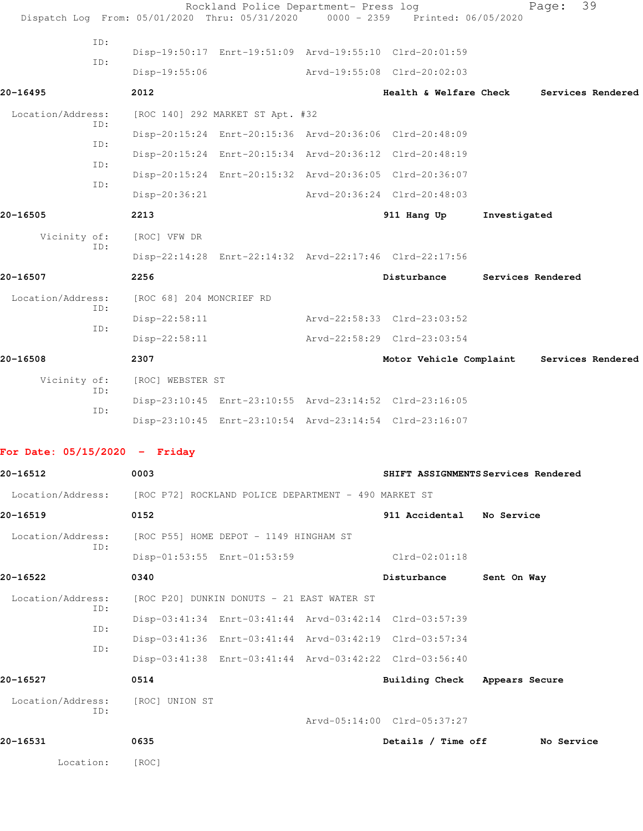| Location:                       |            | [ROC]                                                |                                            |                                                                                                                    |              |                   |                   |
|---------------------------------|------------|------------------------------------------------------|--------------------------------------------|--------------------------------------------------------------------------------------------------------------------|--------------|-------------------|-------------------|
| 20-16531                        |            | 0635                                                 |                                            | Details / Time off No Service                                                                                      |              |                   |                   |
|                                 | ID:        |                                                      |                                            | Arvd-05:14:00 Clrd-05:37:27                                                                                        |              |                   |                   |
| Location/Address:               |            | [ROC] UNION ST                                       |                                            |                                                                                                                    |              |                   |                   |
| 20-16527                        |            | 0514                                                 |                                            | Building Check Appears Secure                                                                                      |              |                   |                   |
|                                 | ID:        |                                                      |                                            | Disp-03:41:36 Enrt-03:41:44 Arvd-03:42:19 Clrd-03:57:34<br>Disp-03:41:38 Enrt-03:41:44 Arvd-03:42:22 Clrd-03:56:40 |              |                   |                   |
|                                 | ID:        |                                                      |                                            | Disp-03:41:34 Enrt-03:41:44 Arvd-03:42:14 Clrd-03:57:39                                                            |              |                   |                   |
| Location/Address:               | ID:        |                                                      | [ROC P20] DUNKIN DONUTS - 21 EAST WATER ST |                                                                                                                    |              |                   |                   |
| 20-16522                        |            | 0340                                                 |                                            | Disturbance                                                                                                        | Sent On Way  |                   |                   |
|                                 |            |                                                      | Disp-01:53:55 Enrt-01:53:59                | $Clrd-02:01:18$                                                                                                    |              |                   |                   |
| Location/Address:               | ID:        |                                                      | [ROC P55] HOME DEPOT - 1149 HINGHAM ST     |                                                                                                                    |              |                   |                   |
| 20-16519                        |            | 0152                                                 |                                            | 911 Accidental No Service                                                                                          |              |                   |                   |
| Location/Address:               |            | [ROC P72] ROCKLAND POLICE DEPARTMENT - 490 MARKET ST |                                            |                                                                                                                    |              |                   |                   |
| 20-16512                        |            | 0003                                                 |                                            | SHIFT ASSIGNMENTS Services Rendered                                                                                |              |                   |                   |
| For Date: $05/15/2020 -$ Friday |            |                                                      |                                            |                                                                                                                    |              |                   |                   |
|                                 |            |                                                      |                                            |                                                                                                                    |              |                   |                   |
|                                 | ID:        |                                                      |                                            | Disp-23:10:45 Enrt-23:10:54 Arvd-23:14:54 Clrd-23:16:07                                                            |              |                   |                   |
|                                 | ID:        |                                                      |                                            | Disp-23:10:45 Enrt-23:10:55 Arvd-23:14:52 Clrd-23:16:05                                                            |              |                   |                   |
| Vicinity of:                    |            | [ROC] WEBSTER ST                                     |                                            |                                                                                                                    |              |                   |                   |
| 20-16508                        |            | $Disp-22:58:11$<br>2307                              |                                            | Motor Vehicle Complaint                                                                                            |              |                   | Services Rendered |
|                                 | ID:        | $Disp-22:58:11$                                      |                                            | Arvd-22:58:33 Clrd-23:03:52<br>Arvd-22:58:29 Clrd-23:03:54                                                         |              |                   |                   |
| Location/Address:               | ID:        | [ROC 68] 204 MONCRIEF RD                             |                                            |                                                                                                                    |              |                   |                   |
| 20-16507                        |            | 2256                                                 |                                            | Disturbance                                                                                                        |              | Services Rendered |                   |
|                                 |            |                                                      |                                            | Disp-22:14:28 Enrt-22:14:32 Arvd-22:17:46 Clrd-22:17:56                                                            |              |                   |                   |
| Vicinity of:                    | ID:        | [ROC] VFW DR                                         |                                            |                                                                                                                    |              |                   |                   |
| 20-16505                        |            | 2213                                                 |                                            | 911 Hang Up                                                                                                        | Investigated |                   |                   |
|                                 |            | Disp-20:36:21                                        |                                            | Arvd-20:36:24 Clrd-20:48:03                                                                                        |              |                   |                   |
|                                 | ID:        |                                                      |                                            | Disp-20:15:24 Enrt-20:15:32 Arvd-20:36:05 Clrd-20:36:07                                                            |              |                   |                   |
|                                 | ID:        |                                                      |                                            | Disp-20:15:24 Enrt-20:15:34 Arvd-20:36:12 Clrd-20:48:19                                                            |              |                   |                   |
|                                 | ID:<br>ID: |                                                      |                                            | Disp-20:15:24 Enrt-20:15:36 Arvd-20:36:06 Clrd-20:48:09                                                            |              |                   |                   |
| Location/Address:               |            |                                                      | [ROC 140] 292 MARKET ST Apt. #32           |                                                                                                                    |              |                   |                   |
| 20-16495                        |            | 2012                                                 |                                            | Health & Welfare Check                                                                                             |              |                   | Services Rendered |
|                                 | ID:        | $Disp-19:55:06$                                      |                                            | Arvd-19:55:08 Clrd-20:02:03                                                                                        |              |                   |                   |
|                                 | ID:        |                                                      |                                            | Disp-19:50:17 Enrt-19:51:09 Arvd-19:55:10 Clrd-20:01:59                                                            |              |                   |                   |
|                                 |            |                                                      |                                            |                                                                                                                    |              |                   |                   |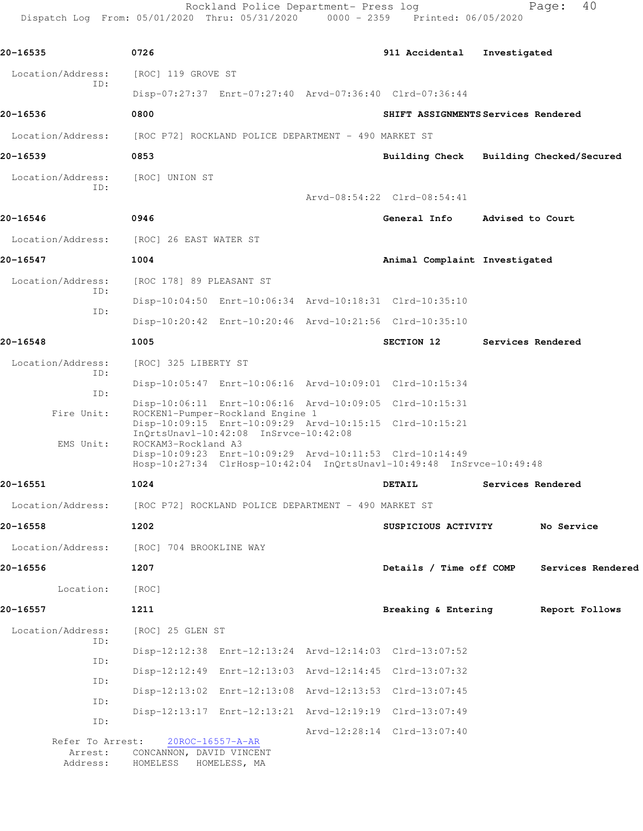Rockland Police Department- Press log extending Page: 40 Dispatch Log From: 05/01/2020 Thru: 05/31/2020 0000 - 2359 Printed: 06/05/2020

| 20-16535                                 | 0726                                                         |              | 911 Accidental                                                                                                                  | Investigated      |                   |
|------------------------------------------|--------------------------------------------------------------|--------------|---------------------------------------------------------------------------------------------------------------------------------|-------------------|-------------------|
| Location/Address:                        | [ROC] 119 GROVE ST                                           |              |                                                                                                                                 |                   |                   |
| TD:                                      |                                                              |              | Disp-07:27:37 Enrt-07:27:40 Arvd-07:36:40 Clrd-07:36:44                                                                         |                   |                   |
| 20-16536                                 | 0800                                                         |              | SHIFT ASSIGNMENTS Services Rendered                                                                                             |                   |                   |
| Location/Address:                        | [ROC P72] ROCKLAND POLICE DEPARTMENT - 490 MARKET ST         |              |                                                                                                                                 |                   |                   |
| 20-16539                                 | 0853                                                         |              | Building Check Building Checked/Secured                                                                                         |                   |                   |
| Location/Address:                        | [ROC] UNION ST                                               |              |                                                                                                                                 |                   |                   |
| ID:                                      |                                                              |              | Arvd-08:54:22 Clrd-08:54:41                                                                                                     |                   |                   |
| 20-16546                                 | 0946                                                         |              | General Info                                                                                                                    | Advised to Court  |                   |
| Location/Address: [ROC] 26 EAST WATER ST |                                                              |              |                                                                                                                                 |                   |                   |
| 20-16547                                 | 1004                                                         |              | Animal Complaint Investigated                                                                                                   |                   |                   |
| Location/Address:                        | [ROC 178] 89 PLEASANT ST                                     |              |                                                                                                                                 |                   |                   |
| ID:                                      |                                                              |              | Disp-10:04:50 Enrt-10:06:34 Arvd-10:18:31 Clrd-10:35:10                                                                         |                   |                   |
| ID:                                      |                                                              |              | Disp-10:20:42 Enrt-10:20:46 Arvd-10:21:56 Clrd-10:35:10                                                                         |                   |                   |
| 20-16548                                 | 1005                                                         |              | SECTION 12                                                                                                                      | Services Rendered |                   |
| Location/Address:                        | [ROC] 325 LIBERTY ST                                         |              |                                                                                                                                 |                   |                   |
| ID:                                      |                                                              |              | Disp-10:05:47 Enrt-10:06:16 Arvd-10:09:01 Clrd-10:15:34                                                                         |                   |                   |
| ID:                                      |                                                              |              | Disp-10:06:11 Enrt-10:06:16 Arvd-10:09:05 Clrd-10:15:31                                                                         |                   |                   |
| Fire Unit:                               | ROCKEN1-Pumper-Rockland Engine 1                             |              | Disp-10:09:15 Enrt-10:09:29 Arvd-10:15:15 Clrd-10:15:21                                                                         |                   |                   |
| EMS Unit:                                | InQrtsUnavl-10:42:08 InSrvce-10:42:08<br>ROCKAM3-Rockland A3 |              |                                                                                                                                 |                   |                   |
|                                          |                                                              |              | Disp-10:09:23 Enrt-10:09:29 Arvd-10:11:53 Clrd-10:14:49<br>Hosp-10:27:34 ClrHosp-10:42:04 InQrtsUnavl-10:49:48 InSrvce-10:49:48 |                   |                   |
| 20-16551                                 | 1024                                                         |              | DETAIL                                                                                                                          | Services Rendered |                   |
| Location/Address:                        | [ROC P72] ROCKLAND POLICE DEPARTMENT - 490 MARKET ST         |              |                                                                                                                                 |                   |                   |
| 20-16558                                 | 1202                                                         |              | SUSPICIOUS ACTIVITY                                                                                                             |                   | No Service        |
| Location/Address:                        | [ROC] 704 BROOKLINE WAY                                      |              |                                                                                                                                 |                   |                   |
| 20-16556                                 | 1207                                                         |              | Details / Time off COMP                                                                                                         |                   | Services Rendered |
| Location:                                | [ROC]                                                        |              |                                                                                                                                 |                   |                   |
| 20-16557                                 | 1211                                                         |              | Breaking & Entering                                                                                                             |                   | Report Follows    |
| Location/Address:<br>ID:                 | [ROC] 25 GLEN ST                                             |              |                                                                                                                                 |                   |                   |
| ID:                                      |                                                              |              | Disp-12:12:38 Enrt-12:13:24 Arvd-12:14:03 Clrd-13:07:52                                                                         |                   |                   |
| ID:                                      |                                                              |              | Disp-12:12:49 Enrt-12:13:03 Arvd-12:14:45 Clrd-13:07:32                                                                         |                   |                   |
| ID:                                      |                                                              |              | Disp-12:13:02 Enrt-12:13:08 Arvd-12:13:53 Clrd-13:07:45                                                                         |                   |                   |
| ID:                                      |                                                              |              | Disp-12:13:17 Enrt-12:13:21 Arvd-12:19:19 Clrd-13:07:49                                                                         |                   |                   |
| Refer To Arrest:                         | 20ROC-16557-A-AR                                             |              | Arvd-12:28:14 Clrd-13:07:40                                                                                                     |                   |                   |
| Arrest:<br>Address:                      | CONCANNON, DAVID VINCENT<br>HOMELESS                         | HOMELESS, MA |                                                                                                                                 |                   |                   |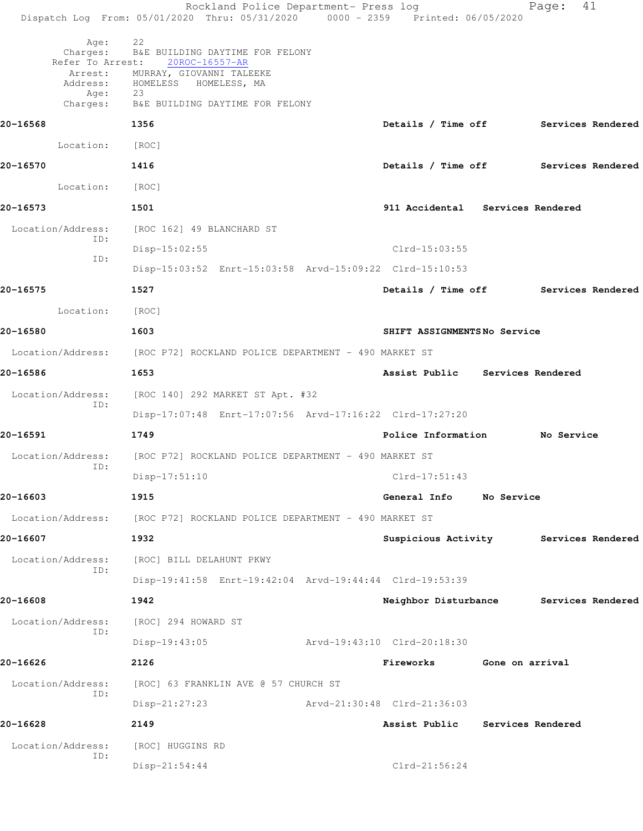|                   | Rockland Police Department- Press log<br>Dispatch Log From: 05/01/2020 Thru: 05/31/2020 0000 - 2359 Printed: 06/05/2020 |                                       |                 | 41<br>Page:       |  |
|-------------------|-------------------------------------------------------------------------------------------------------------------------|---------------------------------------|-----------------|-------------------|--|
| Age:              | 22<br>Charges: B&E BUILDING DAYTIME FOR FELONY                                                                          |                                       |                 |                   |  |
| Refer To Arrest:  | 20ROC-16557-AR<br>Arrest: MURRAY, GIOVANNI TALEEKE<br>Address: HOMELESS HOMELESS, MA                                    |                                       |                 |                   |  |
| Age:<br>Charges:  | 23<br>B&E BUILDING DAYTIME FOR FELONY                                                                                   |                                       |                 |                   |  |
| 20-16568          | 1356                                                                                                                    | Details / Time off Services Rendered  |                 |                   |  |
| Location:         | [ROC]                                                                                                                   |                                       |                 |                   |  |
| 20-16570          | 1416                                                                                                                    | Details / Time off Services Rendered  |                 |                   |  |
| Location: [ROC]   |                                                                                                                         |                                       |                 |                   |  |
| 20-16573          | 1501                                                                                                                    | 911 Accidental Services Rendered      |                 |                   |  |
| Location/Address: | [ROC 162] 49 BLANCHARD ST                                                                                               |                                       |                 |                   |  |
| ID:               | $Disp-15:02:55$                                                                                                         | $Clrd-15:03:55$                       |                 |                   |  |
| ID:               | Disp-15:03:52 Enrt-15:03:58 Arvd-15:09:22 Clrd-15:10:53                                                                 |                                       |                 |                   |  |
| 20-16575          | 1527                                                                                                                    | Details / Time off Services Rendered  |                 |                   |  |
| Location:         | [ROC]                                                                                                                   |                                       |                 |                   |  |
| 20-16580          | 1603                                                                                                                    | SHIFT ASSIGNMENTSNo Service           |                 |                   |  |
|                   | Location/Address: [ROC P72] ROCKLAND POLICE DEPARTMENT - 490 MARKET ST                                                  |                                       |                 |                   |  |
| 20-16586          | 1653                                                                                                                    | Assist Public Services Rendered       |                 |                   |  |
| Location/Address: | [ROC 140] 292 MARKET ST Apt. #32                                                                                        |                                       |                 |                   |  |
| ID:               | Disp-17:07:48 Enrt-17:07:56 Arvd-17:16:22 Clrd-17:27:20                                                                 |                                       |                 |                   |  |
| 20-16591          | 1749                                                                                                                    | Police Information                    |                 | <b>No Service</b> |  |
| Location/Address: | [ROC P72] ROCKLAND POLICE DEPARTMENT - 490 MARKET ST                                                                    |                                       |                 |                   |  |
| ID:               | Disp-17:51:10                                                                                                           | $Clrd-17:51:43$                       |                 |                   |  |
| 20-16603          | 1915                                                                                                                    | General Info                          | No Service      |                   |  |
| Location/Address: | [ROC P72] ROCKLAND POLICE DEPARTMENT - 490 MARKET ST                                                                    |                                       |                 |                   |  |
| 20-16607          | 1932                                                                                                                    | Suspicious Activity Services Rendered |                 |                   |  |
| Location/Address: | [ROC] BILL DELAHUNT PKWY                                                                                                |                                       |                 |                   |  |
| ID:               | Disp-19:41:58 Enrt-19:42:04 Arvd-19:44:44 Clrd-19:53:39                                                                 |                                       |                 |                   |  |
| 20-16608          | 1942                                                                                                                    | Neighbor Disturbance                  |                 | Services Rendered |  |
| Location/Address: | [ROC] 294 HOWARD ST                                                                                                     |                                       |                 |                   |  |
| ID:               | $Disp-19:43:05$                                                                                                         | Arvd-19:43:10 Clrd-20:18:30           |                 |                   |  |
| 20-16626          | 2126                                                                                                                    | Fireworks                             | Gone on arrival |                   |  |
| Location/Address: | [ROC] 63 FRANKLIN AVE @ 57 CHURCH ST                                                                                    |                                       |                 |                   |  |
| ID:               | Disp-21:27:23                                                                                                           | Arvd-21:30:48 Clrd-21:36:03           |                 |                   |  |
| 20-16628          | 2149                                                                                                                    | Assist Public                         |                 | Services Rendered |  |
| Location/Address: | [ROC] HUGGINS RD                                                                                                        |                                       |                 |                   |  |
| ID:               | Disp-21:54:44                                                                                                           | $Clrd-21:56:24$                       |                 |                   |  |
|                   |                                                                                                                         |                                       |                 |                   |  |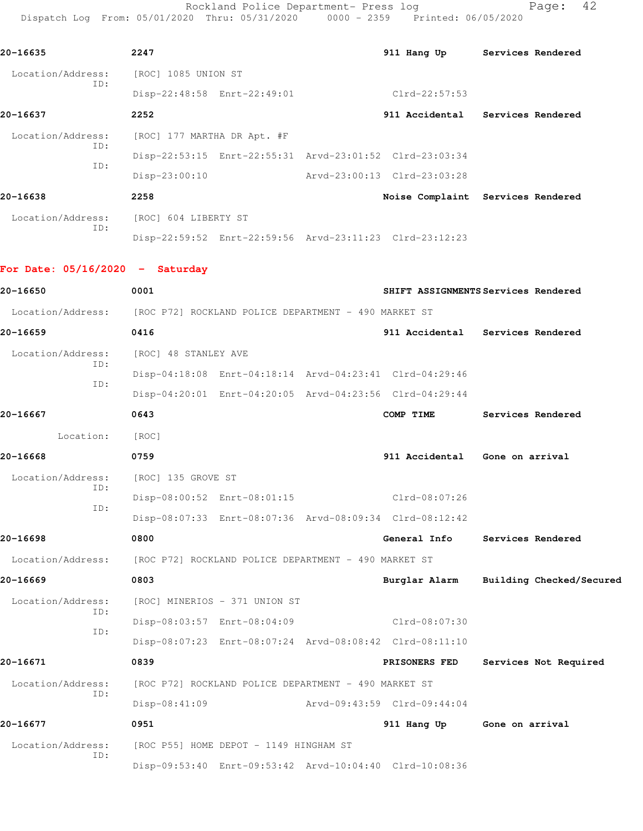Rockland Police Department- Press log entitled Page: 42 Dispatch Log From: 05/01/2020 Thru: 05/31/2020 0000 - 2359 Printed: 06/05/2020

| 20-16635                                                               | 2247                        |                                                      | 911 Hang Up                                             | Services Rendered                      |
|------------------------------------------------------------------------|-----------------------------|------------------------------------------------------|---------------------------------------------------------|----------------------------------------|
| Location/Address:<br>TD:                                               | [ROC] 1085 UNION ST         |                                                      |                                                         |                                        |
|                                                                        |                             | Disp-22:48:58 Enrt-22:49:01                          | $Clrd-22:57:53$                                         |                                        |
| 20-16637                                                               | 2252                        |                                                      |                                                         | 911 Accidental Services Rendered       |
| Location/Address:<br>ID:                                               | [ROC] 177 MARTHA DR Apt. #F |                                                      |                                                         |                                        |
| ID:                                                                    |                             |                                                      | Disp-22:53:15 Enrt-22:55:31 Arvd-23:01:52 Clrd-23:03:34 |                                        |
|                                                                        | $Disp-23:00:10$             |                                                      | Arvd-23:00:13 Clrd-23:03:28                             |                                        |
| 20-16638                                                               | 2258                        |                                                      |                                                         | Noise Complaint Services Rendered      |
| Location/Address:                                                      | [ROC] 604 LIBERTY ST        |                                                      |                                                         |                                        |
| ID:                                                                    |                             |                                                      | Disp-22:59:52 Enrt-22:59:56 Arvd-23:11:23 Clrd-23:12:23 |                                        |
| For Date: $05/16/2020 -$ Saturday                                      |                             |                                                      |                                                         |                                        |
| 20-16650                                                               | 0001                        |                                                      |                                                         | SHIFT ASSIGNMENTS Services Rendered    |
| Location/Address: [ROC P72] ROCKLAND POLICE DEPARTMENT - 490 MARKET ST |                             |                                                      |                                                         |                                        |
| 20-16659                                                               | 0416                        |                                                      |                                                         | 911 Accidental Services Rendered       |
| Location/Address:                                                      | [ROC] 48 STANLEY AVE        |                                                      |                                                         |                                        |
| ID:                                                                    |                             |                                                      | Disp-04:18:08 Enrt-04:18:14 Arvd-04:23:41 Clrd-04:29:46 |                                        |
| ID:                                                                    |                             |                                                      | Disp-04:20:01 Enrt-04:20:05 Arvd-04:23:56 Clrd-04:29:44 |                                        |
| 20-16667                                                               | 0643                        |                                                      | COMP TIME                                               | Services Rendered                      |
| Location:                                                              | [ROC]                       |                                                      |                                                         |                                        |
| 20-16668                                                               | 0759                        |                                                      |                                                         | 911 Accidental Gone on arrival         |
| Location/Address:                                                      | [ROC] 135 GROVE ST          |                                                      |                                                         |                                        |
| ID:                                                                    |                             | Disp-08:00:52 Enrt-08:01:15                          | Clrd-08:07:26                                           |                                        |
| ID:                                                                    |                             |                                                      | Disp-08:07:33 Enrt-08:07:36 Arvd-08:09:34 Clrd-08:12:42 |                                        |
| 20-16698                                                               | 0800                        |                                                      | General Info                                            | Services Rendered                      |
| Location/Address:                                                      |                             | [ROC P72] ROCKLAND POLICE DEPARTMENT - 490 MARKET ST |                                                         |                                        |
| 20-16669                                                               | 0803                        |                                                      |                                                         | Burglar Alarm Building Checked/Secured |
| Location/Address:                                                      |                             | [ROC] MINERIOS - 371 UNION ST                        |                                                         |                                        |
| ID:                                                                    |                             | Disp-08:03:57 Enrt-08:04:09                          | Clrd-08:07:30                                           |                                        |
| ID:                                                                    |                             |                                                      | Disp-08:07:23 Enrt-08:07:24 Arvd-08:08:42 Clrd-08:11:10 |                                        |
| 20-16671                                                               | 0839                        |                                                      | PRISONERS FED                                           | Services Not Required                  |
| Location/Address:                                                      |                             | [ROC P72] ROCKLAND POLICE DEPARTMENT - 490 MARKET ST |                                                         |                                        |
| ID:                                                                    | $Disp-08:41:09$             |                                                      | Arvd-09:43:59 Clrd-09:44:04                             |                                        |
| 20-16677                                                               | 0951                        |                                                      |                                                         | 911 Hang Up Gone on arrival            |
| Location/Address:                                                      |                             | [ROC P55] HOME DEPOT - 1149 HINGHAM ST               |                                                         |                                        |
| ID:                                                                    |                             |                                                      | Disp-09:53:40 Enrt-09:53:42 Arvd-10:04:40 Clrd-10:08:36 |                                        |
|                                                                        |                             |                                                      |                                                         |                                        |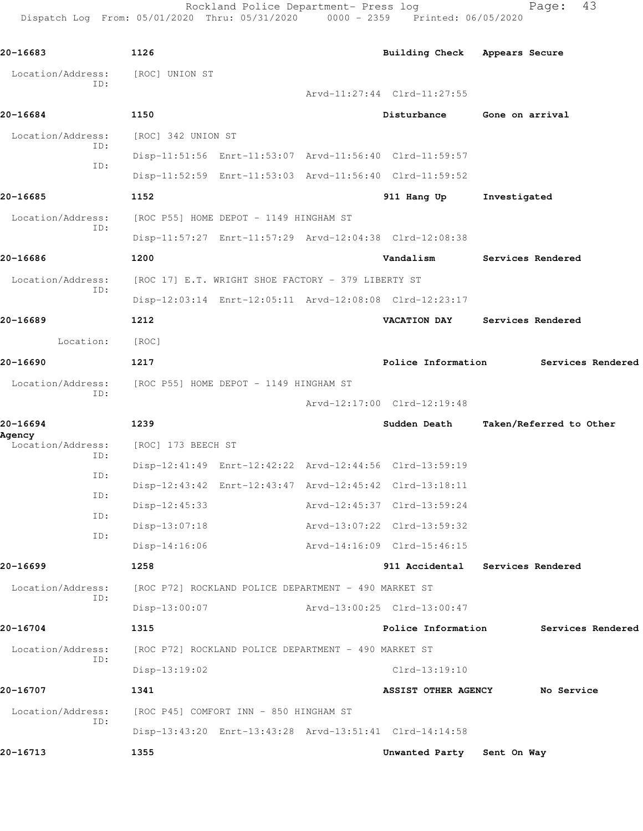Rockland Police Department- Press log Fage: 43 Dispatch Log From: 05/01/2020 Thru: 05/31/2020 0000 - 2359 Printed: 06/05/2020

**20-16683 1126 Building Check Appears Secure** Location/Address: [ROC] UNION ST ID: Arvd-11:27:44 Clrd-11:27:55 **20-16684 1150 Disturbance Gone on arrival** Location/Address: [ROC] 342 UNION ST ID: Disp-11:51:56 Enrt-11:53:07 Arvd-11:56:40 Clrd-11:59:57 ID: Disp-11:52:59 Enrt-11:53:03 Arvd-11:56:40 Clrd-11:59:52 **20-16685 1152 911 Hang Up Investigated** Location/Address: [ROC P55] HOME DEPOT - 1149 HINGHAM ST ID: Disp-11:57:27 Enrt-11:57:29 Arvd-12:04:38 Clrd-12:08:38 **20-16686 1200 Vandalism Services Rendered** Location/Address: [ROC 17] E.T. WRIGHT SHOE FACTORY - 379 LIBERTY ST ID: Disp-12:03:14 Enrt-12:05:11 Arvd-12:08:08 Clrd-12:23:17 **20-16689 1212 VACATION DAY Services Rendered** Location: [ROC] **20-16690 1217 Police Information Services Rendered** Location/Address: [ROC P55] HOME DEPOT - 1149 HINGHAM ST ID: Arvd-12:17:00 Clrd-12:19:48 **20-16694 1239 Sudden Death Taken/Referred to Other** Agency<br>Location/Address: [ROC] 173 BEECH ST ID: Disp-12:41:49 Enrt-12:42:22 Arvd-12:44:56 Clrd-13:59:19 ID: Disp-12:43:42 Enrt-12:43:47 Arvd-12:45:42 Clrd-13:18:11 ID: Disp-12:45:33 Arvd-12:45:37 Clrd-13:59:24 ID: Disp-13:07:18 Arvd-13:07:22 Clrd-13:59:32 ID: Disp-14:16:06 Arvd-14:16:09 Clrd-15:46:15 **20-16699 1258 911 Accidental Services Rendered** Location/Address: [ROC P72] ROCKLAND POLICE DEPARTMENT - 490 MARKET ST ID: Disp-13:00:07 Arvd-13:00:25 Clrd-13:00:47 **20-16704 1315 Police Information Services Rendered** Location/Address: [ROC P72] ROCKLAND POLICE DEPARTMENT - 490 MARKET ST ID: Disp-13:19:02 Clrd-13:19:10 **20-16707 1341 ASSIST OTHER AGENCY No Service** Location/Address: [ROC P45] COMFORT INN - 850 HINGHAM ST ID: Disp-13:43:20 Enrt-13:43:28 Arvd-13:51:41 Clrd-14:14:58 **20-16713 1355 Unwanted Party Sent On Way**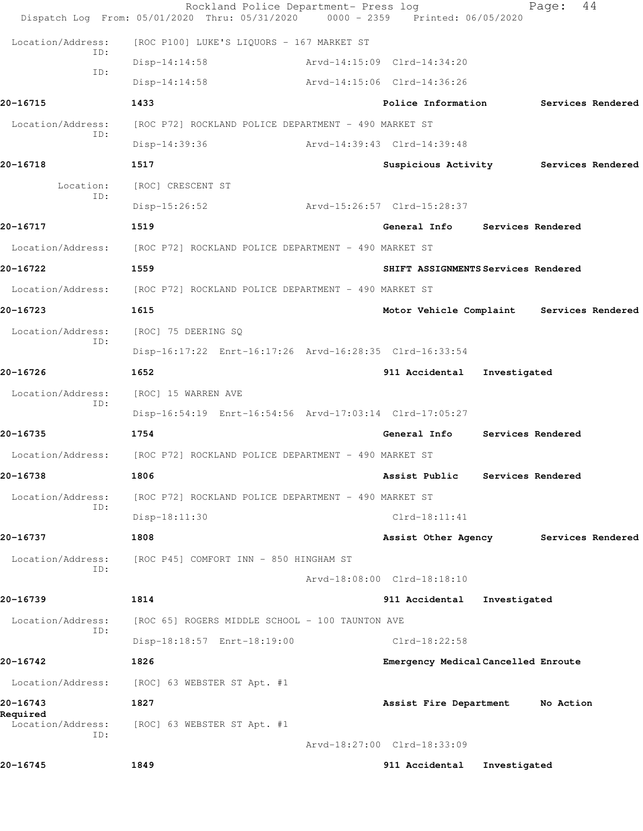|                          | Rockland Police Department- Press log<br>Dispatch Log From: 05/01/2020 Thru: 05/31/2020 |                             |                    | 0000 - 2359 Printed: 06/05/2020           | Page:                    | 44                |
|--------------------------|-----------------------------------------------------------------------------------------|-----------------------------|--------------------|-------------------------------------------|--------------------------|-------------------|
| Location/Address:        | [ROC P100] LUKE'S LIQUORS - 167 MARKET ST                                               |                             |                    |                                           |                          |                   |
| ID:                      | $Disp-14:14:58$                                                                         | Arvd-14:15:09 Clrd-14:34:20 |                    |                                           |                          |                   |
| ID:                      | $Disp-14:14:58$                                                                         | Arvd-14:15:06 Clrd-14:36:26 |                    |                                           |                          |                   |
| 20-16715                 | 1433                                                                                    |                             | Police Information |                                           |                          | Services Rendered |
| Location/Address:        | [ROC P72] ROCKLAND POLICE DEPARTMENT - 490 MARKET ST                                    |                             |                    |                                           |                          |                   |
| ID:                      | Disp-14:39:36                                                                           | Arvd-14:39:43 Clrd-14:39:48 |                    |                                           |                          |                   |
| 20-16718                 | 1517                                                                                    |                             |                    | Suspicious Activity Services Rendered     |                          |                   |
| Location:                | [ROC] CRESCENT ST                                                                       |                             |                    |                                           |                          |                   |
| ID:                      | $Disp-15:26:52$                                                                         | Arvd-15:26:57 Clrd-15:28:37 |                    |                                           |                          |                   |
| 20-16717                 | 1519                                                                                    |                             | General Info       |                                           | <b>Services Rendered</b> |                   |
|                          | Location/Address: [ROC P72] ROCKLAND POLICE DEPARTMENT - 490 MARKET ST                  |                             |                    |                                           |                          |                   |
| 20-16722                 | 1559                                                                                    |                             |                    | SHIFT ASSIGNMENTS Services Rendered       |                          |                   |
|                          | Location/Address: [ROC P72] ROCKLAND POLICE DEPARTMENT - 490 MARKET ST                  |                             |                    |                                           |                          |                   |
| 20-16723                 | 1615                                                                                    |                             |                    | Motor Vehicle Complaint Services Rendered |                          |                   |
| Location/Address:        | [ROC] 75 DEERING SQ                                                                     |                             |                    |                                           |                          |                   |
| ID:                      | Disp-16:17:22 Enrt-16:17:26 Arvd-16:28:35 Clrd-16:33:54                                 |                             |                    |                                           |                          |                   |
| 20-16726                 | 1652                                                                                    |                             | 911 Accidental     | Investigated                              |                          |                   |
| Location/Address:        | [ROC] 15 WARREN AVE                                                                     |                             |                    |                                           |                          |                   |
| ID:                      | Disp-16:54:19 Enrt-16:54:56 Arvd-17:03:14 Clrd-17:05:27                                 |                             |                    |                                           |                          |                   |
| 20-16735                 | 1754                                                                                    |                             | General Info       |                                           | Services Rendered        |                   |
| Location/Address:        | [ROC P72] ROCKLAND POLICE DEPARTMENT - 490 MARKET ST                                    |                             |                    |                                           |                          |                   |
| 20-16738                 | 1806                                                                                    |                             | Assist Public      |                                           | Services Rendered        |                   |
| Location/Address:        | [ROC P72] ROCKLAND POLICE DEPARTMENT - 490 MARKET ST                                    |                             |                    |                                           |                          |                   |
| ID:                      | $Disp-18:11:30$                                                                         |                             | $Clrd-18:11:41$    |                                           |                          |                   |
| 20-16737                 | 1808                                                                                    |                             |                    | Assist Other Agency                       |                          | Services Rendered |
| Location/Address:<br>ID: | [ROC P45] COMFORT INN - 850 HINGHAM ST                                                  |                             |                    |                                           |                          |                   |
|                          |                                                                                         | Arvd-18:08:00 Clrd-18:18:10 |                    |                                           |                          |                   |
| 20-16739                 | 1814                                                                                    |                             | 911 Accidental     | Investigated                              |                          |                   |
| Location/Address:<br>ID: | [ROC 65] ROGERS MIDDLE SCHOOL - 100 TAUNTON AVE                                         |                             |                    |                                           |                          |                   |
|                          | Disp-18:18:57 Enrt-18:19:00                                                             |                             | Clrd-18:22:58      |                                           |                          |                   |
| 20-16742                 | 1826                                                                                    |                             |                    | Emergency Medical Cancelled Enroute       |                          |                   |
| Location/Address:        | [ROC] 63 WEBSTER ST Apt. #1                                                             |                             |                    |                                           |                          |                   |
| 20-16743<br>Required     | 1827                                                                                    |                             |                    | Assist Fire Department                    | No Action                |                   |
| Location/Address:<br>ID: | [ROC] 63 WEBSTER ST Apt. #1                                                             |                             |                    |                                           |                          |                   |
|                          |                                                                                         | Arvd-18:27:00 Clrd-18:33:09 |                    |                                           |                          |                   |
| 20-16745                 | 1849                                                                                    |                             | 911 Accidental     | Investigated                              |                          |                   |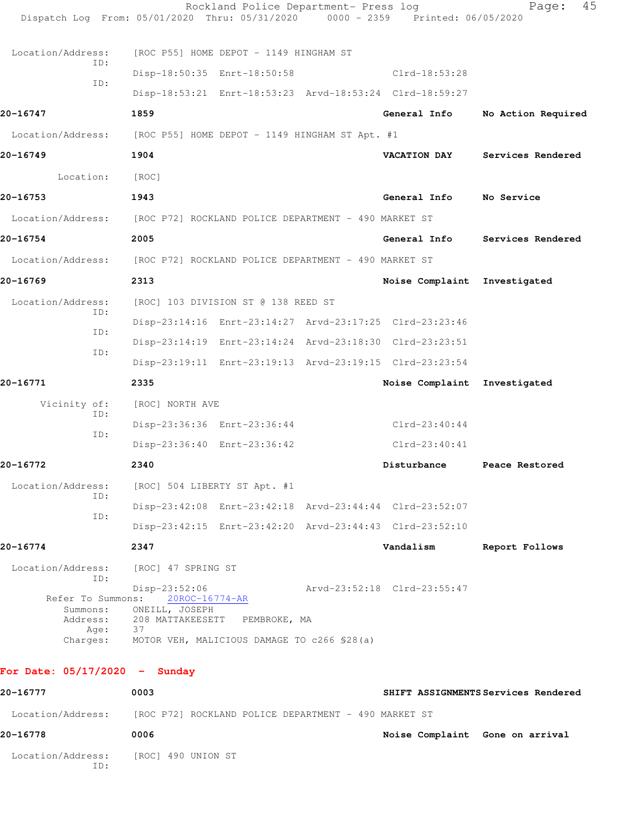| Dispatch Log From: 05/01/2020 Thru: 05/31/2020 0000 - 2359 Printed: 06/05/2020 |                                                                                       | Rockland Police Department- Press log                       |                                                         | 45<br>Page:        |
|--------------------------------------------------------------------------------|---------------------------------------------------------------------------------------|-------------------------------------------------------------|---------------------------------------------------------|--------------------|
| Location/Address:                                                              |                                                                                       | [ROC P55] HOME DEPOT - 1149 HINGHAM ST                      |                                                         |                    |
| ID:                                                                            |                                                                                       | Disp-18:50:35 Enrt-18:50:58                                 | Clrd-18:53:28                                           |                    |
| ID:                                                                            |                                                                                       |                                                             | Disp-18:53:21 Enrt-18:53:23 Arvd-18:53:24 Clrd-18:59:27 |                    |
| 20-16747                                                                       | 1859                                                                                  |                                                             | General Info                                            | No Action Required |
| Location/Address: [ROC P55] HOME DEPOT - 1149 HINGHAM ST Apt. #1               |                                                                                       |                                                             |                                                         |                    |
| 20-16749                                                                       | 1904                                                                                  |                                                             | <b>VACATION DAY</b>                                     | Services Rendered  |
| Location:                                                                      | [ROC]                                                                                 |                                                             |                                                         |                    |
| 20-16753                                                                       | 1943                                                                                  |                                                             | General Info                                            | No Service         |
| Location/Address: [ROC P72] ROCKLAND POLICE DEPARTMENT - 490 MARKET ST         |                                                                                       |                                                             |                                                         |                    |
| 20-16754                                                                       | 2005                                                                                  |                                                             | General Info                                            | Services Rendered  |
| Location/Address:                                                              | [ROC P72] ROCKLAND POLICE DEPARTMENT - 490 MARKET ST                                  |                                                             |                                                         |                    |
| 20-16769                                                                       | 2313                                                                                  |                                                             | Noise Complaint Investigated                            |                    |
| Location/Address:                                                              |                                                                                       | [ROC] 103 DIVISION ST @ 138 REED ST                         |                                                         |                    |
| ID:                                                                            |                                                                                       |                                                             | Disp-23:14:16 Enrt-23:14:27 Arvd-23:17:25 Clrd-23:23:46 |                    |
| ID:                                                                            |                                                                                       |                                                             | Disp-23:14:19 Enrt-23:14:24 Arvd-23:18:30 Clrd-23:23:51 |                    |
| ID:                                                                            |                                                                                       |                                                             | Disp-23:19:11 Enrt-23:19:13 Arvd-23:19:15 Clrd-23:23:54 |                    |
| 20-16771                                                                       | 2335                                                                                  |                                                             | Noise Complaint Investigated                            |                    |
| Vicinity of:                                                                   | [ROC] NORTH AVE                                                                       |                                                             |                                                         |                    |
| ID:                                                                            |                                                                                       | Disp-23:36:36 Enrt-23:36:44                                 | $Clrd-23:40:44$                                         |                    |
| ID:                                                                            |                                                                                       | Disp-23:36:40 Enrt-23:36:42                                 | $Clrd-23:40:41$                                         |                    |
| 20-16772                                                                       | 2340                                                                                  |                                                             | Disturbance                                             | Peace Restored     |
| Location/Address:                                                              |                                                                                       | [ROC] 504 LIBERTY ST Apt. #1                                |                                                         |                    |
| ID:                                                                            |                                                                                       |                                                             | Disp-23:42:08 Enrt-23:42:18 Arvd-23:44:44 Clrd-23:52:07 |                    |
| ID:                                                                            |                                                                                       |                                                             | Disp-23:42:15 Enrt-23:42:20 Arvd-23:44:43 Clrd-23:52:10 |                    |
| 20-16774                                                                       | 2347                                                                                  |                                                             | Vandalism                                               | Report Follows     |
| Location/Address:<br>ID:                                                       | [ROC] 47 SPRING ST                                                                    |                                                             |                                                         |                    |
| Refer To Summons:<br>Summons:<br>Address:<br>Age:<br>Charges:                  | Disp-23:52:06<br>$20$ ROC $-16$ 774 $-AR$<br>ONEILL, JOSEPH<br>208 MATTAKEESETT<br>37 | PEMBROKE, MA<br>MOTOR VEH, MALICIOUS DAMAGE TO c266 \$28(a) | Arvd-23:52:18 Clrd-23:55:47                             |                    |

## **For Date: 05/17/2020 - Sunday**

| 20-16777                 | 0003                                                 | SHIFT ASSIGNMENTS Services Rendered |
|--------------------------|------------------------------------------------------|-------------------------------------|
| Location/Address:        | [ROC P72] ROCKLAND POLICE DEPARTMENT - 490 MARKET ST |                                     |
| 20-16778                 | 0006                                                 | Noise Complaint Gone on arrival     |
| Location/Address:<br>ID: | [ROC] 490 UNION ST                                   |                                     |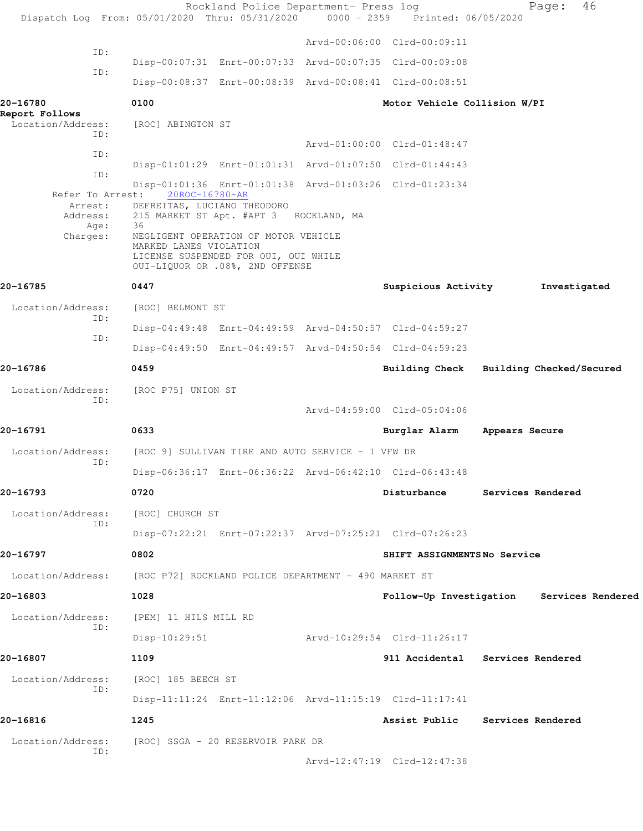|                                            |                                                                                                        | Rockland Police Department- Press log<br>Dispatch Log From: 05/01/2020 Thru: 05/31/2020 0000 - 2359 Printed: 06/05/2020 |                              | 46<br>Page:                               |  |
|--------------------------------------------|--------------------------------------------------------------------------------------------------------|-------------------------------------------------------------------------------------------------------------------------|------------------------------|-------------------------------------------|--|
|                                            |                                                                                                        |                                                                                                                         | Arvd-00:06:00 Clrd-00:09:11  |                                           |  |
| ID:                                        |                                                                                                        | Disp-00:07:31 Enrt-00:07:33 Arvd-00:07:35 Clrd-00:09:08                                                                 |                              |                                           |  |
| ID:                                        |                                                                                                        | Disp-00:08:37 Enrt-00:08:39 Arvd-00:08:41 Clrd-00:08:51                                                                 |                              |                                           |  |
| 20-16780                                   | 0100                                                                                                   |                                                                                                                         | Motor Vehicle Collision W/PI |                                           |  |
| Report Follows<br>Location/Address:<br>ID: | [ROC] ABINGTON ST                                                                                      |                                                                                                                         |                              |                                           |  |
| ID:                                        |                                                                                                        |                                                                                                                         | Arvd-01:00:00 Clrd-01:48:47  |                                           |  |
| ID:                                        |                                                                                                        | Disp-01:01:29 Enrt-01:01:31 Arvd-01:07:50 Clrd-01:44:43                                                                 |                              |                                           |  |
| Refer To Arrest:                           | 20ROC-16780-AR<br>Arrest: DEFREITAS, LUCIANO THEODORO                                                  | Disp-01:01:36 Enrt-01:01:38 Arvd-01:03:26 Clrd-01:23:34                                                                 |                              |                                           |  |
| Address:<br>Age:                           | 215 MARKET ST Apt. #APT 3 ROCKLAND, MA<br>36                                                           |                                                                                                                         |                              |                                           |  |
| Charges:                                   | NEGLIGENT OPERATION OF MOTOR VEHICLE<br>MARKED LANES VIOLATION<br>LICENSE SUSPENDED FOR OUI, OUI WHILE |                                                                                                                         |                              |                                           |  |
|                                            | OUI-LIQUOR OR .08%, 2ND OFFENSE                                                                        |                                                                                                                         |                              |                                           |  |
| 20-16785                                   | 0447                                                                                                   |                                                                                                                         | Suspicious Activity          | Investigated                              |  |
| Location/Address:<br>ID:                   | [ROC] BELMONT ST                                                                                       |                                                                                                                         |                              |                                           |  |
| ID:                                        |                                                                                                        | Disp-04:49:48 Enrt-04:49:59 Arvd-04:50:57 Clrd-04:59:27                                                                 |                              |                                           |  |
|                                            |                                                                                                        | Disp-04:49:50 Enrt-04:49:57 Arvd-04:50:54 Clrd-04:59:23                                                                 |                              |                                           |  |
| 20-16786                                   | 0459                                                                                                   |                                                                                                                         | Building Check               | Building Checked/Secured                  |  |
| Location/Address:<br>ID:                   | [ROC P75] UNION ST                                                                                     |                                                                                                                         |                              |                                           |  |
|                                            |                                                                                                        |                                                                                                                         | Arvd-04:59:00 Clrd-05:04:06  |                                           |  |
| 20-16791                                   | 0633                                                                                                   |                                                                                                                         | Burglar Alarm                | Appears Secure                            |  |
| Location/Address:<br>ID:                   |                                                                                                        | [ROC 9] SULLIVAN TIRE AND AUTO SERVICE - 1 VFW DR                                                                       |                              |                                           |  |
|                                            |                                                                                                        | Disp-06:36:17 Enrt-06:36:22 Arvd-06:42:10 Clrd-06:43:48                                                                 |                              |                                           |  |
| 20-16793                                   | 0720                                                                                                   |                                                                                                                         |                              | Disturbance Services Rendered             |  |
| Location/Address:<br>ID:                   | [ROC] CHURCH ST                                                                                        |                                                                                                                         |                              |                                           |  |
|                                            |                                                                                                        | Disp-07:22:21 Enrt-07:22:37 Arvd-07:25:21 Clrd-07:26:23                                                                 |                              |                                           |  |
| 20-16797                                   | 0802                                                                                                   |                                                                                                                         | SHIFT ASSIGNMENTSNo Service  |                                           |  |
| Location/Address:                          |                                                                                                        | [ROC P72] ROCKLAND POLICE DEPARTMENT - 490 MARKET ST                                                                    |                              |                                           |  |
| 20-16803                                   | 1028                                                                                                   |                                                                                                                         |                              | Follow-Up Investigation Services Rendered |  |
| Location/Address:<br>ID:                   | [PEM] 11 HILS MILL RD                                                                                  |                                                                                                                         |                              |                                           |  |
|                                            | $Disp-10:29:51$                                                                                        |                                                                                                                         | Arvd-10:29:54 Clrd-11:26:17  |                                           |  |
| 20-16807                                   | 1109                                                                                                   |                                                                                                                         |                              | 911 Accidental Services Rendered          |  |
| Location/Address:<br>ID:                   | [ROC] 185 BEECH ST                                                                                     |                                                                                                                         |                              |                                           |  |
|                                            |                                                                                                        | Disp-11:11:24 Enrt-11:12:06 Arvd-11:15:19 Clrd-11:17:41                                                                 |                              |                                           |  |
| 20-16816                                   | 1245                                                                                                   |                                                                                                                         | Assist Public                | Services Rendered                         |  |
| Location/Address:<br>ID:                   | [ROC] SSGA - 20 RESERVOIR PARK DR                                                                      |                                                                                                                         |                              |                                           |  |
|                                            |                                                                                                        |                                                                                                                         | Arvd-12:47:19 Clrd-12:47:38  |                                           |  |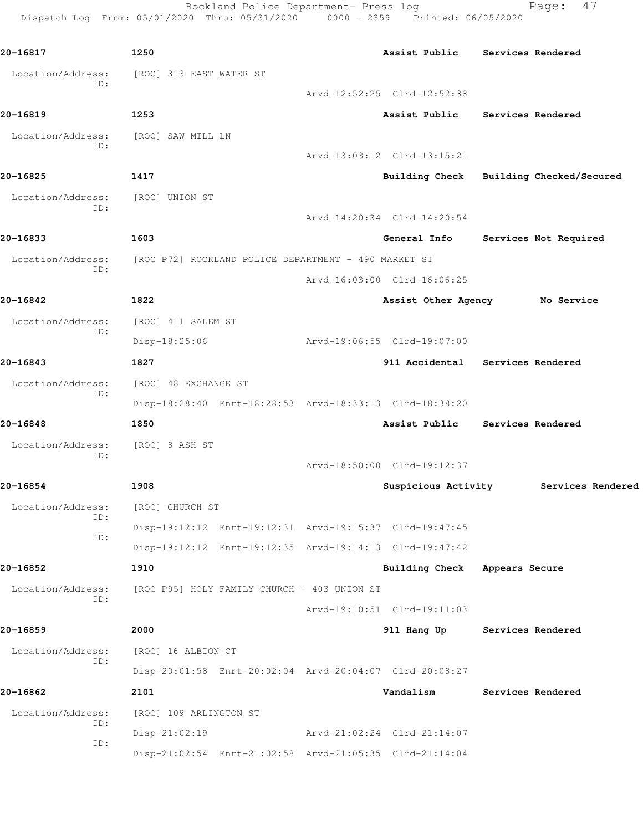Rockland Police Department- Press log Fage: 47 Dispatch Log From: 05/01/2020 Thru: 05/31/2020 0000 - 2359 Printed: 06/05/2020

**20-16817 1250 Assist Public Services Rendered** Location/Address: [ROC] 313 EAST WATER ST ID: Arvd-12:52:25 Clrd-12:52:38 **20-16819 1253 Assist Public Services Rendered** Location/Address: [ROC] SAW MILL LN ID: Arvd-13:03:12 Clrd-13:15:21 **20-16825 1417 Building Check Building Checked/Secured** Location/Address: [ROC] UNION ST ID: Arvd-14:20:34 Clrd-14:20:54 **20-16833 1603 General Info Services Not Required** Location/Address: [ROC P72] ROCKLAND POLICE DEPARTMENT - 490 MARKET ST ID: Arvd-16:03:00 Clrd-16:06:25 **20-16842 1822 Assist Other Agency No Service** Location/Address: [ROC] 411 SALEM ST ID: Disp-18:25:06 Arvd-19:06:55 Clrd-19:07:00 **20-16843 1827 911 Accidental Services Rendered** Location/Address: [ROC] 48 EXCHANGE ST ID: Disp-18:28:40 Enrt-18:28:53 Arvd-18:33:13 Clrd-18:38:20 **20-16848 1850 Assist Public Services Rendered** Location/Address: [ROC] 8 ASH ST ID: Arvd-18:50:00 Clrd-19:12:37 **20-16854 1908 Suspicious Activity Services Rendered** Location/Address: [ROC] CHURCH ST ID: Disp-19:12:12 Enrt-19:12:31 Arvd-19:15:37 Clrd-19:47:45 ID: Disp-19:12:12 Enrt-19:12:35 Arvd-19:14:13 Clrd-19:47:42 **20-16852 1910 Building Check Appears Secure** Location/Address: [ROC P95] HOLY FAMILY CHURCH - 403 UNION ST ID: Arvd-19:10:51 Clrd-19:11:03 **20-16859 2000 911 Hang Up Services Rendered** Location/Address: [ROC] 16 ALBION CT ID: Disp-20:01:58 Enrt-20:02:04 Arvd-20:04:07 Clrd-20:08:27 **20-16862 2101 Vandalism Services Rendered** Location/Address: [ROC] 109 ARLINGTON ST ID: Disp-21:02:19 Arvd-21:02:24 Clrd-21:14:07 ID: Disp-21:02:54 Enrt-21:02:58 Arvd-21:05:35 Clrd-21:14:04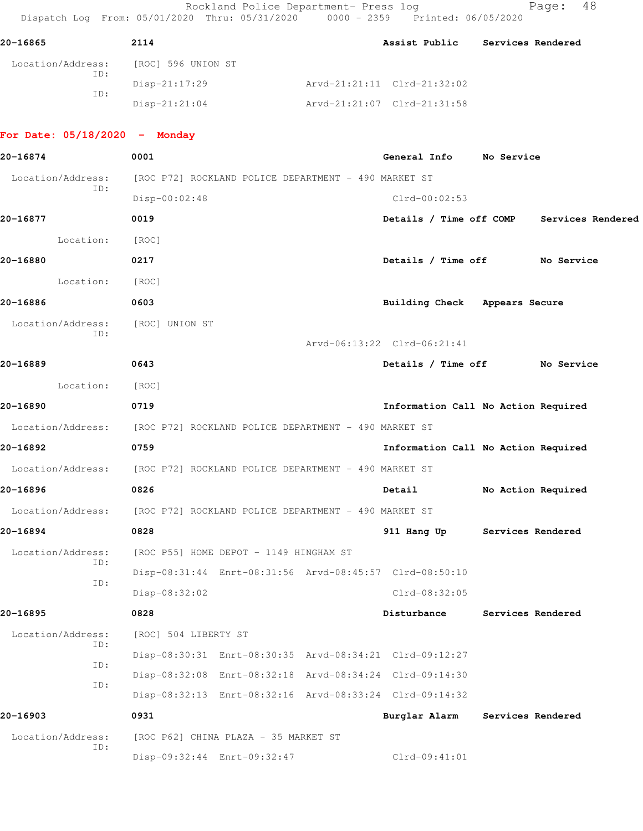Rockland Police Department- Press log entitled Page: 48 Dispatch Log From: 05/01/2020 Thru: 05/31/2020 0000 - 2359 Printed: 06/05/2020

| 20-16865                 | 2114               |                             | Assist Public | Services Rendered |
|--------------------------|--------------------|-----------------------------|---------------|-------------------|
| Location/Address:<br>ID: | [ROC] 596 UNION ST |                             |               |                   |
| ID:                      | $Disp-21:17:29$    | Arvd-21:21:11 Clrd-21:32:02 |               |                   |
|                          | Disp-21:21:04      | Arvd-21:21:07 Clrd-21:31:58 |               |                   |

## **For Date: 05/18/2020 - Monday**

| 20-16874                                | 0001                                                                   | General Info No Service       |                                           |
|-----------------------------------------|------------------------------------------------------------------------|-------------------------------|-------------------------------------------|
| Location/Address:                       | [ROC P72] ROCKLAND POLICE DEPARTMENT - 490 MARKET ST                   |                               |                                           |
| ID:                                     | Disp-00:02:48                                                          | $Clrd-00:02:53$               |                                           |
| 20-16877                                | 0019                                                                   |                               | Details / Time off COMP Services Rendered |
| Location:                               | [ROC]                                                                  |                               |                                           |
| 20-16880                                | 0217                                                                   |                               | Details / Time off No Service             |
| Location:                               | [ROC]                                                                  |                               |                                           |
| 20-16886                                | 0603                                                                   | Building Check Appears Secure |                                           |
| Location/Address: [ROC] UNION ST<br>ID: |                                                                        | Arvd-06:13:22 Clrd-06:21:41   |                                           |
| 20-16889                                | 0643                                                                   |                               | Details / Time off No Service             |
|                                         |                                                                        |                               |                                           |
| Location: [ROC]<br>20-16890             |                                                                        |                               |                                           |
|                                         | 0719                                                                   |                               | Information Call No Action Required       |
|                                         | Location/Address: [ROC P72] ROCKLAND POLICE DEPARTMENT - 490 MARKET ST |                               |                                           |
| 20-16892                                | 0759                                                                   |                               | Information Call No Action Required       |
|                                         | Location/Address: [ROC P72] ROCKLAND POLICE DEPARTMENT - 490 MARKET ST |                               |                                           |
| 20-16896                                | 0826                                                                   | Detail                        | No Action Required                        |
|                                         | Location/Address: [ROC P72] ROCKLAND POLICE DEPARTMENT - 490 MARKET ST |                               |                                           |
| 20-16894                                | 0828                                                                   |                               | 911 Hang Up Services Rendered             |
| Location/Address:<br>ID:                | [ROC P55] HOME DEPOT - 1149 HINGHAM ST                                 |                               |                                           |
| ID:                                     | Disp-08:31:44 Enrt-08:31:56 Arvd-08:45:57 Clrd-08:50:10                |                               |                                           |
|                                         | Disp-08:32:02                                                          | $Clrd-08:32:05$               |                                           |
| 20-16895                                | 0828                                                                   |                               | Disturbance Services Rendered             |
| Location/Address:<br>ID:                | [ROC] 504 LIBERTY ST                                                   |                               |                                           |
| ID:                                     | Disp-08:30:31 Enrt-08:30:35 Arvd-08:34:21 Clrd-09:12:27                |                               |                                           |
| ID:                                     | Disp-08:32:08 Enrt-08:32:18 Arvd-08:34:24 Clrd-09:14:30                |                               |                                           |
|                                         | Disp-08:32:13 Enrt-08:32:16 Arvd-08:33:24 Clrd-09:14:32                |                               |                                           |
| 20-16903                                | 0931                                                                   | Burglar Alarm                 | Services Rendered                         |
| Location/Address:<br>ID:                | [ROC P62] CHINA PLAZA - 35 MARKET ST                                   |                               |                                           |
|                                         | Disp-09:32:44 Enrt-09:32:47                                            | $Clrd-09:41:01$               |                                           |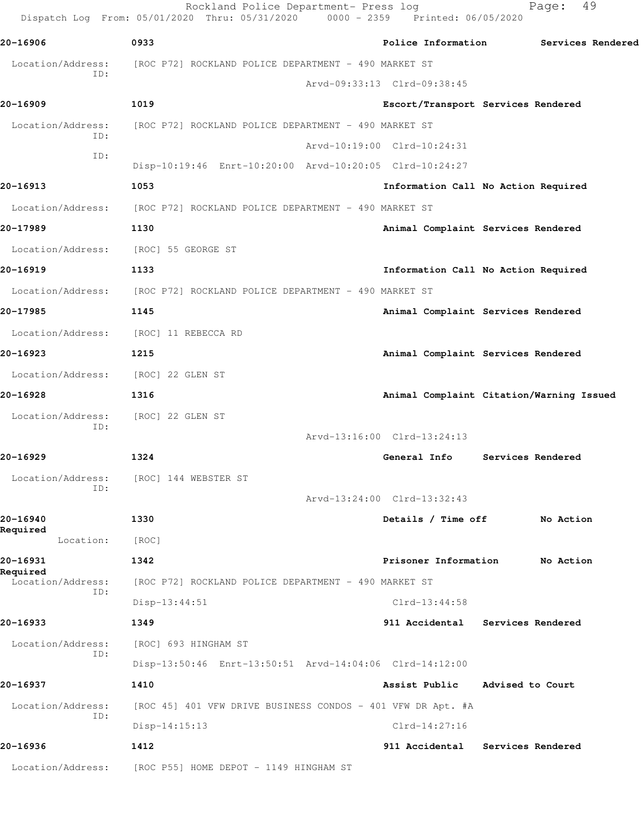|                          | Rockland Police Department- Press log<br>Dispatch Log From: 05/01/2020 Thru: 05/31/2020 0000 - 2359 Printed: 06/05/2020 |                             | 49<br>Page:                              |
|--------------------------|-------------------------------------------------------------------------------------------------------------------------|-----------------------------|------------------------------------------|
| 20-16906                 | 0933                                                                                                                    | Police Information          | Services Rendered                        |
| Location/Address:        | [ROC P72] ROCKLAND POLICE DEPARTMENT - 490 MARKET ST                                                                    |                             |                                          |
| ID:                      |                                                                                                                         | Arvd-09:33:13 Clrd-09:38:45 |                                          |
| 20-16909                 | 1019                                                                                                                    |                             | Escort/Transport Services Rendered       |
| Location/Address:<br>ID: | [ROC P72] ROCKLAND POLICE DEPARTMENT - 490 MARKET ST                                                                    |                             |                                          |
| ID:                      |                                                                                                                         | Arvd-10:19:00 Clrd-10:24:31 |                                          |
|                          | Disp-10:19:46 Enrt-10:20:00 Arvd-10:20:05 Clrd-10:24:27                                                                 |                             |                                          |
| 20-16913                 | 1053                                                                                                                    |                             | Information Call No Action Required      |
| Location/Address:        | [ROC P72] ROCKLAND POLICE DEPARTMENT - 490 MARKET ST                                                                    |                             |                                          |
| 20-17989                 | 1130                                                                                                                    |                             | Animal Complaint Services Rendered       |
| Location/Address:        | [ROC] 55 GEORGE ST                                                                                                      |                             |                                          |
| 20-16919                 | 1133                                                                                                                    |                             | Information Call No Action Required      |
| Location/Address:        | [ROC P72] ROCKLAND POLICE DEPARTMENT - 490 MARKET ST                                                                    |                             |                                          |
| 20-17985                 | 1145                                                                                                                    |                             | Animal Complaint Services Rendered       |
| Location/Address:        | [ROC] 11 REBECCA RD                                                                                                     |                             |                                          |
| 20-16923                 | 1215                                                                                                                    |                             | Animal Complaint Services Rendered       |
| Location/Address:        | [ROC] 22 GLEN ST                                                                                                        |                             |                                          |
| 20-16928                 | 1316                                                                                                                    |                             | Animal Complaint Citation/Warning Issued |
| Location/Address:<br>ID: | [ROC] 22 GLEN ST                                                                                                        |                             |                                          |
|                          |                                                                                                                         | Arvd-13:16:00 Clrd-13:24:13 |                                          |
| 20-16929                 | 1324                                                                                                                    | General Info                | Services Rendered                        |
| Location/Address:<br>ID: | [ROC] 144 WEBSTER ST                                                                                                    |                             |                                          |
|                          |                                                                                                                         | Arvd-13:24:00 Clrd-13:32:43 |                                          |
| 20-16940<br>Required     | 1330                                                                                                                    | Details / Time off          | No Action                                |
| Location:                | [ROC]                                                                                                                   |                             |                                          |
| 20-16931<br>Required     | 1342                                                                                                                    | Prisoner Information        | No Action                                |
| Location/Address:<br>ID: | [ROC P72] ROCKLAND POLICE DEPARTMENT - 490 MARKET ST                                                                    |                             |                                          |
|                          | $Disp-13:44:51$                                                                                                         | $Clrd-13:44:58$             |                                          |
| 20-16933                 | 1349                                                                                                                    |                             | 911 Accidental Services Rendered         |
| Location/Address:<br>ID: | [ROC] 693 HINGHAM ST                                                                                                    |                             |                                          |
|                          | Disp-13:50:46 Enrt-13:50:51 Arvd-14:04:06 Clrd-14:12:00                                                                 |                             |                                          |
| 20-16937                 | 1410                                                                                                                    | Assist Public               | Advised to Court                         |
| Location/Address:<br>ID: | [ROC 45] 401 VFW DRIVE BUSINESS CONDOS - 401 VFW DR Apt. #A                                                             |                             |                                          |
|                          | Disp-14:15:13                                                                                                           | $Clrd-14:27:16$             |                                          |
| 20-16936                 | 1412                                                                                                                    | 911 Accidental              | Services Rendered                        |
| Location/Address:        | [ROC P55] HOME DEPOT - 1149 HINGHAM ST                                                                                  |                             |                                          |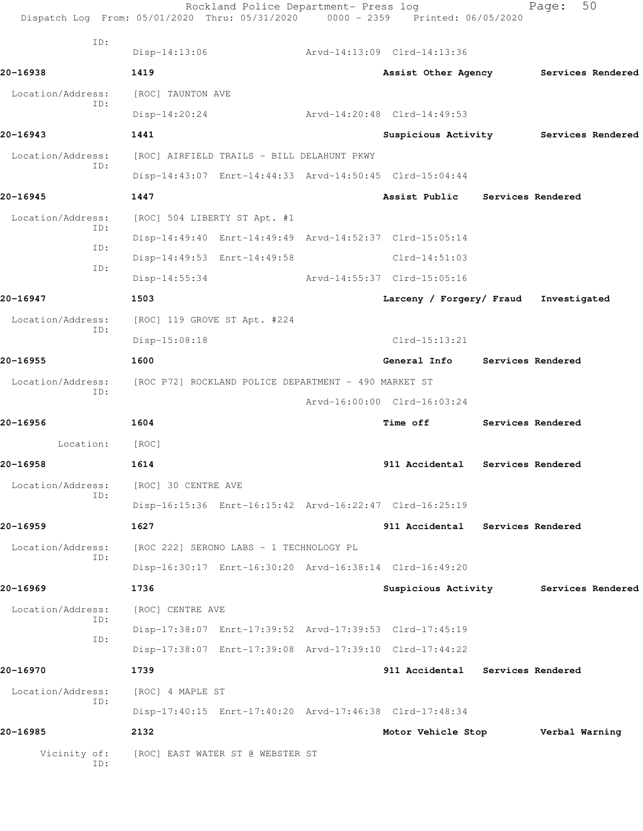|                          | Rockland Police Department- Press log<br>Dispatch Log From: 05/01/2020 Thru: 05/31/2020 0000 - 2359 Printed: 06/05/2020 |                                       |                   | 50<br>Page:       |  |
|--------------------------|-------------------------------------------------------------------------------------------------------------------------|---------------------------------------|-------------------|-------------------|--|
| ID:                      | Disp-14:13:06                                                                                                           | Arvd-14:13:09 Clrd-14:13:36           |                   |                   |  |
| 20-16938                 |                                                                                                                         |                                       |                   |                   |  |
|                          | 1419                                                                                                                    | Assist Other Agency Services Rendered |                   |                   |  |
| Location/Address:<br>ID: | [ROC] TAUNTON AVE                                                                                                       |                                       |                   |                   |  |
|                          | $Disp-14:20:24$                                                                                                         | Arvd-14:20:48 Clrd-14:49:53           |                   |                   |  |
| 20-16943                 | 1441                                                                                                                    | Suspicious Activity                   |                   | Services Rendered |  |
| Location/Address:<br>ID: | [ROC] AIRFIELD TRAILS - BILL DELAHUNT PKWY                                                                              |                                       |                   |                   |  |
|                          | Disp-14:43:07 Enrt-14:44:33 Arvd-14:50:45 Clrd-15:04:44                                                                 |                                       |                   |                   |  |
| 20-16945                 | 1447                                                                                                                    | Assist Public                         | Services Rendered |                   |  |
| Location/Address:<br>ID: | [ROC] 504 LIBERTY ST Apt. #1                                                                                            |                                       |                   |                   |  |
| ID:                      | Disp-14:49:40 Enrt-14:49:49 Arvd-14:52:37 Clrd-15:05:14                                                                 |                                       |                   |                   |  |
| ID:                      | Disp-14:49:53 Enrt-14:49:58                                                                                             | $Clrd-14:51:03$                       |                   |                   |  |
|                          | $Disp-14:55:34$                                                                                                         | Arvd-14:55:37 Clrd-15:05:16           |                   |                   |  |
| 20-16947                 | 1503                                                                                                                    | Larceny / Forgery/ Fraud              |                   | Investigated      |  |
| Location/Address:<br>ID: | [ROC] 119 GROVE ST Apt. #224                                                                                            |                                       |                   |                   |  |
|                          | Disp-15:08:18                                                                                                           | $Clrd-15:13:21$                       |                   |                   |  |
| 20-16955                 | 1600                                                                                                                    | General Info                          |                   | Services Rendered |  |
| Location/Address:<br>ID: | [ROC P72] ROCKLAND POLICE DEPARTMENT - 490 MARKET ST                                                                    |                                       |                   |                   |  |
|                          |                                                                                                                         | Arvd-16:00:00 Clrd-16:03:24           |                   |                   |  |
| 20-16956                 | 1604                                                                                                                    | <b>Time off</b>                       |                   | Services Rendered |  |
| Location:                | [ROC]                                                                                                                   |                                       |                   |                   |  |
| 20-16958                 | 1614                                                                                                                    | 911 Accidental                        |                   | Services Rendered |  |
| Location/Address:<br>ID: | [ROC] 30 CENTRE AVE                                                                                                     |                                       |                   |                   |  |
|                          | Disp-16:15:36 Enrt-16:15:42 Arvd-16:22:47 Clrd-16:25:19                                                                 |                                       |                   |                   |  |
| 20-16959                 | 1627                                                                                                                    | 911 Accidental Services Rendered      |                   |                   |  |
| Location/Address:<br>ID: | [ROC 222] SERONO LABS - 1 TECHNOLOGY PL                                                                                 |                                       |                   |                   |  |
|                          | Disp-16:30:17 Enrt-16:30:20 Arvd-16:38:14 Clrd-16:49:20                                                                 |                                       |                   |                   |  |
| 20-16969                 | 1736                                                                                                                    | Suspicious Activity                   |                   | Services Rendered |  |
| Location/Address:<br>ID: | [ROC] CENTRE AVE                                                                                                        |                                       |                   |                   |  |
| ID:                      | Disp-17:38:07 Enrt-17:39:52 Arvd-17:39:53 Clrd-17:45:19                                                                 |                                       |                   |                   |  |
|                          | Disp-17:38:07 Enrt-17:39:08 Arvd-17:39:10 Clrd-17:44:22                                                                 |                                       |                   |                   |  |
| 20-16970                 | 1739                                                                                                                    | 911 Accidental Services Rendered      |                   |                   |  |
| Location/Address:<br>ID: | [ROC] 4 MAPLE ST                                                                                                        |                                       |                   |                   |  |
|                          | Disp-17:40:15 Enrt-17:40:20 Arvd-17:46:38 Clrd-17:48:34                                                                 |                                       |                   |                   |  |
| 20-16985                 | 2132                                                                                                                    | Motor Vehicle Stop                    |                   | Verbal Warning    |  |
| Vicinity of:<br>ID:      | [ROC] EAST WATER ST @ WEBSTER ST                                                                                        |                                       |                   |                   |  |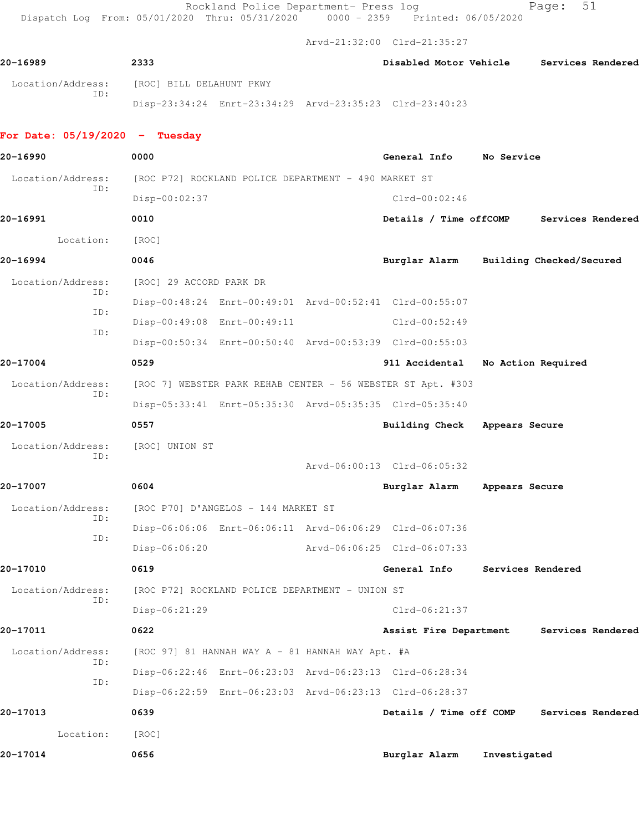Rockland Police Department- Press log entitled Page: 51 Dispatch Log From: 05/01/2020 Thru: 05/31/2020 0000 - 2359 Printed: 06/05/2020

Arvd-21:32:00 Clrd-21:35:27

| 20-16989                 | 2333                                                    | Disabled Motor Vehicle | Services Rendered |
|--------------------------|---------------------------------------------------------|------------------------|-------------------|
| Location/Address:<br>TD: | [ROC] BILL DELAHUNT PKWY                                |                        |                   |
|                          | Disp-23:34:24 Enrt-23:34:29 Arvd-23:35:23 Clrd-23:40:23 |                        |                   |

## **For Date: 05/19/2020 - Tuesday**

| 20-16990          | 0000                                                        | General Info                  | No Service                               |
|-------------------|-------------------------------------------------------------|-------------------------------|------------------------------------------|
| Location/Address: | [ROC P72] ROCKLAND POLICE DEPARTMENT - 490 MARKET ST        |                               |                                          |
| ID:               | Disp-00:02:37                                               | $Clrd-00:02:46$               |                                          |
| 20-16991          | 0010                                                        |                               | Details / Time offCOMP Services Rendered |
| Location:         | [ROC]                                                       |                               |                                          |
| 20-16994          | 0046                                                        |                               | Burglar Alarm Building Checked/Secured   |
| Location/Address: | [ROC] 29 ACCORD PARK DR                                     |                               |                                          |
| ID:               | Disp-00:48:24 Enrt-00:49:01 Arvd-00:52:41 Clrd-00:55:07     |                               |                                          |
| ID:               | Disp-00:49:08 Enrt-00:49:11                                 | $Clrd-00:52:49$               |                                          |
| ID:               | Disp-00:50:34 Enrt-00:50:40 Arvd-00:53:39 Clrd-00:55:03     |                               |                                          |
| 20-17004          | 0529                                                        |                               | 911 Accidental No Action Required        |
| Location/Address: | [ROC 7] WEBSTER PARK REHAB CENTER - 56 WEBSTER ST Apt. #303 |                               |                                          |
| ID:               | Disp-05:33:41 Enrt-05:35:30 Arvd-05:35:35 Clrd-05:35:40     |                               |                                          |
| 20-17005          | 0557                                                        | Building Check Appears Secure |                                          |
| Location/Address: | [ROC] UNION ST                                              |                               |                                          |
| ID:               |                                                             | Arvd-06:00:13 Clrd-06:05:32   |                                          |
| 20-17007          | 0604                                                        | Burglar Alarm                 | Appears Secure                           |
| Location/Address: | [ROC P70] D'ANGELOS - 144 MARKET ST                         |                               |                                          |
| ID:               | Disp-06:06:06 Enrt-06:06:11 Arvd-06:06:29 Clrd-06:07:36     |                               |                                          |
| ID:               | Disp-06:06:20                                               | Arvd-06:06:25 Clrd-06:07:33   |                                          |
| 20-17010          | 0619                                                        |                               | General Info Services Rendered           |
| Location/Address: | [ROC P72] ROCKLAND POLICE DEPARTMENT - UNION ST             |                               |                                          |
| ID:               | Disp-06:21:29                                               | $Clrd-06:21:37$               |                                          |
| 20-17011          | 0622                                                        | Assist Fire Department        | Services Rendered                        |
| Location/Address: | $[ROC 97] 81$ HANNAH WAY A - 81 HANNAH WAY Apt. #A          |                               |                                          |
| ID:               | Disp-06:22:46 Enrt-06:23:03 Arvd-06:23:13 Clrd-06:28:34     |                               |                                          |
| ID:               | Disp-06:22:59 Enrt-06:23:03 Arvd-06:23:13 Clrd-06:28:37     |                               |                                          |
| 20-17013          | 0639                                                        | Details / Time off COMP       | Services Rendered                        |
| Location:         | [ROC]                                                       |                               |                                          |
| 20-17014          | 0656                                                        | Burglar Alarm                 | Investigated                             |
|                   |                                                             |                               |                                          |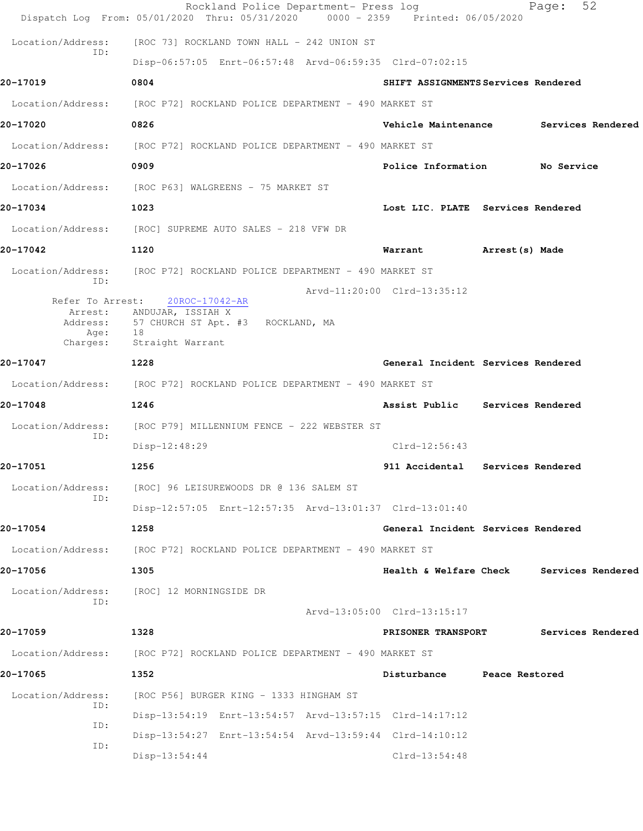|                                                  | Rockland Police Department- Press log<br>Dispatch Log From: 05/01/2020 Thru: 05/31/2020 0000 - 2359 Printed: 06/05/2020 |                                     |                          | 52<br>Page:       |  |
|--------------------------------------------------|-------------------------------------------------------------------------------------------------------------------------|-------------------------------------|--------------------------|-------------------|--|
| Location/Address:                                | [ROC 73] ROCKLAND TOWN HALL - 242 UNION ST                                                                              |                                     |                          |                   |  |
| ID:                                              | Disp-06:57:05 Enrt-06:57:48 Arvd-06:59:35 Clrd-07:02:15                                                                 |                                     |                          |                   |  |
| 20-17019                                         | 0804                                                                                                                    | SHIFT ASSIGNMENTS Services Rendered |                          |                   |  |
|                                                  | Location/Address: [ROC P72] ROCKLAND POLICE DEPARTMENT - 490 MARKET ST                                                  |                                     |                          |                   |  |
| 20-17020                                         | 0826                                                                                                                    | Vehicle Maintenance                 |                          | Services Rendered |  |
| Location/Address:                                | [ROC P72] ROCKLAND POLICE DEPARTMENT - 490 MARKET ST                                                                    |                                     |                          |                   |  |
| 20-17026                                         | 0909                                                                                                                    | Police Information                  |                          | No Service        |  |
|                                                  | Location/Address: [ROC P63] WALGREENS - 75 MARKET ST                                                                    |                                     |                          |                   |  |
| 20-17034                                         | 1023                                                                                                                    | Lost LIC. PLATE Services Rendered   |                          |                   |  |
|                                                  | Location/Address: [ROC] SUPREME AUTO SALES - 218 VFW DR                                                                 |                                     |                          |                   |  |
| 20-17042                                         | 1120                                                                                                                    | Warrant                             | Arrest(s) Made           |                   |  |
| Location/Address:<br>ID:                         | [ROC P72] ROCKLAND POLICE DEPARTMENT - 490 MARKET ST                                                                    |                                     |                          |                   |  |
| Refer To Arrest:<br>Address:<br>Age:<br>Charges: | $20$ ROC-17042-AR<br>Arrest: ANDUJAR, ISSIAH X<br>57 CHURCH ST Apt. #3 ROCKLAND, MA<br>18<br>Straight Warrant           | Arvd-11:20:00 Clrd-13:35:12         |                          |                   |  |
| 20-17047                                         | 1228                                                                                                                    | General Incident Services Rendered  |                          |                   |  |
|                                                  | Location/Address: [ROC P72] ROCKLAND POLICE DEPARTMENT - 490 MARKET ST                                                  |                                     |                          |                   |  |
| 20-17048                                         | 1246                                                                                                                    | Assist Public Services Rendered     |                          |                   |  |
| Location/Address:                                | [ROC P79] MILLENNIUM FENCE - 222 WEBSTER ST                                                                             |                                     |                          |                   |  |
| ID:                                              | Disp-12:48:29                                                                                                           | $Clrd-12:56:43$                     |                          |                   |  |
| 20-17051                                         | 1256                                                                                                                    | 911 Accidental                      | <b>Services Rendered</b> |                   |  |
| Location/Address:<br>ID:                         | [ROC] 96 LEISUREWOODS DR @ 136 SALEM ST                                                                                 |                                     |                          |                   |  |
|                                                  | Disp-12:57:05 Enrt-12:57:35 Arvd-13:01:37 Clrd-13:01:40                                                                 |                                     |                          |                   |  |
| 20-17054                                         | 1258                                                                                                                    | General Incident Services Rendered  |                          |                   |  |
|                                                  | Location/Address: [ROC P72] ROCKLAND POLICE DEPARTMENT - 490 MARKET ST                                                  |                                     |                          |                   |  |
| 20-17056                                         | 1305                                                                                                                    | Health & Welfare Check              |                          | Services Rendered |  |
| ID:                                              | Location/Address: [ROC] 12 MORNINGSIDE DR                                                                               | Arvd-13:05:00 Clrd-13:15:17         |                          |                   |  |
| 20-17059                                         | 1328                                                                                                                    | <b>PRISONER TRANSPORT</b>           |                          | Services Rendered |  |
|                                                  | Location/Address: [ROC P72] ROCKLAND POLICE DEPARTMENT - 490 MARKET ST                                                  |                                     |                          |                   |  |
| 20-17065                                         | 1352                                                                                                                    | Disturbance                         | Peace Restored           |                   |  |
| Location/Address:                                | [ROC P56] BURGER KING - 1333 HINGHAM ST                                                                                 |                                     |                          |                   |  |
| ID:<br>ID:                                       | Disp-13:54:19 Enrt-13:54:57 Arvd-13:57:15 Clrd-14:17:12                                                                 |                                     |                          |                   |  |
| ID:                                              | Disp-13:54:27 Enrt-13:54:54 Arvd-13:59:44 Clrd-14:10:12                                                                 |                                     |                          |                   |  |
|                                                  | $Disp-13:54:44$                                                                                                         | $Clrd-13:54:48$                     |                          |                   |  |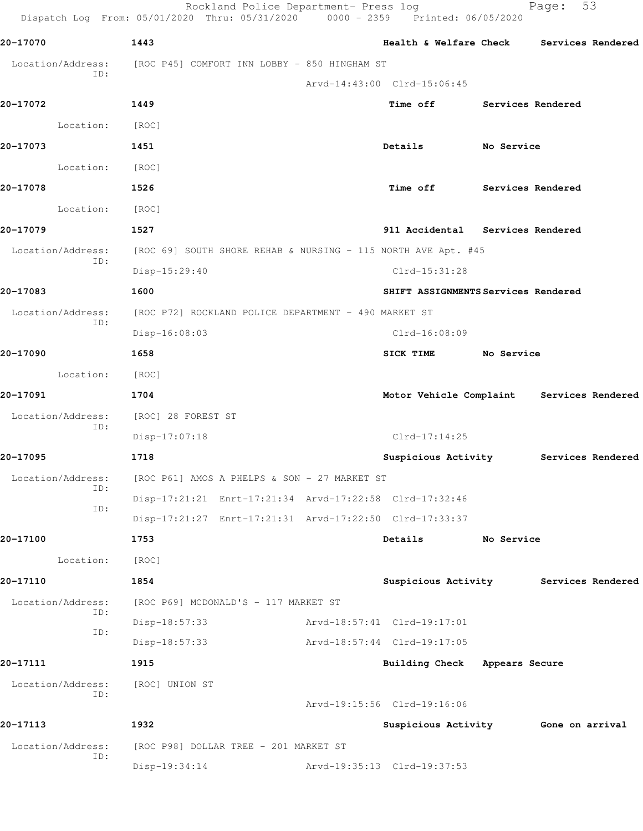Dispatch Log From: 05/01/2020 Thru: 05/31/2020 0000 - 2359 Printed: 06/05/2020 **20-17070 1443 Health & Welfare Check Services Rendered** Location/Address: [ROC P45] COMFORT INN LOBBY - 850 HINGHAM ST ID: Arvd-14:43:00 Clrd-15:06:45 **20-17072 1449 Time off Services Rendered** Location: [ROC] **20-17073 1451 Details No Service** Location: [ROC] **20-17078 1526 Time off Services Rendered** Location: [ROC] **20-17079 1527 911 Accidental Services Rendered** Location/Address: [ROC 69] SOUTH SHORE REHAB & NURSING - 115 NORTH AVE Apt. #45 ID: Disp-15:29:40 Clrd-15:31:28 **20-17083 1600 SHIFT ASSIGNMENTS Services Rendered** Location/Address: [ROC P72] ROCKLAND POLICE DEPARTMENT - 490 MARKET ST ID: Disp-16:08:03 Clrd-16:08:09 **20-17090 1658 SICK TIME No Service** Location: [ROC] **20-17091 1704 Motor Vehicle Complaint Services Rendered** Location/Address: [ROC] 28 FOREST ST ID: Disp-17:07:18 Clrd-17:14:25 **20-17095 1718 Suspicious Activity Services Rendered** Location/Address: [ROC P61] AMOS A PHELPS & SON - 27 MARKET ST ID: Disp-17:21:21 Enrt-17:21:34 Arvd-17:22:58 Clrd-17:32:46 ID: Disp-17:21:27 Enrt-17:21:31 Arvd-17:22:50 Clrd-17:33:37 **20-17100 1753 Details No Service** Location: [ROC] **20-17110 1854 Suspicious Activity Services Rendered** Location/Address: [ROC P69] MCDONALD'S - 117 MARKET ST ID: Disp-18:57:33 Arvd-18:57:41 Clrd-19:17:01 ID: Disp-18:57:33 Arvd-18:57:44 Clrd-19:17:05 **20-17111 1915 Building Check Appears Secure** Location/Address: [ROC] UNION ST ID: Arvd-19:15:56 Clrd-19:16:06 **20-17113 1932 Suspicious Activity Gone on arrival** Location/Address: [ROC P98] DOLLAR TREE - 201 MARKET ST ID: Disp-19:34:14 Arvd-19:35:13 Clrd-19:37:53

Rockland Police Department- Press log Fage: 53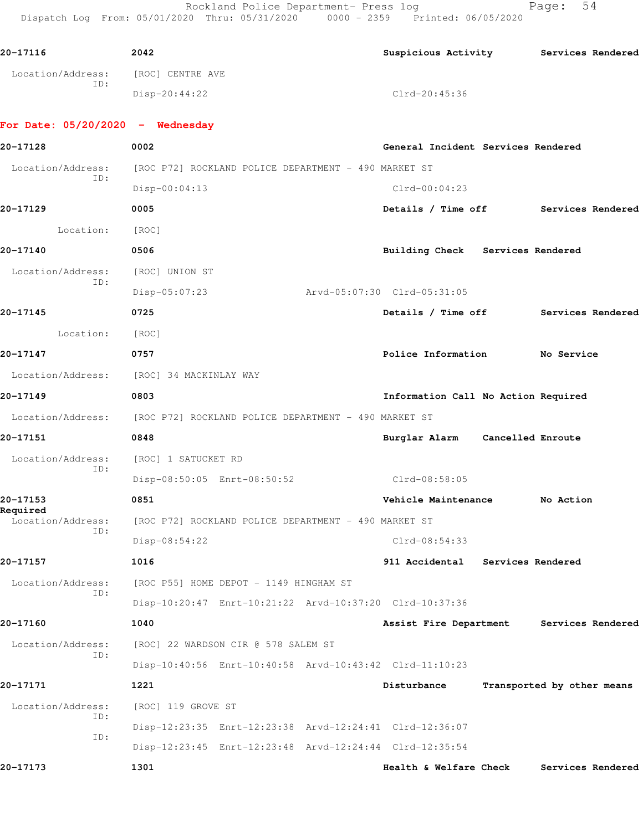Rockland Police Department- Press log entitled and Page: 54 Dispatch Log From: 05/01/2020 Thru: 05/31/2020 0000 - 2359 Printed: 06/05/2020

| 20-17116<br>Location/Address:<br>ID:<br>For Date: $05/20/2020 -$ Wednesday<br>20-17128<br>Location/Address:<br>ID:<br>20-17129<br>Location:<br>20-17140<br>Location/Address:<br>ID:<br>20-17145<br>Location: [ROC] | 2042<br>[ROC] CENTRE AVE<br>Disp-20:44:22<br>0002<br>[ROC P72] ROCKLAND POLICE DEPARTMENT - 490 MARKET ST<br>$Disp-00:04:13$<br>0005<br>[ROC]<br>0506<br>[ROC] UNION ST<br>Disp-05:07:23<br>0725 |                                                      | Suspicious Activity Services Rendered<br>Clrd-20:45:36<br>General Incident Services Rendered<br>$Clrd-00:04:23$<br>Details / Time off Services Rendered<br>Building Check Services Rendered |                            |  |
|--------------------------------------------------------------------------------------------------------------------------------------------------------------------------------------------------------------------|--------------------------------------------------------------------------------------------------------------------------------------------------------------------------------------------------|------------------------------------------------------|---------------------------------------------------------------------------------------------------------------------------------------------------------------------------------------------|----------------------------|--|
|                                                                                                                                                                                                                    |                                                                                                                                                                                                  |                                                      |                                                                                                                                                                                             |                            |  |
|                                                                                                                                                                                                                    |                                                                                                                                                                                                  |                                                      |                                                                                                                                                                                             |                            |  |
|                                                                                                                                                                                                                    |                                                                                                                                                                                                  |                                                      |                                                                                                                                                                                             |                            |  |
|                                                                                                                                                                                                                    |                                                                                                                                                                                                  |                                                      |                                                                                                                                                                                             |                            |  |
|                                                                                                                                                                                                                    |                                                                                                                                                                                                  |                                                      |                                                                                                                                                                                             |                            |  |
|                                                                                                                                                                                                                    |                                                                                                                                                                                                  |                                                      |                                                                                                                                                                                             |                            |  |
|                                                                                                                                                                                                                    |                                                                                                                                                                                                  |                                                      |                                                                                                                                                                                             |                            |  |
|                                                                                                                                                                                                                    |                                                                                                                                                                                                  |                                                      |                                                                                                                                                                                             |                            |  |
|                                                                                                                                                                                                                    |                                                                                                                                                                                                  |                                                      |                                                                                                                                                                                             |                            |  |
|                                                                                                                                                                                                                    |                                                                                                                                                                                                  |                                                      |                                                                                                                                                                                             |                            |  |
|                                                                                                                                                                                                                    |                                                                                                                                                                                                  |                                                      |                                                                                                                                                                                             |                            |  |
|                                                                                                                                                                                                                    |                                                                                                                                                                                                  |                                                      | Arvd-05:07:30 Clrd-05:31:05                                                                                                                                                                 |                            |  |
|                                                                                                                                                                                                                    |                                                                                                                                                                                                  |                                                      | Details / Time off Services Rendered                                                                                                                                                        |                            |  |
|                                                                                                                                                                                                                    |                                                                                                                                                                                                  |                                                      |                                                                                                                                                                                             |                            |  |
| 20-17147                                                                                                                                                                                                           | 0757                                                                                                                                                                                             |                                                      | Police Information No Service                                                                                                                                                               |                            |  |
| Location/Address: [ROC] 34 MACKINLAY WAY                                                                                                                                                                           |                                                                                                                                                                                                  |                                                      |                                                                                                                                                                                             |                            |  |
| 20-17149                                                                                                                                                                                                           | 0803                                                                                                                                                                                             |                                                      | Information Call No Action Required                                                                                                                                                         |                            |  |
| Location/Address: [ROC P72] ROCKLAND POLICE DEPARTMENT - 490 MARKET ST                                                                                                                                             |                                                                                                                                                                                                  |                                                      |                                                                                                                                                                                             |                            |  |
| 20-17151                                                                                                                                                                                                           | 0848                                                                                                                                                                                             |                                                      | Burglar Alarm Cancelled Enroute                                                                                                                                                             |                            |  |
| Location/Address:                                                                                                                                                                                                  | [ROC] 1 SATUCKET RD                                                                                                                                                                              |                                                      |                                                                                                                                                                                             |                            |  |
| ID:                                                                                                                                                                                                                |                                                                                                                                                                                                  | Disp-08:50:05 Enrt-08:50:52                          | $Clrd-08:58:05$                                                                                                                                                                             |                            |  |
| 20-17153                                                                                                                                                                                                           | 0851                                                                                                                                                                                             |                                                      | Vehicle Maintenance Mo Action                                                                                                                                                               |                            |  |
| Required<br>Location/Address:                                                                                                                                                                                      |                                                                                                                                                                                                  | [ROC P72] ROCKLAND POLICE DEPARTMENT - 490 MARKET ST |                                                                                                                                                                                             |                            |  |
| ID:                                                                                                                                                                                                                | Disp-08:54:22                                                                                                                                                                                    |                                                      | Clrd-08:54:33                                                                                                                                                                               |                            |  |
| 20-17157                                                                                                                                                                                                           | 1016                                                                                                                                                                                             |                                                      | 911 Accidental                                                                                                                                                                              | Services Rendered          |  |
| Location/Address:                                                                                                                                                                                                  |                                                                                                                                                                                                  | [ROC P55] HOME DEPOT - 1149 HINGHAM ST               |                                                                                                                                                                                             |                            |  |
| ID:                                                                                                                                                                                                                |                                                                                                                                                                                                  |                                                      | Disp-10:20:47 Enrt-10:21:22 Arvd-10:37:20 Clrd-10:37:36                                                                                                                                     |                            |  |
| 20-17160                                                                                                                                                                                                           | 1040                                                                                                                                                                                             |                                                      | Assist Fire Department                                                                                                                                                                      | Services Rendered          |  |
| Location/Address:                                                                                                                                                                                                  |                                                                                                                                                                                                  | [ROC] 22 WARDSON CIR @ 578 SALEM ST                  |                                                                                                                                                                                             |                            |  |
| ID:                                                                                                                                                                                                                |                                                                                                                                                                                                  |                                                      | Disp-10:40:56 Enrt-10:40:58 Arvd-10:43:42 Clrd-11:10:23                                                                                                                                     |                            |  |
| 20-17171                                                                                                                                                                                                           | 1221                                                                                                                                                                                             |                                                      | Disturbance                                                                                                                                                                                 | Transported by other means |  |
| Location/Address:                                                                                                                                                                                                  | [ROC] 119 GROVE ST                                                                                                                                                                               |                                                      |                                                                                                                                                                                             |                            |  |
| ID:                                                                                                                                                                                                                |                                                                                                                                                                                                  |                                                      | Disp-12:23:35 Enrt-12:23:38 Arvd-12:24:41 Clrd-12:36:07                                                                                                                                     |                            |  |
| ID:                                                                                                                                                                                                                |                                                                                                                                                                                                  |                                                      | Disp-12:23:45 Enrt-12:23:48 Arvd-12:24:44 Clrd-12:35:54                                                                                                                                     |                            |  |
| 20-17173                                                                                                                                                                                                           |                                                                                                                                                                                                  |                                                      |                                                                                                                                                                                             |                            |  |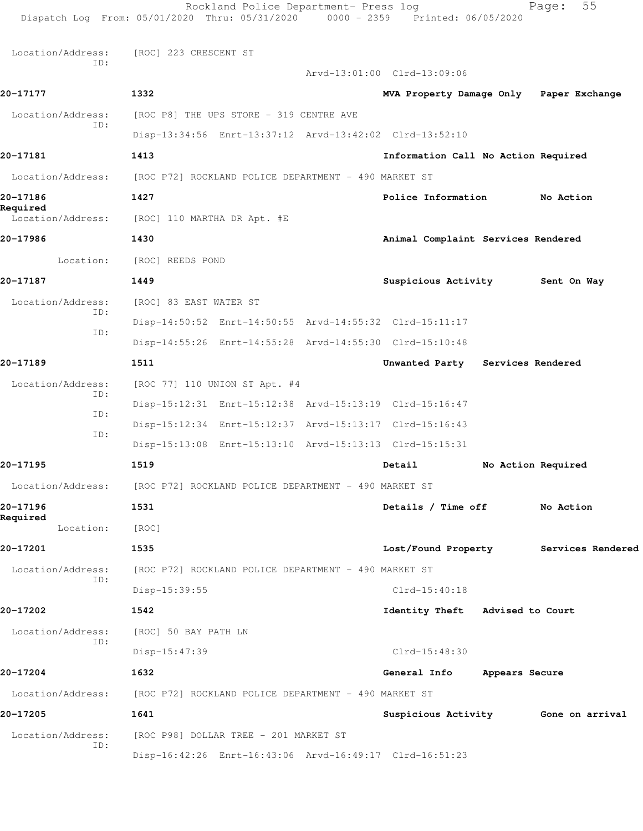|                               | Rockland Police Department- Press log<br>Dispatch Log From: 05/01/2020 Thru: 05/31/2020 0000 - 2359 Printed: 06/05/2020 |                                         | 55<br>Page:                           |
|-------------------------------|-------------------------------------------------------------------------------------------------------------------------|-----------------------------------------|---------------------------------------|
| Location/Address:             | [ROC] 223 CRESCENT ST                                                                                                   |                                         |                                       |
| ID:                           |                                                                                                                         | Arvd-13:01:00 Clrd-13:09:06             |                                       |
| 20-17177                      | 1332                                                                                                                    | MVA Property Damage Only Paper Exchange |                                       |
| Location/Address:             | [ROC P8] THE UPS STORE - 319 CENTRE AVE                                                                                 |                                         |                                       |
| ID:                           | Disp-13:34:56 Enrt-13:37:12 Arvd-13:42:02 Clrd-13:52:10                                                                 |                                         |                                       |
| 20-17181                      | 1413                                                                                                                    | Information Call No Action Required     |                                       |
| Location/Address:             | [ROC P72] ROCKLAND POLICE DEPARTMENT - 490 MARKET ST                                                                    |                                         |                                       |
| 20-17186                      | 1427                                                                                                                    | Police Information                      | No Action                             |
| Required<br>Location/Address: | [ROC] 110 MARTHA DR Apt. #E                                                                                             |                                         |                                       |
| 20-17986                      | 1430                                                                                                                    | Animal Complaint Services Rendered      |                                       |
| Location:                     | [ROC] REEDS POND                                                                                                        |                                         |                                       |
| 20-17187                      | 1449                                                                                                                    | Suspicious Activity                     | Sent On Way                           |
| Location/Address:<br>ID:      | [ROC] 83 EAST WATER ST                                                                                                  |                                         |                                       |
| ID:                           | Disp-14:50:52 Enrt-14:50:55 Arvd-14:55:32 Clrd-15:11:17                                                                 |                                         |                                       |
|                               | Disp-14:55:26 Enrt-14:55:28 Arvd-14:55:30 Clrd-15:10:48                                                                 |                                         |                                       |
| 20-17189                      | 1511                                                                                                                    | Unwanted Party Services Rendered        |                                       |
| Location/Address:<br>ID:      | [ROC 77] 110 UNION ST Apt. #4                                                                                           |                                         |                                       |
| ID:                           | Disp-15:12:31 Enrt-15:12:38 Arvd-15:13:19 Clrd-15:16:47                                                                 |                                         |                                       |
| ID:                           | Disp-15:12:34 Enrt-15:12:37 Arvd-15:13:17 Clrd-15:16:43                                                                 |                                         |                                       |
|                               | Disp-15:13:08 Enrt-15:13:10 Arvd-15:13:13 Clrd-15:15:31                                                                 |                                         |                                       |
| 20-17195                      | 1519                                                                                                                    | Detail                                  | No Action Required                    |
|                               | Location/Address: [ROC P72] ROCKLAND POLICE DEPARTMENT - 490 MARKET ST                                                  |                                         |                                       |
| 20-17196<br>Required          | 1531                                                                                                                    | Details / Time off                      | No Action                             |
| Location:                     | [ROC]                                                                                                                   |                                         |                                       |
| 20-17201                      | 1535                                                                                                                    |                                         | Lost/Found Property Services Rendered |
| Location/Address:<br>ID:      | [ROC P72] ROCKLAND POLICE DEPARTMENT - 490 MARKET ST                                                                    |                                         |                                       |
|                               | Disp-15:39:55                                                                                                           | $Clrd-15:40:18$                         |                                       |
| 20-17202                      | 1542                                                                                                                    | Identity Theft Advised to Court         |                                       |
| Location/Address:<br>ID:      | [ROC] 50 BAY PATH LN                                                                                                    |                                         |                                       |
|                               | Disp-15:47:39                                                                                                           | $Clrd-15:48:30$                         |                                       |
| 20-17204                      | 1632                                                                                                                    | General Info Appears Secure             |                                       |
|                               | Location/Address: [ROC P72] ROCKLAND POLICE DEPARTMENT - 490 MARKET ST                                                  |                                         |                                       |
| 20-17205                      | 1641                                                                                                                    |                                         | Suspicious Activity 6one on arrival   |
| Location/Address:<br>ID:      | [ROC P98] DOLLAR TREE - 201 MARKET ST                                                                                   |                                         |                                       |
|                               | Disp-16:42:26 Enrt-16:43:06 Arvd-16:49:17 Clrd-16:51:23                                                                 |                                         |                                       |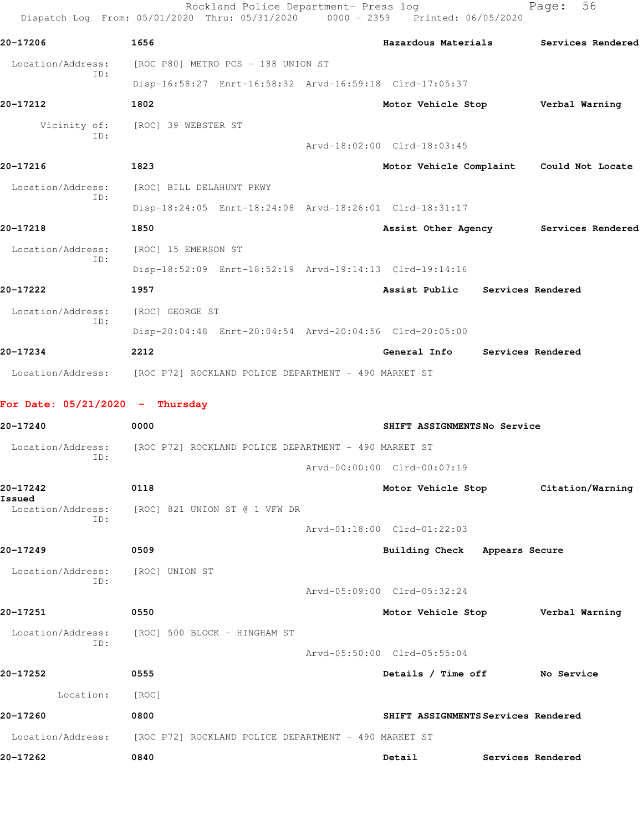|                                   | Rockland Police Department- Press log<br>Dispatch Log From: 05/01/2020 Thru: 05/31/2020 0000 - 2359 Printed: 06/05/2020 |                                          | 56<br>Page:       |  |
|-----------------------------------|-------------------------------------------------------------------------------------------------------------------------|------------------------------------------|-------------------|--|
| 20-17206                          | 1656                                                                                                                    | Hazardous Materials Services Rendered    |                   |  |
| Location/Address:                 | [ROC P80] METRO PCS - 188 UNION ST                                                                                      |                                          |                   |  |
| ID:                               | Disp-16:58:27 Enrt-16:58:32 Arvd-16:59:18 Clrd-17:05:37                                                                 |                                          |                   |  |
| 20-17212                          | 1802                                                                                                                    | Motor Vehicle Stop Verbal Warning        |                   |  |
| Vicinity of:<br>ID:               | [ROC] 39 WEBSTER ST                                                                                                     |                                          |                   |  |
|                                   |                                                                                                                         | Arvd-18:02:00 Clrd-18:03:45              |                   |  |
| 20-17216                          | 1823                                                                                                                    | Motor Vehicle Complaint Could Not Locate |                   |  |
| Location/Address:<br>ID:          | [ROC] BILL DELAHUNT PKWY                                                                                                |                                          |                   |  |
|                                   | Disp-18:24:05 Enrt-18:24:08 Arvd-18:26:01 Clrd-18:31:17                                                                 |                                          |                   |  |
| 20-17218                          | 1850                                                                                                                    | Assist Other Agency Services Rendered    |                   |  |
| Location/Address:<br>ID:          | [ROC] 15 EMERSON ST                                                                                                     |                                          |                   |  |
|                                   | Disp-18:52:09 Enrt-18:52:19 Arvd-19:14:13 Clrd-19:14:16                                                                 |                                          |                   |  |
| 20-17222                          | 1957                                                                                                                    | Assist Public Services Rendered          |                   |  |
| Location/Address:<br>ID:          | [ROC] GEORGE ST                                                                                                         |                                          |                   |  |
|                                   | Disp-20:04:48 Enrt-20:04:54 Arvd-20:04:56 Clrd-20:05:00                                                                 |                                          |                   |  |
| 20-17234                          | 2212                                                                                                                    | General Info Services Rendered           |                   |  |
| Location/Address:                 | [ROC P72] ROCKLAND POLICE DEPARTMENT - 490 MARKET ST                                                                    |                                          |                   |  |
| For Date: $05/21/2020 -$ Thursday |                                                                                                                         |                                          |                   |  |
| 20-17240                          | 0000                                                                                                                    | SHIFT ASSIGNMENTSNo Service              |                   |  |
| Location/Address:<br>ID:          | [ROC P72] ROCKLAND POLICE DEPARTMENT - 490 MARKET ST                                                                    |                                          |                   |  |
|                                   |                                                                                                                         | Arvd-00:00:00 Clrd-00:07:19              |                   |  |
| 20-17242<br>Issued                | 0118                                                                                                                    | Motor Vehicle Stop Citation/Warning      |                   |  |
| Location/Address:<br>ID:          | [ROC] 821 UNION ST @ 1 VFW DR                                                                                           |                                          |                   |  |
|                                   |                                                                                                                         | Arvd-01:18:00 Clrd-01:22:03              |                   |  |
| 20-17249                          | 0509                                                                                                                    | Building Check Appears Secure            |                   |  |
| Location/Address:<br>ID:          | [ROC] UNION ST                                                                                                          |                                          |                   |  |
|                                   |                                                                                                                         | Arvd-05:09:00 Clrd-05:32:24              |                   |  |
| 20-17251                          | 0550                                                                                                                    | Motor Vehicle Stop Verbal Warning        |                   |  |
| Location/Address:<br>ID:          | [ROC] 500 BLOCK – HINGHAM ST                                                                                            |                                          |                   |  |
|                                   |                                                                                                                         | Arvd-05:50:00 Clrd-05:55:04              |                   |  |
| 20-17252                          | 0555                                                                                                                    | Details / Time off                       | No Service        |  |
| Location:                         | [ROC]                                                                                                                   |                                          |                   |  |
| 20-17260                          | 0800                                                                                                                    | SHIFT ASSIGNMENTS Services Rendered      |                   |  |
| Location/Address:                 | [ROC P72] ROCKLAND POLICE DEPARTMENT - 490 MARKET ST                                                                    |                                          |                   |  |
| 20-17262                          | 0840                                                                                                                    | Detail                                   | Services Rendered |  |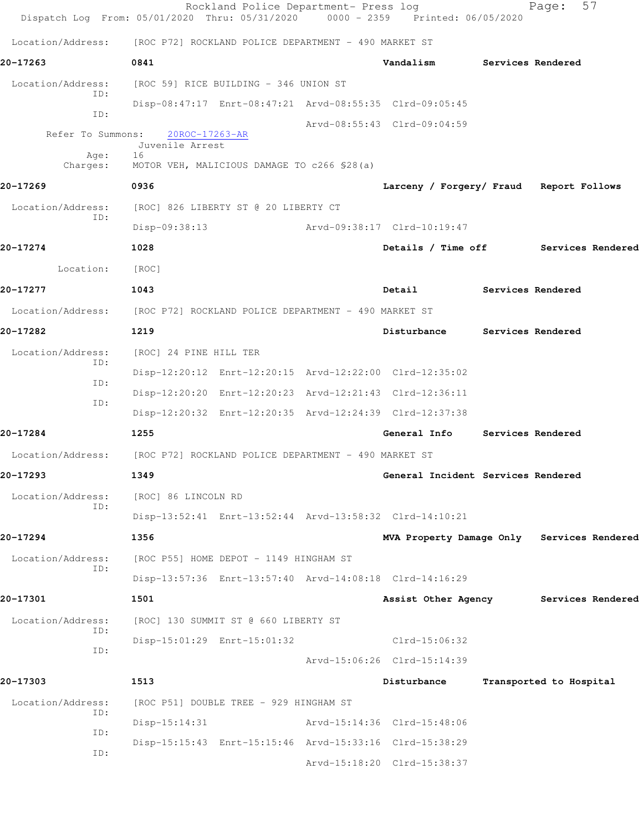|                          | Rockland Police Department- Press log<br>Dispatch Log From: 05/01/2020 Thru: 05/31/2020 0000 - 2359 Printed: 06/05/2020 |                             |                                            |                          | Page:                   | 57 |
|--------------------------|-------------------------------------------------------------------------------------------------------------------------|-----------------------------|--------------------------------------------|--------------------------|-------------------------|----|
|                          | Location/Address: [ROC P72] ROCKLAND POLICE DEPARTMENT - 490 MARKET ST                                                  |                             |                                            |                          |                         |    |
| 20-17263                 | 0841                                                                                                                    |                             | Vandalism                                  |                          | Services Rendered       |    |
| Location/Address:        | [ROC 59] RICE BUILDING - 346 UNION ST                                                                                   |                             |                                            |                          |                         |    |
| ID:                      | Disp-08:47:17 Enrt-08:47:21 Arvd-08:55:35 Clrd-09:05:45                                                                 |                             |                                            |                          |                         |    |
| ID:<br>Refer To Summons: | 20ROC-17263-AR                                                                                                          |                             | Arvd-08:55:43 Clrd-09:04:59                |                          |                         |    |
|                          | Juvenile Arrest                                                                                                         |                             |                                            |                          |                         |    |
| Age:<br>Charges:         | 16<br>MOTOR VEH, MALICIOUS DAMAGE TO c266 \$28(a)                                                                       |                             |                                            |                          |                         |    |
| 20-17269                 | 0936                                                                                                                    |                             | Larceny / Forgery/ Fraud Report Follows    |                          |                         |    |
| Location/Address:        | [ROC] 826 LIBERTY ST @ 20 LIBERTY CT                                                                                    |                             |                                            |                          |                         |    |
| ID:                      | Disp-09:38:13                                                                                                           | Arvd-09:38:17 Clrd-10:19:47 |                                            |                          |                         |    |
| 20-17274                 | 1028                                                                                                                    |                             | Details / Time off                         |                          | Services Rendered       |    |
| Location:                | [ROC]                                                                                                                   |                             |                                            |                          |                         |    |
| 20-17277                 | 1043                                                                                                                    |                             | Detail                                     |                          | Services Rendered       |    |
|                          | Location/Address: [ROC P72] ROCKLAND POLICE DEPARTMENT - 490 MARKET ST                                                  |                             |                                            |                          |                         |    |
| 20-17282                 | 1219                                                                                                                    |                             | Disturbance                                | <b>Services Rendered</b> |                         |    |
| Location/Address:        | [ROC] 24 PINE HILL TER                                                                                                  |                             |                                            |                          |                         |    |
| ID:                      | Disp-12:20:12 Enrt-12:20:15 Arvd-12:22:00 Clrd-12:35:02                                                                 |                             |                                            |                          |                         |    |
| ID:                      | Disp-12:20:20 Enrt-12:20:23 Arvd-12:21:43 Clrd-12:36:11                                                                 |                             |                                            |                          |                         |    |
| ID:                      | Disp-12:20:32 Enrt-12:20:35 Arvd-12:24:39 Clrd-12:37:38                                                                 |                             |                                            |                          |                         |    |
| 20-17284                 | 1255                                                                                                                    |                             | General Info                               |                          | Services Rendered       |    |
| Location/Address:        | [ROC P72] ROCKLAND POLICE DEPARTMENT - 490 MARKET ST                                                                    |                             |                                            |                          |                         |    |
| 20-17293                 | 1349                                                                                                                    |                             | General Incident Services Rendered         |                          |                         |    |
| Location/Address:        | [ROC] 86 LINCOLN RD                                                                                                     |                             |                                            |                          |                         |    |
| ID:                      | Disp-13:52:41 Enrt-13:52:44 Arvd-13:58:32 Clrd-14:10:21                                                                 |                             |                                            |                          |                         |    |
| 20-17294                 | 1356                                                                                                                    |                             | MVA Property Damage Only Services Rendered |                          |                         |    |
| Location/Address:        | [ROC P55] HOME DEPOT - 1149 HINGHAM ST                                                                                  |                             |                                            |                          |                         |    |
| ID:                      | Disp-13:57:36 Enrt-13:57:40 Arvd-14:08:18 Clrd-14:16:29                                                                 |                             |                                            |                          |                         |    |
| 20-17301                 | 1501                                                                                                                    |                             | Assist Other Agency Services Rendered      |                          |                         |    |
| Location/Address:        | [ROC] 130 SUMMIT ST @ 660 LIBERTY ST                                                                                    |                             |                                            |                          |                         |    |
| ID:<br>ID:               | Disp-15:01:29 Enrt-15:01:32                                                                                             |                             | Clrd-15:06:32                              |                          |                         |    |
|                          |                                                                                                                         |                             | Arvd-15:06:26 Clrd-15:14:39                |                          |                         |    |
| 20-17303                 | 1513                                                                                                                    |                             | Disturbance                                |                          | Transported to Hospital |    |
| Location/Address:        | [ROC P51] DOUBLE TREE - 929 HINGHAM ST                                                                                  |                             |                                            |                          |                         |    |
| ID:<br>ID:               | $Disp-15:14:31$                                                                                                         |                             | Arvd-15:14:36 Clrd-15:48:06                |                          |                         |    |
| ID:                      | Disp-15:15:43 Enrt-15:15:46 Arvd-15:33:16 Clrd-15:38:29                                                                 |                             |                                            |                          |                         |    |
|                          |                                                                                                                         |                             | Arvd-15:18:20 Clrd-15:38:37                |                          |                         |    |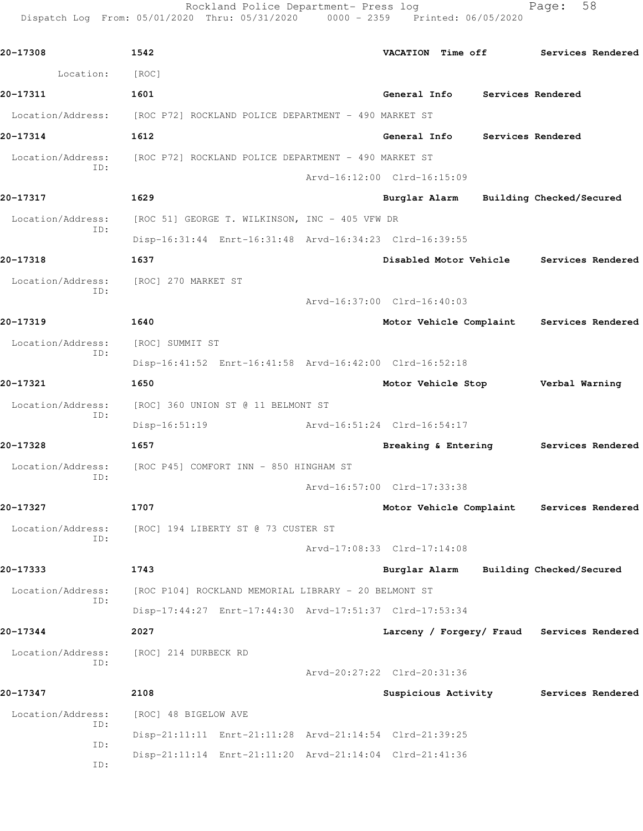Rockland Police Department- Press log Fage: 58 Dispatch Log From: 05/01/2020 Thru: 05/31/2020 0000 - 2359 Printed: 06/05/2020

**20-17308 1542 VACATION Time off Services Rendered** Location: [ROC] **20-17311 1601 General Info Services Rendered** Location/Address: [ROC P72] ROCKLAND POLICE DEPARTMENT - 490 MARKET ST **20-17314 1612 General Info Services Rendered** Location/Address: [ROC P72] ROCKLAND POLICE DEPARTMENT - 490 MARKET ST ID: Arvd-16:12:00 Clrd-16:15:09 **20-17317 1629 Burglar Alarm Building Checked/Secured** Location/Address: [ROC 51] GEORGE T. WILKINSON, INC - 405 VFW DR ID: Disp-16:31:44 Enrt-16:31:48 Arvd-16:34:23 Clrd-16:39:55 **20-17318 1637 Disabled Motor Vehicle Services Rendered** Location/Address: [ROC] 270 MARKET ST ID: Arvd-16:37:00 Clrd-16:40:03 **20-17319 1640 Motor Vehicle Complaint Services Rendered** Location/Address: [ROC] SUMMIT ST ID: Disp-16:41:52 Enrt-16:41:58 Arvd-16:42:00 Clrd-16:52:18 **20-17321 1650 Motor Vehicle Stop Verbal Warning** Location/Address: [ROC] 360 UNION ST @ 11 BELMONT ST ID: Disp-16:51:19 Arvd-16:51:24 Clrd-16:54:17 **20-17328 1657 Breaking & Entering Services Rendered** Location/Address: [ROC P45] COMFORT INN - 850 HINGHAM ST ID: Arvd-16:57:00 Clrd-17:33:38 **20-17327 1707 Motor Vehicle Complaint Services Rendered** Location/Address: [ROC] 194 LIBERTY ST @ 73 CUSTER ST ID: Arvd-17:08:33 Clrd-17:14:08 **20-17333 1743 Burglar Alarm Building Checked/Secured** Location/Address: [ROC P104] ROCKLAND MEMORIAL LIBRARY - 20 BELMONT ST ID: Disp-17:44:27 Enrt-17:44:30 Arvd-17:51:37 Clrd-17:53:34 **20-17344 2027 Larceny / Forgery/ Fraud Services Rendered** Location/Address: [ROC] 214 DURBECK RD ID: Arvd-20:27:22 Clrd-20:31:36 **20-17347 2108 Suspicious Activity Services Rendered** Location/Address: [ROC] 48 BIGELOW AVE ID: Disp-21:11:11 Enrt-21:11:28 Arvd-21:14:54 Clrd-21:39:25 ID: Disp-21:11:14 Enrt-21:11:20 Arvd-21:14:04 Clrd-21:41:36 ID: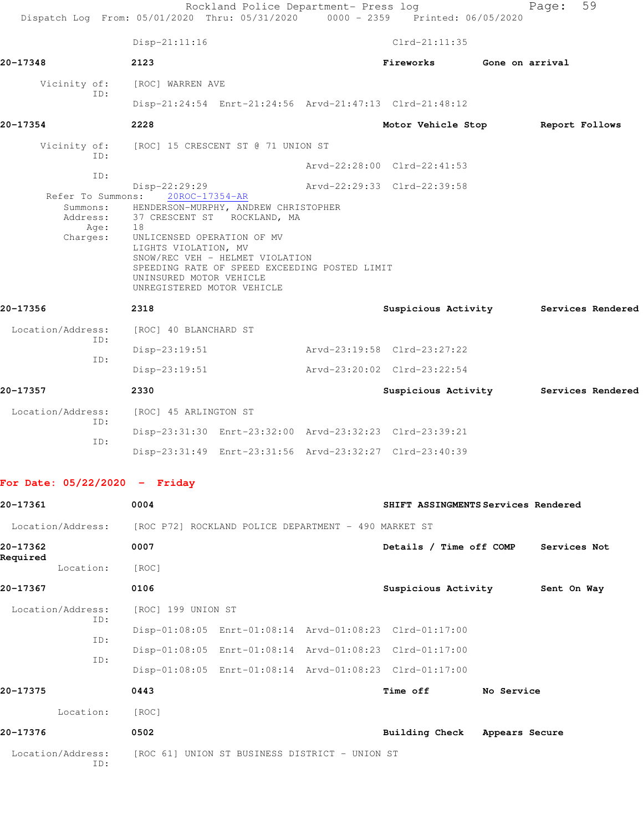|                                 | Rockland Police Department- Press log<br>Dispatch Log From: 05/01/2020 Thru: 05/31/2020                                                                                                                                                                                                                                   | 0000 - 2359 Printed: 06/05/2020       | Page: 59       |  |
|---------------------------------|---------------------------------------------------------------------------------------------------------------------------------------------------------------------------------------------------------------------------------------------------------------------------------------------------------------------------|---------------------------------------|----------------|--|
|                                 | Disp-21:11:16                                                                                                                                                                                                                                                                                                             | $Clrd-21:11:35$                       |                |  |
| 20-17348                        | 2123                                                                                                                                                                                                                                                                                                                      | Fireworks Gone on arrival             |                |  |
|                                 | Vicinity of: [ROC] WARREN AVE                                                                                                                                                                                                                                                                                             |                                       |                |  |
| ID:                             | Disp-21:24:54 Enrt-21:24:56 Arvd-21:47:13 Clrd-21:48:12                                                                                                                                                                                                                                                                   |                                       |                |  |
| 20-17354                        | 2228                                                                                                                                                                                                                                                                                                                      | Motor Vehicle Stop                    | Report Follows |  |
|                                 | Vicinity of: [ROC] 15 CRESCENT ST @ 71 UNION ST                                                                                                                                                                                                                                                                           |                                       |                |  |
| ID:                             |                                                                                                                                                                                                                                                                                                                           | Arvd-22:28:00 Clrd-22:41:53           |                |  |
| ID:                             | Disp-22:29:29                                                                                                                                                                                                                                                                                                             | Arvd-22:29:33 Clrd-22:39:58           |                |  |
| Address:<br>Age:<br>Charges:    | Refer To Summons: 20ROC-17354-AR<br>Summons: HENDERSON-MURPHY, ANDREW CHRISTOPHER<br>37 CRESCENT ST ROCKLAND, MA<br>18<br>UNLICENSED OPERATION OF MV<br>LIGHTS VIOLATION, MV<br>SNOW/REC VEH - HELMET VIOLATION<br>SPEEDING RATE OF SPEED EXCEEDING POSTED LIMIT<br>UNINSURED MOTOR VEHICLE<br>UNREGISTERED MOTOR VEHICLE |                                       |                |  |
| 20-17356                        | 2318                                                                                                                                                                                                                                                                                                                      | Suspicious Activity Services Rendered |                |  |
| Location/Address:               | [ROC] 40 BLANCHARD ST                                                                                                                                                                                                                                                                                                     |                                       |                |  |
| ID:                             | $Disp-23:19:51$                                                                                                                                                                                                                                                                                                           | Arvd-23:19:58 Clrd-23:27:22           |                |  |
| ID:                             | $Disp-23:19:51$                                                                                                                                                                                                                                                                                                           | Arvd-23:20:02 Clrd-23:22:54           |                |  |
| 20-17357                        | 2330                                                                                                                                                                                                                                                                                                                      | Suspicious Activity Services Rendered |                |  |
| Location/Address:               | [ROC] 45 ARLINGTON ST                                                                                                                                                                                                                                                                                                     |                                       |                |  |
| ID:                             | Disp-23:31:30 Enrt-23:32:00 Arvd-23:32:23 Clrd-23:39:21                                                                                                                                                                                                                                                                   |                                       |                |  |
| ID:                             | Disp-23:31:49 Enrt-23:31:56 Arvd-23:32:27 Clrd-23:40:39                                                                                                                                                                                                                                                                   |                                       |                |  |
| For Date: $05/22/2020 -$ Friday |                                                                                                                                                                                                                                                                                                                           |                                       |                |  |
| 20-17361                        | 0004                                                                                                                                                                                                                                                                                                                      | SHIFT ASSINGMENTS Services Rendered   |                |  |
|                                 | Location/Address: [ROC P72] ROCKLAND POLICE DEPARTMENT - 490 MARKET ST                                                                                                                                                                                                                                                    |                                       |                |  |
| 20-17362                        | 0007                                                                                                                                                                                                                                                                                                                      | Details / Time off COMP               | Services Not   |  |
| Required<br>Location:           | [ROC]                                                                                                                                                                                                                                                                                                                     |                                       |                |  |
| 20-17367                        | 0106                                                                                                                                                                                                                                                                                                                      | Suspicious Activity                   | Sent On Way    |  |
| Location/Address:               | [ROC] 199 UNION ST                                                                                                                                                                                                                                                                                                        |                                       |                |  |
| ID:                             | Disp-01:08:05 Enrt-01:08:14 Arvd-01:08:23 Clrd-01:17:00                                                                                                                                                                                                                                                                   |                                       |                |  |
| ID:                             | Disp-01:08:05 Enrt-01:08:14 Arvd-01:08:23 Clrd-01:17:00                                                                                                                                                                                                                                                                   |                                       |                |  |

 Disp-01:08:05 Enrt-01:08:14 Arvd-01:08:23 Clrd-01:17:00 **20-17375 0443 Time off No Service** Location: [ROC] **20-17376 0502 Building Check Appears Secure**

Location/Address: [ROC 61] UNION ST BUSINESS DISTRICT - UNION ST ID:

ID: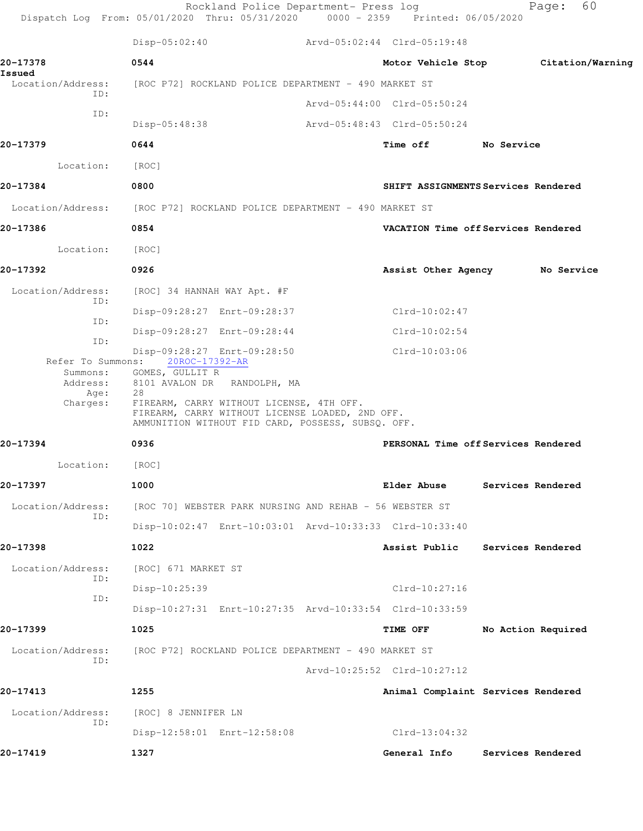|                                       | Rockland Police Department- Press log<br>Dispatch Log From: 05/01/2020 Thru: 05/31/2020 0000 - 2359 Printed: 06/05/2020                          |                             |                                     | 60<br>Page:                         |
|---------------------------------------|--------------------------------------------------------------------------------------------------------------------------------------------------|-----------------------------|-------------------------------------|-------------------------------------|
|                                       | $Disp-05:02:40$                                                                                                                                  | Arvd-05:02:44 Clrd-05:19:48 |                                     |                                     |
| 20-17378<br>Issued                    | 0544                                                                                                                                             |                             |                                     | Motor Vehicle Stop Citation/Warning |
| Location/Address:<br>ID:              | [ROC P72] ROCKLAND POLICE DEPARTMENT - 490 MARKET ST                                                                                             |                             |                                     |                                     |
| ID:                                   |                                                                                                                                                  | Arvd-05:44:00 Clrd-05:50:24 |                                     |                                     |
|                                       | Disp-05:48:38                                                                                                                                    | Arvd-05:48:43 Clrd-05:50:24 |                                     |                                     |
| 20-17379                              | 0644                                                                                                                                             |                             | Time off No Service                 |                                     |
| Location:                             | [ROC]                                                                                                                                            |                             |                                     |                                     |
| 20-17384                              | 0800                                                                                                                                             |                             | SHIFT ASSIGNMENTS Services Rendered |                                     |
|                                       | Location/Address: [ROC P72] ROCKLAND POLICE DEPARTMENT - 490 MARKET ST                                                                           |                             |                                     |                                     |
| 20-17386                              | 0854                                                                                                                                             |                             | VACATION Time off Services Rendered |                                     |
| Location:                             | [ROC]                                                                                                                                            |                             |                                     |                                     |
| 20-17392                              | 0926                                                                                                                                             |                             | Assist Other Agency No Service      |                                     |
| Location/Address:                     | [ROC] 34 HANNAH WAY Apt. #F                                                                                                                      |                             |                                     |                                     |
| ID:                                   | Disp-09:28:27 Enrt-09:28:37                                                                                                                      | Clrd-10:02:47               |                                     |                                     |
| ID:                                   | Disp-09:28:27 Enrt-09:28:44                                                                                                                      | $Clrd-10:02:54$             |                                     |                                     |
| ID:                                   | Disp-09:28:27 Enrt-09:28:50                                                                                                                      | $Clrd-10:03:06$             |                                     |                                     |
| Refer To Summons:<br>Summons:<br>Age: | 20ROC-17392-AR<br>GOMES, GULLIT R<br>Address: 8101 AVALON DR RANDOLPH, MA<br>28                                                                  |                             |                                     |                                     |
| Charges:                              | FIREARM, CARRY WITHOUT LICENSE, 4TH OFF.<br>FIREARM, CARRY WITHOUT LICENSE LOADED, 2ND OFF.<br>AMMUNITION WITHOUT FID CARD, POSSESS, SUBSQ. OFF. |                             |                                     |                                     |
| 20-17394                              | 0936                                                                                                                                             |                             | PERSONAL Time off Services Rendered |                                     |
| Location:                             | [ROC]                                                                                                                                            |                             |                                     |                                     |
| 20-17397                              | 1000                                                                                                                                             | Elder Abuse                 |                                     | Services Rendered                   |
| Location/Address:                     | [ROC 70] WEBSTER PARK NURSING AND REHAB - 56 WEBSTER ST                                                                                          |                             |                                     |                                     |
| ID:                                   | Disp-10:02:47 Enrt-10:03:01 Arvd-10:33:33 Clrd-10:33:40                                                                                          |                             |                                     |                                     |
| 20-17398                              | 1022                                                                                                                                             | Assist Public               |                                     | Services Rendered                   |
| Location/Address:                     | [ROC] 671 MARKET ST                                                                                                                              |                             |                                     |                                     |
| ID:                                   | Disp-10:25:39                                                                                                                                    | $Clrd-10:27:16$             |                                     |                                     |
| ID:                                   | Disp-10:27:31 Enrt-10:27:35 Arvd-10:33:54 Clrd-10:33:59                                                                                          |                             |                                     |                                     |
| 20-17399                              | 1025                                                                                                                                             | TIME OFF                    |                                     | No Action Required                  |
| Location/Address:                     | [ROC P72] ROCKLAND POLICE DEPARTMENT - 490 MARKET ST                                                                                             |                             |                                     |                                     |
| ID:                                   |                                                                                                                                                  | Arvd-10:25:52 Clrd-10:27:12 |                                     |                                     |
|                                       | 1255                                                                                                                                             |                             | Animal Complaint Services Rendered  |                                     |
| 20-17413                              |                                                                                                                                                  |                             |                                     |                                     |
| Location/Address:                     | [ROC] 8 JENNIFER LN                                                                                                                              |                             |                                     |                                     |
| ID:                                   | Disp-12:58:01 Enrt-12:58:08                                                                                                                      | $Clrd-13:04:32$             |                                     |                                     |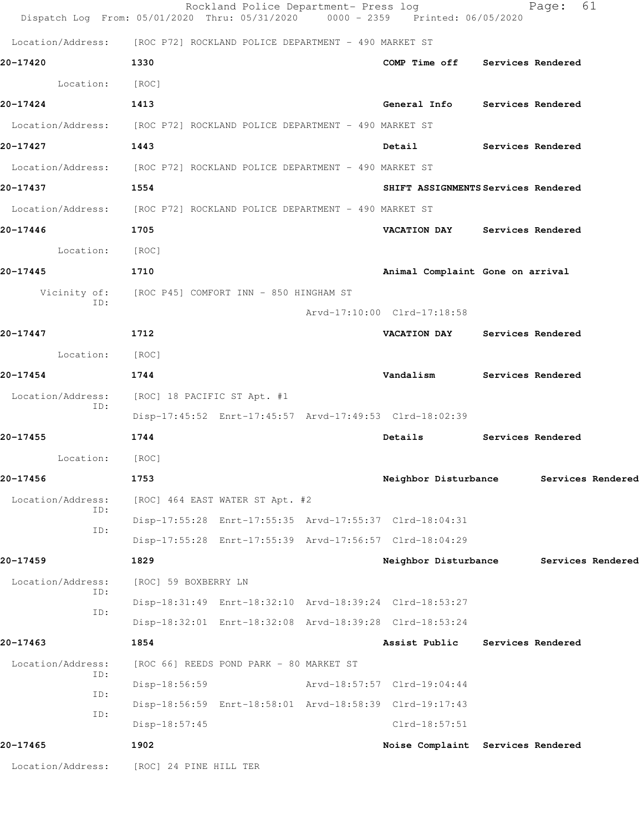|                          | Rockland Police Department- Press log<br>Dispatch Log From: 05/01/2020 Thru: 05/31/2020 0000 - 2359 Printed: 06/05/2020 |                                     |                   | Page:             | 61                |
|--------------------------|-------------------------------------------------------------------------------------------------------------------------|-------------------------------------|-------------------|-------------------|-------------------|
|                          | Location/Address: [ROC P72] ROCKLAND POLICE DEPARTMENT - 490 MARKET ST                                                  |                                     |                   |                   |                   |
| 20-17420                 | 1330                                                                                                                    | COMP Time off                       |                   | Services Rendered |                   |
| Location:                | [ROC]                                                                                                                   |                                     |                   |                   |                   |
| 20-17424                 | 1413                                                                                                                    | General Info Services Rendered      |                   |                   |                   |
|                          | Location/Address: [ROC P72] ROCKLAND POLICE DEPARTMENT - 490 MARKET ST                                                  |                                     |                   |                   |                   |
| 20-17427                 | 1443                                                                                                                    | Detail                              |                   | Services Rendered |                   |
|                          | Location/Address: [ROC P72] ROCKLAND POLICE DEPARTMENT - 490 MARKET ST                                                  |                                     |                   |                   |                   |
| 20-17437                 | 1554                                                                                                                    | SHIFT ASSIGNMENTS Services Rendered |                   |                   |                   |
|                          | Location/Address: [ROC P72] ROCKLAND POLICE DEPARTMENT - 490 MARKET ST                                                  |                                     |                   |                   |                   |
| 20-17446                 | 1705                                                                                                                    | VACATION DAY Services Rendered      |                   |                   |                   |
| Location:                | [ROC]                                                                                                                   |                                     |                   |                   |                   |
| 20-17445                 | 1710                                                                                                                    | Animal Complaint Gone on arrival    |                   |                   |                   |
|                          | Vicinity of: [ROC P45] COMFORT INN - 850 HINGHAM ST                                                                     |                                     |                   |                   |                   |
| ID:                      |                                                                                                                         | Arvd-17:10:00 Clrd-17:18:58         |                   |                   |                   |
| 20-17447                 | 1712                                                                                                                    | <b>VACATION DAY</b>                 |                   | Services Rendered |                   |
| Location:                | [ROC]                                                                                                                   |                                     |                   |                   |                   |
| 20-17454                 | 1744                                                                                                                    | Vandalism                           | Services Rendered |                   |                   |
| Location/Address:        | [ROC] 18 PACIFIC ST Apt. #1                                                                                             |                                     |                   |                   |                   |
| ID:                      | Disp-17:45:52 Enrt-17:45:57 Arvd-17:49:53 Clrd-18:02:39                                                                 |                                     |                   |                   |                   |
| 20-17455                 | 1744                                                                                                                    | Details                             |                   | Services Rendered |                   |
| Location:                | [ROC]                                                                                                                   |                                     |                   |                   |                   |
| 20-17456                 | 1753                                                                                                                    | Neighbor Disturbance                |                   |                   | Services Rendered |
| Location/Address:        | [ROC] 464 EAST WATER ST Apt. #2                                                                                         |                                     |                   |                   |                   |
| ID:<br>ID:               | Disp-17:55:28 Enrt-17:55:35 Arvd-17:55:37 Clrd-18:04:31                                                                 |                                     |                   |                   |                   |
|                          | Disp-17:55:28 Enrt-17:55:39 Arvd-17:56:57 Clrd-18:04:29                                                                 |                                     |                   |                   |                   |
| 20-17459                 | 1829                                                                                                                    | Neighbor Disturbance                |                   |                   | Services Rendered |
| Location/Address:<br>ID: | [ROC] 59 BOXBERRY LN                                                                                                    |                                     |                   |                   |                   |
| ID:                      | Disp-18:31:49 Enrt-18:32:10 Arvd-18:39:24 Clrd-18:53:27                                                                 |                                     |                   |                   |                   |
|                          | Disp-18:32:01 Enrt-18:32:08 Arvd-18:39:28 Clrd-18:53:24                                                                 |                                     |                   |                   |                   |
| 20-17463                 | 1854                                                                                                                    | Assist Public                       | Services Rendered |                   |                   |
| Location/Address:<br>ID: | [ROC 66] REEDS POND PARK - 80 MARKET ST                                                                                 |                                     |                   |                   |                   |
| ID:                      | Disp-18:56:59                                                                                                           | Arvd-18:57:57 Clrd-19:04:44         |                   |                   |                   |
| ID:                      | Disp-18:56:59 Enrt-18:58:01 Arvd-18:58:39 Clrd-19:17:43                                                                 |                                     |                   |                   |                   |
|                          | Disp-18:57:45                                                                                                           | Clrd-18:57:51                       |                   |                   |                   |
| 20-17465                 | 1902                                                                                                                    | Noise Complaint Services Rendered   |                   |                   |                   |
| Location/Address:        | [ROC] 24 PINE HILL TER                                                                                                  |                                     |                   |                   |                   |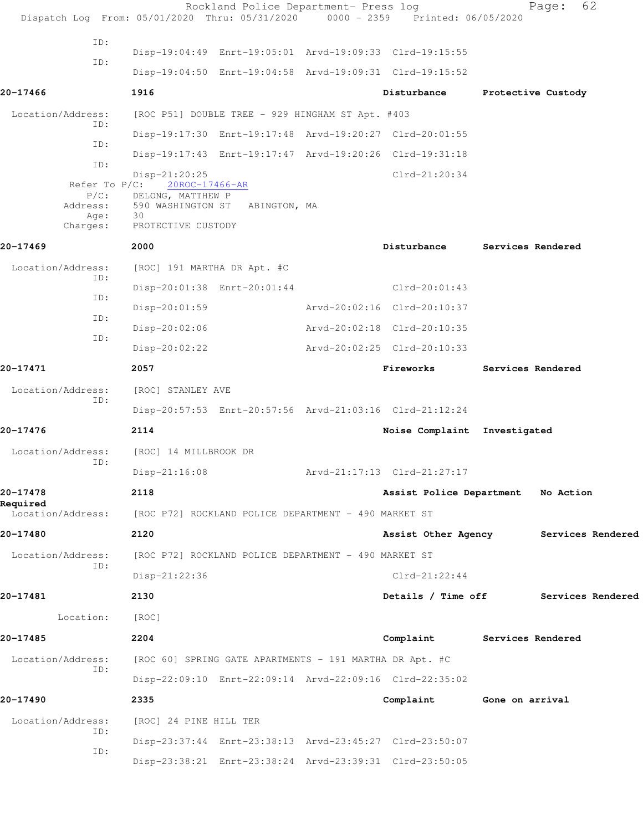|                                         | Rockland Police Department- Press log<br>Dispatch Log From: 05/01/2020 Thru: 05/31/2020 0000 - 2359 Printed: 06/05/2020 |                              |                    | 62<br>Page:       |
|-----------------------------------------|-------------------------------------------------------------------------------------------------------------------------|------------------------------|--------------------|-------------------|
|                                         |                                                                                                                         |                              |                    |                   |
| ID:<br>ID:                              | Disp-19:04:49 Enrt-19:05:01 Arvd-19:09:33 Clrd-19:15:55                                                                 |                              |                    |                   |
|                                         | Disp-19:04:50 Enrt-19:04:58 Arvd-19:09:31 Clrd-19:15:52                                                                 |                              |                    |                   |
| 20-17466                                | 1916                                                                                                                    | Disturbance                  | Protective Custody |                   |
| Location/Address:                       | [ROC P51] DOUBLE TREE - 929 HINGHAM ST Apt. #403                                                                        |                              |                    |                   |
| ID:<br>ID:                              | Disp-19:17:30 Enrt-19:17:48 Arvd-19:20:27 Clrd-20:01:55                                                                 |                              |                    |                   |
| ID:                                     | Disp-19:17:43 Enrt-19:17:47 Arvd-19:20:26 Clrd-19:31:18                                                                 |                              |                    |                   |
| Refer To $P/C$ :                        | Disp-21:20:25<br>20ROC-17466-AR                                                                                         | $Clrd-21:20:34$              |                    |                   |
| $P/C$ :<br>Address:<br>Age:<br>Charges: | DELONG, MATTHEW P<br>590 WASHINGTON ST ABINGTON, MA<br>30<br>PROTECTIVE CUSTODY                                         |                              |                    |                   |
| 20-17469                                | 2000                                                                                                                    | Disturbance                  | Services Rendered  |                   |
| Location/Address:                       | [ROC] 191 MARTHA DR Apt. #C                                                                                             |                              |                    |                   |
| ID:                                     | Disp-20:01:38 Enrt-20:01:44                                                                                             | $Clrd-20:01:43$              |                    |                   |
| ID:                                     | $Disp-20:01:59$                                                                                                         | Arvd-20:02:16 Clrd-20:10:37  |                    |                   |
| ID:<br>ID:                              | $Disp-20:02:06$                                                                                                         | Arvd-20:02:18 Clrd-20:10:35  |                    |                   |
|                                         | $Disp-20:02:22$                                                                                                         | Arvd-20:02:25 Clrd-20:10:33  |                    |                   |
| 20-17471                                | 2057                                                                                                                    | Fireworks                    | Services Rendered  |                   |
| Location/Address:<br>ID:                | [ROC] STANLEY AVE                                                                                                       |                              |                    |                   |
|                                         | Disp-20:57:53 Enrt-20:57:56 Arvd-21:03:16 Clrd-21:12:24                                                                 |                              |                    |                   |
| 20-17476                                | 2114                                                                                                                    | Noise Complaint Investigated |                    |                   |
| Location/Address:<br>ID:                | [ROC] 14 MILLBROOK DR                                                                                                   |                              |                    |                   |
|                                         | Disp-21:16:08                                                                                                           | Arvd-21:17:13 Clrd-21:27:17  |                    |                   |
| 20-17478<br>Required                    | 2118                                                                                                                    | Assist Police Department     |                    | No Action         |
|                                         | Location/Address: [ROC P72] ROCKLAND POLICE DEPARTMENT - 490 MARKET ST                                                  |                              |                    |                   |
| 20-17480                                | 2120                                                                                                                    | Assist Other Agency          |                    | Services Rendered |
| Location/Address:<br>ID:                | [ROC P72] ROCKLAND POLICE DEPARTMENT - 490 MARKET ST                                                                    |                              |                    |                   |
|                                         | Disp-21:22:36                                                                                                           | $Clrd-21:22:44$              |                    |                   |
| 20-17481                                | 2130                                                                                                                    | Details / Time off           |                    | Services Rendered |
| Location:                               | [ROC]                                                                                                                   |                              |                    |                   |
| 20-17485                                | 2204                                                                                                                    | Complaint                    | Services Rendered  |                   |
| Location/Address:<br>ID:                | [ROC 60] SPRING GATE APARTMENTS - 191 MARTHA DR Apt. #C                                                                 |                              |                    |                   |
|                                         | Disp-22:09:10 Enrt-22:09:14 Arvd-22:09:16 Clrd-22:35:02                                                                 |                              |                    |                   |
| 20-17490                                | 2335                                                                                                                    | Complaint                    | Gone on arrival    |                   |
| Location/Address:<br>ID:                | [ROC] 24 PINE HILL TER                                                                                                  |                              |                    |                   |
| ID:                                     | Disp-23:37:44 Enrt-23:38:13 Arvd-23:45:27 Clrd-23:50:07                                                                 |                              |                    |                   |
|                                         | Disp-23:38:21 Enrt-23:38:24 Arvd-23:39:31 Clrd-23:50:05                                                                 |                              |                    |                   |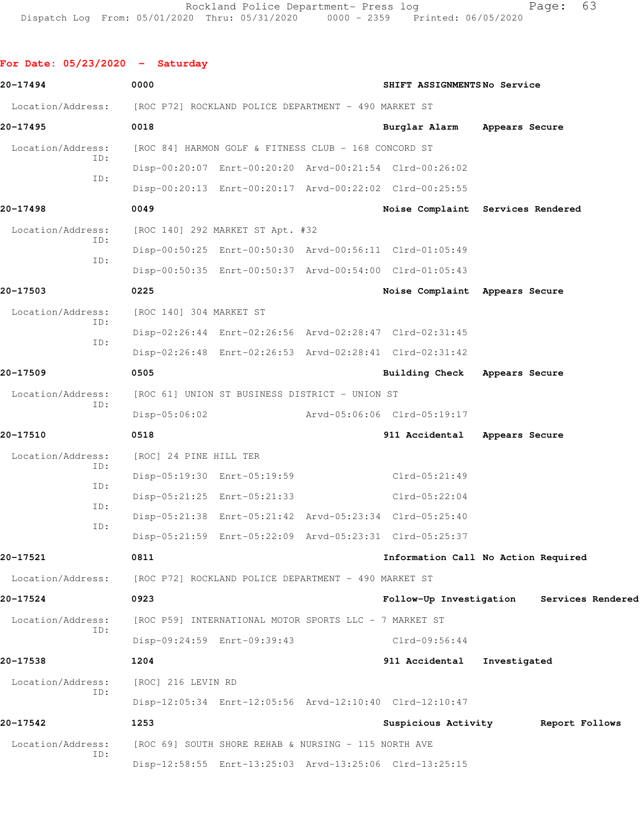```
For Date: 05/23/2020 - Saturday 
20-17494 0000 SHIFT ASSIGNMENTS No Service
 Location/Address: [ROC P72] ROCKLAND POLICE DEPARTMENT - 490 MARKET ST
20-17495 0018 Burglar Alarm Appears Secure
 Location/Address: [ROC 84] HARMON GOLF & FITNESS CLUB - 168 CONCORD ST
            ID: 
                  Disp-00:20:07 Enrt-00:20:20 Arvd-00:21:54 Clrd-00:26:02
            ID: 
                  Disp-00:20:13 Enrt-00:20:17 Arvd-00:22:02 Clrd-00:25:55
20-17498 0049 Noise Complaint Services Rendered
  Location/Address: [ROC 140] 292 MARKET ST Apt. #32
            ID: 
                  Disp-00:50:25 Enrt-00:50:30 Arvd-00:56:11 Clrd-01:05:49
            ID: 
                  Disp-00:50:35 Enrt-00:50:37 Arvd-00:54:00 Clrd-01:05:43
20-17503 0225 Noise Complaint Appears Secure
  Location/Address: [ROC 140] 304 MARKET ST
            ID: 
                  Disp-02:26:44 Enrt-02:26:56 Arvd-02:28:47 Clrd-02:31:45
            ID: 
                  Disp-02:26:48 Enrt-02:26:53 Arvd-02:28:41 Clrd-02:31:42
20-17509 0505 Building Check Appears Secure
  Location/Address: [ROC 61] UNION ST BUSINESS DISTRICT - UNION ST
            ID: 
                  Disp-05:06:02 Arvd-05:06:06 Clrd-05:19:17
20-17510 0518 911 Accidental Appears Secure
  Location/Address: [ROC] 24 PINE HILL TER
            ID: 
                  Disp-05:19:30 Enrt-05:19:59 Clrd-05:21:49
            ID: 
                  Disp-05:21:25 Enrt-05:21:33 Clrd-05:22:04
            ID: 
                  Disp-05:21:38 Enrt-05:21:42 Arvd-05:23:34 Clrd-05:25:40
            ID: 
                  Disp-05:21:59 Enrt-05:22:09 Arvd-05:23:31 Clrd-05:25:37
20-17521 0811 Information Call No Action Required
  Location/Address: [ROC P72] ROCKLAND POLICE DEPARTMENT - 490 MARKET ST
20-17524 0923 Follow-Up Investigation Services Rendered
 Location/Address: [ROC P59] INTERNATIONAL MOTOR SPORTS LLC - 7 MARKET ST
            ID: 
                  Disp-09:24:59 Enrt-09:39:43 Clrd-09:56:44
20-17538 1204 911 Accidental Investigated
  Location/Address: [ROC] 216 LEVIN RD
            ID: 
                  Disp-12:05:34 Enrt-12:05:56 Arvd-12:10:40 Clrd-12:10:47
20-17542 1253 Suspicious Activity Report Follows
 Location/Address: [ROC 69] SOUTH SHORE REHAB & NURSING - 115 NORTH AVE
            ID: 
                  Disp-12:58:55 Enrt-13:25:03 Arvd-13:25:06 Clrd-13:25:15
```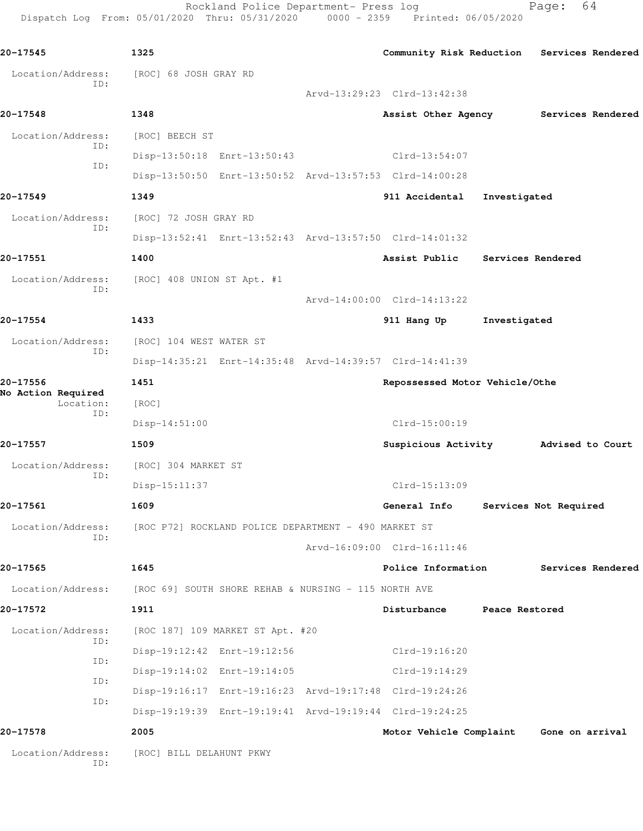Rockland Police Department- Press log Fage: 64 Dispatch Log From: 05/01/2020 Thru: 05/31/2020 0000 - 2359 Printed: 06/05/2020

```
20-17545 1325 Community Risk Reduction Services Rendered
  Location/Address: [ROC] 68 JOSH GRAY RD
           ID: 
                                     Arvd-13:29:23 Clrd-13:42:38
20-17548 1348 Assist Other Agency Services Rendered
 Location/Address: [ROC] BEECH ST
           ID: 
                Disp-13:50:18 Enrt-13:50:43 Clrd-13:54:07
           ID: 
                Disp-13:50:50 Enrt-13:50:52 Arvd-13:57:53 Clrd-14:00:28
20-17549 1349 911 Accidental Investigated
  Location/Address: [ROC] 72 JOSH GRAY RD
           ID: 
                Disp-13:52:41 Enrt-13:52:43 Arvd-13:57:50 Clrd-14:01:32
20-17551 1400 Assist Public Services Rendered
Location/Address: [ROC] 408 UNION ST Apt. #1
           ID: 
                                     Arvd-14:00:00 Clrd-14:13:22
20-17554 1433 911 Hang Up Investigated
  Location/Address: [ROC] 104 WEST WATER ST
           ID: 
                Disp-14:35:21 Enrt-14:35:48 Arvd-14:39:57 Clrd-14:41:39
20-17556 1451 Repossessed Motor Vehicle/Othe
No Action Required 
       Location: [ROC] 
           ID: 
                Disp-14:51:00 Clrd-15:00:19
20-17557 1509 Suspicious Activity Advised to Court
 Location/Address: [ROC] 304 MARKET ST
           ID: 
                Disp-15:11:37 Clrd-15:13:09
20-17561 1609 General Info Services Not Required
  Location/Address: [ROC P72] ROCKLAND POLICE DEPARTMENT - 490 MARKET ST
           ID: 
                                     Arvd-16:09:00 Clrd-16:11:46
20-17565 1645 Police Information Services Rendered
 Location/Address: [ROC 69] SOUTH SHORE REHAB & NURSING - 115 NORTH AVE
20-17572 1911 Disturbance Peace Restored
  Location/Address: [ROC 187] 109 MARKET ST Apt. #20
           ID: 
                Disp-19:12:42 Enrt-19:12:56 Clrd-19:16:20
           ID: 
                Disp-19:14:02 Enrt-19:14:05 Clrd-19:14:29
           ID: 
                Disp-19:16:17 Enrt-19:16:23 Arvd-19:17:48 Clrd-19:24:26
           ID: 
                Disp-19:19:39 Enrt-19:19:41 Arvd-19:19:44 Clrd-19:24:25
20-17578 2005 Motor Vehicle Complaint Gone on arrival
  Location/Address: [ROC] BILL DELAHUNT PKWY
           ID:
```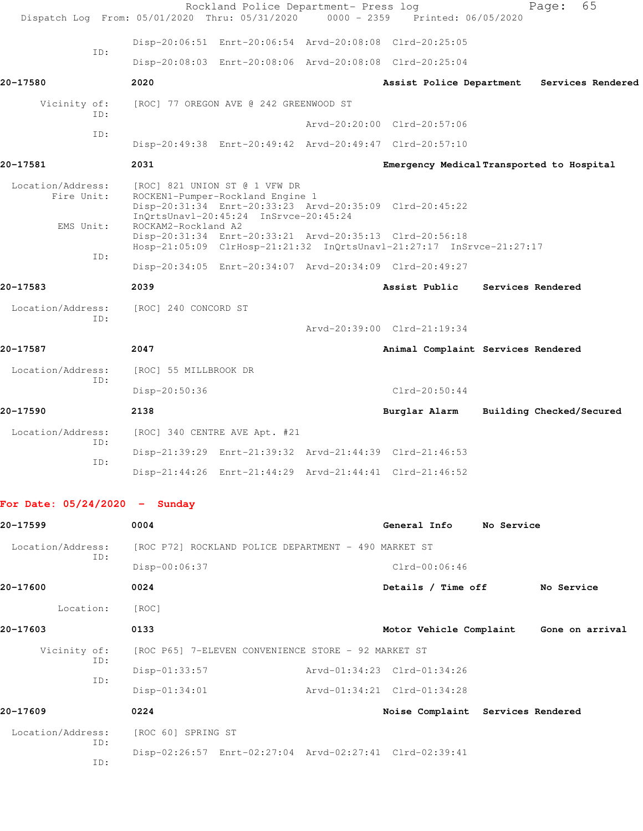|                                 | Rockland Police Department- Press log<br>Dispatch Log From: 05/01/2020 Thru: 05/31/2020                                                                               | $0000 - 2359$ | Printed: 06/05/2020                       |                   | 65<br>Page:              |  |
|---------------------------------|-----------------------------------------------------------------------------------------------------------------------------------------------------------------------|---------------|-------------------------------------------|-------------------|--------------------------|--|
|                                 | Disp-20:06:51 Enrt-20:06:54 Arvd-20:08:08 Clrd-20:25:05                                                                                                               |               |                                           |                   |                          |  |
| ID:                             | Disp-20:08:03 Enrt-20:08:06 Arvd-20:08:08 Clrd-20:25:04                                                                                                               |               |                                           |                   |                          |  |
| 20-17580                        | 2020                                                                                                                                                                  |               | Assist Police Department                  |                   | Services Rendered        |  |
|                                 |                                                                                                                                                                       |               |                                           |                   |                          |  |
| Vicinity of:<br>TD:             | [ROC] 77 OREGON AVE @ 242 GREENWOOD ST                                                                                                                                |               |                                           |                   |                          |  |
| ID:                             |                                                                                                                                                                       |               | Arvd-20:20:00 Clrd-20:57:06               |                   |                          |  |
|                                 | Disp-20:49:38 Enrt-20:49:42 Arvd-20:49:47 Clrd-20:57:10                                                                                                               |               |                                           |                   |                          |  |
| 20-17581                        | 2031                                                                                                                                                                  |               | Emergency Medical Transported to Hospital |                   |                          |  |
| Location/Address:<br>Fire Unit: | [ROC] 821 UNION ST @ 1 VFW DR<br>ROCKEN1-Pumper-Rockland Engine 1<br>Disp-20:31:34 Enrt-20:33:23 Arvd-20:35:09 Clrd-20:45:22<br>InOrtsUnavl-20:45:24 InSrvce-20:45:24 |               |                                           |                   |                          |  |
| EMS Unit:<br>ID:                | ROCKAM2-Rockland A2<br>Disp-20:31:34 Enrt-20:33:21 Arvd-20:35:13 Clrd-20:56:18<br>Hosp-21:05:09 ClrHosp-21:21:32 InQrtsUnavl-21:27:17 InSrvce-21:27:17                |               |                                           |                   |                          |  |
|                                 | Disp-20:34:05 Enrt-20:34:07 Arvd-20:34:09 Clrd-20:49:27                                                                                                               |               |                                           |                   |                          |  |
| 20-17583                        | 2039                                                                                                                                                                  |               | Assist Public                             | Services Rendered |                          |  |
| Location/Address:               | [ROC] 240 CONCORD ST                                                                                                                                                  |               |                                           |                   |                          |  |
| ID:                             |                                                                                                                                                                       |               | Arvd-20:39:00 Clrd-21:19:34               |                   |                          |  |
| 20-17587                        | 2047                                                                                                                                                                  |               | Animal Complaint Services Rendered        |                   |                          |  |
| Location/Address:               | [ROC] 55 MILLBROOK DR                                                                                                                                                 |               |                                           |                   |                          |  |
| ID:                             | $Disp-20:50:36$                                                                                                                                                       |               | $Clrd-20:50:44$                           |                   |                          |  |
| 20-17590                        | 2138                                                                                                                                                                  |               | Burglar Alarm                             |                   | Building Checked/Secured |  |
| Location/Address:               | [ROC] 340 CENTRE AVE Apt. #21                                                                                                                                         |               |                                           |                   |                          |  |
| ID:                             | Disp-21:39:29 Enrt-21:39:32 Arvd-21:44:39 Clrd-21:46:53                                                                                                               |               |                                           |                   |                          |  |
| ID:                             | Disp-21:44:26 Enrt-21:44:29 Arvd-21:44:41 Clrd-21:46:52                                                                                                               |               |                                           |                   |                          |  |
| For Date: $05/24/2020$ - Sunday |                                                                                                                                                                       |               |                                           |                   |                          |  |
|                                 |                                                                                                                                                                       |               |                                           |                   |                          |  |

| 20-17599          |            | 0004                                                    |  | General Info                      | No Service |                 |  |
|-------------------|------------|---------------------------------------------------------|--|-----------------------------------|------------|-----------------|--|
| Location/Address: |            | [ROC P72] ROCKLAND POLICE DEPARTMENT - 490 MARKET ST    |  |                                   |            |                 |  |
|                   | TD:        | Disp-00:06:37                                           |  | $Clrd-00:06:46$                   |            |                 |  |
| 20-17600          |            | 0024                                                    |  | Details / Time off                |            | No Service      |  |
| Location:         |            | [ROC]                                                   |  |                                   |            |                 |  |
| 20-17603          |            | 0133                                                    |  | Motor Vehicle Complaint           |            | Gone on arrival |  |
| Vicinity of:      |            | [ROC P65] 7-ELEVEN CONVENIENCE STORE - 92 MARKET ST     |  |                                   |            |                 |  |
|                   | ID:<br>ID: | Disp-01:33:57                                           |  | Arvd-01:34:23 Clrd-01:34:26       |            |                 |  |
|                   |            | $Disp-01:34:01$                                         |  | Arvd-01:34:21 Clrd-01:34:28       |            |                 |  |
| 20-17609          |            | 0224                                                    |  | Noise Complaint Services Rendered |            |                 |  |
| Location/Address: | ID:        | [ROC 60] SPRING ST                                      |  |                                   |            |                 |  |
|                   | ID:        | Disp-02:26:57 Enrt-02:27:04 Arvd-02:27:41 Clrd-02:39:41 |  |                                   |            |                 |  |
|                   |            |                                                         |  |                                   |            |                 |  |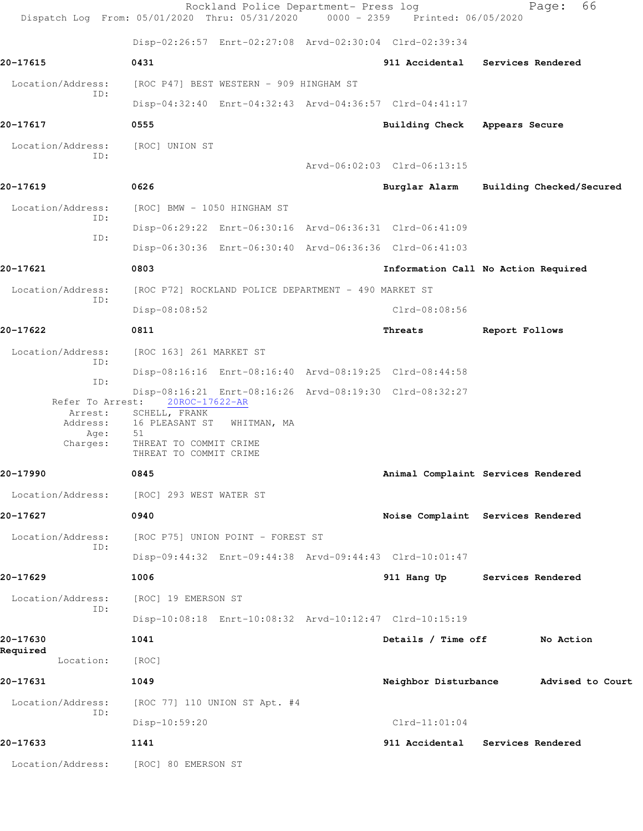| Dispatch Log From: 05/01/2020 Thru: 05/31/2020 0000 - 2359 Printed: 06/05/2020 |                                                                                                                         | Rockland Police Department- Press log                |                                                         |                   | 66<br>Page:              |  |
|--------------------------------------------------------------------------------|-------------------------------------------------------------------------------------------------------------------------|------------------------------------------------------|---------------------------------------------------------|-------------------|--------------------------|--|
|                                                                                |                                                                                                                         |                                                      | Disp-02:26:57 Enrt-02:27:08 Arvd-02:30:04 Clrd-02:39:34 |                   |                          |  |
| 20-17615                                                                       | 0431                                                                                                                    |                                                      | 911 Accidental Services Rendered                        |                   |                          |  |
| Location/Address:                                                              |                                                                                                                         | [ROC P47] BEST WESTERN - 909 HINGHAM ST              |                                                         |                   |                          |  |
| ID:                                                                            |                                                                                                                         |                                                      | Disp-04:32:40 Enrt-04:32:43 Arvd-04:36:57 Clrd-04:41:17 |                   |                          |  |
| 20-17617                                                                       | 0555                                                                                                                    |                                                      | Building Check Appears Secure                           |                   |                          |  |
| Location/Address:                                                              | [ROC] UNION ST                                                                                                          |                                                      |                                                         |                   |                          |  |
| ID:                                                                            |                                                                                                                         |                                                      | Arvd-06:02:03 Clrd-06:13:15                             |                   |                          |  |
| 20-17619                                                                       | 0626                                                                                                                    |                                                      | Burglar Alarm                                           |                   | Building Checked/Secured |  |
| Location/Address:                                                              | [ROC] BMW - 1050 HINGHAM ST                                                                                             |                                                      |                                                         |                   |                          |  |
| ID:                                                                            |                                                                                                                         |                                                      | Disp-06:29:22 Enrt-06:30:16 Arvd-06:36:31 Clrd-06:41:09 |                   |                          |  |
| ID:                                                                            |                                                                                                                         |                                                      | Disp-06:30:36 Enrt-06:30:40 Arvd-06:36:36 Clrd-06:41:03 |                   |                          |  |
| 20-17621                                                                       | 0803                                                                                                                    |                                                      | Information Call No Action Required                     |                   |                          |  |
| Location/Address:                                                              |                                                                                                                         | [ROC P72] ROCKLAND POLICE DEPARTMENT - 490 MARKET ST |                                                         |                   |                          |  |
| ID:                                                                            | Disp-08:08:52                                                                                                           |                                                      | Clrd-08:08:56                                           |                   |                          |  |
| 20-17622                                                                       | 0811                                                                                                                    |                                                      | Threats                                                 | Report Follows    |                          |  |
| Location/Address:                                                              | [ROC 163] 261 MARKET ST                                                                                                 |                                                      |                                                         |                   |                          |  |
| ID:<br>ID:                                                                     |                                                                                                                         |                                                      | Disp-08:16:16 Enrt-08:16:40 Arvd-08:19:25 Clrd-08:44:58 |                   |                          |  |
| Refer To Arrest:<br>Arrest:<br>Address:<br>Age:<br>Charges:                    | 20ROC-17622-AR<br>SCHELL, FRANK<br>16 PLEASANT ST WHITMAN, MA<br>51<br>THREAT TO COMMIT CRIME<br>THREAT TO COMMIT CRIME |                                                      | Disp-08:16:21 Enrt-08:16:26 Arvd-08:19:30 Clrd-08:32:27 |                   |                          |  |
| 20-17990                                                                       | 0845                                                                                                                    |                                                      | Animal Complaint Services Rendered                      |                   |                          |  |
| Location/Address:                                                              | [ROC] 293 WEST WATER ST                                                                                                 |                                                      |                                                         |                   |                          |  |
| 20-17627                                                                       | 0940                                                                                                                    |                                                      | Noise Complaint Services Rendered                       |                   |                          |  |
| Location/Address:                                                              |                                                                                                                         | [ROC P75] UNION POINT - FOREST ST                    |                                                         |                   |                          |  |
| ID:                                                                            |                                                                                                                         |                                                      | Disp-09:44:32 Enrt-09:44:38 Arvd-09:44:43 Clrd-10:01:47 |                   |                          |  |
| 20-17629                                                                       | 1006                                                                                                                    |                                                      | 911 Hang Up                                             | Services Rendered |                          |  |
| Location/Address:                                                              | [ROC] 19 EMERSON ST                                                                                                     |                                                      |                                                         |                   |                          |  |
| ID:                                                                            |                                                                                                                         |                                                      | Disp-10:08:18 Enrt-10:08:32 Arvd-10:12:47 Clrd-10:15:19 |                   |                          |  |
| 20-17630                                                                       | 1041                                                                                                                    |                                                      | Details / Time off                                      |                   | No Action                |  |
| Required<br>Location:                                                          | [ROC]                                                                                                                   |                                                      |                                                         |                   |                          |  |
| 20-17631                                                                       | 1049                                                                                                                    |                                                      | Neighbor Disturbance                                    |                   | Advised to Court         |  |
| Location/Address:                                                              | [ROC 77] 110 UNION ST Apt. #4                                                                                           |                                                      |                                                         |                   |                          |  |
| ID:                                                                            | Disp-10:59:20                                                                                                           |                                                      | $Clrd-11:01:04$                                         |                   |                          |  |
| 20-17633                                                                       | 1141                                                                                                                    |                                                      | 911 Accidental Services Rendered                        |                   |                          |  |
| Location/Address:                                                              | [ROC] 80 EMERSON ST                                                                                                     |                                                      |                                                         |                   |                          |  |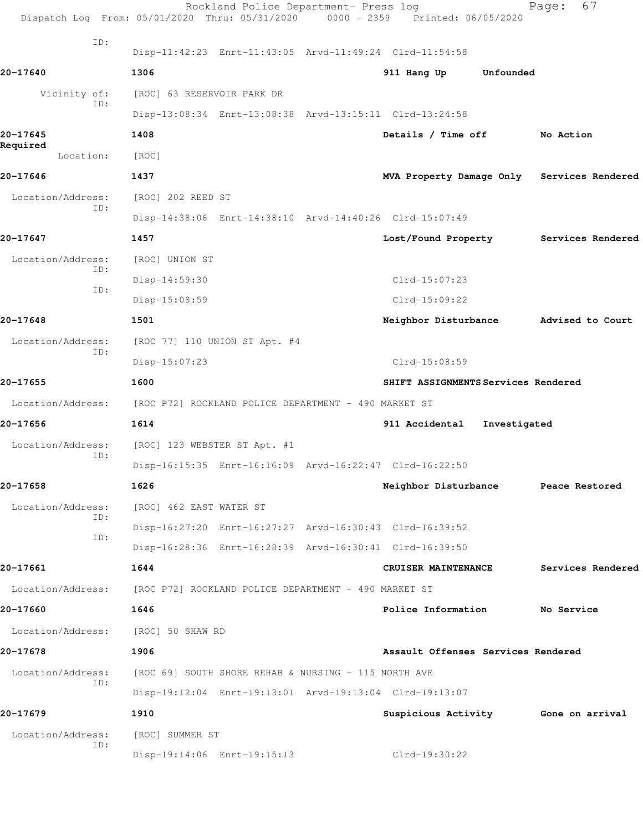|                       | Rockland Police Department- Press log<br>Dispatch Log From: 05/01/2020 Thru: 05/31/2020 0000 - 2359 Printed: 06/05/2020 |                                            | 67<br>Page:       |
|-----------------------|-------------------------------------------------------------------------------------------------------------------------|--------------------------------------------|-------------------|
| ID:                   | Disp-11:42:23 Enrt-11:43:05 Arvd-11:49:24 Clrd-11:54:58                                                                 |                                            |                   |
| 20-17640              | 1306                                                                                                                    | 911 Hang Up<br>Unfounded                   |                   |
| Vicinity of:          | [ROC] 63 RESERVOIR PARK DR                                                                                              |                                            |                   |
| ID:                   | Disp-13:08:34 Enrt-13:08:38 Arvd-13:15:11 Clrd-13:24:58                                                                 |                                            |                   |
| 20-17645              | 1408                                                                                                                    | Details / Time off                         | No Action         |
| Required<br>Location: | [ROC]                                                                                                                   |                                            |                   |
| 20-17646              | 1437                                                                                                                    | MVA Property Damage Only Services Rendered |                   |
| Location/Address:     | [ROC] 202 REED ST                                                                                                       |                                            |                   |
| ID:                   | Disp-14:38:06 Enrt-14:38:10 Arvd-14:40:26 Clrd-15:07:49                                                                 |                                            |                   |
| 20-17647              | 1457                                                                                                                    | Lost/Found Property                        | Services Rendered |
| Location/Address:     | [ROC] UNION ST                                                                                                          |                                            |                   |
| ID:                   | $Disp-14:59:30$                                                                                                         | $Clrd-15:07:23$                            |                   |
| ID:                   | Disp-15:08:59                                                                                                           | $Clrd-15:09:22$                            |                   |
| 20-17648              | 1501                                                                                                                    | Neighbor Disturbance                       | Advised to Court  |
| Location/Address:     | [ROC 77] 110 UNION ST Apt. #4                                                                                           |                                            |                   |
| ID:                   | Disp-15:07:23                                                                                                           | $Clrd-15:08:59$                            |                   |
| 20-17655              | 1600                                                                                                                    | SHIFT ASSIGNMENTS Services Rendered        |                   |
| Location/Address:     | [ROC P72] ROCKLAND POLICE DEPARTMENT - 490 MARKET ST                                                                    |                                            |                   |
| 20-17656              | 1614                                                                                                                    | Investigated<br>911 Accidental             |                   |
| Location/Address:     | [ROC] 123 WEBSTER ST Apt. #1                                                                                            |                                            |                   |
| ID:                   | Disp-16:15:35 Enrt-16:16:09 Arvd-16:22:47 Clrd-16:22:50                                                                 |                                            |                   |
| 20-17658              | 1626                                                                                                                    | Neighbor Disturbance Peace Restored        |                   |
| Location/Address:     | [ROC] 462 EAST WATER ST                                                                                                 |                                            |                   |
| ID:                   | Disp-16:27:20 Enrt-16:27:27 Arvd-16:30:43 Clrd-16:39:52                                                                 |                                            |                   |
| ID:                   | Disp-16:28:36 Enrt-16:28:39 Arvd-16:30:41 Clrd-16:39:50                                                                 |                                            |                   |
| 20-17661              | 1644                                                                                                                    | CRUISER MAINTENANCE                        | Services Rendered |
| Location/Address:     | [ROC P72] ROCKLAND POLICE DEPARTMENT - 490 MARKET ST                                                                    |                                            |                   |
| 20-17660              | 1646                                                                                                                    | Police Information                         | No Service        |
| Location/Address:     | [ROC] 50 SHAW RD                                                                                                        |                                            |                   |
| 20-17678              | 1906                                                                                                                    | Assault Offenses Services Rendered         |                   |
| Location/Address:     | [ROC 69] SOUTH SHORE REHAB & NURSING - 115 NORTH AVE                                                                    |                                            |                   |
| ID:                   | Disp-19:12:04 Enrt-19:13:01 Arvd-19:13:04 Clrd-19:13:07                                                                 |                                            |                   |
| 20-17679              | 1910                                                                                                                    | Suspicious Activity Gone on arrival        |                   |
| Location/Address:     | [ROC] SUMMER ST                                                                                                         |                                            |                   |
| ID:                   | Disp-19:14:06 Enrt-19:15:13                                                                                             | Clrd-19:30:22                              |                   |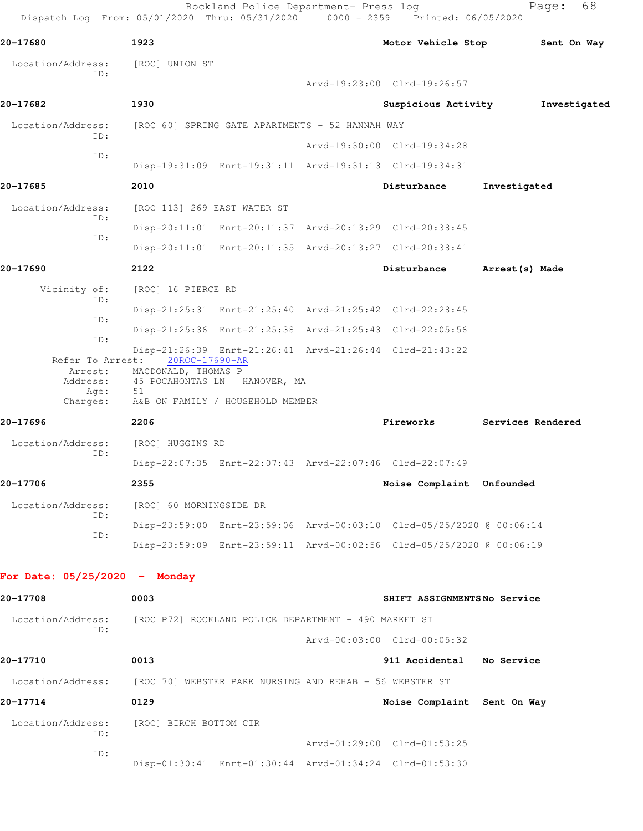Rockland Police Department- Press log entitled and Page: 68 Dispatch Log From: 05/01/2020 Thru: 05/31/2020 0000 - 2359 Printed: 06/05/2020

| 20-17680                                                                  | 1923                                                                        |  |  | Motor Vehicle Stop                                                   |                   | Sent On Way  |
|---------------------------------------------------------------------------|-----------------------------------------------------------------------------|--|--|----------------------------------------------------------------------|-------------------|--------------|
| Location/Address:<br>ID:                                                  | [ROC] UNION ST                                                              |  |  |                                                                      |                   |              |
|                                                                           |                                                                             |  |  | Arvd-19:23:00 Clrd-19:26:57                                          |                   |              |
| 20-17682                                                                  | 1930                                                                        |  |  | Suspicious Activity                                                  |                   | Investigated |
| Location/Address:<br>ID:                                                  | [ROC 60] SPRING GATE APARTMENTS - 52 HANNAH WAY                             |  |  |                                                                      |                   |              |
| ID:                                                                       |                                                                             |  |  | Arvd-19:30:00 Clrd-19:34:28                                          |                   |              |
|                                                                           |                                                                             |  |  | Disp-19:31:09 Enrt-19:31:11 Arvd-19:31:13 Clrd-19:34:31              |                   |              |
| 20-17685                                                                  | 2010                                                                        |  |  | Disturbance                                                          | Investigated      |              |
| Location/Address:                                                         | [ROC 113] 269 EAST WATER ST                                                 |  |  |                                                                      |                   |              |
| ID:                                                                       |                                                                             |  |  | Disp-20:11:01 Enrt-20:11:37 Arvd-20:13:29 Clrd-20:38:45              |                   |              |
| ID:                                                                       |                                                                             |  |  | Disp-20:11:01 Enrt-20:11:35 Arvd-20:13:27 Clrd-20:38:41              |                   |              |
| 20-17690                                                                  | 2122                                                                        |  |  | Disturbance                                                          | Arrest (s) Made   |              |
| Vicinity of:                                                              | [ROC] 16 PIERCE RD                                                          |  |  |                                                                      |                   |              |
| ID:                                                                       |                                                                             |  |  | Disp-21:25:31 Enrt-21:25:40 Arvd-21:25:42 Clrd-22:28:45              |                   |              |
| ID:                                                                       |                                                                             |  |  | Disp-21:25:36 Enrt-21:25:38 Arvd-21:25:43 Clrd-22:05:56              |                   |              |
| ID:<br>Refer To Arrest:<br>Arrest:<br>Address:<br>Age:                    | 20ROC-17690-AR<br>MACDONALD, THOMAS P<br>45 POCAHONTAS LN HANOVER, MA<br>51 |  |  | Disp-21:26:39 Enrt-21:26:41 Arvd-21:26:44 Clrd-21:43:22              |                   |              |
| Charges:                                                                  | A&B ON FAMILY / HOUSEHOLD MEMBER                                            |  |  |                                                                      |                   |              |
| 20-17696                                                                  | 2206                                                                        |  |  | Fireworks                                                            | Services Rendered |              |
| Location/Address:<br>ID:                                                  | [ROC] HUGGINS RD                                                            |  |  |                                                                      |                   |              |
|                                                                           |                                                                             |  |  | Disp-22:07:35 Enrt-22:07:43 Arvd-22:07:46 Clrd-22:07:49              |                   |              |
| 20-17706                                                                  | 2355                                                                        |  |  | Noise Complaint Unfounded                                            |                   |              |
| Location/Address:<br>ID:                                                  | [ROC] 60 MORNINGSIDE DR                                                     |  |  |                                                                      |                   |              |
| ID:                                                                       |                                                                             |  |  | Disp-23:59:00 Enrt-23:59:06 Arvd-00:03:10 Clrd-05/25/2020 @ 00:06:14 |                   |              |
|                                                                           |                                                                             |  |  | Disp-23:59:09 Enrt-23:59:11 Arvd-00:02:56 Clrd-05/25/2020 @ 00:06:19 |                   |              |
| For Date: $05/25/2020 -$ Monday                                           |                                                                             |  |  |                                                                      |                   |              |
| 20-17708                                                                  | 0003                                                                        |  |  | SHIFT ASSIGNMENTSNo Service                                          |                   |              |
|                                                                           | Location/Address: [ROC P72] ROCKLAND POLICE DEPARTMENT - 490 MARKET ST      |  |  |                                                                      |                   |              |
| ID:                                                                       |                                                                             |  |  | Arvd-00:03:00 Clrd-00:05:32                                          |                   |              |
| 20-17710                                                                  | 0013                                                                        |  |  | 911 Accidental No Service                                            |                   |              |
| Location/Address: [ROC 70] WEBSTER PARK NURSING AND REHAB - 56 WEBSTER ST |                                                                             |  |  |                                                                      |                   |              |
| 20-17714                                                                  | 0129                                                                        |  |  | Noise Complaint Sent On Way                                          |                   |              |
| Location/Address:                                                         | [ROC] BIRCH BOTTOM CIR                                                      |  |  |                                                                      |                   |              |
| ID:                                                                       |                                                                             |  |  | Arvd-01:29:00 Clrd-01:53:25                                          |                   |              |
| ID:                                                                       |                                                                             |  |  | Disp-01:30:41 Enrt-01:30:44 Arvd-01:34:24 Clrd-01:53:30              |                   |              |
|                                                                           |                                                                             |  |  |                                                                      |                   |              |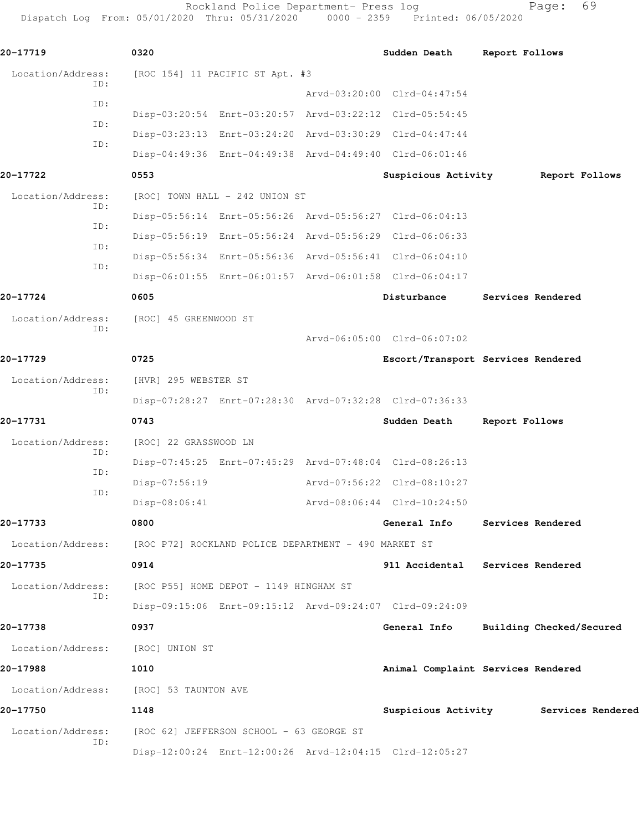Rockland Police Department- Press log entitled Page: 69

Dispatch Log From: 05/01/2020 Thru: 05/31/2020 0000 - 2359 Printed: 06/05/2020

| 20-17719          | 0320                                                    | Sudden Death                       | Report Follows    |                                       |
|-------------------|---------------------------------------------------------|------------------------------------|-------------------|---------------------------------------|
| Location/Address: | [ROC 154] 11 PACIFIC ST Apt. #3                         |                                    |                   |                                       |
| ID:               |                                                         | Arvd-03:20:00 Clrd-04:47:54        |                   |                                       |
| ID:               | Disp-03:20:54 Enrt-03:20:57 Arvd-03:22:12 Clrd-05:54:45 |                                    |                   |                                       |
| ID:               | Disp-03:23:13 Enrt-03:24:20 Arvd-03:30:29 Clrd-04:47:44 |                                    |                   |                                       |
| ID:               | Disp-04:49:36 Enrt-04:49:38 Arvd-04:49:40 Clrd-06:01:46 |                                    |                   |                                       |
| 20-17722          | 0553                                                    | Suspicious Activity                |                   | Report Follows                        |
| Location/Address: | [ROC] TOWN HALL - 242 UNION ST                          |                                    |                   |                                       |
| ID:               | Disp-05:56:14 Enrt-05:56:26 Arvd-05:56:27 Clrd-06:04:13 |                                    |                   |                                       |
| ID:               | Disp-05:56:19 Enrt-05:56:24 Arvd-05:56:29 Clrd-06:06:33 |                                    |                   |                                       |
| ID:               | Disp-05:56:34 Enrt-05:56:36 Arvd-05:56:41 Clrd-06:04:10 |                                    |                   |                                       |
| ID:               | Disp-06:01:55 Enrt-06:01:57 Arvd-06:01:58 Clrd-06:04:17 |                                    |                   |                                       |
| 20-17724          | 0605                                                    | Disturbance                        |                   | Services Rendered                     |
| Location/Address: | [ROC] 45 GREENWOOD ST                                   |                                    |                   |                                       |
| ID:               |                                                         | Arvd-06:05:00 Clrd-06:07:02        |                   |                                       |
| 20-17729          | 0725                                                    | Escort/Transport Services Rendered |                   |                                       |
| Location/Address: | [HVR] 295 WEBSTER ST                                    |                                    |                   |                                       |
| ID:               | Disp-07:28:27 Enrt-07:28:30 Arvd-07:32:28 Clrd-07:36:33 |                                    |                   |                                       |
| 20-17731          | 0743                                                    | Sudden Death                       | Report Follows    |                                       |
| Location/Address: | [ROC] 22 GRASSWOOD LN                                   |                                    |                   |                                       |
| ID:               | Disp-07:45:25 Enrt-07:45:29 Arvd-07:48:04 Clrd-08:26:13 |                                    |                   |                                       |
| ID:               | Disp-07:56:19                                           | Arvd-07:56:22 Clrd-08:10:27        |                   |                                       |
| ID:               | Disp-08:06:41                                           | Arvd-08:06:44 Clrd-10:24:50        |                   |                                       |
| 20-17733          | 0800                                                    | General Info                       | Services Rendered |                                       |
| Location/Address: | [ROC P72] ROCKLAND POLICE DEPARTMENT - 490 MARKET ST    |                                    |                   |                                       |
| 20-17735          | 0914                                                    | 911 Accidental                     | Services Rendered |                                       |
| Location/Address: | [ROC P55] HOME DEPOT - 1149 HINGHAM ST                  |                                    |                   |                                       |
| ID:               | Disp-09:15:06 Enrt-09:15:12 Arvd-09:24:07 Clrd-09:24:09 |                                    |                   |                                       |
| 20-17738          | 0937                                                    | General Info                       |                   | Building Checked/Secured              |
| Location/Address: | [ROC] UNION ST                                          |                                    |                   |                                       |
| 20-17988          | 1010                                                    | Animal Complaint Services Rendered |                   |                                       |
| Location/Address: | [ROC] 53 TAUNTON AVE                                    |                                    |                   |                                       |
| 20-17750          | 1148                                                    |                                    |                   | Suspicious Activity Services Rendered |
| Location/Address: | [ROC 62] JEFFERSON SCHOOL - 63 GEORGE ST                |                                    |                   |                                       |
| ID:               | Disp-12:00:24 Enrt-12:00:26 Arvd-12:04:15 Clrd-12:05:27 |                                    |                   |                                       |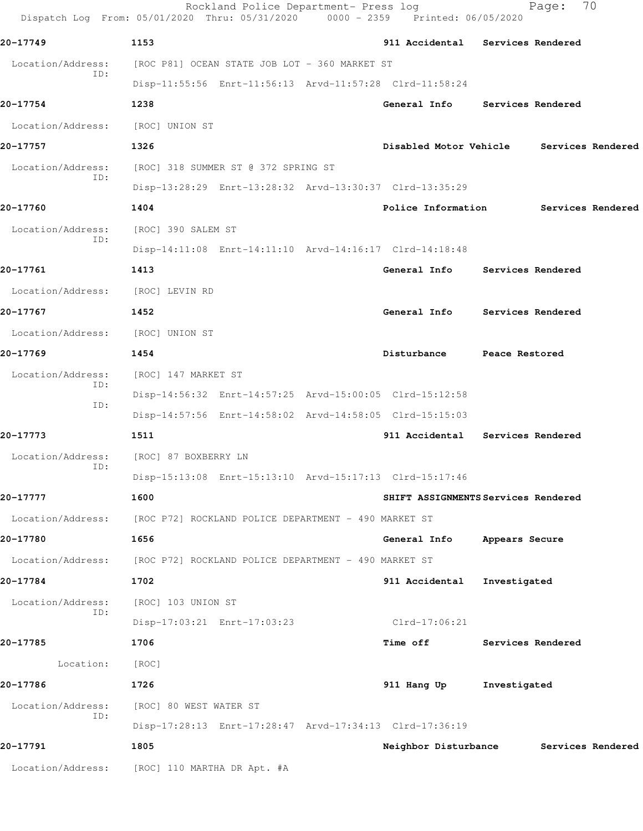|                                  | Rockland Police Department- Press log<br>Dispatch Log From: 05/01/2020 Thru: 05/31/2020 0000 - 2359 Printed: 06/05/2020 |                        | 70<br>Page:                         |
|----------------------------------|-------------------------------------------------------------------------------------------------------------------------|------------------------|-------------------------------------|
| 20-17749                         | 1153                                                                                                                    |                        | 911 Accidental Services Rendered    |
| Location/Address:                | [ROC P81] OCEAN STATE JOB LOT - 360 MARKET ST                                                                           |                        |                                     |
| ID:                              | Disp-11:55:56 Enrt-11:56:13 Arvd-11:57:28 Clrd-11:58:24                                                                 |                        |                                     |
| 20-17754                         | 1238                                                                                                                    |                        | General Info Services Rendered      |
| Location/Address:                | [ROC] UNION ST                                                                                                          |                        |                                     |
| 20-17757                         | 1326                                                                                                                    | Disabled Motor Vehicle | Services Rendered                   |
| Location/Address:                | [ROC] 318 SUMMER ST @ 372 SPRING ST                                                                                     |                        |                                     |
| ID:                              | Disp-13:28:29 Enrt-13:28:32 Arvd-13:30:37 Clrd-13:35:29                                                                 |                        |                                     |
| 20-17760                         | 1404                                                                                                                    | Police Information     | Services Rendered                   |
| Location/Address:                | [ROC] 390 SALEM ST                                                                                                      |                        |                                     |
| ID:                              | Disp-14:11:08 Enrt-14:11:10 Arvd-14:16:17 Clrd-14:18:48                                                                 |                        |                                     |
| 20-17761                         | 1413                                                                                                                    |                        | General Info Services Rendered      |
| Location/Address:                | [ROC] LEVIN RD                                                                                                          |                        |                                     |
| 20-17767                         | 1452                                                                                                                    | General Info           | Services Rendered                   |
| Location/Address: [ROC] UNION ST |                                                                                                                         |                        |                                     |
| 20-17769                         | 1454                                                                                                                    | Disturbance            | Peace Restored                      |
| Location/Address:<br>ID:         | [ROC] 147 MARKET ST                                                                                                     |                        |                                     |
| ID:                              | Disp-14:56:32 Enrt-14:57:25 Arvd-15:00:05 Clrd-15:12:58                                                                 |                        |                                     |
|                                  | Disp-14:57:56 Enrt-14:58:02 Arvd-14:58:05 Clrd-15:15:03                                                                 |                        |                                     |
| 20-17773                         | 1511                                                                                                                    |                        | 911 Accidental Services Rendered    |
| Location/Address:<br>ID:         | [ROC] 87 BOXBERRY LN                                                                                                    |                        |                                     |
|                                  | Disp-15:13:08 Enrt-15:13:10 Arvd-15:17:13 Clrd-15:17:46                                                                 |                        |                                     |
| 20-17777                         | 1600                                                                                                                    |                        | SHIFT ASSIGNMENTS Services Rendered |
| Location/Address:                | [ROC P72] ROCKLAND POLICE DEPARTMENT - 490 MARKET ST                                                                    |                        |                                     |
| 20-17780                         | 1656                                                                                                                    | General Info           | Appears Secure                      |
| Location/Address:                | [ROC P72] ROCKLAND POLICE DEPARTMENT - 490 MARKET ST                                                                    |                        |                                     |
| 20-17784                         | 1702                                                                                                                    | 911 Accidental         | Investigated                        |
| Location/Address:<br>ID:         | [ROC] 103 UNION ST                                                                                                      |                        |                                     |
|                                  | Disp-17:03:21 Enrt-17:03:23                                                                                             | Clrd-17:06:21          |                                     |
| 20-17785                         | 1706                                                                                                                    | <b>Time off</b>        | Services Rendered                   |
| Location:                        | [ROC]                                                                                                                   |                        |                                     |
| 20-17786                         | 1726                                                                                                                    | 911 Hang Up            | Investigated                        |
| Location/Address:<br>ID:         | [ROC] 80 WEST WATER ST                                                                                                  |                        |                                     |
|                                  | Disp-17:28:13 Enrt-17:28:47 Arvd-17:34:13 Clrd-17:36:19                                                                 |                        |                                     |
| 20-17791                         | 1805                                                                                                                    | Neighbor Disturbance   | Services Rendered                   |
| Location/Address:                | [ROC] 110 MARTHA DR Apt. #A                                                                                             |                        |                                     |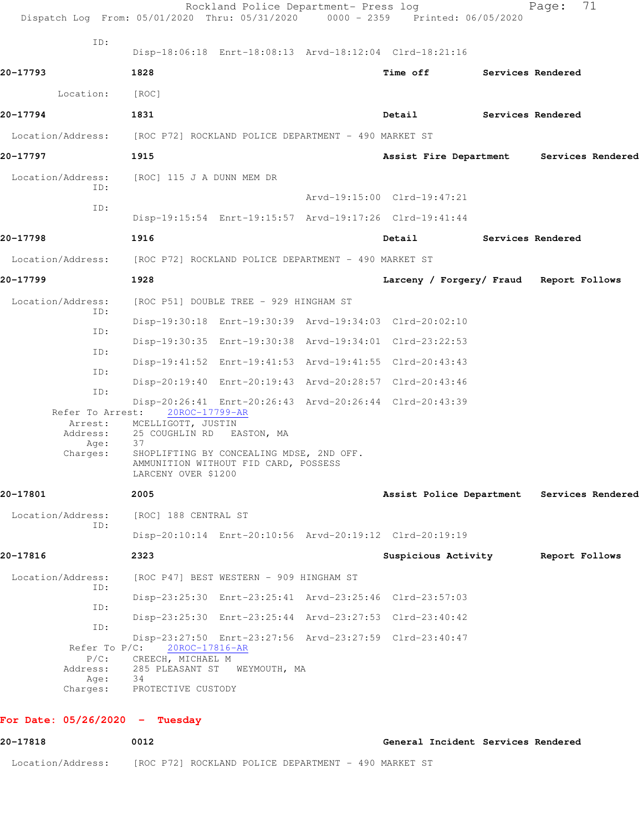|                             | Rockland Police Department- Press log<br>Dispatch Log From: 05/01/2020 Thru: 05/31/2020 0000 - 2359 Printed: 06/05/2020 |                                         | 71<br>Page:                                |
|-----------------------------|-------------------------------------------------------------------------------------------------------------------------|-----------------------------------------|--------------------------------------------|
| ID:                         | Disp-18:06:18 Enrt-18:08:13 Arvd-18:12:04 Clrd-18:21:16                                                                 |                                         |                                            |
| 20-17793                    | 1828                                                                                                                    | Time off                                | Services Rendered                          |
| Location:                   | [ROC]                                                                                                                   |                                         |                                            |
| 20-17794                    | 1831                                                                                                                    | Detail                                  | Services Rendered                          |
|                             | Location/Address: [ROC P72] ROCKLAND POLICE DEPARTMENT - 490 MARKET ST                                                  |                                         |                                            |
| 20-17797                    | 1915                                                                                                                    |                                         | Assist Fire Department Services Rendered   |
| Location/Address:<br>ID:    | [ROC] 115 J A DUNN MEM DR                                                                                               |                                         |                                            |
| ID:                         |                                                                                                                         | Arvd-19:15:00 Clrd-19:47:21             |                                            |
|                             | Disp-19:15:54 Enrt-19:15:57 Arvd-19:17:26 Clrd-19:41:44                                                                 |                                         |                                            |
| 20-17798                    | 1916                                                                                                                    | Detail                                  | Services Rendered                          |
| Location/Address:           | [ROC P72] ROCKLAND POLICE DEPARTMENT - 490 MARKET ST                                                                    |                                         |                                            |
| 20-17799                    | 1928                                                                                                                    | Larceny / Forgery/ Fraud Report Follows |                                            |
| Location/Address:<br>ID:    | [ROC P51] DOUBLE TREE - 929 HINGHAM ST                                                                                  |                                         |                                            |
| ID:                         | Disp-19:30:18 Enrt-19:30:39 Arvd-19:34:03 Clrd-20:02:10                                                                 |                                         |                                            |
| ID:                         | Disp-19:30:35 Enrt-19:30:38 Arvd-19:34:01 Clrd-23:22:53                                                                 |                                         |                                            |
| ID:                         | Disp-19:41:52 Enrt-19:41:53 Arvd-19:41:55 Clrd-20:43:43                                                                 |                                         |                                            |
| ID:                         | Disp-20:19:40 Enrt-20:19:43 Arvd-20:28:57 Clrd-20:43:46                                                                 |                                         |                                            |
| Refer To Arrest:            | Disp-20:26:41 Enrt-20:26:43 Arvd-20:26:44 Clrd-20:43:39<br>20ROC-17799-AR                                               |                                         |                                            |
| Arrest:<br>Address:<br>Age: | MCELLIGOTT, JUSTIN<br>25 COUGHLIN RD EASTON, MA<br>37                                                                   |                                         |                                            |
| Charges:                    | SHOPLIFTING BY CONCEALING MDSE, 2ND OFF.<br>AMMUNITION WITHOUT FID CARD, POSSESS<br>LARCENY OVER \$1200                 |                                         |                                            |
| 20-17801                    | 2005                                                                                                                    |                                         | Assist Police Department Services Rendered |
| Location/Address:<br>ID:    | [ROC] 188 CENTRAL ST                                                                                                    |                                         |                                            |
|                             | Disp-20:10:14 Enrt-20:10:56 Arvd-20:19:12 Clrd-20:19:19                                                                 |                                         |                                            |
| 20-17816                    | 2323                                                                                                                    | Suspicious Activity                     | Report Follows                             |
| Location/Address:<br>ID:    | [ROC P47] BEST WESTERN - 909 HINGHAM ST                                                                                 |                                         |                                            |
| ID:                         | Disp-23:25:30 Enrt-23:25:41 Arvd-23:25:46 Clrd-23:57:03                                                                 |                                         |                                            |
| ID:                         | Disp-23:25:30 Enrt-23:25:44 Arvd-23:27:53 Clrd-23:40:42                                                                 |                                         |                                            |
| Refer To $P/C$ :            | Disp-23:27:50 Enrt-23:27:56 Arvd-23:27:59 Clrd-23:40:47<br>20ROC-17816-AR                                               |                                         |                                            |
| $P/C$ :<br>Address:<br>Age: | CREECH, MICHAEL M<br>285 PLEASANT ST<br>WEYMOUTH, MA<br>34                                                              |                                         |                                            |
| Charges:                    | PROTECTIVE CUSTODY                                                                                                      |                                         |                                            |
|                             |                                                                                                                         |                                         |                                            |

## **For Date: 05/26/2020 - Tuesday**

| 20-17818          | 0012                                                 | General Incident Services Rendered |
|-------------------|------------------------------------------------------|------------------------------------|
| Location/Address: | [ROC P72] ROCKLAND POLICE DEPARTMENT - 490 MARKET ST |                                    |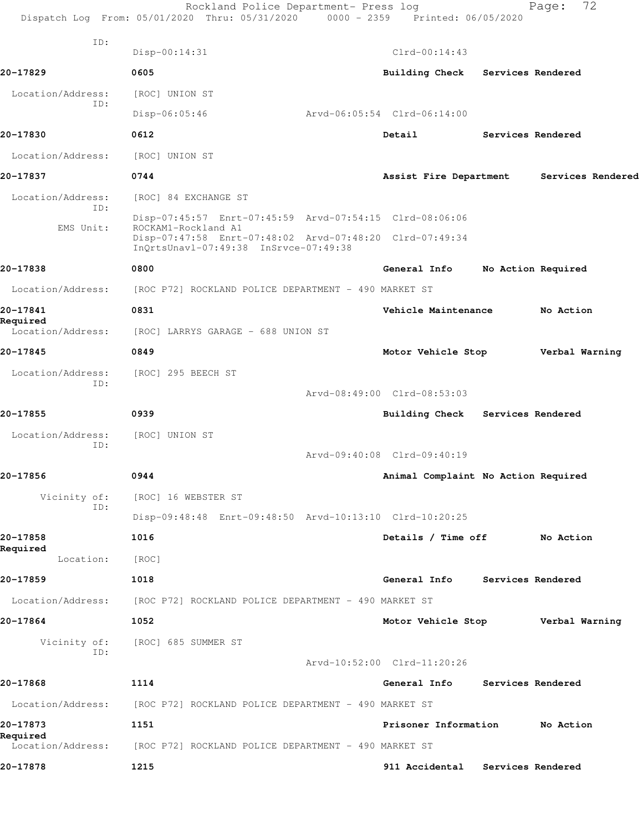|                               | Rockland Police Department- Press log                                                                                   | Dispatch Log From: 05/01/2020 Thru: 05/31/2020 0000 - 2359 Printed: 06/05/2020 | 72<br>Page:        |
|-------------------------------|-------------------------------------------------------------------------------------------------------------------------|--------------------------------------------------------------------------------|--------------------|
| ID:                           | $Disp-00:14:31$                                                                                                         | $Clrd-00:14:43$                                                                |                    |
| 20-17829                      | 0605                                                                                                                    | Building Check                                                                 | Services Rendered  |
| Location/Address:             | [ROC] UNION ST                                                                                                          |                                                                                |                    |
| ID:                           | Disp-06:05:46                                                                                                           | Arvd-06:05:54 Clrd-06:14:00                                                    |                    |
| 20-17830                      | 0612                                                                                                                    | Detail                                                                         | Services Rendered  |
| Location/Address:             | [ROC] UNION ST                                                                                                          |                                                                                |                    |
| 20-17837                      | 0744                                                                                                                    | Assist Fire Department                                                         | Services Rendered  |
| Location/Address:             | [ROC] 84 EXCHANGE ST                                                                                                    |                                                                                |                    |
| ID:                           | Disp-07:45:57 Enrt-07:45:59 Arvd-07:54:15 Clrd-08:06:06                                                                 |                                                                                |                    |
| EMS Unit:                     | ROCKAM1-Rockland A1<br>Disp-07:47:58 Enrt-07:48:02 Arvd-07:48:20 Clrd-07:49:34<br>InQrtsUnavl-07:49:38 InSrvce-07:49:38 |                                                                                |                    |
| 20-17838                      | 0800                                                                                                                    | General Info                                                                   | No Action Required |
| Location/Address:             | [ROC P72] ROCKLAND POLICE DEPARTMENT - 490 MARKET ST                                                                    |                                                                                |                    |
| 20-17841                      | 0831                                                                                                                    | Vehicle Maintenance                                                            | No Action          |
| Required<br>Location/Address: | [ROC] LARRYS GARAGE - 688 UNION ST                                                                                      |                                                                                |                    |
| 20-17845                      | 0849                                                                                                                    | Motor Vehicle Stop                                                             | Verbal Warning     |
| Location/Address:             | [ROC] 295 BEECH ST                                                                                                      |                                                                                |                    |
| ID:                           |                                                                                                                         | Arvd-08:49:00 Clrd-08:53:03                                                    |                    |
| 20-17855                      | 0939                                                                                                                    | <b>Building Check</b>                                                          | Services Rendered  |
| Location/Address:             | [ROC] UNION ST                                                                                                          |                                                                                |                    |
| ID:                           |                                                                                                                         | Arvd-09:40:08 Clrd-09:40:19                                                    |                    |
| 20-17856                      | 0944                                                                                                                    | Animal Complaint No Action Required                                            |                    |
| Vicinity of:                  | [ROC] 16 WEBSTER ST                                                                                                     |                                                                                |                    |
| ID:                           | Disp-09:48:48 Enrt-09:48:50 Arvd-10:13:10 Clrd-10:20:25                                                                 |                                                                                |                    |
| 20-17858                      | 1016                                                                                                                    | Details / Time off                                                             | No Action          |
| Required<br>Location:         | [ROC]                                                                                                                   |                                                                                |                    |
| 20-17859                      | 1018                                                                                                                    | General Info Services Rendered                                                 |                    |
| Location/Address:             | [ROC P72] ROCKLAND POLICE DEPARTMENT - 490 MARKET ST                                                                    |                                                                                |                    |
| 20-17864                      | 1052                                                                                                                    | Motor Vehicle Stop                                                             | Verbal Warning     |
| Vicinity of:                  | [ROC] 685 SUMMER ST                                                                                                     |                                                                                |                    |
| ID:                           |                                                                                                                         | Arvd-10:52:00 Clrd-11:20:26                                                    |                    |
| 20-17868                      | 1114                                                                                                                    | General Info Services Rendered                                                 |                    |
| Location/Address:             | [ROC P72] ROCKLAND POLICE DEPARTMENT - 490 MARKET ST                                                                    |                                                                                |                    |
| 20-17873                      | 1151                                                                                                                    | Prisoner Information                                                           | No Action          |
| Required<br>Location/Address: | [ROC P72] ROCKLAND POLICE DEPARTMENT – 490 MARKET ST                                                                    |                                                                                |                    |
| 20-17878                      | 1215                                                                                                                    | 911 Accidental                                                                 | Services Rendered  |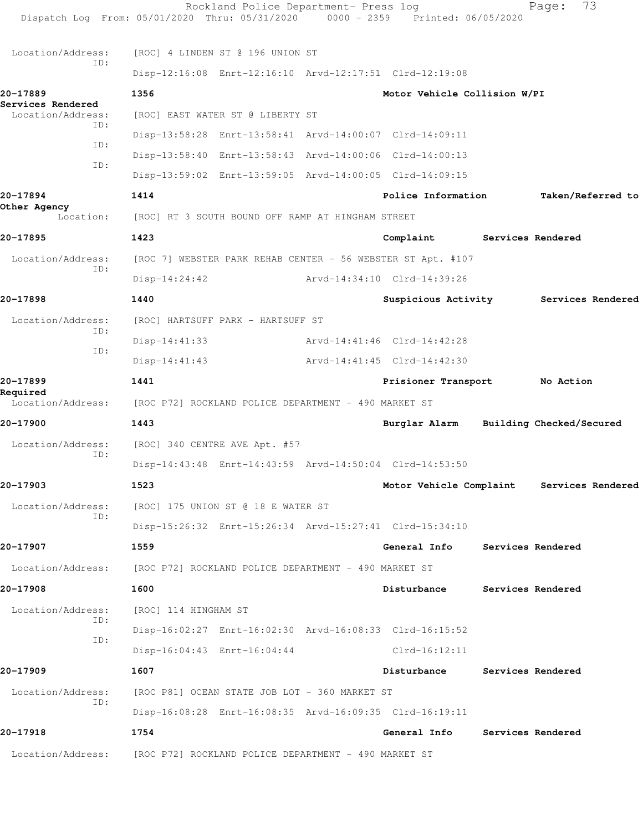|                                        | Rockland Police Department- Press log<br>Dispatch Log From: 05/01/2020 Thru: 05/31/2020 0000 - 2359 Printed: 06/05/2020 |                                           |                   | 73<br>Page:       |  |
|----------------------------------------|-------------------------------------------------------------------------------------------------------------------------|-------------------------------------------|-------------------|-------------------|--|
| Location/Address:                      | [ROC] 4 LINDEN ST @ 196 UNION ST                                                                                        |                                           |                   |                   |  |
| ID:                                    | Disp-12:16:08 Enrt-12:16:10 Arvd-12:17:51 Clrd-12:19:08                                                                 |                                           |                   |                   |  |
| 20-17889                               | 1356                                                                                                                    | Motor Vehicle Collision W/PI              |                   |                   |  |
| Services Rendered<br>Location/Address: | [ROC] EAST WATER ST @ LIBERTY ST                                                                                        |                                           |                   |                   |  |
| ID:                                    | Disp-13:58:28 Enrt-13:58:41 Arvd-14:00:07 Clrd-14:09:11                                                                 |                                           |                   |                   |  |
| ID:                                    | Disp-13:58:40 Enrt-13:58:43 Arvd-14:00:06 Clrd-14:00:13                                                                 |                                           |                   |                   |  |
| ID:                                    | Disp-13:59:02 Enrt-13:59:05 Arvd-14:00:05 Clrd-14:09:15                                                                 |                                           |                   |                   |  |
| 20-17894                               | 1414                                                                                                                    | Police Information                        |                   | Taken/Referred to |  |
| Other Agency                           |                                                                                                                         |                                           |                   |                   |  |
|                                        | Location: [ROC] RT 3 SOUTH BOUND OFF RAMP AT HINGHAM STREET                                                             |                                           |                   |                   |  |
| 20-17895                               | 1423                                                                                                                    | Complaint Services Rendered               |                   |                   |  |
| Location/Address:<br>ID:               | [ROC 7] WEBSTER PARK REHAB CENTER - 56 WEBSTER ST Apt. #107                                                             |                                           |                   |                   |  |
|                                        | $Disp-14:24:42$                                                                                                         | Arvd-14:34:10 Clrd-14:39:26               |                   |                   |  |
| 20-17898                               | 1440                                                                                                                    | Suspicious Activity Services Rendered     |                   |                   |  |
| Location/Address:<br>ID:               | [ROC] HARTSUFF PARK - HARTSUFF ST                                                                                       |                                           |                   |                   |  |
| TD:                                    | Disp-14:41:33                                                                                                           | Arvd-14:41:46 Clrd-14:42:28               |                   |                   |  |
|                                        | $Disp-14:41:43$                                                                                                         | Arvd-14:41:45 Clrd-14:42:30               |                   |                   |  |
| 20-17899<br>Required                   | 1441                                                                                                                    | Prisioner Transport No Action             |                   |                   |  |
|                                        | Location/Address: [ROC P72] ROCKLAND POLICE DEPARTMENT - 490 MARKET ST                                                  |                                           |                   |                   |  |
| 20-17900                               | 1443                                                                                                                    | Burglar Alarm Building Checked/Secured    |                   |                   |  |
| Location/Address:                      | [ROC] 340 CENTRE AVE Apt. #57                                                                                           |                                           |                   |                   |  |
| ID:                                    | Disp-14:43:48 Enrt-14:43:59 Arvd-14:50:04 Clrd-14:53:50                                                                 |                                           |                   |                   |  |
| 20-17903                               | 1523                                                                                                                    | Motor Vehicle Complaint Services Rendered |                   |                   |  |
| Location/Address:                      | [ROC] 175 UNION ST @ 18 E WATER ST                                                                                      |                                           |                   |                   |  |
| ID:                                    | Disp-15:26:32 Enrt-15:26:34 Arvd-15:27:41 Clrd-15:34:10                                                                 |                                           |                   |                   |  |
| 20-17907                               | 1559                                                                                                                    | General Info                              |                   | Services Rendered |  |
| Location/Address:                      | [ROC P72] ROCKLAND POLICE DEPARTMENT - 490 MARKET ST                                                                    |                                           |                   |                   |  |
| 20-17908                               | 1600                                                                                                                    | Disturbance                               | Services Rendered |                   |  |
| Location/Address:                      | [ROC] 114 HINGHAM ST                                                                                                    |                                           |                   |                   |  |
| ID:                                    | Disp-16:02:27 Enrt-16:02:30 Arvd-16:08:33 Clrd-16:15:52                                                                 |                                           |                   |                   |  |
| ID:                                    | Disp-16:04:43 Enrt-16:04:44                                                                                             | $Clrd-16:12:11$                           |                   |                   |  |
| 20-17909                               | 1607                                                                                                                    | Disturbance                               |                   | Services Rendered |  |
| Location/Address:                      | [ROC P81] OCEAN STATE JOB LOT - 360 MARKET ST                                                                           |                                           |                   |                   |  |
| ID:                                    | Disp-16:08:28 Enrt-16:08:35 Arvd-16:09:35 Clrd-16:19:11                                                                 |                                           |                   |                   |  |
| 20-17918                               | 1754                                                                                                                    | General Info                              |                   | Services Rendered |  |
|                                        |                                                                                                                         |                                           |                   |                   |  |
| Location/Address:                      | [ROC P72] ROCKLAND POLICE DEPARTMENT - 490 MARKET ST                                                                    |                                           |                   |                   |  |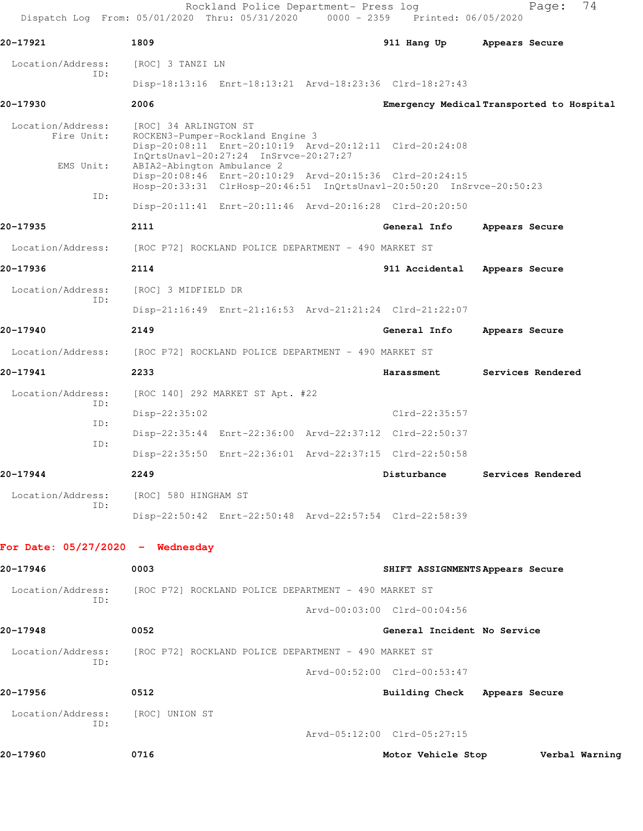| 20-17921                           | 1809                                                                                                                                                                                                   |  | 911 Hang Up                      | Appears Secure                            |
|------------------------------------|--------------------------------------------------------------------------------------------------------------------------------------------------------------------------------------------------------|--|----------------------------------|-------------------------------------------|
| Location/Address:                  | [ROC] 3 TANZI LN                                                                                                                                                                                       |  |                                  |                                           |
| TD:                                | Disp-18:13:16 Enrt-18:13:21 Arvd-18:23:36 Clrd-18:27:43                                                                                                                                                |  |                                  |                                           |
| 20-17930                           | 2006                                                                                                                                                                                                   |  |                                  | Emergency Medical Transported to Hospital |
| Location/Address:<br>Fire Unit:    | [ROC] 34 ARLINGTON ST<br>ROCKEN3-Pumper-Rockland Engine 3<br>Disp-20:08:11 Enrt-20:10:19 Arvd-20:12:11 Clrd-20:24:08                                                                                   |  |                                  |                                           |
| EMS Unit:                          | InQrtsUnavl-20:27:24 InSrvce-20:27:27<br>ABIA2-Abington Ambulance 2<br>Disp-20:08:46 Enrt-20:10:29 Arvd-20:15:36 Clrd-20:24:15<br>Hosp-20:33:31 ClrHosp-20:46:51 InQrtsUnavl-20:50:20 InSrvce-20:50:23 |  |                                  |                                           |
| ID:                                | Disp-20:11:41 Enrt-20:11:46 Arvd-20:16:28 Clrd-20:20:50                                                                                                                                                |  |                                  |                                           |
| 20-17935                           | 2111                                                                                                                                                                                                   |  | General Info                     | Appears Secure                            |
| Location/Address:                  | [ROC P72] ROCKLAND POLICE DEPARTMENT - 490 MARKET ST                                                                                                                                                   |  |                                  |                                           |
| 20-17936                           | 2114                                                                                                                                                                                                   |  | 911 Accidental                   | Appears Secure                            |
| Location/Address:                  | [ROC] 3 MIDFIELD DR                                                                                                                                                                                    |  |                                  |                                           |
| ID:                                | Disp-21:16:49 Enrt-21:16:53 Arvd-21:21:24 Clrd-21:22:07                                                                                                                                                |  |                                  |                                           |
| 20-17940                           | 2149                                                                                                                                                                                                   |  | General Info                     | Appears Secure                            |
| Location/Address:                  | [ROC P72] ROCKLAND POLICE DEPARTMENT - 490 MARKET ST                                                                                                                                                   |  |                                  |                                           |
| 20-17941                           | 2233                                                                                                                                                                                                   |  | Harassment                       | Services Rendered                         |
| Location/Address:                  | [ROC 140] 292 MARKET ST Apt. #22                                                                                                                                                                       |  |                                  |                                           |
| ID:<br>ID:                         | Disp-22:35:02                                                                                                                                                                                          |  | $C1rd - 22:35:57$                |                                           |
| ID:                                | Disp-22:35:44 Enrt-22:36:00 Arvd-22:37:12 Clrd-22:50:37                                                                                                                                                |  |                                  |                                           |
|                                    | Disp-22:35:50 Enrt-22:36:01 Arvd-22:37:15 Clrd-22:50:58                                                                                                                                                |  |                                  |                                           |
| 20-17944                           | 2249                                                                                                                                                                                                   |  | Disturbance                      | Services Rendered                         |
| Location/Address:<br>ID:           | [ROC] 580 HINGHAM ST                                                                                                                                                                                   |  |                                  |                                           |
|                                    | Disp-22:50:42 Enrt-22:50:48 Arvd-22:57:54 Clrd-22:58:39                                                                                                                                                |  |                                  |                                           |
| For Date: $05/27/2020 -$ Wednesday |                                                                                                                                                                                                        |  |                                  |                                           |
| 20-17946                           | 0003                                                                                                                                                                                                   |  | SHIFT ASSIGNMENTS Appears Secure |                                           |
| Location/Address:                  | [ROC P72] ROCKLAND POLICE DEPARTMENT - 490 MARKET ST                                                                                                                                                   |  |                                  |                                           |
| ID:                                |                                                                                                                                                                                                        |  | Arvd-00:03:00 Clrd-00:04:56      |                                           |
| 20-17948                           | 0052                                                                                                                                                                                                   |  | General Incident No Service      |                                           |
| Location/Address:                  | [ROC P72] ROCKLAND POLICE DEPARTMENT - 490 MARKET ST                                                                                                                                                   |  |                                  |                                           |
| TD:                                |                                                                                                                                                                                                        |  | Arvd-00:52:00 Clrd-00:53:47      |                                           |
| 20-17956                           | 0512                                                                                                                                                                                                   |  | Building Check Appears Secure    |                                           |
| Location/Address:                  | [ROC] UNION ST                                                                                                                                                                                         |  |                                  |                                           |
| ID:                                |                                                                                                                                                                                                        |  | Arvd-05:12:00 Clrd-05:27:15      |                                           |
| 20-17960                           | 0716                                                                                                                                                                                                   |  | Motor Vehicle Stop               | Verbal Warning                            |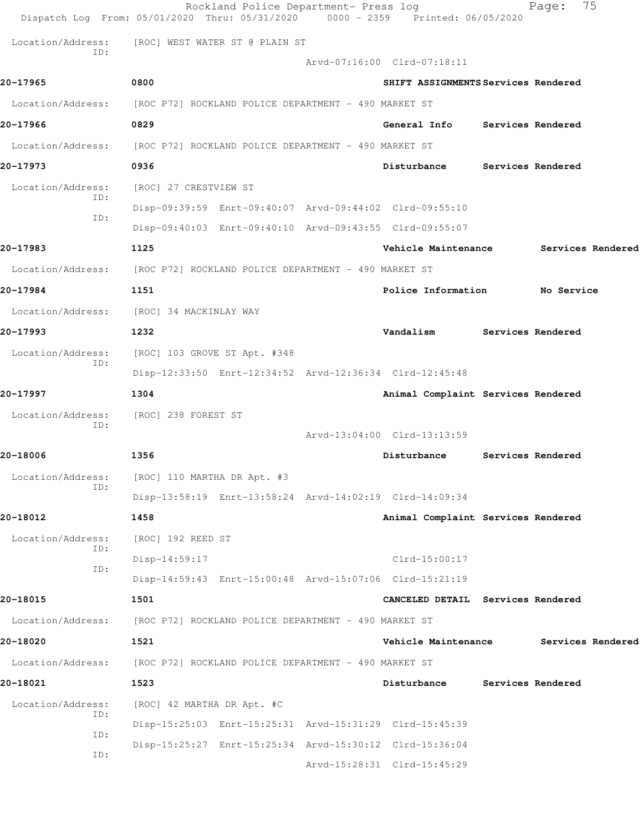|                   | Rockland Police Department- Press log<br>Dispatch Log From: 05/01/2020 Thru: 05/31/2020 0000 - 2359 Printed: 06/05/2020 |                                     | 75<br>Page:              |
|-------------------|-------------------------------------------------------------------------------------------------------------------------|-------------------------------------|--------------------------|
| Location/Address: | [ROC] WEST WATER ST @ PLAIN ST                                                                                          |                                     |                          |
| ID:               |                                                                                                                         | Arvd-07:16:00 Clrd-07:18:11         |                          |
| 20-17965          | 0800                                                                                                                    | SHIFT ASSIGNMENTS Services Rendered |                          |
|                   | Location/Address: [ROC P72] ROCKLAND POLICE DEPARTMENT - 490 MARKET ST                                                  |                                     |                          |
| 20-17966          | 0829                                                                                                                    | General Info Services Rendered      |                          |
| Location/Address: | [ROC P72] ROCKLAND POLICE DEPARTMENT - 490 MARKET ST                                                                    |                                     |                          |
| 20-17973          | 0936                                                                                                                    | Disturbance                         | Services Rendered        |
| Location/Address: | [ROC] 27 CRESTVIEW ST                                                                                                   |                                     |                          |
| ID:<br>ID:        | Disp-09:39:59 Enrt-09:40:07 Arvd-09:44:02 Clrd-09:55:10                                                                 |                                     |                          |
|                   | Disp-09:40:03 Enrt-09:40:10 Arvd-09:43:55 Clrd-09:55:07                                                                 |                                     |                          |
| 20-17983          | 1125                                                                                                                    | Vehicle Maintenance                 | Services Rendered        |
|                   | Location/Address: [ROC P72] ROCKLAND POLICE DEPARTMENT - 490 MARKET ST                                                  |                                     |                          |
| 20-17984          | 1151                                                                                                                    | Police Information                  | No Service               |
| Location/Address: | [ROC] 34 MACKINLAY WAY                                                                                                  |                                     |                          |
| 20-17993          | 1232                                                                                                                    | Vandalism                           | <b>Services Rendered</b> |
| Location/Address: | [ROC] 103 GROVE ST Apt. #348                                                                                            |                                     |                          |
| ID:               | Disp-12:33:50 Enrt-12:34:52 Arvd-12:36:34 Clrd-12:45:48                                                                 |                                     |                          |
| 20-17997          | 1304                                                                                                                    | Animal Complaint Services Rendered  |                          |
| Location/Address: | [ROC] 238 FOREST ST                                                                                                     |                                     |                          |
| ID:               |                                                                                                                         | Arvd-13:04:00 Clrd-13:13:59         |                          |
| 20-18006          | 1356                                                                                                                    | Disturbance                         | Services Rendered        |
| Location/Address: | [ROC] 110 MARTHA DR Apt. #3                                                                                             |                                     |                          |
| ID:               | Disp-13:58:19 Enrt-13:58:24 Arvd-14:02:19 Clrd-14:09:34                                                                 |                                     |                          |
| 20-18012          | 1458                                                                                                                    | Animal Complaint Services Rendered  |                          |
| Location/Address: | [ROC] 192 REED ST                                                                                                       |                                     |                          |
| ID:<br>ID:        | Disp-14:59:17                                                                                                           | Clrd-15:00:17                       |                          |
|                   | Disp-14:59:43 Enrt-15:00:48 Arvd-15:07:06 Clrd-15:21:19                                                                 |                                     |                          |
| 20-18015          | 1501                                                                                                                    | CANCELED DETAIL Services Rendered   |                          |
| Location/Address: | [ROC P72] ROCKLAND POLICE DEPARTMENT - 490 MARKET ST                                                                    |                                     |                          |
| 20-18020          | 1521                                                                                                                    | Vehicle Maintenance                 | Services Rendered        |
| Location/Address: | [ROC P72] ROCKLAND POLICE DEPARTMENT - 490 MARKET ST                                                                    |                                     |                          |
| 20-18021          | 1523                                                                                                                    | Disturbance                         | Services Rendered        |
| Location/Address: | [ROC] 42 MARTHA DR Apt. #C                                                                                              |                                     |                          |
| ID:               | Disp-15:25:03 Enrt-15:25:31 Arvd-15:31:29 Clrd-15:45:39                                                                 |                                     |                          |
| ID:<br>ID:        | Disp-15:25:27 Enrt-15:25:34 Arvd-15:30:12 Clrd-15:36:04                                                                 |                                     |                          |
|                   |                                                                                                                         | Arvd-15:28:31 Clrd-15:45:29         |                          |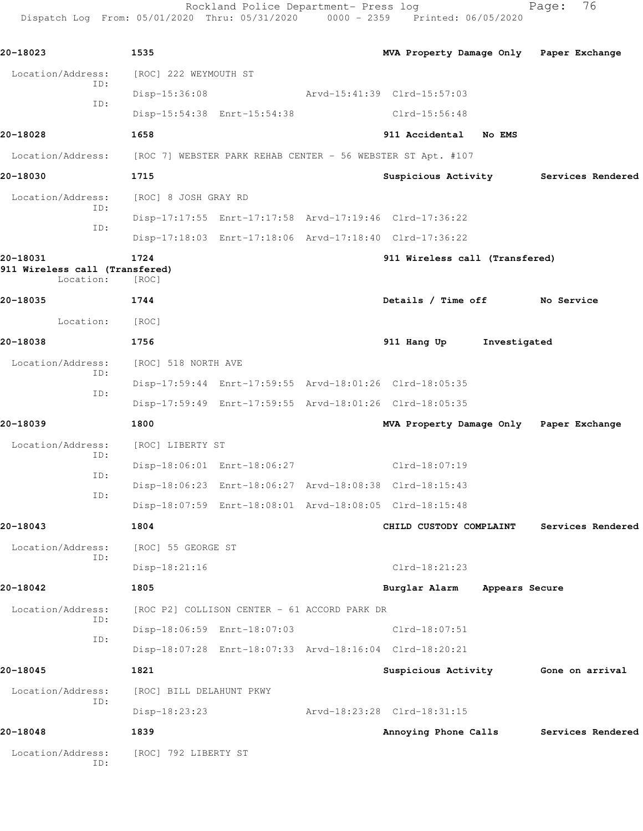Rockland Police Department- Press log extending Page: 76 Dispatch Log From: 05/01/2020 Thru: 05/31/2020 0000 - 2359 Printed: 06/05/2020

**20-18023 1535 MVA Property Damage Only Paper Exchange** Location/Address: [ROC] 222 WEYMOUTH ST ID: Disp-15:36:08 Arvd-15:41:39 Clrd-15:57:03 ID: Disp-15:54:38 Enrt-15:54:38 Clrd-15:56:48 **20-18028 1658 911 Accidental No EMS**  Location/Address: [ROC 7] WEBSTER PARK REHAB CENTER - 56 WEBSTER ST Apt. #107 **20-18030 1715 Suspicious Activity Services Rendered** Location/Address: [ROC] 8 JOSH GRAY RD ID: Disp-17:17:55 Enrt-17:17:58 Arvd-17:19:46 Clrd-17:36:22 ID: Disp-17:18:03 Enrt-17:18:06 Arvd-17:18:40 Clrd-17:36:22 **20-18031 1724 911 Wireless call (Transfered) 911 Wireless call (Transfered)**  Location: [ROC] **20-18035 1744 Details / Time off No Service** Location: [ROC] **20-18038 1756 911 Hang Up Investigated** Location/Address: [ROC] 518 NORTH AVE ID: Disp-17:59:44 Enrt-17:59:55 Arvd-18:01:26 Clrd-18:05:35 ID: Disp-17:59:49 Enrt-17:59:55 Arvd-18:01:26 Clrd-18:05:35 **20-18039 1800 MVA Property Damage Only Paper Exchange** Location/Address: [ROC] LIBERTY ST ID: Disp-18:06:01 Enrt-18:06:27 Clrd-18:07:19 ID: Disp-18:06:23 Enrt-18:06:27 Arvd-18:08:38 Clrd-18:15:43 ID: Disp-18:07:59 Enrt-18:08:01 Arvd-18:08:05 Clrd-18:15:48 **20-18043 1804 CHILD CUSTODY COMPLAINT Services Rendered** Location/Address: [ROC] 55 GEORGE ST ID: Disp-18:21:16 Clrd-18:21:23 **20-18042 1805 Burglar Alarm Appears Secure** Location/Address: [ROC P2] COLLISON CENTER - 61 ACCORD PARK DR ID: Disp-18:06:59 Enrt-18:07:03 Clrd-18:07:51 ID: Disp-18:07:28 Enrt-18:07:33 Arvd-18:16:04 Clrd-18:20:21 **20-18045 1821 Suspicious Activity Gone on arrival** Location/Address: [ROC] BILL DELAHUNT PKWY ID: Disp-18:23:23 Arvd-18:23:28 Clrd-18:31:15 **20-18048 1839 Annoying Phone Calls Services Rendered** Location/Address: [ROC] 792 LIBERTY ST ID: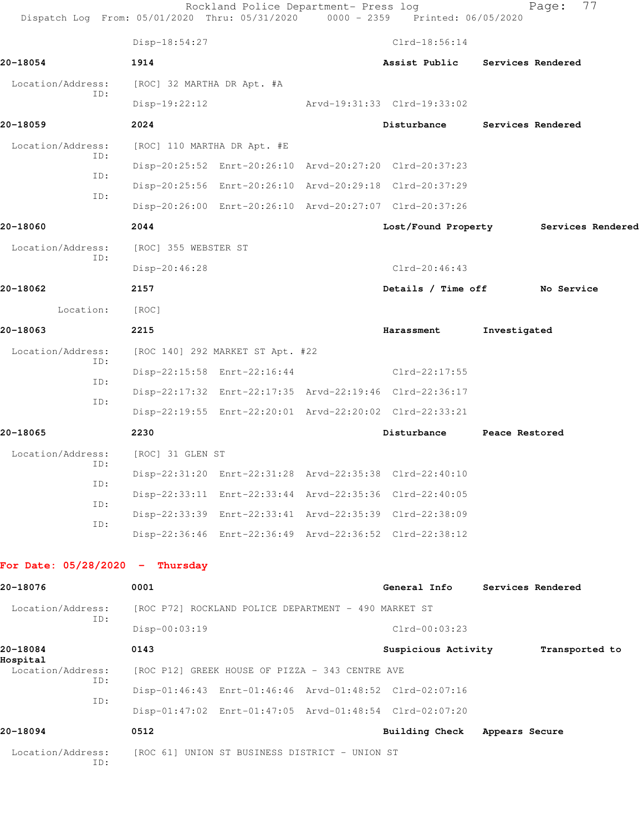| Dispatch Log From: 05/01/2020 Thru: 05/31/2020 0000 - 2359 Printed: 06/05/2020 |                             | Rockland Police Department- Press log                |                                                         |                   | 77<br>Page:                           |
|--------------------------------------------------------------------------------|-----------------------------|------------------------------------------------------|---------------------------------------------------------|-------------------|---------------------------------------|
|                                                                                | Disp-18:54:27               |                                                      | $Clrd-18:56:14$                                         |                   |                                       |
| 20-18054                                                                       | 1914                        |                                                      | Assist Public                                           | Services Rendered |                                       |
| Location/Address:<br>ID:                                                       | [ROC] 32 MARTHA DR Apt. #A  |                                                      |                                                         |                   |                                       |
|                                                                                | $Disp-19:22:12$             |                                                      | Arvd-19:31:33 Clrd-19:33:02                             |                   |                                       |
| 20-18059                                                                       | 2024                        |                                                      | Disturbance                                             | Services Rendered |                                       |
| Location/Address:<br>ID:                                                       | [ROC] 110 MARTHA DR Apt. #E |                                                      |                                                         |                   |                                       |
| ID:                                                                            |                             |                                                      | Disp-20:25:52 Enrt-20:26:10 Arvd-20:27:20 Clrd-20:37:23 |                   |                                       |
|                                                                                |                             |                                                      | Disp-20:25:56 Enrt-20:26:10 Arvd-20:29:18 Clrd-20:37:29 |                   |                                       |
| ID:                                                                            |                             |                                                      | Disp-20:26:00 Enrt-20:26:10 Arvd-20:27:07 Clrd-20:37:26 |                   |                                       |
| 20-18060                                                                       | 2044                        |                                                      |                                                         |                   | Lost/Found Property Services Rendered |
| Location/Address:                                                              | [ROC] 355 WEBSTER ST        |                                                      |                                                         |                   |                                       |
| ID:                                                                            | Disp-20:46:28               |                                                      | $Clrd-20:46:43$                                         |                   |                                       |
| 20-18062                                                                       | 2157                        |                                                      | Details / Time off No Service                           |                   |                                       |
| Location:                                                                      | [ROC]                       |                                                      |                                                         |                   |                                       |
| 20-18063                                                                       | 2215                        |                                                      | Harassment                                              | Investigated      |                                       |
| Location/Address:                                                              |                             | [ROC 140] 292 MARKET ST Apt. #22                     |                                                         |                   |                                       |
| ID:                                                                            |                             | Disp-22:15:58 Enrt-22:16:44                          | $Clrd-22:17:55$                                         |                   |                                       |
| ID:                                                                            |                             |                                                      | Disp-22:17:32 Enrt-22:17:35 Arvd-22:19:46 Clrd-22:36:17 |                   |                                       |
| ID:                                                                            |                             |                                                      | Disp-22:19:55 Enrt-22:20:01 Arvd-22:20:02 Clrd-22:33:21 |                   |                                       |
| 20-18065                                                                       | 2230                        |                                                      | Disturbance                                             | Peace Restored    |                                       |
| Location/Address:                                                              | [ROC] 31 GLEN ST            |                                                      |                                                         |                   |                                       |
| ID:                                                                            |                             |                                                      | Disp-22:31:20 Enrt-22:31:28 Arvd-22:35:38 Clrd-22:40:10 |                   |                                       |
| ID:                                                                            |                             |                                                      | Disp-22:33:11 Enrt-22:33:44 Arvd-22:35:36 Clrd-22:40:05 |                   |                                       |
| ID:                                                                            |                             |                                                      | Disp-22:33:39 Enrt-22:33:41 Arvd-22:35:39 Clrd-22:38:09 |                   |                                       |
| ID:                                                                            |                             |                                                      | Disp-22:36:46 Enrt-22:36:49 Arvd-22:36:52 Clrd-22:38:12 |                   |                                       |
| For Date: $05/28/2020 -$ Thursday                                              |                             |                                                      |                                                         |                   |                                       |
| 20-18076                                                                       | 0001                        |                                                      | General Info                                            | Services Rendered |                                       |
| Location/Address:                                                              |                             | [ROC P72] ROCKLAND POLICE DEPARTMENT - 490 MARKET ST |                                                         |                   |                                       |
| ID:                                                                            | Disp-00:03:19               |                                                      | $Clrd-00:03:23$                                         |                   |                                       |
| 20-18084                                                                       | 0143                        |                                                      | Suspicious Activity                                     |                   | Transported to                        |
| Hospital<br>Location/Address:                                                  |                             | [ROC P12] GREEK HOUSE OF PIZZA - 343 CENTRE AVE      |                                                         |                   |                                       |
| ID:                                                                            |                             |                                                      | Disp-01:46:43 Enrt-01:46:46 Arvd-01:48:52 Clrd-02:07:16 |                   |                                       |
| ID:                                                                            |                             |                                                      | Disp-01:47:02 Enrt-01:47:05 Arvd-01:48:54 Clrd-02:07:20 |                   |                                       |
| 20-18094                                                                       | 0512                        |                                                      | <b>Building Check</b>                                   | Appears Secure    |                                       |
| Location/Address:                                                              |                             | [ROC 61] UNION ST BUSINESS DISTRICT - UNION ST       |                                                         |                   |                                       |
| ID:                                                                            |                             |                                                      |                                                         |                   |                                       |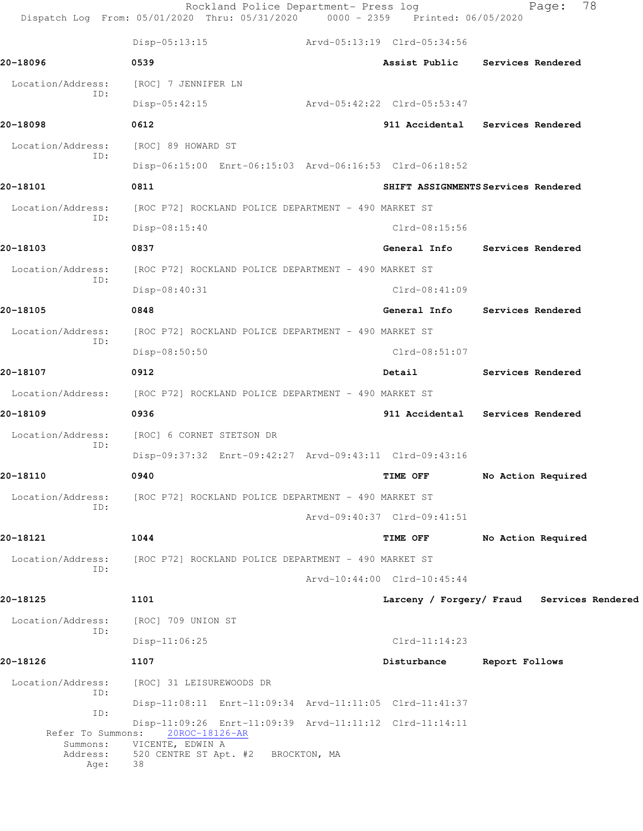|                              | Rockland Police Department- Press log<br>Dispatch Log From: 05/01/2020 Thru: 05/31/2020 0000 - 2359 Printed: 06/05/2020 |                             | 78<br>Page:                                |
|------------------------------|-------------------------------------------------------------------------------------------------------------------------|-----------------------------|--------------------------------------------|
|                              | $Disp-05:13:15$                                                                                                         | Arvd-05:13:19 Clrd-05:34:56 |                                            |
| 20-18096                     | 0539                                                                                                                    | Assist Public               | Services Rendered                          |
| Location/Address:            | [ROC] 7 JENNIFER LN                                                                                                     |                             |                                            |
| ID:                          | $Disp-05:42:15$                                                                                                         | Arvd-05:42:22 Clrd-05:53:47 |                                            |
| 20-18098                     | 0612                                                                                                                    |                             | 911 Accidental Services Rendered           |
| Location/Address:<br>ID:     | [ROC] 89 HOWARD ST                                                                                                      |                             |                                            |
|                              | Disp-06:15:00 Enrt-06:15:03 Arvd-06:16:53 Clrd-06:18:52                                                                 |                             |                                            |
| 20-18101                     | 0811                                                                                                                    |                             | SHIFT ASSIGNMENTS Services Rendered        |
| Location/Address:<br>ID:     | [ROC P72] ROCKLAND POLICE DEPARTMENT - 490 MARKET ST                                                                    |                             |                                            |
|                              | $Disp-08:15:40$                                                                                                         | Clrd-08:15:56               |                                            |
| 20-18103                     | 0837                                                                                                                    |                             | General Info Services Rendered             |
| Location/Address:<br>ID:     | [ROC P72] ROCKLAND POLICE DEPARTMENT - 490 MARKET ST                                                                    |                             |                                            |
|                              | Disp-08:40:31                                                                                                           | $Clrd-08:41:09$             |                                            |
| 20-18105                     | 0848                                                                                                                    |                             | General Info Services Rendered             |
| Location/Address:<br>ID:     | [ROC P72] ROCKLAND POLICE DEPARTMENT - 490 MARKET ST                                                                    |                             |                                            |
|                              | Disp-08:50:50                                                                                                           | $Clrd-08:51:07$             |                                            |
| 20-18107                     | 0912                                                                                                                    | Detail                      | Services Rendered                          |
|                              | Location/Address: [ROC P72] ROCKLAND POLICE DEPARTMENT - 490 MARKET ST                                                  |                             |                                            |
| 20-18109                     | 0936                                                                                                                    |                             | 911 Accidental Services Rendered           |
| Location/Address:<br>ID:     | [ROC] 6 CORNET STETSON DR                                                                                               |                             |                                            |
|                              | Disp-09:37:32 Enrt-09:42:27 Arvd-09:43:11 Clrd-09:43:16                                                                 |                             |                                            |
| 20-18110                     | 0940                                                                                                                    | TIME OFF                    | No Action Required                         |
| Location/Address:<br>ID:     | [ROC P72] ROCKLAND POLICE DEPARTMENT - 490 MARKET ST                                                                    |                             |                                            |
|                              |                                                                                                                         | Arvd-09:40:37 Clrd-09:41:51 |                                            |
| 20-18121                     | 1044                                                                                                                    | <b>TIME OFF</b>             | No Action Required                         |
| Location/Address:<br>ID:     | [ROC P72] ROCKLAND POLICE DEPARTMENT - 490 MARKET ST                                                                    |                             |                                            |
|                              |                                                                                                                         | Arvd-10:44:00 Clrd-10:45:44 |                                            |
| 20-18125                     | 1101                                                                                                                    |                             | Larceny / Forgery/ Fraud Services Rendered |
| Location/Address:<br>ID:     | [ROC] 709 UNION ST                                                                                                      |                             |                                            |
|                              | $Disp-11:06:25$                                                                                                         | $Clrd-11:14:23$             |                                            |
| 20-18126                     | 1107                                                                                                                    | Disturbance                 | Report Follows                             |
| Location/Address:<br>ID:     | [ROC] 31 LEISUREWOODS DR                                                                                                |                             |                                            |
| ID:                          | Disp-11:08:11 Enrt-11:09:34 Arvd-11:11:05 Clrd-11:41:37                                                                 |                             |                                            |
| Refer To Summons:            | Disp-11:09:26 Enrt-11:09:39 Arvd-11:11:12 Clrd-11:14:11<br>20ROC-18126-AR                                               |                             |                                            |
| Summons:<br>Address:<br>Age: | VICENTE, EDWIN A<br>520 CENTRE ST Apt. #2 BROCKTON, MA<br>38                                                            |                             |                                            |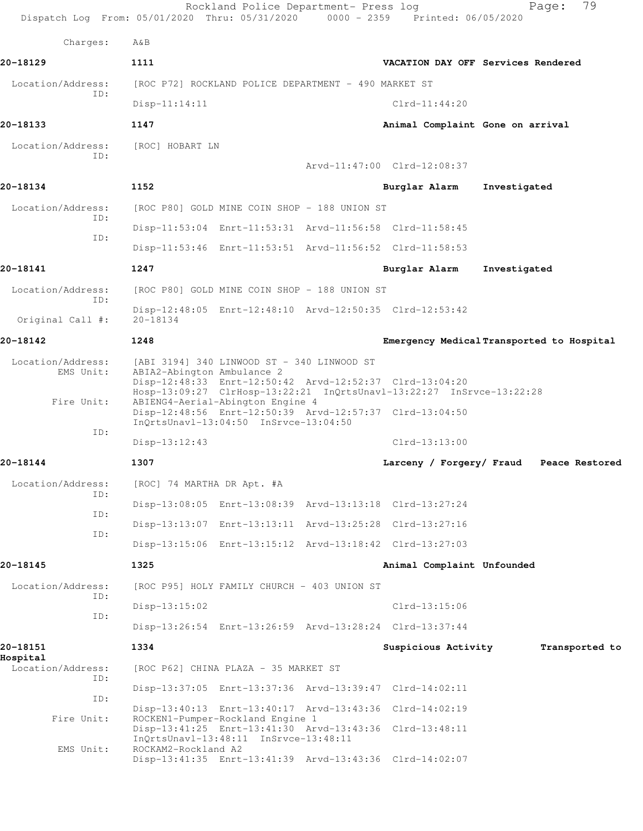| Dispatch Log From: 05/01/2020 Thru: 05/31/2020 0000 - 2359 Printed: 06/05/2020 |                                                                                                                                                       | Rockland Police Department- Press log                |                                                                                                                                                                                            | Page:        | 79             |
|--------------------------------------------------------------------------------|-------------------------------------------------------------------------------------------------------------------------------------------------------|------------------------------------------------------|--------------------------------------------------------------------------------------------------------------------------------------------------------------------------------------------|--------------|----------------|
| Charges:                                                                       | $A\&B$                                                                                                                                                |                                                      |                                                                                                                                                                                            |              |                |
| 20-18129                                                                       | 1111                                                                                                                                                  |                                                      | VACATION DAY OFF Services Rendered                                                                                                                                                         |              |                |
| Location/Address:                                                              |                                                                                                                                                       | [ROC P72] ROCKLAND POLICE DEPARTMENT - 490 MARKET ST |                                                                                                                                                                                            |              |                |
| TD:                                                                            | $Disp-11:14:11$                                                                                                                                       |                                                      | $Clrd-11:44:20$                                                                                                                                                                            |              |                |
| 20-18133                                                                       | 1147                                                                                                                                                  |                                                      | Animal Complaint Gone on arrival                                                                                                                                                           |              |                |
| Location/Address:                                                              | [ROC] HOBART LN                                                                                                                                       |                                                      |                                                                                                                                                                                            |              |                |
| TD:                                                                            |                                                                                                                                                       |                                                      | Arvd-11:47:00 Clrd-12:08:37                                                                                                                                                                |              |                |
| 20-18134                                                                       | 1152                                                                                                                                                  |                                                      | Burglar Alarm                                                                                                                                                                              | Investigated |                |
| Location/Address:<br>ID:                                                       | [ROC P80] GOLD MINE COIN SHOP - 188 UNION ST                                                                                                          |                                                      |                                                                                                                                                                                            |              |                |
| ID:                                                                            |                                                                                                                                                       |                                                      | Disp-11:53:04 Enrt-11:53:31 Arvd-11:56:58 Clrd-11:58:45                                                                                                                                    |              |                |
|                                                                                |                                                                                                                                                       |                                                      | Disp-11:53:46 Enrt-11:53:51 Arvd-11:56:52 Clrd-11:58:53                                                                                                                                    |              |                |
| 20-18141                                                                       | 1247                                                                                                                                                  |                                                      | Burglar Alarm                                                                                                                                                                              | Investigated |                |
| Location/Address:                                                              | [ROC P80] GOLD MINE COIN SHOP - 188 UNION ST                                                                                                          |                                                      |                                                                                                                                                                                            |              |                |
| ID:<br>Original Call #:                                                        | $20 - 18134$                                                                                                                                          |                                                      | Disp-12:48:05 Enrt-12:48:10 Arvd-12:50:35 Clrd-12:53:42                                                                                                                                    |              |                |
| 20-18142                                                                       | 1248                                                                                                                                                  |                                                      | Emergency Medical Transported to Hospital                                                                                                                                                  |              |                |
| Location/Address:<br>EMS Unit:<br>Fire Unit:                                   | [ABI 3194] 340 LINWOOD ST - 340 LINWOOD ST<br>ABIA2-Abington Ambulance 2<br>ABIENG4-Aerial-Abington Engine 4<br>InOrtsUnav1-13:04:50 InSrvce-13:04:50 |                                                      | Disp-12:48:33 Enrt-12:50:42 Arvd-12:52:37 Clrd-13:04:20<br>Hosp-13:09:27 ClrHosp-13:22:21 InQrtsUnavl-13:22:27 InSrvce-13:22:28<br>Disp-12:48:56 Enrt-12:50:39 Arvd-12:57:37 Clrd-13:04:50 |              |                |
| ID:                                                                            | $Disp-13:12:43$                                                                                                                                       |                                                      | $Clrd-13:13:00$                                                                                                                                                                            |              |                |
| 20-18144                                                                       | 1307                                                                                                                                                  |                                                      | Larceny / Forgery/ Fraud Peace Restored                                                                                                                                                    |              |                |
| Location/Address:                                                              | [ROC] 74 MARTHA DR Apt. #A                                                                                                                            |                                                      |                                                                                                                                                                                            |              |                |
| ID:<br>ID:                                                                     |                                                                                                                                                       |                                                      | Disp-13:08:05 Enrt-13:08:39 Arvd-13:13:18 Clrd-13:27:24                                                                                                                                    |              |                |
| ID:                                                                            |                                                                                                                                                       |                                                      | Disp-13:13:07 Enrt-13:13:11 Arvd-13:25:28 Clrd-13:27:16                                                                                                                                    |              |                |
|                                                                                |                                                                                                                                                       |                                                      | Disp-13:15:06 Enrt-13:15:12 Arvd-13:18:42 Clrd-13:27:03                                                                                                                                    |              |                |
| 20-18145                                                                       | 1325                                                                                                                                                  |                                                      | Animal Complaint Unfounded                                                                                                                                                                 |              |                |
| Location/Address:<br>ID:                                                       | [ROC P95] HOLY FAMILY CHURCH - 403 UNION ST                                                                                                           |                                                      |                                                                                                                                                                                            |              |                |
| ID:                                                                            | $Disp-13:15:02$                                                                                                                                       |                                                      | $Clrd-13:15:06$                                                                                                                                                                            |              |                |
|                                                                                |                                                                                                                                                       |                                                      | Disp-13:26:54 Enrt-13:26:59 Arvd-13:28:24 Clrd-13:37:44                                                                                                                                    |              |                |
| 20-18151<br>Hospital                                                           | 1334                                                                                                                                                  |                                                      | Suspicious Activity                                                                                                                                                                        |              | Transported to |
| Location/Address:<br>ID:                                                       | [ROC P62] CHINA PLAZA - 35 MARKET ST                                                                                                                  |                                                      |                                                                                                                                                                                            |              |                |
| ID:                                                                            |                                                                                                                                                       |                                                      | Disp-13:37:05 Enrt-13:37:36 Arvd-13:39:47 Clrd-14:02:11                                                                                                                                    |              |                |
| Fire Unit:                                                                     | ROCKEN1-Pumper-Rockland Engine 1                                                                                                                      |                                                      | Disp-13:40:13 Enrt-13:40:17 Arvd-13:43:36 Clrd-14:02:19<br>Disp-13:41:25 Enrt-13:41:30 Arvd-13:43:36 Clrd-13:48:11                                                                         |              |                |
| EMS Unit:                                                                      | ROCKAM2-Rockland A2                                                                                                                                   | $InQrtsUnav1-13:48:11$ $InSrvce-13:48:11$            | Disp-13:41:35 Enrt-13:41:39 Arvd-13:43:36 Clrd-14:02:07                                                                                                                                    |              |                |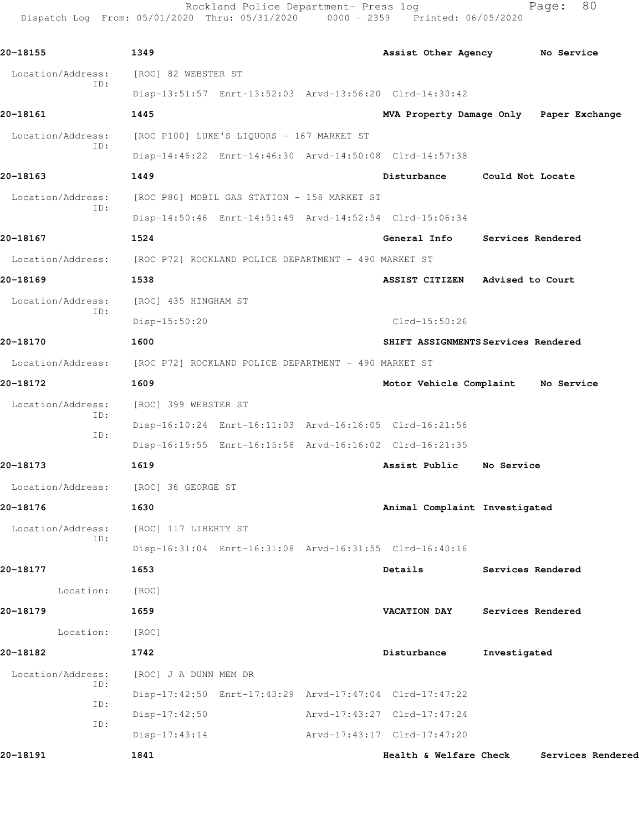Rockland Police Department- Press log entitled and Page: 80 Dispatch Log From: 05/01/2020 Thru: 05/31/2020 0000 - 2359 Printed: 06/05/2020

| 20-18155                 | 1349                                                                   | Assist Other Agency No Service          |                   |                   |
|--------------------------|------------------------------------------------------------------------|-----------------------------------------|-------------------|-------------------|
| Location/Address:        | [ROC] 82 WEBSTER ST                                                    |                                         |                   |                   |
| ID:                      | Disp-13:51:57 Enrt-13:52:03 Arvd-13:56:20 Clrd-14:30:42                |                                         |                   |                   |
| 20-18161                 | 1445                                                                   | MVA Property Damage Only Paper Exchange |                   |                   |
| Location/Address:        | [ROC P100] LUKE'S LIQUORS - 167 MARKET ST                              |                                         |                   |                   |
| ID:                      | Disp-14:46:22 Enrt-14:46:30 Arvd-14:50:08 Clrd-14:57:38                |                                         |                   |                   |
| 20-18163                 | 1449                                                                   | Disturbance Could Not Locate            |                   |                   |
| Location/Address:<br>ID: | [ROC P86] MOBIL GAS STATION - 158 MARKET ST                            |                                         |                   |                   |
|                          | Disp-14:50:46 Enrt-14:51:49 Arvd-14:52:54 Clrd-15:06:34                |                                         |                   |                   |
| 20-18167                 | 1524                                                                   | General Info Services Rendered          |                   |                   |
| Location/Address:        | [ROC P72] ROCKLAND POLICE DEPARTMENT - 490 MARKET ST                   |                                         |                   |                   |
| 20-18169                 | 1538                                                                   | ASSIST CITIZEN Advised to Court         |                   |                   |
| Location/Address:        | [ROC] 435 HINGHAM ST                                                   |                                         |                   |                   |
| ID:                      | Disp-15:50:20                                                          | Clrd-15:50:26                           |                   |                   |
| 20-18170                 | 1600                                                                   | SHIFT ASSIGNMENTS Services Rendered     |                   |                   |
|                          | Location/Address: [ROC P72] ROCKLAND POLICE DEPARTMENT - 490 MARKET ST |                                         |                   |                   |
| 20-18172                 | 1609                                                                   | Motor Vehicle Complaint No Service      |                   |                   |
| Location/Address:        | [ROC] 399 WEBSTER ST                                                   |                                         |                   |                   |
| ID:                      | Disp-16:10:24 Enrt-16:11:03 Arvd-16:16:05 Clrd-16:21:56                |                                         |                   |                   |
| ID:                      | Disp-16:15:55 Enrt-16:15:58 Arvd-16:16:02 Clrd-16:21:35                |                                         |                   |                   |
| 20-18173                 | 1619                                                                   | Assist Public No Service                |                   |                   |
|                          | Location/Address: [ROC] 36 GEORGE ST                                   |                                         |                   |                   |
| 20-18176                 | 1630                                                                   | Animal Complaint Investigated           |                   |                   |
| Location/Address:        | [ROC] 117 LIBERTY ST                                                   |                                         |                   |                   |
| ID:                      | Disp-16:31:04 Enrt-16:31:08 Arvd-16:31:55 Clrd-16:40:16                |                                         |                   |                   |
| 20-18177                 | 1653                                                                   | Details                                 | Services Rendered |                   |
| Location:                | [ROC]                                                                  |                                         |                   |                   |
| 20-18179                 | 1659                                                                   | <b>VACATION DAY</b>                     | Services Rendered |                   |
| Location:                | [ROC]                                                                  |                                         |                   |                   |
| 20-18182                 | 1742                                                                   | Disturbance                             | Investigated      |                   |
| Location/Address:        | [ROC] J A DUNN MEM DR                                                  |                                         |                   |                   |
| ID:                      | Disp-17:42:50 Enrt-17:43:29 Arvd-17:47:04 Clrd-17:47:22                |                                         |                   |                   |
| ID:                      | $Disp-17:42:50$                                                        | Arvd-17:43:27 Clrd-17:47:24             |                   |                   |
| ID:                      | $Disp-17:43:14$                                                        | Arvd-17:43:17 Clrd-17:47:20             |                   |                   |
| 20-18191                 | 1841                                                                   | Health & Welfare Check                  |                   | Services Rendered |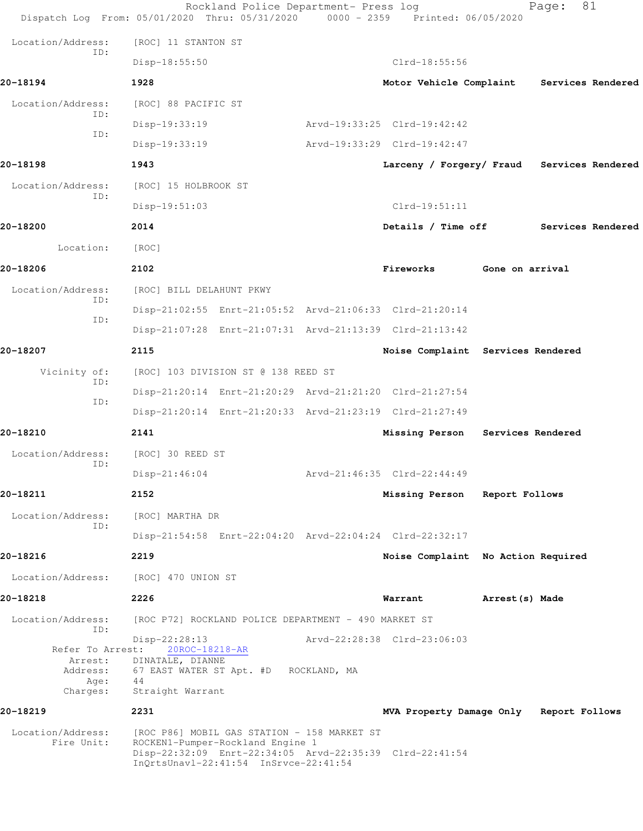| Dispatch Log From: 05/01/2020 Thru: 05/31/2020 0000 - 2359 Printed: 06/05/2020 |                                                                                                             | Rockland Police Department- Press log                                     |              |                                                         |                   | 81<br>Page:       |  |
|--------------------------------------------------------------------------------|-------------------------------------------------------------------------------------------------------------|---------------------------------------------------------------------------|--------------|---------------------------------------------------------|-------------------|-------------------|--|
| Location/Address:                                                              | [ROC] 11 STANTON ST                                                                                         |                                                                           |              |                                                         |                   |                   |  |
| ID:                                                                            | $Disp-18:55:50$                                                                                             |                                                                           |              | Clrd-18:55:56                                           |                   |                   |  |
| 20-18194                                                                       | 1928                                                                                                        |                                                                           |              | Motor Vehicle Complaint Services Rendered               |                   |                   |  |
| Location/Address:                                                              | [ROC] 88 PACIFIC ST                                                                                         |                                                                           |              |                                                         |                   |                   |  |
| ID:                                                                            | Disp-19:33:19                                                                                               |                                                                           |              | Arvd-19:33:25 Clrd-19:42:42                             |                   |                   |  |
| ID:                                                                            | $Disp-19:33:19$                                                                                             |                                                                           |              | Arvd-19:33:29 Clrd-19:42:47                             |                   |                   |  |
| 20-18198                                                                       | 1943                                                                                                        |                                                                           |              | Larceny / Forgery/ Fraud Services Rendered              |                   |                   |  |
| Location/Address:                                                              | [ROC] 15 HOLBROOK ST                                                                                        |                                                                           |              |                                                         |                   |                   |  |
| ID:                                                                            | $Disp-19:51:03$                                                                                             |                                                                           |              | $Clrd-19:51:11$                                         |                   |                   |  |
| 20-18200                                                                       | 2014                                                                                                        |                                                                           |              | Details / Time off                                      |                   | Services Rendered |  |
| Location:                                                                      | [ROC]                                                                                                       |                                                                           |              |                                                         |                   |                   |  |
| 20-18206                                                                       | 2102                                                                                                        |                                                                           |              | Fireworks                                               | Gone on arrival   |                   |  |
| Location/Address:                                                              | [ROC] BILL DELAHUNT PKWY                                                                                    |                                                                           |              |                                                         |                   |                   |  |
| ID:<br>ID:                                                                     |                                                                                                             |                                                                           |              | Disp-21:02:55 Enrt-21:05:52 Arvd-21:06:33 Clrd-21:20:14 |                   |                   |  |
|                                                                                |                                                                                                             |                                                                           |              | Disp-21:07:28 Enrt-21:07:31 Arvd-21:13:39 Clrd-21:13:42 |                   |                   |  |
| 20-18207                                                                       | 2115                                                                                                        |                                                                           |              | Noise Complaint Services Rendered                       |                   |                   |  |
| Vicinity of:<br>ID:                                                            |                                                                                                             | [ROC] 103 DIVISION ST @ 138 REED ST                                       |              |                                                         |                   |                   |  |
| ID:                                                                            |                                                                                                             |                                                                           |              | Disp-21:20:14 Enrt-21:20:29 Arvd-21:21:20 Clrd-21:27:54 |                   |                   |  |
|                                                                                |                                                                                                             |                                                                           |              | Disp-21:20:14 Enrt-21:20:33 Arvd-21:23:19 Clrd-21:27:49 |                   |                   |  |
| 20-18210                                                                       | 2141                                                                                                        |                                                                           |              | Missing Person                                          | Services Rendered |                   |  |
| Location/Address:<br>ID:                                                       | [ROC] 30 REED ST                                                                                            |                                                                           |              |                                                         |                   |                   |  |
|                                                                                | $Disp-21:46:04$                                                                                             |                                                                           |              | Arvd-21:46:35 Clrd-22:44:49                             |                   |                   |  |
| 20-18211                                                                       | 2152                                                                                                        |                                                                           |              | Missing Person                                          | Report Follows    |                   |  |
| Location/Address:<br>ID:                                                       | [ROC] MARTHA DR                                                                                             |                                                                           |              |                                                         |                   |                   |  |
|                                                                                |                                                                                                             |                                                                           |              | Disp-21:54:58 Enrt-22:04:20 Arvd-22:04:24 Clrd-22:32:17 |                   |                   |  |
| 20-18216                                                                       | 2219                                                                                                        |                                                                           |              | Noise Complaint No Action Required                      |                   |                   |  |
| Location/Address:                                                              | [ROC] 470 UNION ST                                                                                          |                                                                           |              |                                                         |                   |                   |  |
| 20-18218                                                                       | 2226                                                                                                        |                                                                           |              | Warrant                                                 | Arrest (s) Made   |                   |  |
| Location/Address:<br>ID:                                                       |                                                                                                             | [ROC P72] ROCKLAND POLICE DEPARTMENT - 490 MARKET ST                      |              |                                                         |                   |                   |  |
| Refer To Arrest:<br>Arrest:<br>Address:<br>Age:<br>Charges:                    | $Disp-22:28:13$<br>20ROC-18218-AR<br>DINATALE, DIANNE<br>67 EAST WATER ST Apt. #D<br>44<br>Straight Warrant |                                                                           | ROCKLAND, MA | Arvd-22:28:38 Clrd-23:06:03                             |                   |                   |  |
| 20-18219                                                                       | 2231                                                                                                        |                                                                           |              | MVA Property Damage Only Report Follows                 |                   |                   |  |
| Location/Address:<br>Fire Unit:                                                | [ROC P86] MOBIL GAS STATION – 158 MARKET ST                                                                 | ROCKEN1-Pumper-Rockland Engine 1<br>InQrtsUnavl-22:41:54 InSrvce-22:41:54 |              | Disp-22:32:09 Enrt-22:34:05 Arvd-22:35:39 Clrd-22:41:54 |                   |                   |  |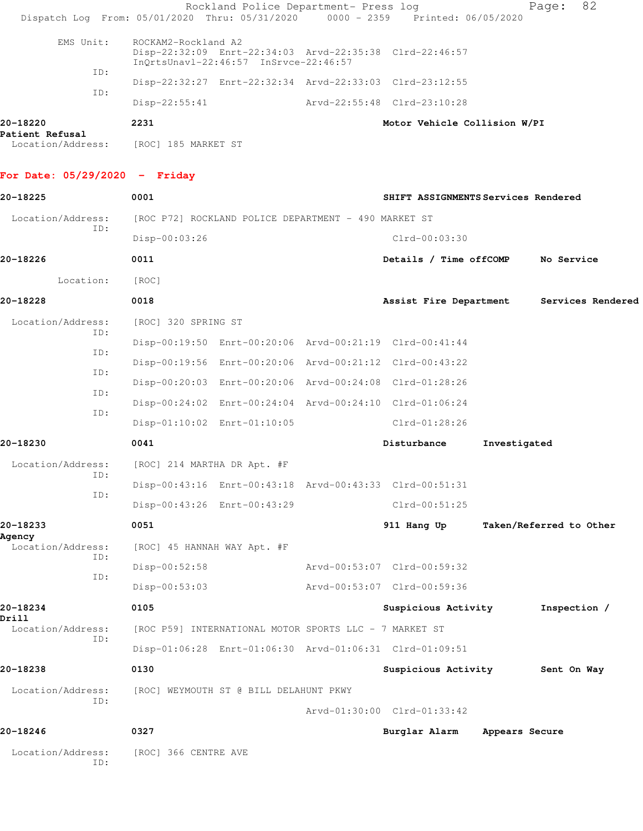|                                 | Rockland Police Department- Press log<br>Dispatch Log From: 05/01/2020 Thru: 05/31/2020                                 | 0000 - 2359 Printed: 06/05/2020     |                | 82<br>Page:             |  |
|---------------------------------|-------------------------------------------------------------------------------------------------------------------------|-------------------------------------|----------------|-------------------------|--|
| EMS Unit:                       | ROCKAM2-Rockland A2<br>Disp-22:32:09 Enrt-22:34:03 Arvd-22:35:38 Clrd-22:46:57<br>InQrtsUnavl-22:46:57 InSrvce-22:46:57 |                                     |                |                         |  |
| ID:                             | Disp-22:32:27 Enrt-22:32:34 Arvd-22:33:03 Clrd-23:12:55                                                                 |                                     |                |                         |  |
| ID:                             | $Disp-22:55:41$                                                                                                         | Arvd-22:55:48 Clrd-23:10:28         |                |                         |  |
| 20-18220<br>Patient Refusal     | 2231                                                                                                                    | Motor Vehicle Collision W/PI        |                |                         |  |
| Location/Address:               | [ROC] 185 MARKET ST                                                                                                     |                                     |                |                         |  |
| For Date: $05/29/2020 -$ Friday |                                                                                                                         |                                     |                |                         |  |
| 20-18225                        | 0001                                                                                                                    | SHIFT ASSIGNMENTS Services Rendered |                |                         |  |
| Location/Address:               | [ROC P72] ROCKLAND POLICE DEPARTMENT - 490 MARKET ST                                                                    |                                     |                |                         |  |
| ID:                             | Disp-00:03:26                                                                                                           | $Clrd-00:03:30$                     |                |                         |  |
| 20-18226                        | 0011                                                                                                                    | Details / Time offCOMP              |                | No Service              |  |
| Location:                       | [ROC]                                                                                                                   |                                     |                |                         |  |
| 20-18228                        | 0018                                                                                                                    | Assist Fire Department              |                | Services Rendered       |  |
| Location/Address:               | [ROC] 320 SPRING ST                                                                                                     |                                     |                |                         |  |
| ID:                             | Disp-00:19:50 Enrt-00:20:06 Arvd-00:21:19 Clrd-00:41:44                                                                 |                                     |                |                         |  |
| ID:                             | Disp-00:19:56 Enrt-00:20:06 Arvd-00:21:12 Clrd-00:43:22                                                                 |                                     |                |                         |  |
| ID:                             | Disp-00:20:03 Enrt-00:20:06 Arvd-00:24:08 Clrd-01:28:26                                                                 |                                     |                |                         |  |
| ID:                             | Disp-00:24:02 Enrt-00:24:04 Arvd-00:24:10 Clrd-01:06:24                                                                 |                                     |                |                         |  |
| ID:                             | Disp-01:10:02 Enrt-01:10:05                                                                                             | $Clrd-01:28:26$                     |                |                         |  |
| 20-18230                        | 0041                                                                                                                    | Disturbance                         | Investigated   |                         |  |
| Location/Address:               | [ROC] 214 MARTHA DR Apt. #F                                                                                             |                                     |                |                         |  |
| ID:                             | Disp-00:43:16 Enrt-00:43:18 Arvd-00:43:33 Clrd-00:51:31                                                                 |                                     |                |                         |  |
| ID:                             | Disp-00:43:26 Enrt-00:43:29                                                                                             | $Clrd-00:51:25$                     |                |                         |  |
| 20-18233                        | 0051                                                                                                                    | 911 Hang Up                         |                | Taken/Referred to Other |  |
| Aqency<br>Location/Address:     | [ROC] 45 HANNAH WAY Apt. #F                                                                                             |                                     |                |                         |  |
| ID:                             | Disp-00:52:58                                                                                                           | Arvd-00:53:07 Clrd-00:59:32         |                |                         |  |
| ID:                             | $Disp-00:53:03$                                                                                                         | Arvd-00:53:07 Clrd-00:59:36         |                |                         |  |
| 20-18234                        | 0105                                                                                                                    | Suspicious Activity                 |                | Inspection /            |  |
| Drill<br>Location/Address:      | [ROC P59] INTERNATIONAL MOTOR SPORTS LLC - 7 MARKET ST                                                                  |                                     |                |                         |  |
| ID:                             | Disp-01:06:28 Enrt-01:06:30 Arvd-01:06:31 Clrd-01:09:51                                                                 |                                     |                |                         |  |
| 20-18238                        | 0130                                                                                                                    | Suspicious Activity                 |                | Sent On Way             |  |
| Location/Address:               | [ROC] WEYMOUTH ST @ BILL DELAHUNT PKWY                                                                                  |                                     |                |                         |  |
| ID:                             |                                                                                                                         | Arvd-01:30:00 Clrd-01:33:42         |                |                         |  |
| 20-18246                        | 0327                                                                                                                    | Burglar Alarm                       | Appears Secure |                         |  |
| Location/Address:<br>ID:        | [ROC] 366 CENTRE AVE                                                                                                    |                                     |                |                         |  |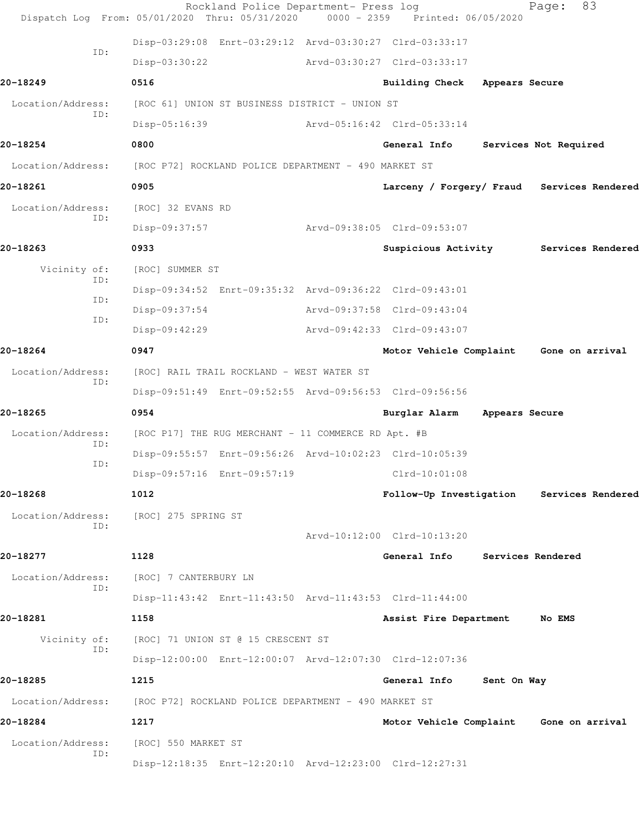|                          | Rockland Police Department- Press log<br>Dispatch Log From: 05/01/2020 Thru: 05/31/2020 | $0000 - 2359$ | Printed: 06/05/2020         |                | 83<br>Page:                                |
|--------------------------|-----------------------------------------------------------------------------------------|---------------|-----------------------------|----------------|--------------------------------------------|
|                          | Disp-03:29:08 Enrt-03:29:12 Arvd-03:30:27 Clrd-03:33:17                                 |               |                             |                |                                            |
| ID:                      | Disp-03:30:22                                                                           |               | Arvd-03:30:27 Clrd-03:33:17 |                |                                            |
| 20-18249                 | 0516                                                                                    |               | Building Check              | Appears Secure |                                            |
| Location/Address:        | [ROC 61] UNION ST BUSINESS DISTRICT - UNION ST                                          |               |                             |                |                                            |
| ID:                      | $Disp-05:16:39$                                                                         |               | Arvd-05:16:42 Clrd-05:33:14 |                |                                            |
| 20-18254                 | 0800                                                                                    |               | General Info                |                | Services Not Required                      |
| Location/Address:        | [ROC P72] ROCKLAND POLICE DEPARTMENT - 490 MARKET ST                                    |               |                             |                |                                            |
| 20-18261                 | 0905                                                                                    |               |                             |                | Larceny / Forgery/ Fraud Services Rendered |
| Location/Address:        | [ROC] 32 EVANS RD                                                                       |               |                             |                |                                            |
| ID:                      | Disp-09:37:57                                                                           |               | Arvd-09:38:05 Clrd-09:53:07 |                |                                            |
| 20-18263                 | 0933                                                                                    |               |                             |                | Suspicious Activity Services Rendered      |
| Vicinity of:             | [ROC] SUMMER ST                                                                         |               |                             |                |                                            |
| ID:                      | Disp-09:34:52 Enrt-09:35:32 Arvd-09:36:22 Clrd-09:43:01                                 |               |                             |                |                                            |
| ID:<br>ID:               | $Disp-09:37:54$                                                                         |               | Arvd-09:37:58 Clrd-09:43:04 |                |                                            |
|                          | Disp-09:42:29                                                                           |               | Arvd-09:42:33 Clrd-09:43:07 |                |                                            |
| 20-18264                 | 0947                                                                                    |               |                             |                | Motor Vehicle Complaint Gone on arrival    |
| Location/Address:<br>ID: | [ROC] RAIL TRAIL ROCKLAND - WEST WATER ST                                               |               |                             |                |                                            |
|                          | Disp-09:51:49 Enrt-09:52:55 Arvd-09:56:53 Clrd-09:56:56                                 |               |                             |                |                                            |
| 20-18265                 | 0954                                                                                    |               | Burglar Alarm               | Appears Secure |                                            |
| Location/Address:<br>ID: | [ROC P17] THE RUG MERCHANT - 11 COMMERCE RD Apt. #B                                     |               |                             |                |                                            |
| ID:                      | Disp-09:55:57 Enrt-09:56:26 Arvd-10:02:23 Clrd-10:05:39                                 |               |                             |                |                                            |
|                          | Disp-09:57:16 Enrt-09:57:19                                                             |               | $Clrd-10:01:08$             |                |                                            |
| 20-18268                 | 1012                                                                                    |               |                             |                | Follow-Up Investigation Services Rendered  |
| Location/Address:<br>ID: | [ROC] 275 SPRING ST                                                                     |               |                             |                |                                            |
|                          |                                                                                         |               | Arvd-10:12:00 Clrd-10:13:20 |                |                                            |
| 20-18277                 | 1128                                                                                    |               | General Info                |                | Services Rendered                          |
| Location/Address:<br>ID: | [ROC] 7 CANTERBURY LN                                                                   |               |                             |                |                                            |
|                          | Disp-11:43:42 Enrt-11:43:50 Arvd-11:43:53 Clrd-11:44:00                                 |               |                             |                |                                            |
| 20-18281                 | 1158                                                                                    |               | Assist Fire Department      |                | <b>No EMS</b>                              |
| Vicinity of:<br>ID:      | [ROC] 71 UNION ST @ 15 CRESCENT ST                                                      |               |                             |                |                                            |
|                          | Disp-12:00:00 Enrt-12:00:07 Arvd-12:07:30 Clrd-12:07:36                                 |               |                             |                |                                            |
| 20-18285                 | 1215                                                                                    |               | General Info                | Sent On Way    |                                            |
| Location/Address:        | [ROC P72] ROCKLAND POLICE DEPARTMENT - 490 MARKET ST                                    |               |                             |                |                                            |
| 20-18284                 | 1217                                                                                    |               |                             |                | Motor Vehicle Complaint Gone on arrival    |
| Location/Address:<br>ID: | [ROC] 550 MARKET ST                                                                     |               |                             |                |                                            |
|                          | Disp-12:18:35 Enrt-12:20:10 Arvd-12:23:00 Clrd-12:27:31                                 |               |                             |                |                                            |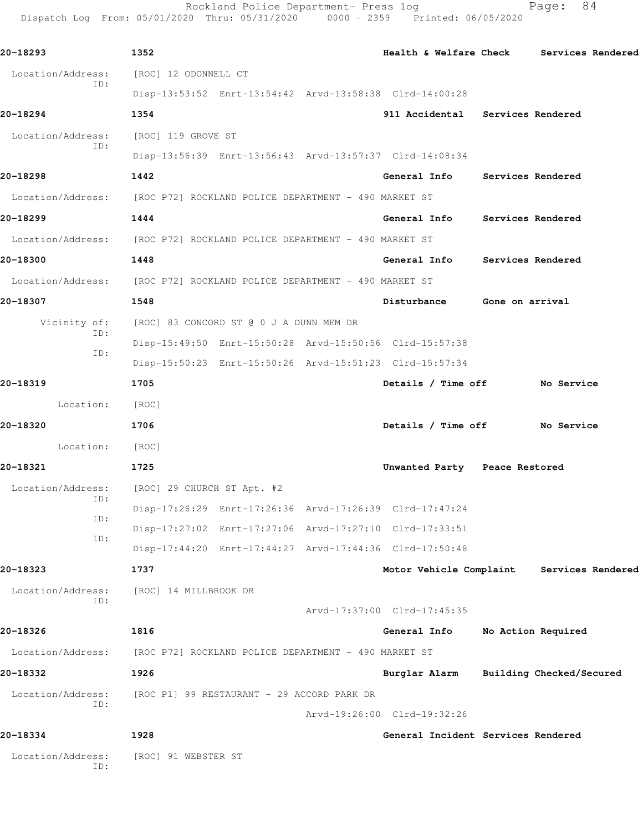Rockland Police Department- Press log entitled and Page: 84 Dispatch Log From: 05/01/2020 Thru: 05/31/2020 0000 - 2359 Printed: 06/05/2020

| 20-18293                 | 1352                                                                   |                             |                                    | Health & Welfare Check Services Rendered |
|--------------------------|------------------------------------------------------------------------|-----------------------------|------------------------------------|------------------------------------------|
| Location/Address:        | [ROC] 12 ODONNELL CT                                                   |                             |                                    |                                          |
| ID:                      | Disp-13:53:52 Enrt-13:54:42 Arvd-13:58:38 Clrd-14:00:28                |                             |                                    |                                          |
| 20-18294                 | 1354                                                                   |                             | 911 Accidental Services Rendered   |                                          |
| Location/Address:<br>ID: | [ROC] 119 GROVE ST                                                     |                             |                                    |                                          |
|                          | Disp-13:56:39 Enrt-13:56:43 Arvd-13:57:37 Clrd-14:08:34                |                             |                                    |                                          |
| 20-18298                 | 1442                                                                   |                             | General Info Services Rendered     |                                          |
|                          | Location/Address: [ROC P72] ROCKLAND POLICE DEPARTMENT - 490 MARKET ST |                             |                                    |                                          |
| 20-18299                 | 1444                                                                   |                             | General Info Services Rendered     |                                          |
|                          | Location/Address: [ROC P72] ROCKLAND POLICE DEPARTMENT - 490 MARKET ST |                             |                                    |                                          |
| 20-18300                 | 1448                                                                   |                             | General Info Services Rendered     |                                          |
|                          | Location/Address: [ROC P72] ROCKLAND POLICE DEPARTMENT - 490 MARKET ST |                             |                                    |                                          |
| 20-18307                 | 1548                                                                   | Disturbance                 | Gone on arrival                    |                                          |
| Vicinity of:             | [ROC] 83 CONCORD ST @ 0 J A DUNN MEM DR                                |                             |                                    |                                          |
| ID:                      | Disp-15:49:50 Enrt-15:50:28 Arvd-15:50:56 Clrd-15:57:38                |                             |                                    |                                          |
| ID:                      | Disp-15:50:23 Enrt-15:50:26 Arvd-15:51:23 Clrd-15:57:34                |                             |                                    |                                          |
| 20-18319                 | 1705                                                                   |                             | Details / Time off No Service      |                                          |
| Location:                | [ROC]                                                                  |                             |                                    |                                          |
| 20-18320                 | 1706                                                                   |                             | Details / Time off No Service      |                                          |
| Location:                | [ROC]                                                                  |                             |                                    |                                          |
| 20-18321                 | 1725                                                                   |                             | Unwanted Party Peace Restored      |                                          |
| Location/Address:        | [ROC] 29 CHURCH ST Apt. #2                                             |                             |                                    |                                          |
| ID:                      | Disp-17:26:29 Enrt-17:26:36 Arvd-17:26:39 Clrd-17:47:24                |                             |                                    |                                          |
| ID:<br>ID:               | Disp-17:27:02 Enrt-17:27:06 Arvd-17:27:10 Clrd-17:33:51                |                             |                                    |                                          |
|                          | Disp-17:44:20 Enrt-17:44:27 Arvd-17:44:36 Clrd-17:50:48                |                             |                                    |                                          |
| 20-18323                 | 1737                                                                   |                             | Motor Vehicle Complaint            | Services Rendered                        |
| Location/Address:<br>ID: | [ROC] 14 MILLBROOK DR                                                  |                             |                                    |                                          |
|                          |                                                                        | Arvd-17:37:00 Clrd-17:45:35 |                                    |                                          |
| 20-18326                 | 1816                                                                   | General Info                |                                    | No Action Required                       |
| Location/Address:        | [ROC P72] ROCKLAND POLICE DEPARTMENT - 490 MARKET ST                   |                             |                                    |                                          |
| 20-18332                 | 1926                                                                   | Burglar Alarm               |                                    | Building Checked/Secured                 |
| Location/Address:<br>ID: | [ROC P1] 99 RESTAURANT - 29 ACCORD PARK DR                             |                             |                                    |                                          |
|                          |                                                                        | Arvd-19:26:00 Clrd-19:32:26 |                                    |                                          |
| 20-18334                 | 1928                                                                   |                             | General Incident Services Rendered |                                          |
| Location/Address:<br>ID: | [ROC] 91 WEBSTER ST                                                    |                             |                                    |                                          |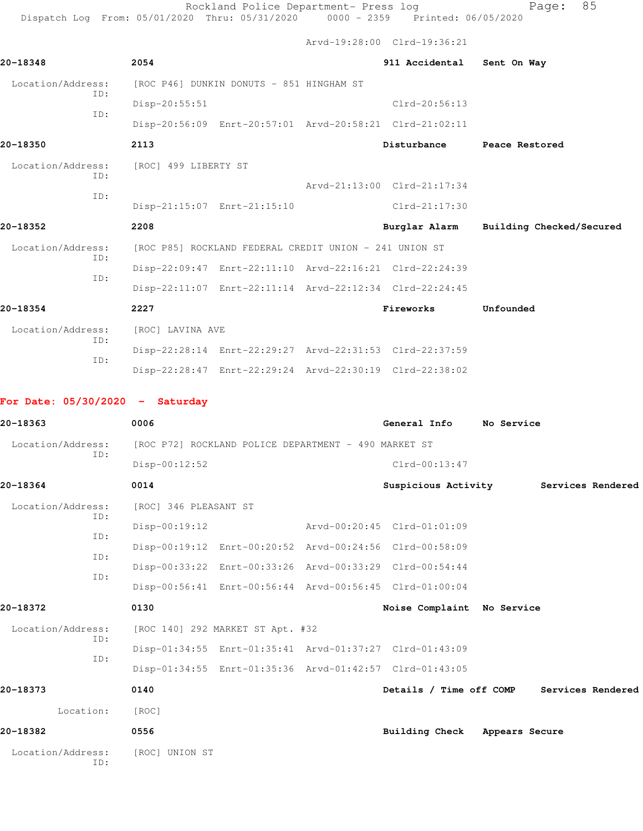Rockland Police Department- Press log entitled and Page: 85 Dispatch Log From: 05/01/2020 Thru: 05/31/2020 0000 - 2359 Printed: 06/05/2020

Arvd-19:28:00 Clrd-19:36:21

|                                   |     |                                         |                                                        | ALVUTIJ.ZO.UU UILUTIJ.JO.ZI                             |                |                                           |
|-----------------------------------|-----|-----------------------------------------|--------------------------------------------------------|---------------------------------------------------------|----------------|-------------------------------------------|
| 20-18348                          |     | 2054                                    |                                                        | 911 Accidental Sent On Way                              |                |                                           |
| Location/Address:                 |     |                                         | [ROC P46] DUNKIN DONUTS - 851 HINGHAM ST               |                                                         |                |                                           |
|                                   | ID: | $Disp-20:55:51$                         |                                                        | $Clrd-20:56:13$                                         |                |                                           |
|                                   | ID: |                                         |                                                        | Disp-20:56:09 Enrt-20:57:01 Arvd-20:58:21 Clrd-21:02:11 |                |                                           |
| 20-18350                          |     | 2113                                    |                                                        | Disturbance                                             | Peace Restored |                                           |
| Location/Address:                 |     | [ROC] 499 LIBERTY ST                    |                                                        |                                                         |                |                                           |
|                                   | ID: |                                         |                                                        | Arvd-21:13:00 Clrd-21:17:34                             |                |                                           |
|                                   | ID: |                                         | Disp-21:15:07 Enrt-21:15:10                            | Clrd-21:17:30                                           |                |                                           |
| 20-18352                          |     | 2208                                    |                                                        |                                                         |                | Burglar Alarm Building Checked/Secured    |
| Location/Address:                 |     |                                         | [ROC P85] ROCKLAND FEDERAL CREDIT UNION - 241 UNION ST |                                                         |                |                                           |
|                                   | ID: |                                         |                                                        | Disp-22:09:47 Enrt-22:11:10 Arvd-22:16:21 Clrd-22:24:39 |                |                                           |
|                                   | ID: |                                         |                                                        | Disp-22:11:07 Enrt-22:11:14 Arvd-22:12:34 Clrd-22:24:45 |                |                                           |
| 20-18354                          |     | 2227                                    |                                                        | Fireworks                                               | Unfounded      |                                           |
| Location/Address:                 |     | [ROC] LAVINA AVE                        |                                                        |                                                         |                |                                           |
|                                   | ID: |                                         |                                                        | Disp-22:28:14 Enrt-22:29:27 Arvd-22:31:53 Clrd-22:37:59 |                |                                           |
|                                   | ID: |                                         |                                                        | Disp-22:28:47 Enrt-22:29:24 Arvd-22:30:19 Clrd-22:38:02 |                |                                           |
|                                   |     |                                         |                                                        |                                                         |                |                                           |
| For Date: $05/30/2020 -$ Saturday |     |                                         |                                                        |                                                         |                |                                           |
| 20-18363                          |     | 0006                                    |                                                        | General Info No Service                                 |                |                                           |
| Location/Address:                 | ID: |                                         | [ROC P72] ROCKLAND POLICE DEPARTMENT - 490 MARKET ST   |                                                         |                |                                           |
|                                   |     | Disp-00:12:52                           |                                                        | $Clrd-00:13:47$                                         |                |                                           |
| 20-18364                          |     | 0014                                    |                                                        |                                                         |                | Suspicious Activity Services Rendered     |
|                                   | ID: | Location/Address: [ROC] 346 PLEASANT ST |                                                        |                                                         |                |                                           |
|                                   | ID: | $Disp-00:19:12$                         |                                                        | Arvd-00:20:45 Clrd-01:01:09                             |                |                                           |
|                                   | ID: |                                         |                                                        | Disp-00:19:12 Enrt-00:20:52 Arvd-00:24:56 Clrd-00:58:09 |                |                                           |
|                                   | ID: |                                         |                                                        | Disp-00:33:22 Enrt-00:33:26 Arvd-00:33:29 Clrd-00:54:44 |                |                                           |
|                                   |     |                                         |                                                        | Disp-00:56:41 Enrt-00:56:44 Arvd-00:56:45 Clrd-01:00:04 |                |                                           |
| 20-18372                          |     | 0130                                    |                                                        | Noise Complaint No Service                              |                |                                           |
| Location/Address:                 | ID: |                                         | [ROC 140] 292 MARKET ST Apt. #32                       |                                                         |                |                                           |
|                                   | ID: |                                         |                                                        | Disp-01:34:55 Enrt-01:35:41 Arvd-01:37:27 Clrd-01:43:09 |                |                                           |
|                                   |     |                                         |                                                        | Disp-01:34:55 Enrt-01:35:36 Arvd-01:42:57 Clrd-01:43:05 |                |                                           |
| 20-18373                          |     | 0140                                    |                                                        |                                                         |                | Details / Time off COMP Services Rendered |
| Location:                         |     | [ROC]                                   |                                                        |                                                         |                |                                           |
| 20-18382                          |     | 0556                                    |                                                        | <b>Building Check</b>                                   | Appears Secure |                                           |
| Location/Address:                 | ID: | [ROC] UNION ST                          |                                                        |                                                         |                |                                           |
|                                   |     |                                         |                                                        |                                                         |                |                                           |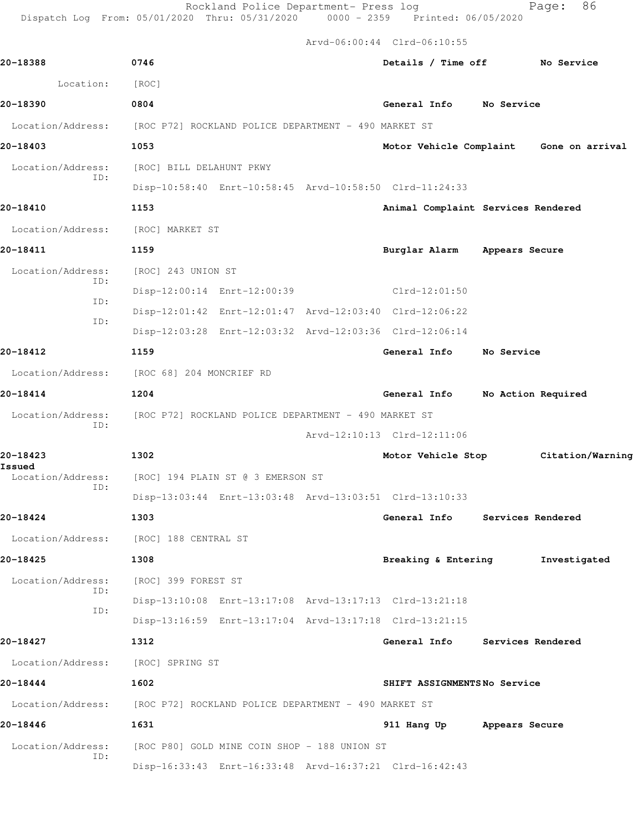Rockland Police Department- Press log entitled and Page: 86 Dispatch Log From: 05/01/2020 Thru: 05/31/2020 0000 - 2359 Printed: 06/05/2020

Arvd-06:00:44 Clrd-06:10:55

|                                   |                                                                        | ALVU-00.00.44 CILU-00.10.00        |                   |                                         |  |  |  |
|-----------------------------------|------------------------------------------------------------------------|------------------------------------|-------------------|-----------------------------------------|--|--|--|
| 20-18388                          | 0746                                                                   | Details / Time off No Service      |                   |                                         |  |  |  |
| Location:                         | [ROC]                                                                  |                                    |                   |                                         |  |  |  |
| 20-18390                          | 0804                                                                   | General Info No Service            |                   |                                         |  |  |  |
| Location/Address:                 | [ROC P72] ROCKLAND POLICE DEPARTMENT - 490 MARKET ST                   |                                    |                   |                                         |  |  |  |
| 20-18403                          | 1053                                                                   |                                    |                   | Motor Vehicle Complaint Gone on arrival |  |  |  |
| Location/Address:                 | [ROC] BILL DELAHUNT PKWY                                               |                                    |                   |                                         |  |  |  |
| ID:                               | Disp-10:58:40 Enrt-10:58:45 Arvd-10:58:50 Clrd-11:24:33                |                                    |                   |                                         |  |  |  |
| 20-18410                          | 1153                                                                   | Animal Complaint Services Rendered |                   |                                         |  |  |  |
| Location/Address: [ROC] MARKET ST |                                                                        |                                    |                   |                                         |  |  |  |
| 20-18411                          | 1159                                                                   | Burglar Alarm Appears Secure       |                   |                                         |  |  |  |
| Location/Address:                 | [ROC] 243 UNION ST                                                     |                                    |                   |                                         |  |  |  |
| ID:                               | Disp-12:00:14 Enrt-12:00:39 Clrd-12:01:50                              |                                    |                   |                                         |  |  |  |
| ID:                               | Disp-12:01:42 Enrt-12:01:47 Arvd-12:03:40 Clrd-12:06:22                |                                    |                   |                                         |  |  |  |
| ID:                               | Disp-12:03:28 Enrt-12:03:32 Arvd-12:03:36 Clrd-12:06:14                |                                    |                   |                                         |  |  |  |
| 20-18412                          | 1159                                                                   | General Info No Service            |                   |                                         |  |  |  |
|                                   | Location/Address: [ROC 68] 204 MONCRIEF RD                             |                                    |                   |                                         |  |  |  |
| 20-18414                          | 1204                                                                   | General Info No Action Required    |                   |                                         |  |  |  |
| Location/Address:<br>ID:          | [ROC P72] ROCKLAND POLICE DEPARTMENT - 490 MARKET ST                   |                                    |                   |                                         |  |  |  |
|                                   |                                                                        | Arvd-12:10:13 Clrd-12:11:06        |                   |                                         |  |  |  |
| 20-18423<br>Issued                | 1302                                                                   | Motor Vehicle Stop                 |                   | Citation/Warning                        |  |  |  |
| Location/Address:<br>ID:          | [ROC] 194 PLAIN ST @ 3 EMERSON ST                                      |                                    |                   |                                         |  |  |  |
|                                   | Disp-13:03:44 Enrt-13:03:48 Arvd-13:03:51 Clrd-13:10:33                |                                    |                   |                                         |  |  |  |
| 20-18424                          | 1303                                                                   | General Info                       | Services Rendered |                                         |  |  |  |
|                                   | Location/Address: [ROC] 188 CENTRAL ST                                 |                                    |                   |                                         |  |  |  |
| 20-18425                          | 1308                                                                   | Breaking & Entering                |                   | Investigated                            |  |  |  |
| Location/Address:<br>ID:          | [ROC] 399 FOREST ST                                                    |                                    |                   |                                         |  |  |  |
| ID:                               | Disp-13:10:08 Enrt-13:17:08 Arvd-13:17:13 Clrd-13:21:18                |                                    |                   |                                         |  |  |  |
|                                   | Disp-13:16:59 Enrt-13:17:04 Arvd-13:17:18 Clrd-13:21:15                |                                    |                   |                                         |  |  |  |
| 20-18427                          | 1312                                                                   | General Info                       | Services Rendered |                                         |  |  |  |
| Location/Address:                 | [ROC] SPRING ST                                                        |                                    |                   |                                         |  |  |  |
| 20-18444                          | 1602                                                                   | SHIFT ASSIGNMENTSNo Service        |                   |                                         |  |  |  |
|                                   | Location/Address: [ROC P72] ROCKLAND POLICE DEPARTMENT - 490 MARKET ST |                                    |                   |                                         |  |  |  |
| 20-18446                          | 1631                                                                   | 911 Hang Up Appears Secure         |                   |                                         |  |  |  |
| Location/Address:                 | [ROC P80] GOLD MINE COIN SHOP - 188 UNION ST                           |                                    |                   |                                         |  |  |  |
| ID:                               | Disp-16:33:43 Enrt-16:33:48 Arvd-16:37:21 Clrd-16:42:43                |                                    |                   |                                         |  |  |  |
|                                   |                                                                        |                                    |                   |                                         |  |  |  |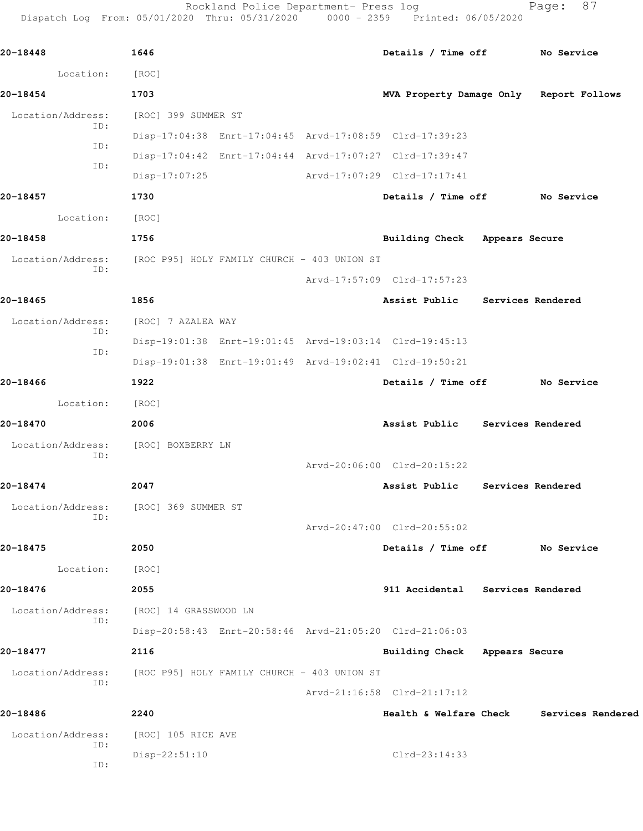Rockland Police Department- Press log Fage: 87 Dispatch Log From: 05/01/2020 Thru: 05/31/2020 0000 - 2359 Printed: 06/05/2020 **20-18448 1646 Details / Time off No Service** Location: [ROC] **20-18454 1703 MVA Property Damage Only Report Follows** Location/Address: [ROC] 399 SUMMER ST ID: Disp-17:04:38 Enrt-17:04:45 Arvd-17:08:59 Clrd-17:39:23 ID: Disp-17:04:42 Enrt-17:04:44 Arvd-17:07:27 Clrd-17:39:47 ID: Disp-17:07:25 Arvd-17:07:29 Clrd-17:17:41 **20-18457 1730 Details / Time off No Service** Location: [ROC] **20-18458 1756 Building Check Appears Secure** Location/Address: [ROC P95] HOLY FAMILY CHURCH - 403 UNION ST ID: Arvd-17:57:09 Clrd-17:57:23 **20-18465 1856 Assist Public Services Rendered** Location/Address: [ROC] 7 AZALEA WAY ID: Disp-19:01:38 Enrt-19:01:45 Arvd-19:03:14 Clrd-19:45:13 ID: Disp-19:01:38 Enrt-19:01:49 Arvd-19:02:41 Clrd-19:50:21 **20-18466 1922 Details / Time off No Service** Location: [ROC] **20-18470 2006 Assist Public Services Rendered** Location/Address: [ROC] BOXBERRY LN ID: Arvd-20:06:00 Clrd-20:15:22 **20-18474 2047 Assist Public Services Rendered**

 Location/Address: [ROC] 369 SUMMER ST ID: Arvd-20:47:00 Clrd-20:55:02 **20-18475 2050 Details / Time off No Service**

 Location: [ROC] **20-18476 2055 911 Accidental Services Rendered** Location/Address: [ROC] 14 GRASSWOOD LN ID: Disp-20:58:43 Enrt-20:58:46 Arvd-21:05:20 Clrd-21:06:03

**20-18477 2116 Building Check Appears Secure** Location/Address: [ROC P95] HOLY FAMILY CHURCH - 403 UNION ST ID: Arvd-21:16:58 Clrd-21:17:12 **20-18486 2240 Health & Welfare Check Services Rendered** Location/Address: [ROC] 105 RICE AVE ID: Disp-22:51:10 Clrd-23:14:33

ID: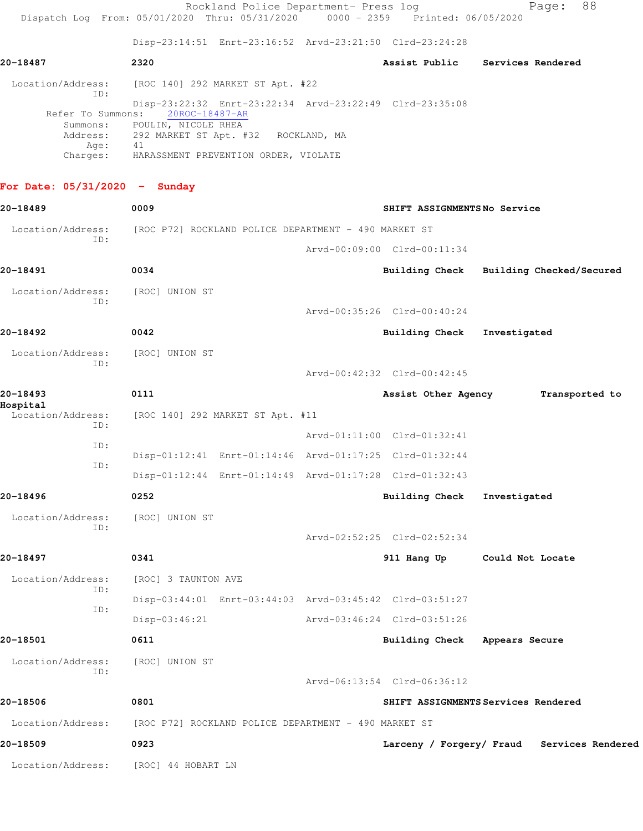|                                 | Rockland Police Department- Press log<br>Dispatch Log From: 05/01/2020 Thru: 05/31/2020                 |  | 0000 - 2359 Printed: 06/05/2020 | 88<br>Page:                                |
|---------------------------------|---------------------------------------------------------------------------------------------------------|--|---------------------------------|--------------------------------------------|
|                                 | Disp-23:14:51 Enrt-23:16:52 Arvd-23:21:50 Clrd-23:24:28                                                 |  |                                 |                                            |
| 20-18487                        | 2320                                                                                                    |  |                                 | Assist Public Services Rendered            |
| Location/Address:               | [ROC 140] 292 MARKET ST Apt. #22                                                                        |  |                                 |                                            |
| ID:                             | Disp-23:22:32 Enrt-23:22:34 Arvd-23:22:49 Clrd-23:35:08                                                 |  |                                 |                                            |
|                                 | Refer To Summons: 20ROC-18487-AR<br>Summons: POULIN, NICOLE RHEA<br>292 MARKET ST Apt. #32 ROCKLAND, MA |  |                                 |                                            |
| Address:<br>Age:<br>Charges:    | 41<br>HARASSMENT PREVENTION ORDER, VIOLATE                                                              |  |                                 |                                            |
|                                 |                                                                                                         |  |                                 |                                            |
| For Date: $05/31/2020 -$ Sunday |                                                                                                         |  |                                 |                                            |
| 20-18489                        | 0009                                                                                                    |  | SHIFT ASSIGNMENTSNo Service     |                                            |
| Location/Address:<br>TD:        | [ROC P72] ROCKLAND POLICE DEPARTMENT - 490 MARKET ST                                                    |  |                                 |                                            |
|                                 |                                                                                                         |  | Arvd-00:09:00 Clrd-00:11:34     |                                            |
| 20-18491                        | 0034                                                                                                    |  |                                 | Building Check Building Checked/Secured    |
| Location/Address:<br>ID:        | [ROC] UNION ST                                                                                          |  |                                 |                                            |
|                                 |                                                                                                         |  | Arvd-00:35:26 Clrd-00:40:24     |                                            |
| 20-18492                        | 0042                                                                                                    |  | <b>Building Check</b>           | Investigated                               |
| Location/Address:<br>ID:        | [ROC] UNION ST                                                                                          |  |                                 |                                            |
|                                 |                                                                                                         |  | Arvd-00:42:32 Clrd-00:42:45     |                                            |
| 20-18493<br>Hospital            | 0111                                                                                                    |  | Assist Other Agency             | Transported to                             |
| Location/Address:<br>ID:        | [ROC 140] 292 MARKET ST Apt. #11                                                                        |  |                                 |                                            |
| ID:                             |                                                                                                         |  | Arvd-01:11:00 Clrd-01:32:41     |                                            |
| ID:                             | Disp-01:12:41 Enrt-01:14:46 Arvd-01:17:25 Clrd-01:32:44                                                 |  |                                 |                                            |
|                                 | Disp-01:12:44 Enrt-01:14:49 Arvd-01:17:28 Clrd-01:32:43                                                 |  |                                 |                                            |
| 20-18496                        | 0252                                                                                                    |  | <b>Building Check</b>           | Investigated                               |
| Location/Address:<br>ID:        | [ROC] UNION ST                                                                                          |  |                                 |                                            |
|                                 |                                                                                                         |  | Arvd-02:52:25 Clrd-02:52:34     |                                            |
| 20-18497                        | 0341                                                                                                    |  | 911 Hang Up                     | Could Not Locate                           |
| Location/Address:<br>ID:        | [ROC] 3 TAUNTON AVE                                                                                     |  |                                 |                                            |
| ID:                             | Disp-03:44:01 Enrt-03:44:03 Arvd-03:45:42 Clrd-03:51:27                                                 |  |                                 |                                            |
|                                 | $Disp-03:46:21$                                                                                         |  | Arvd-03:46:24 Clrd-03:51:26     |                                            |
| 20-18501                        | 0611                                                                                                    |  | Building Check Appears Secure   |                                            |
| Location/Address:<br>ID:        | [ROC] UNION ST                                                                                          |  |                                 |                                            |
|                                 |                                                                                                         |  | Arvd-06:13:54 Clrd-06:36:12     |                                            |
| 20-18506                        | 0801<br>SHIFT ASSIGNMENTS Services Rendered                                                             |  |                                 |                                            |
| Location/Address:               | [ROC P72] ROCKLAND POLICE DEPARTMENT - 490 MARKET ST                                                    |  |                                 |                                            |
| 20-18509                        | 0923                                                                                                    |  |                                 | Larceny / Forgery/ Fraud Services Rendered |
| Location/Address:               | [ROC] 44 HOBART LN                                                                                      |  |                                 |                                            |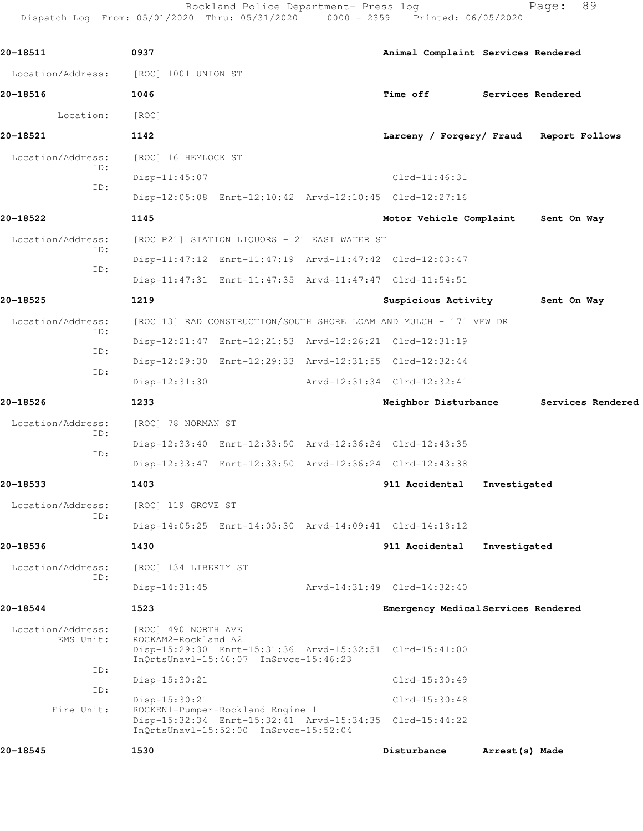Rockland Police Department- Press log entitled and Page: 89

Dispatch Log From: 05/01/2020 Thru: 05/31/2020 0000 - 2359 Printed: 06/05/2020

| 20-18511                              | 0937                                       |                                                                           |  | Animal Complaint Services Rendered                                |                 |                                         |
|---------------------------------------|--------------------------------------------|---------------------------------------------------------------------------|--|-------------------------------------------------------------------|-----------------|-----------------------------------------|
| Location/Address: [ROC] 1001 UNION ST |                                            |                                                                           |  |                                                                   |                 |                                         |
| 20-18516                              | 1046                                       |                                                                           |  | Time off                                                          |                 | Services Rendered                       |
| Location:                             | [ROC]                                      |                                                                           |  |                                                                   |                 |                                         |
| 20-18521                              | 1142                                       |                                                                           |  |                                                                   |                 | Larceny / Forgery/ Fraud Report Follows |
| Location/Address:                     | [ROC] 16 HEMLOCK ST                        |                                                                           |  |                                                                   |                 |                                         |
| ID:                                   | $Disp-11:45:07$                            |                                                                           |  | $Clrd-11:46:31$                                                   |                 |                                         |
| ID:                                   |                                            |                                                                           |  | Disp-12:05:08 Enrt-12:10:42 Arvd-12:10:45 Clrd-12:27:16           |                 |                                         |
| 20-18522                              | 1145                                       |                                                                           |  | Motor Vehicle Complaint                                           |                 | Sent On Way                             |
| Location/Address:                     |                                            | [ROC P21] STATION LIQUORS - 21 EAST WATER ST                              |  |                                                                   |                 |                                         |
| ID:                                   |                                            |                                                                           |  | Disp-11:47:12 Enrt-11:47:19 Arvd-11:47:42 Clrd-12:03:47           |                 |                                         |
| ID:                                   |                                            |                                                                           |  | Disp-11:47:31 Enrt-11:47:35 Arvd-11:47:47 Clrd-11:54:51           |                 |                                         |
| 20-18525                              | 1219                                       |                                                                           |  | Suspicious Activity                                               |                 | Sent On Way                             |
| Location/Address:                     |                                            |                                                                           |  | [ROC 13] RAD CONSTRUCTION/SOUTH SHORE LOAM AND MULCH - 171 VFW DR |                 |                                         |
| ID:                                   |                                            |                                                                           |  | Disp-12:21:47 Enrt-12:21:53 Arvd-12:26:21 Clrd-12:31:19           |                 |                                         |
| ID:                                   |                                            |                                                                           |  | Disp-12:29:30 Enrt-12:29:33 Arvd-12:31:55 Clrd-12:32:44           |                 |                                         |
| ID:                                   | $Disp-12:31:30$                            |                                                                           |  | Arvd-12:31:34 Clrd-12:32:41                                       |                 |                                         |
| 20-18526                              | 1233                                       |                                                                           |  | Neighbor Disturbance                                              |                 | Services Rendered                       |
| Location/Address:                     | [ROC] 78 NORMAN ST                         |                                                                           |  |                                                                   |                 |                                         |
| ID:                                   |                                            |                                                                           |  | Disp-12:33:40 Enrt-12:33:50 Arvd-12:36:24 Clrd-12:43:35           |                 |                                         |
| ID:                                   |                                            |                                                                           |  | Disp-12:33:47 Enrt-12:33:50 Arvd-12:36:24 Clrd-12:43:38           |                 |                                         |
| 20-18533                              | 1403                                       |                                                                           |  | 911 Accidental                                                    | Investigated    |                                         |
| Location/Address: [ROC] 119 GROVE ST  |                                            |                                                                           |  |                                                                   |                 |                                         |
| ID:                                   |                                            |                                                                           |  | Disp-14:05:25 Enrt-14:05:30 Arvd-14:09:41 Clrd-14:18:12           |                 |                                         |
| 20-18536                              | 1430                                       |                                                                           |  | 911 Accidental                                                    | Investigated    |                                         |
| Location/Address:                     | [ROC] 134 LIBERTY ST                       |                                                                           |  |                                                                   |                 |                                         |
| ID:                                   | $Disp-14:31:45$                            |                                                                           |  | Arvd-14:31:49 Clrd-14:32:40                                       |                 |                                         |
| 20-18544                              | 1523                                       |                                                                           |  | Emergency Medical Services Rendered                               |                 |                                         |
| Location/Address:<br>EMS Unit:        | [ROC] 490 NORTH AVE<br>ROCKAM2-Rockland A2 | InQrtsUnavl-15:46:07 InSrvce-15:46:23                                     |  | Disp-15:29:30 Enrt-15:31:36 Arvd-15:32:51 Clrd-15:41:00           |                 |                                         |
| ID:                                   | Disp-15:30:21                              |                                                                           |  | Clrd-15:30:49                                                     |                 |                                         |
| ID:                                   | $Disp-15:30:21$                            |                                                                           |  | Clrd-15:30:48                                                     |                 |                                         |
| Fire Unit:                            |                                            | ROCKEN1-Pumper-Rockland Engine 1<br>InQrtsUnavl-15:52:00 InSrvce-15:52:04 |  | Disp-15:32:34 Enrt-15:32:41 Arvd-15:34:35 Clrd-15:44:22           |                 |                                         |
| 20-18545                              | 1530                                       |                                                                           |  | Disturbance                                                       | Arrest (s) Made |                                         |
|                                       |                                            |                                                                           |  |                                                                   |                 |                                         |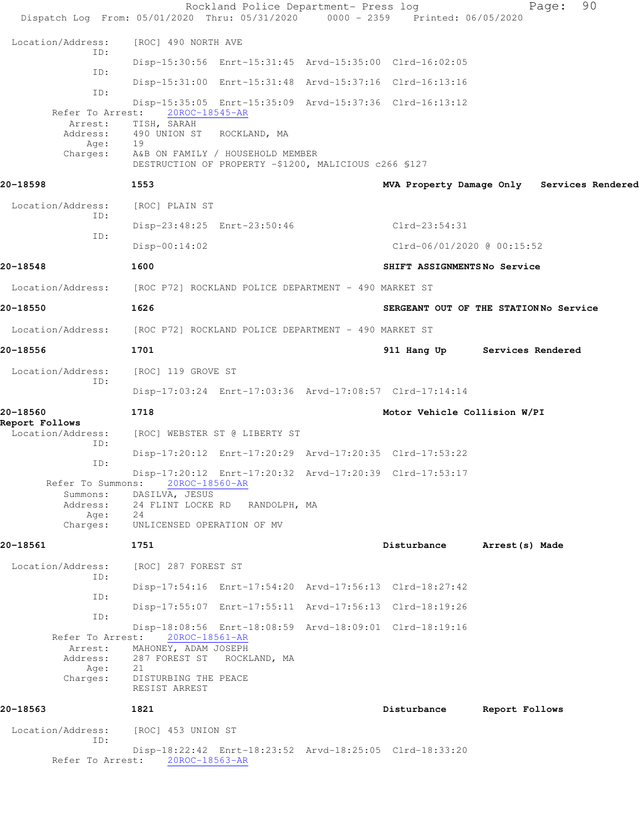|                              | Rockland Police Department- Press log<br>Dispatch Log From: 05/01/2020 Thru: 05/31/2020 0000 - 2359 Printed: 06/05/2020 |                              | 90<br>Page:                                |  |
|------------------------------|-------------------------------------------------------------------------------------------------------------------------|------------------------------|--------------------------------------------|--|
| Location/Address:            | [ROC] 490 NORTH AVE                                                                                                     |                              |                                            |  |
| ID:                          | Disp-15:30:56 Enrt-15:31:45 Arvd-15:35:00 Clrd-16:02:05                                                                 |                              |                                            |  |
| ID:                          | Disp-15:31:00 Enrt-15:31:48 Arvd-15:37:16 Clrd-16:13:16                                                                 |                              |                                            |  |
| ID:<br>Refer To Arrest:      | Disp-15:35:05 Enrt-15:35:09 Arvd-15:37:36 Clrd-16:13:12<br>20ROC-18545-AR                                               |                              |                                            |  |
| Arrest:<br>Address:<br>Age:  | TISH, SARAH<br>490 UNION ST<br>ROCKLAND, MA<br>19                                                                       |                              |                                            |  |
| Charges:                     | A&B ON FAMILY / HOUSEHOLD MEMBER<br>DESTRUCTION OF PROPERTY -\$1200, MALICIOUS c266 \$127                               |                              |                                            |  |
| 20-18598                     | 1553                                                                                                                    |                              | MVA Property Damage Only Services Rendered |  |
| Location/Address:            | [ROC] PLAIN ST                                                                                                          |                              |                                            |  |
| ID:                          | Disp-23:48:25 Enrt-23:50:46                                                                                             | Clrd-23:54:31                |                                            |  |
| ID:                          | $Disp-00:14:02$                                                                                                         | Clrd-06/01/2020 @ 00:15:52   |                                            |  |
| 20-18548                     | 1600                                                                                                                    | SHIFT ASSIGNMENTSNo Service  |                                            |  |
|                              | Location/Address: [ROC P72] ROCKLAND POLICE DEPARTMENT - 490 MARKET ST                                                  |                              |                                            |  |
| 20-18550                     | 1626                                                                                                                    |                              | SERGEANT OUT OF THE STATIONNO Service      |  |
|                              | Location/Address: [ROC P72] ROCKLAND POLICE DEPARTMENT - 490 MARKET ST                                                  |                              |                                            |  |
| 20-18556                     | 1701                                                                                                                    |                              | 911 Hang Up Services Rendered              |  |
| Location/Address:<br>ID:     | [ROC] 119 GROVE ST                                                                                                      |                              |                                            |  |
|                              | Disp-17:03:24 Enrt-17:03:36 Arvd-17:08:57 Clrd-17:14:14                                                                 |                              |                                            |  |
| 20-18560<br>Report Follows   | 1718                                                                                                                    | Motor Vehicle Collision W/PI |                                            |  |
| Location/Address:<br>ID:     | [ROC] WEBSTER ST @ LIBERTY ST                                                                                           |                              |                                            |  |
| ID:                          | Disp-17:20:12 Enrt-17:20:29 Arvd-17:20:35 Clrd-17:53:22                                                                 |                              |                                            |  |
| Refer To Summons:            | Disp-17:20:12 Enrt-17:20:32 Arvd-17:20:39 Clrd-17:53:17<br>20ROC-18560-AR                                               |                              |                                            |  |
| Summons:<br>Address:<br>Age: | DASILVA, JESUS<br>24 FLINT LOCKE RD<br>RANDOLPH, MA<br>24                                                               |                              |                                            |  |
| Charges:                     | UNLICENSED OPERATION OF MV                                                                                              |                              |                                            |  |
| 20-18561                     | 1751                                                                                                                    | Disturbance                  | Arrest (s) Made                            |  |
| Location/Address:<br>ID:     | [ROC] 287 FOREST ST                                                                                                     |                              |                                            |  |
| ID:                          | Disp-17:54:16 Enrt-17:54:20 Arvd-17:56:13 Clrd-18:27:42                                                                 |                              |                                            |  |
| ID:                          | Disp-17:55:07 Enrt-17:55:11 Arvd-17:56:13 Clrd-18:19:26                                                                 |                              |                                            |  |
| Refer To Arrest:             | Disp-18:08:56 Enrt-18:08:59 Arvd-18:09:01 Clrd-18:19:16<br>20ROC-18561-AR                                               |                              |                                            |  |
| Arrest:<br>Address:<br>Age:  | MAHONEY, ADAM JOSEPH<br>287 FOREST ST<br>ROCKLAND, MA<br>21                                                             |                              |                                            |  |
| Charges:                     | DISTURBING THE PEACE<br>RESIST ARREST                                                                                   |                              |                                            |  |
| 20-18563                     | 1821                                                                                                                    | Disturbance                  | Report Follows                             |  |
| Location/Address:<br>ID:     | [ROC] 453 UNION ST                                                                                                      |                              |                                            |  |
| Refer To Arrest:             | Disp-18:22:42 Enrt-18:23:52 Arvd-18:25:05 Clrd-18:33:20<br>20ROC-18563-AR                                               |                              |                                            |  |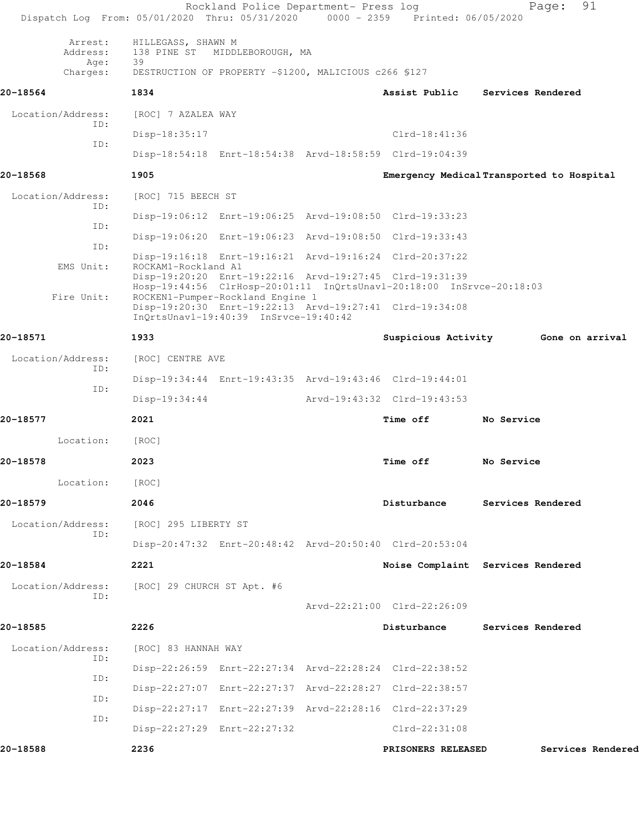| Dispatch Log From: 05/01/2020 Thru: 05/31/2020 0000 - 2359 Printed: 06/05/2020 |                                                                                                  | Rockland Police Department- Press log |                                                                      |                   | 91<br>Page:       |  |
|--------------------------------------------------------------------------------|--------------------------------------------------------------------------------------------------|---------------------------------------|----------------------------------------------------------------------|-------------------|-------------------|--|
| Arrest:<br>Address:                                                            | HILLEGASS, SHAWN M<br>138 PINE ST                                                                | MIDDLEBOROUGH, MA                     |                                                                      |                   |                   |  |
| Age:<br>Charges:                                                               | 39<br>DESTRUCTION OF PROPERTY -\$1200, MALICIOUS c266 \$127                                      |                                       |                                                                      |                   |                   |  |
| 20-18564                                                                       | 1834                                                                                             |                                       | Assist Public                                                        | Services Rendered |                   |  |
| Location/Address:<br>ID:                                                       | [ROC] 7 AZALEA WAY                                                                               |                                       |                                                                      |                   |                   |  |
| ID:                                                                            | Disp-18:35:17                                                                                    |                                       | $Clrd-18:41:36$                                                      |                   |                   |  |
|                                                                                | Disp-18:54:18 Enrt-18:54:38 Arvd-18:58:59 Clrd-19:04:39                                          |                                       |                                                                      |                   |                   |  |
| 20-18568                                                                       | 1905                                                                                             |                                       | Emergency Medical Transported to Hospital                            |                   |                   |  |
| Location/Address:<br>ID:                                                       | [ROC] 715 BEECH ST                                                                               |                                       |                                                                      |                   |                   |  |
| ID:                                                                            | Disp-19:06:12 Enrt-19:06:25 Arvd-19:08:50 Clrd-19:33:23                                          |                                       |                                                                      |                   |                   |  |
| ID:                                                                            | Disp-19:06:20 Enrt-19:06:23 Arvd-19:08:50 Clrd-19:33:43                                          |                                       |                                                                      |                   |                   |  |
| EMS Unit:                                                                      | Disp-19:16:18 Enrt-19:16:21 Arvd-19:16:24 Clrd-20:37:22<br>ROCKAM1-Rockland A1                   |                                       |                                                                      |                   |                   |  |
| Fire Unit:                                                                     | Disp-19:20:20 Enrt-19:22:16 Arvd-19:27:45 Clrd-19:31:39<br>ROCKEN1-Pumper-Rockland Engine 1      |                                       | Hosp-19:44:56 ClrHosp-20:01:11 InQrtsUnavl-20:18:00 InSrvce-20:18:03 |                   |                   |  |
|                                                                                | Disp-19:20:30 Enrt-19:22:13 Arvd-19:27:41 Clrd-19:34:08<br>InQrtsUnavl-19:40:39 InSrvce-19:40:42 |                                       |                                                                      |                   |                   |  |
| 20-18571                                                                       | 1933                                                                                             |                                       | Suspicious Activity Gone on arrival                                  |                   |                   |  |
| Location/Address:<br>ID:                                                       | [ROC] CENTRE AVE                                                                                 |                                       |                                                                      |                   |                   |  |
| ID:                                                                            | Disp-19:34:44 Enrt-19:43:35 Arvd-19:43:46 Clrd-19:44:01                                          |                                       |                                                                      |                   |                   |  |
|                                                                                | $Disp-19:34:44$                                                                                  |                                       | Arvd-19:43:32 Clrd-19:43:53                                          |                   |                   |  |
| 20-18577                                                                       | 2021                                                                                             |                                       | Time off                                                             | No Service        |                   |  |
| Location:                                                                      | [ROC]                                                                                            |                                       |                                                                      |                   |                   |  |
| 20-18578                                                                       | 2023                                                                                             |                                       | Time off                                                             | No Service        |                   |  |
| Location:                                                                      | [ROC]                                                                                            |                                       |                                                                      |                   |                   |  |
| 20-18579                                                                       | 2046                                                                                             |                                       | Disturbance                                                          | Services Rendered |                   |  |
| Location/Address:<br>ID:                                                       | [ROC] 295 LIBERTY ST                                                                             |                                       |                                                                      |                   |                   |  |
|                                                                                | Disp-20:47:32 Enrt-20:48:42 Arvd-20:50:40 Clrd-20:53:04                                          |                                       |                                                                      |                   |                   |  |
| 20-18584                                                                       | 2221                                                                                             |                                       | Noise Complaint Services Rendered                                    |                   |                   |  |
| Location/Address:<br>ID:                                                       | [ROC] 29 CHURCH ST Apt. #6                                                                       |                                       | Arvd-22:21:00 Clrd-22:26:09                                          |                   |                   |  |
| 20-18585                                                                       | 2226                                                                                             |                                       | Disturbance                                                          | Services Rendered |                   |  |
| Location/Address:                                                              | [ROC] 83 HANNAH WAY                                                                              |                                       |                                                                      |                   |                   |  |
| ID:                                                                            | Disp-22:26:59 Enrt-22:27:34 Arvd-22:28:24 Clrd-22:38:52                                          |                                       |                                                                      |                   |                   |  |
| ID:                                                                            | Disp-22:27:07 Enrt-22:27:37 Arvd-22:28:27 Clrd-22:38:57                                          |                                       |                                                                      |                   |                   |  |
| ID:                                                                            | Disp-22:27:17 Enrt-22:27:39 Arvd-22:28:16 Clrd-22:37:29                                          |                                       |                                                                      |                   |                   |  |
| ID:                                                                            | Disp-22:27:29 Enrt-22:27:32                                                                      |                                       | Clrd-22:31:08                                                        |                   |                   |  |
| 20-18588                                                                       | 2236                                                                                             |                                       | PRISONERS RELEASED                                                   |                   | Services Rendered |  |
|                                                                                |                                                                                                  |                                       |                                                                      |                   |                   |  |